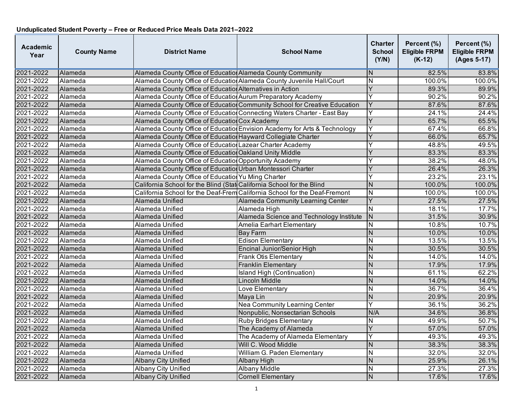| Academic<br>Year | <b>County Name</b> | <b>District Name</b>                                                  | <b>School Name</b>                                                         | Charter<br><b>School</b><br>(Y/N) | Percent (%)<br><b>Eligible FRPM</b><br>$(K-12)$ | Percent (%)<br><b>Eligible FRPM</b><br>(Ages 5-17) |
|------------------|--------------------|-----------------------------------------------------------------------|----------------------------------------------------------------------------|-----------------------------------|-------------------------------------------------|----------------------------------------------------|
| 2021-2022        | <b>Alameda</b>     | Alameda County Office of Educatio Alameda County Community            |                                                                            | N                                 | 82.5%                                           | 83.8%                                              |
| 2021-2022        | Alameda            |                                                                       | Alameda County Office of Education Alameda County Juvenile Hall/Court      | $\overline{N}$                    | 100.0%                                          | 100.0%                                             |
| 2021-2022        | Alameda            | Alameda County Office of Education Alternatives in Action             |                                                                            | Ý                                 | 89.3%                                           | 89.9%                                              |
| 2021-2022        | Alameda            | Alameda County Office of Education Aurum Preparatory Academy          |                                                                            | Υ                                 | 90.2%                                           | 90.2%                                              |
| 2021-2022        | Alameda            |                                                                       | Alameda County Office of Education Community School for Creative Education | Y                                 | 87.6%                                           | 87.6%                                              |
| 2021-2022        | Alameda            |                                                                       | Alameda County Office of Education Connecting Waters Charter - East Bay    | Y                                 | 24.1%                                           | 24.4%                                              |
| 2021-2022        | <b>Alameda</b>     | Alameda County Office of Education Cox Academy                        |                                                                            | Y                                 | 65.7%                                           | 65.5%                                              |
| 2021-2022        | Alameda            |                                                                       | Alameda County Office of Education Envision Academy for Arts & Technology  | Y                                 | 67.4%                                           | 66.8%                                              |
| 2021-2022        | Alameda            | Alameda County Office of Education Hayward Collegiate Charter         |                                                                            | Y                                 | 66.0%                                           | 65.7%                                              |
| 2021-2022        | Alameda            | Alameda County Office of Education Lazear Charter Academy             |                                                                            |                                   | 48.8%                                           | 49.5%                                              |
| 2021-2022        | Alameda            | Alameda County Office of Educatior Oakland Unity Middle               |                                                                            |                                   | 83.3%                                           | 83.3%                                              |
| 2021-2022        | Alameda            | Alameda County Office of Education Opportunity Academy                |                                                                            |                                   | 38.2%                                           | 48.0%                                              |
| 2021-2022        | Alameda            | Alameda County Office of Education Urban Montessori Charter           |                                                                            | Y                                 | 26.4%                                           | 26.3%                                              |
| 2021-2022        | Alameda            | Alameda County Office of Education Yu Ming Charter                    |                                                                            |                                   | 23.2%                                           | 23.1%                                              |
| 2021-2022        | Alameda            | California School for the Blind (Stat California School for the Blind |                                                                            | N                                 | 100.0%                                          | 100.0%                                             |
| 2021-2022        | Alameda            |                                                                       | California School for the Deaf-Frem California School for the Deaf-Fremont | $\mathsf{N}$                      | 100.0%                                          | 100.0%                                             |
| 2021-2022        | Alameda            | Alameda Unified                                                       | Alameda Community Learning Center                                          | Y                                 | 27.5%                                           | 27.5%                                              |
| 2021-2022        | Alameda            | Alameda Unified                                                       | Alameda High                                                               | N                                 | 18.1%                                           | 17.7%                                              |
| 2021-2022        | Alameda            | Alameda Unified                                                       | Alameda Science and Technology Institute                                   | N                                 | 31.5%                                           | 30.9%                                              |
| 2021-2022        | Alameda            | Alameda Unified                                                       | Amelia Earhart Elementary                                                  | N                                 | 10.8%                                           | 10.7%                                              |
| 2021-2022        | Alameda            | Alameda Unified                                                       | <b>Bay Farm</b>                                                            | N                                 | 10.0%                                           | 10.0%                                              |
| 2021-2022        | Alameda            | Alameda Unified                                                       | <b>Edison Elementary</b>                                                   | N                                 | 13.5%                                           | 13.5%                                              |
| 2021-2022        | Alameda            | Alameda Unified                                                       | Encinal Junior/Senior High                                                 | N                                 | 30.5%                                           | 30.5%                                              |
| 2021-2022        | Alameda            | Alameda Unified                                                       | Frank Otis Elementary                                                      | N                                 | 14.0%                                           | 14.0%                                              |
| 2021-2022        | Alameda            | Alameda Unified                                                       | <b>Franklin Elementary</b>                                                 | N                                 | 17.9%                                           | 17.9%                                              |
| 2021-2022        | Alameda            | Alameda Unified                                                       | Island High (Continuation)                                                 | N                                 | 61.1%                                           | 62.2%                                              |
| 2021-2022        | Alameda            | Alameda Unified                                                       | Lincoln Middle                                                             | N                                 | 14.0%                                           | 14.0%                                              |
| 2021-2022        | Alameda            | Alameda Unified                                                       | Love Elementary                                                            | N                                 | 36.7%                                           | 36.4%                                              |
| 2021-2022        | <b>Alameda</b>     | Alameda Unified                                                       | Maya Lin                                                                   | $\mathsf{N}$                      | 20.9%                                           | 20.9%                                              |
| 2021-2022        | Alameda            | Alameda Unified                                                       | <b>Nea Community Learning Center</b>                                       | Ý                                 | 36.1%                                           | 36.2%                                              |
| 2021-2022        | Alameda            | Alameda Unified                                                       | Nonpublic, Nonsectarian Schools                                            | N/A                               | 34.6%                                           | 36.8%                                              |
| 2021-2022        | Alameda            | Alameda Unified                                                       | <b>Ruby Bridges Elementary</b>                                             | N                                 | 49.9%                                           | 50.7%                                              |
| 2021-2022        | <b>Alameda</b>     | Alameda Unified                                                       | The Academy of Alameda                                                     | Y                                 | 57.0%                                           | 57.0%                                              |
| 2021-2022        | Alameda            | Alameda Unified                                                       | The Academy of Alameda Elementary                                          | Y                                 | 49.3%                                           | 49.3%                                              |
| 2021-2022        | Alameda            | Alameda Unified                                                       | Will C. Wood Middle                                                        | $\mathsf{N}$                      | 38.3%                                           | 38.3%                                              |
| 2021-2022        | Alameda            | Alameda Unified                                                       | William G. Paden Elementary                                                | N                                 | 32.0%                                           | 32.0%                                              |
| 2021-2022        | <b>Alameda</b>     | <b>Albany City Unified</b>                                            | Albany High                                                                | N                                 | 25.9%                                           | 26.1%                                              |
| 2021-2022        | Alameda            | <b>Albany City Unified</b>                                            | <b>Albany Middle</b>                                                       | N                                 | 27.3%                                           | 27.3%                                              |
| 2021-2022        | Alameda            | <b>Albany City Unified</b>                                            | <b>Cornell Elementary</b>                                                  | N                                 | 17.6%                                           | 17.6%                                              |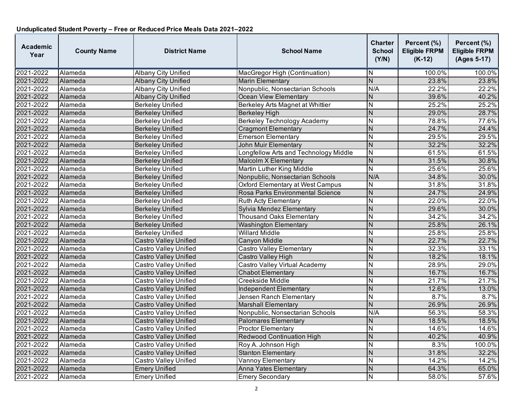| <b>Academic</b><br>Year | <b>County Name</b> | <b>District Name</b>         | <b>School Name</b>                    | Charter<br><b>School</b><br>(Y/N) | Percent (%)<br><b>Eligible FRPM</b><br>$(K-12)$ | Percent (%)<br><b>Eligible FRPM</b><br>(Ages 5-17) |
|-------------------------|--------------------|------------------------------|---------------------------------------|-----------------------------------|-------------------------------------------------|----------------------------------------------------|
| 2021-2022               | Alameda            | <b>Albany City Unified</b>   | MacGregor High (Continuation)         | N                                 | 100.0%                                          | 100.0%                                             |
| 2021-2022               | Alameda            | <b>Albany City Unified</b>   | <b>Marin Elementary</b>               | $\overline{N}$                    | 23.8%                                           | 23.8%                                              |
| 2021-2022               | Alameda            | <b>Albany City Unified</b>   | Nonpublic, Nonsectarian Schools       | N/A                               | 22.2%                                           | 22.2%                                              |
| 2021-2022               | Alameda            | <b>Albany City Unified</b>   | <b>Ocean View Elementary</b>          | Ν                                 | 39.6%                                           | 40.2%                                              |
| 2021-2022               | Alameda            | <b>Berkeley Unified</b>      | Berkeley Arts Magnet at Whittier      | N                                 | 25.2%                                           | 25.2%                                              |
| 2021-2022               | Alameda            | <b>Berkeley Unified</b>      | <b>Berkeley High</b>                  | N                                 | 29.0%                                           | 28.7%                                              |
| 2021-2022               | Alameda            | <b>Berkeley Unified</b>      | <b>Berkeley Technology Academy</b>    | N                                 | 78.8%                                           | 77.6%                                              |
| 2021-2022               | Alameda            | <b>Berkeley Unified</b>      | <b>Cragmont Elementary</b>            | N                                 | 24.7%                                           | 24.4%                                              |
| 2021-2022               | Alameda            | <b>Berkeley Unified</b>      | <b>Emerson Elementary</b>             | $\overline{\mathsf{N}}$           | 29.5%                                           | 29.5%                                              |
| 2021-2022               | Alameda            | <b>Berkeley Unified</b>      | <b>John Muir Elementary</b>           | $\overline{N}$                    | 32.2%                                           | 32.2%                                              |
| 2021-2022               | Alameda            | <b>Berkeley Unified</b>      | Longfellow Arts and Technology Middle | $\overline{\mathsf{N}}$           | 61.5%                                           | 61.5%                                              |
| 2021-2022               | Alameda            | <b>Berkeley Unified</b>      | Malcolm X Elementary                  | N                                 | 31.5%                                           | 30.8%                                              |
| 2021-2022               | Alameda            | <b>Berkeley Unified</b>      | Martin Luther King Middle             | N                                 | 25.6%                                           | 25.6%                                              |
| 2021-2022               | Alameda            | <b>Berkeley Unified</b>      | Nonpublic, Nonsectarian Schools       | N/A                               | 34.8%                                           | 30.0%                                              |
| 2021-2022               | Alameda            | <b>Berkeley Unified</b>      | Oxford Elementary at West Campus      | N                                 | 31.8%                                           | 31.8%                                              |
| 2021-2022               | Alameda            | <b>Berkeley Unified</b>      | Rosa Parks Environmental Science      | N                                 | 24.7%                                           | 24.9%                                              |
| 2021-2022               | Alameda            | <b>Berkeley Unified</b>      | Ruth Acty Elementary                  | N                                 | 22.0%                                           | 22.0%                                              |
| 2021-2022               | Alameda            | <b>Berkeley Unified</b>      | Sylvia Mendez Elementary              | N                                 | 29.6%                                           | 30.0%                                              |
| 2021-2022               | Alameda            | <b>Berkeley Unified</b>      | <b>Thousand Oaks Elementary</b>       | N                                 | 34.2%                                           | 34.2%                                              |
| 2021-2022               | Alameda            | <b>Berkeley Unified</b>      | <b>Washington Elementary</b>          | $\overline{N}$                    | 25.8%                                           | 26.1%                                              |
| 2021-2022               | Alameda            | <b>Berkeley Unified</b>      | Willard Middle                        | $\overline{\mathsf{N}}$           | 25.8%                                           | 25.8%                                              |
| 2021-2022               | Alameda            | <b>Castro Valley Unified</b> | Canyon Middle                         | N                                 | 22.7%                                           | 22.7%                                              |
| 2021-2022               | Alameda            | <b>Castro Valley Unified</b> | Castro Valley Elementary              | N                                 | 32.3%                                           | 33.1%                                              |
| 2021-2022               | Alameda            | <b>Castro Valley Unified</b> | Castro Valley High                    | $\overline{\mathsf{N}}$           | 18.2%                                           | 18.1%                                              |
| 2021-2022               | Alameda            | <b>Castro Valley Unified</b> | Castro Valley Virtual Academy         | N                                 | 28.9%                                           | 29.0%                                              |
| 2021-2022               | Alameda            | <b>Castro Valley Unified</b> | Chabot Elementary                     | N                                 | 16.7%                                           | 16.7%                                              |
| 2021-2022               | Alameda            | <b>Castro Valley Unified</b> | Creekside Middle                      | N                                 | 21.7%                                           | 21.7%                                              |
| 2021-2022               | Alameda            | <b>Castro Valley Unified</b> | <b>Independent Elementary</b>         | N                                 | 12.6%                                           | 13.0%                                              |
| 2021-2022               | Alameda            | Castro Valley Unified        | Jensen Ranch Elementary               | $\overline{\mathsf{N}}$           | 8.7%                                            | 8.7%                                               |
| 2021-2022               | Alameda            | <b>Castro Valley Unified</b> | <b>Marshall Elementary</b>            | N                                 | 26.9%                                           | 26.9%                                              |
| 2021-2022               | Alameda            | Castro Valley Unified        | Nonpublic, Nonsectarian Schools       | N/A                               | 56.3%                                           | 58.3%                                              |
| 2021-2022               | Alameda            | <b>Castro Valley Unified</b> | <b>Palomares Elementary</b>           | N                                 | 18.5%                                           | 18.5%                                              |
| 2021-2022               | Alameda            | <b>Castro Valley Unified</b> | <b>Proctor Elementary</b>             | N                                 | 14.6%                                           | 14.6%                                              |
| 2021-2022               | Alameda            | <b>Castro Valley Unified</b> | <b>Redwood Continuation High</b>      | N                                 | 40.2%                                           | 40.9%                                              |
| 2021-2022               | Alameda            | <b>Castro Valley Unified</b> | Roy A. Johnson High                   | N                                 | 8.3%                                            | 100.0%                                             |
| 2021-2022               | Alameda            | <b>Castro Valley Unified</b> | <b>Stanton Elementary</b>             | N                                 | 31.8%                                           | 32.2%                                              |
| 2021-2022               | Alameda            | Castro Valley Unified        | Vannoy Elementary                     | Ν                                 | 14.2%                                           | 14.2%                                              |
| 2021-2022               | Alameda            | <b>Emery Unified</b>         | Anna Yates Elementary                 | N                                 | 64.3%                                           | 65.0%                                              |
| 2021-2022               | Alameda            | <b>Emery Unified</b>         | <b>Emery Secondary</b>                | N                                 | 58.0%                                           | 57.6%                                              |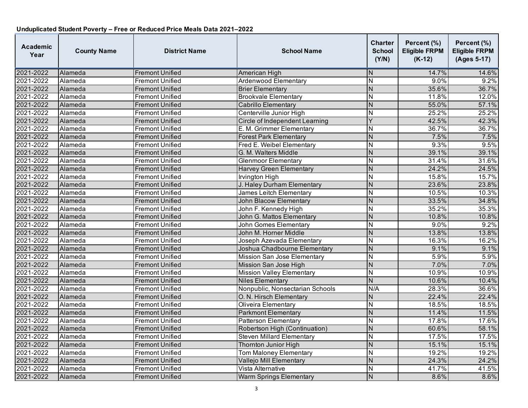| Academic<br>Year | <b>County Name</b> | <b>District Name</b>   | <b>School Name</b>               | <b>Charter</b><br><b>School</b><br>(Y/N) | Percent (%)<br><b>Eligible FRPM</b><br>$(K-12)$ | Percent (%)<br><b>Eligible FRPM</b><br>(Ages 5-17) |
|------------------|--------------------|------------------------|----------------------------------|------------------------------------------|-------------------------------------------------|----------------------------------------------------|
| 2021-2022        | Alameda            | <b>Fremont Unified</b> | American High                    | N                                        | 14.7%                                           | 14.6%                                              |
| 2021-2022        | Alameda            | <b>Fremont Unified</b> | <b>Ardenwood Elementary</b>      | N                                        | 9.0%                                            | 9.2%                                               |
| 2021-2022        | Alameda            | <b>Fremont Unified</b> | <b>Brier Elementary</b>          | N                                        | 35.6%                                           | 36.7%                                              |
| 2021-2022        | Alameda            | <b>Fremont Unified</b> | <b>Brookvale Elementary</b>      | N                                        | 11.8%                                           | 12.0%                                              |
| 2021-2022        | Alameda            | <b>Fremont Unified</b> | <b>Cabrillo Elementary</b>       | N                                        | 55.0%                                           | 57.1%                                              |
| 2021-2022        | Alameda            | <b>Fremont Unified</b> | Centerville Junior High          | N                                        | 25.2%                                           | 25.2%                                              |
| 2021-2022        | Alameda            | <b>Fremont Unified</b> | Circle of Independent Learning   | Y                                        | 42.5%                                           | 42.3%                                              |
| 2021-2022        | Alameda            | <b>Fremont Unified</b> | E. M. Grimmer Elementary         | N                                        | 36.7%                                           | 36.7%                                              |
| 2021-2022        | Alameda            | <b>Fremont Unified</b> | <b>Forest Park Elementary</b>    | N                                        | 7.5%                                            | 7.5%                                               |
| 2021-2022        | Alameda            | <b>Fremont Unified</b> | Fred E. Weibel Elementary        | N                                        | 9.3%                                            | 9.5%                                               |
| 2021-2022        | Alameda            | <b>Fremont Unified</b> | G. M. Walters Middle             | $\overline{N}$                           | 39.1%                                           | 39.1%                                              |
| 2021-2022        | Alameda            | <b>Fremont Unified</b> | <b>Glenmoor Elementary</b>       | N                                        | 31.4%                                           | 31.6%                                              |
| 2021-2022        | Alameda            | <b>Fremont Unified</b> | <b>Harvey Green Elementary</b>   | N                                        | 24.2%                                           | 24.5%                                              |
| 2021-2022        | Alameda            | <b>Fremont Unified</b> | <b>Irvington High</b>            | N                                        | 15.8%                                           | 15.7%                                              |
| 2021-2022        | Alameda            | <b>Fremont Unified</b> | J. Haley Durham Elementary       | $\overline{N}$                           | 23.6%                                           | 23.8%                                              |
| 2021-2022        | Alameda            | <b>Fremont Unified</b> | James Leitch Elementary          | N                                        | 10.5%                                           | 10.3%                                              |
| 2021-2022        | Alameda            | <b>Fremont Unified</b> | <b>John Blacow Elementary</b>    | $\overline{N}$                           | 33.5%                                           | 34.8%                                              |
| 2021-2022        | Alameda            | <b>Fremont Unified</b> | John F. Kennedy High             | N                                        | 35.2%                                           | 35.3%                                              |
| 2021-2022        | Alameda            | <b>Fremont Unified</b> | John G. Mattos Elementary        | N                                        | 10.8%                                           | 10.8%                                              |
| 2021-2022        | Alameda            | <b>Fremont Unified</b> | <b>John Gomes Elementary</b>     | $\overline{N}$                           | 9.0%                                            | 9.2%                                               |
| 2021-2022        | Alameda            | <b>Fremont Unified</b> | John M. Horner Middle            | $\overline{N}$                           | 13.8%                                           | 13.8%                                              |
| 2021-2022        | Alameda            | <b>Fremont Unified</b> | Joseph Azevada Elementary        | $\overline{N}$                           | 16.3%                                           | 16.2%                                              |
| 2021-2022        | Alameda            | <b>Fremont Unified</b> | Joshua Chadbourne Elementary     | $\overline{N}$                           | 9.1%                                            | 9.1%                                               |
| 2021-2022        | Alameda            | <b>Fremont Unified</b> | Mission San Jose Elementary      | N                                        | 5.9%                                            | 5.9%                                               |
| 2021-2022        | Alameda            | <b>Fremont Unified</b> | Mission San Jose High            | $\overline{N}$                           | 7.0%                                            | 7.0%                                               |
| 2021-2022        | Alameda            | <b>Fremont Unified</b> | <b>Mission Valley Elementary</b> | N                                        | 10.9%                                           | 10.9%                                              |
| 2021-2022        | Alameda            | <b>Fremont Unified</b> | <b>Niles Elementary</b>          | N                                        | 10.6%                                           | 10.4%                                              |
| 2021-2022        | Alameda            | <b>Fremont Unified</b> | Nonpublic, Nonsectarian Schools  | N/A                                      | 28.3%                                           | 36.6%                                              |
| 2021-2022        | Alameda            | <b>Fremont Unified</b> | O. N. Hirsch Elementary          | N                                        | 22.4%                                           | 22.4%                                              |
| 2021-2022        | Alameda            | <b>Fremont Unified</b> | Oliveira Elementary              | N                                        | 18.5%                                           | 18.5%                                              |
| 2021-2022        | Alameda            | <b>Fremont Unified</b> | <b>Parkmont Elementary</b>       | $\overline{N}$                           | 11.4%                                           | 11.5%                                              |
| 2021-2022        | Alameda            | <b>Fremont Unified</b> | Patterson Elementary             | $\overline{\mathsf{N}}$                  | 17.8%                                           | 17.6%                                              |
| 2021-2022        | Alameda            | <b>Fremont Unified</b> | Robertson High (Continuation)    | $\overline{N}$                           | 60.6%                                           | 58.1%                                              |
| 2021-2022        | Alameda            | <b>Fremont Unified</b> | <b>Steven Millard Elementary</b> | N                                        | 17.5%                                           | 17.5%                                              |
| 2021-2022        | Alameda            | <b>Fremont Unified</b> | Thornton Junior High             | $\overline{N}$                           | 15.1%                                           | 15.1%                                              |
| 2021-2022        | Alameda            | <b>Fremont Unified</b> | <b>Tom Maloney Elementary</b>    | $\overline{\mathsf{N}}$                  | 19.2%                                           | 19.2%                                              |
| 2021-2022        | Alameda            | <b>Fremont Unified</b> | Vallejo Mill Elementary          | N                                        | 24.3%                                           | 24.2%                                              |
| 2021-2022        | Alameda            | <b>Fremont Unified</b> | Vista Alternative                | N                                        | 41.7%                                           | 41.5%                                              |
| 2021-2022        | Alameda            | <b>Fremont Unified</b> | <b>Warm Springs Elementary</b>   | N                                        | 8.6%                                            | 8.6%                                               |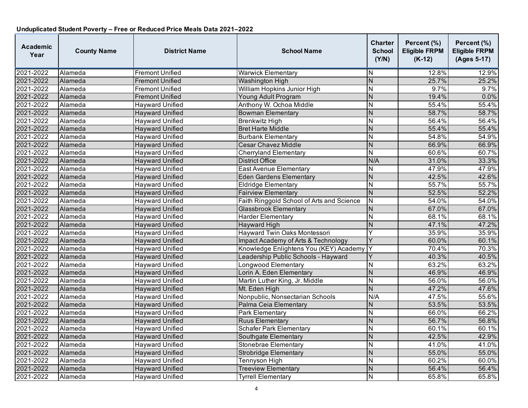| <b>Academic</b><br>Year | <b>County Name</b> | <b>District Name</b>   | <b>School Name</b>                        | <b>Charter</b><br><b>School</b><br>(Y/N) | Percent (%)<br><b>Eligible FRPM</b><br>$(K-12)$ | Percent (%)<br><b>Eligible FRPM</b><br>(Ages 5-17) |
|-------------------------|--------------------|------------------------|-------------------------------------------|------------------------------------------|-------------------------------------------------|----------------------------------------------------|
| 2021-2022               | Alameda            | <b>Fremont Unified</b> | <b>Warwick Elementary</b>                 | IN.                                      | 12.8%                                           | 12.9%                                              |
| 2021-2022               | Alameda            | <b>Fremont Unified</b> | <b>Washington High</b>                    | $\overline{N}$                           | 25.7%                                           | 25.2%                                              |
| 2021-2022               | Alameda            | <b>Fremont Unified</b> | William Hopkins Junior High               | $\overline{\mathsf{N}}$                  | 9.7%                                            | 9.7%                                               |
| 2021-2022               | Alameda            | <b>Fremont Unified</b> | Young Adult Program                       | $\overline{N}$                           | 19.4%                                           | 0.0%                                               |
| 2021-2022               | Alameda            | <b>Hayward Unified</b> | Anthony W. Ochoa Middle                   | N                                        | 55.4%                                           | 55.4%                                              |
| 2021-2022               | Alameda            | <b>Hayward Unified</b> | <b>Bowman Elementary</b>                  | $\overline{N}$                           | 58.7%                                           | 58.7%                                              |
| 2021-2022               | Alameda            | <b>Hayward Unified</b> | <b>Brenkwitz High</b>                     | N                                        | 56.4%                                           | 56.4%                                              |
| 2021-2022               | Alameda            | <b>Hayward Unified</b> | <b>Bret Harte Middle</b>                  | N                                        | 55.4%                                           | 55.4%                                              |
| 2021-2022               | Alameda            | <b>Hayward Unified</b> | <b>Burbank Elementary</b>                 | $\overline{\mathsf{N}}$                  | 54.8%                                           | 54.9%                                              |
| 2021-2022               | Alameda            | <b>Hayward Unified</b> | <b>Cesar Chavez Middle</b>                | N                                        | 66.9%                                           | 66.9%                                              |
| 2021-2022               | Alameda            | <b>Hayward Unified</b> | <b>Cherryland Elementary</b>              | $\overline{\mathsf{N}}$                  | 60.6%                                           | 60.7%                                              |
| 2021-2022               | Alameda            | <b>Hayward Unified</b> | <b>District Office</b>                    | N/A                                      | 31.0%                                           | 33.3%                                              |
| 2021-2022               | Alameda            | <b>Hayward Unified</b> | East Avenue Elementary                    | N                                        | 47.9%                                           | 47.9%                                              |
| 2021-2022               | Alameda            | <b>Hayward Unified</b> | <b>Eden Gardens Elementary</b>            | $\overline{N}$                           | 42.5%                                           | 42.6%                                              |
| 2021-2022               | Alameda            | <b>Hayward Unified</b> | <b>Eldridge Elementary</b>                | N                                        | 55.7%                                           | 55.7%                                              |
| 2021-2022               | Alameda            | <b>Hayward Unified</b> | <b>Fairview Elementary</b>                | N                                        | 52.5%                                           | 52.2%                                              |
| 2021-2022               | Alameda            | <b>Hayward Unified</b> | Faith Ringgold School of Arts and Science | N                                        | 54.0%                                           | 54.0%                                              |
| 2021-2022               | Alameda            | <b>Hayward Unified</b> | <b>Glassbrook Elementary</b>              | N                                        | 67.0%                                           | 67.0%                                              |
| 2021-2022               | Alameda            | <b>Hayward Unified</b> | <b>Harder Elementary</b>                  | N                                        | 68.1%                                           | 68.1%                                              |
| 2021-2022               | Alameda            | <b>Hayward Unified</b> | <b>Hayward High</b>                       | $\overline{N}$                           | 47.1%                                           | 47.2%                                              |
| 2021-2022               | Alameda            | <b>Hayward Unified</b> | Hayward Twin Oaks Montessori              | Y                                        | 35.9%                                           | 35.9%                                              |
| 2021-2022               | Alameda            | <b>Hayward Unified</b> | Impact Academy of Arts & Technology       | Y                                        | 60.0%                                           | 60.1%                                              |
| 2021-2022               | Alameda            | <b>Hayward Unified</b> | Knowledge Enlightens You (KEY) Academy    | Y                                        | 70.4%                                           | 70.3%                                              |
| 2021-2022               | Alameda            | <b>Hayward Unified</b> | Leadership Public Schools - Hayward       | Y                                        | 40.3%                                           | 40.5%                                              |
| 2021-2022               | Alameda            | <b>Hayward Unified</b> | Longwood Elementary                       | $\overline{\mathsf{N}}$                  | 63.2%                                           | 63.2%                                              |
| 2021-2022               | Alameda            | <b>Hayward Unified</b> | Lorin A. Eden Elementary                  | N                                        | 46.9%                                           | 46.9%                                              |
| 2021-2022               | Alameda            | <b>Hayward Unified</b> | Martin Luther King, Jr. Middle            | N                                        | 56.0%                                           | 56.0%                                              |
| 2021-2022               | Alameda            | <b>Hayward Unified</b> | Mt. Eden High                             | $\overline{\mathsf{N}}$                  | 47.2%                                           | 47.6%                                              |
| 2021-2022               | Alameda            | Hayward Unified        | Nonpublic, Nonsectarian Schools           | N/A                                      | 47.5%                                           | 55.6%                                              |
| 2021-2022               | Alameda            | <b>Hayward Unified</b> | Palma Ceia Elementary                     | N                                        | 53.5%                                           | 53.5%                                              |
| 2021-2022               | Alameda            | <b>Hayward Unified</b> | <b>Park Elementary</b>                    | N                                        | 66.0%                                           | 66.2%                                              |
| 2021-2022               | Alameda            | <b>Hayward Unified</b> | <b>Ruus Elementary</b>                    | N                                        | 56.7%                                           | 56.8%                                              |
| 2021-2022               | Alameda            | <b>Hayward Unified</b> | <b>Schafer Park Elementary</b>            | $\overline{\mathsf{N}}$                  | 60.1%                                           | 60.1%                                              |
| 2021-2022               | Alameda            | <b>Hayward Unified</b> | Southgate Elementary                      | N                                        | 42.5%                                           | 42.9%                                              |
| 2021-2022               | Alameda            | <b>Hayward Unified</b> | Stonebrae Elementary                      | $\overline{\mathsf{N}}$                  | 41.0%                                           | 41.0%                                              |
| 2021-2022               | Alameda            | <b>Hayward Unified</b> | <b>Strobridge Elementary</b>              | $\overline{N}$                           | 55.0%                                           | 55.0%                                              |
| 2021-2022               | Alameda            | <b>Hayward Unified</b> | Tennyson High                             | N                                        | 60.2%                                           | 60.0%                                              |
| 2021-2022               | Alameda            | <b>Hayward Unified</b> | <b>Treeview Elementary</b>                | N                                        | 56.4%                                           | 56.4%                                              |
| 2021-2022               | Alameda            | <b>Hayward Unified</b> | <b>Tyrrell Elementary</b>                 | N                                        | 65.8%                                           | 65.8%                                              |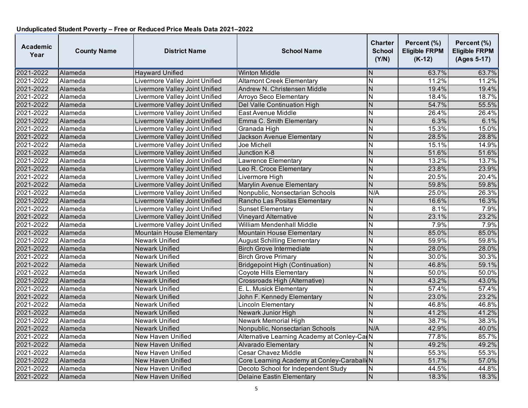| <b>Academic</b><br>Year | <b>County Name</b> | <b>District Name</b>             | <b>School Name</b>                          | <b>Charter</b><br><b>School</b><br>(Y/N) | Percent (%)<br><b>Eligible FRPM</b><br>$(K-12)$ | Percent (%)<br><b>Eligible FRPM</b><br>(Ages 5-17) |
|-------------------------|--------------------|----------------------------------|---------------------------------------------|------------------------------------------|-------------------------------------------------|----------------------------------------------------|
| 2021-2022               | Alameda            | <b>Hayward Unified</b>           | <b>Winton Middle</b>                        | ΙN                                       | 63.7%                                           | 63.7%                                              |
| 2021-2022               | Alameda            | Livermore Valley Joint Unified   | <b>Altamont Creek Elementary</b>            | $\overline{\mathsf{N}}$                  | 11.2%                                           | 11.2%                                              |
| 2021-2022               | Alameda            | Livermore Valley Joint Unified   | Andrew N. Christensen Middle                | N                                        | 19.4%                                           | 19.4%                                              |
| 2021-2022               | Alameda            | Livermore Valley Joint Unified   | Arroyo Seco Elementary                      | N                                        | 18.4%                                           | 18.7%                                              |
| 2021-2022               | Alameda            | Livermore Valley Joint Unified   | <b>Del Valle Continuation High</b>          | N                                        | 54.7%                                           | 55.5%                                              |
| 2021-2022               | Alameda            | Livermore Valley Joint Unified   | East Avenue Middle                          | Z                                        | 26.4%                                           | 26.4%                                              |
| 2021-2022               | Alameda            | Livermore Valley Joint Unified   | Emma C. Smith Elementary                    | Z                                        | 6.3%                                            | 6.1%                                               |
| 2021-2022               | Alameda            | Livermore Valley Joint Unified   | Granada High                                | N                                        | 15.3%                                           | 15.0%                                              |
| 2021-2022               | Alameda            | Livermore Valley Joint Unified   | Jackson Avenue Elementary                   | N                                        | 28.5%                                           | 28.8%                                              |
| 2021-2022               | Alameda            | Livermore Valley Joint Unified   | Joe Michell                                 | Z                                        | 15.1%                                           | 14.9%                                              |
| 2021-2022               | Alameda            | Livermore Valley Joint Unified   | Junction K-8                                | $\overline{N}$                           | 51.6%                                           | 51.6%                                              |
| 2021-2022               | Alameda            | Livermore Valley Joint Unified   | <b>Lawrence Elementary</b>                  | N                                        | 13.2%                                           | 13.7%                                              |
| 2021-2022               | Alameda            | Livermore Valley Joint Unified   | Leo R. Croce Elementary                     | Z                                        | 23.8%                                           | 23.9%                                              |
| 2021-2022               | Alameda            | Livermore Valley Joint Unified   | Livermore High                              | N                                        | 20.5%                                           | 20.4%                                              |
| 2021-2022               | Alameda            | Livermore Valley Joint Unified   | <b>Marylin Avenue Elementary</b>            | $\overline{N}$                           | 59.8%                                           | 59.8%                                              |
| 2021-2022               | Alameda            | Livermore Valley Joint Unified   | Nonpublic, Nonsectarian Schools             | N/A                                      | 25.0%                                           | 26.3%                                              |
| 2021-2022               | Alameda            | Livermore Valley Joint Unified   | Rancho Las Positas Elementary               | N                                        | 16.6%                                           | 16.3%                                              |
| 2021-2022               | Alameda            | Livermore Valley Joint Unified   | <b>Sunset Elementary</b>                    | ĪΝ                                       | 8.1%                                            | 7.9%                                               |
| 2021-2022               | Alameda            | Livermore Valley Joint Unified   | Vineyard Alternative                        | N                                        | 23.1%                                           | 23.2%                                              |
| 2021-2022               | Alameda            | Livermore Valley Joint Unified   | <b>William Mendenhall Middle</b>            | <b>N</b>                                 | 7.9%                                            | 7.9%                                               |
| 2021-2022               | Alameda            | <b>Mountain House Elementary</b> | Mountain House Elementary                   | Z                                        | 85.0%                                           | 85.0%                                              |
| 2021-2022               | Alameda            | <b>Newark Unified</b>            | <b>August Schilling Elementary</b>          | Z                                        | 59.9%                                           | 59.8%                                              |
| 2021-2022               | Alameda            | <b>Newark Unified</b>            | <b>Birch Grove Intermediate</b>             | Z                                        | 28.0%                                           | 28.0%                                              |
| 2021-2022               | Alameda            | <b>Newark Unified</b>            | <b>Birch Grove Primary</b>                  | Z                                        | 30.0%                                           | 30.3%                                              |
| 2021-2022               | Alameda            | <b>Newark Unified</b>            | <b>Bridgepoint High (Continuation)</b>      | $\overline{N}$                           | 46.8%                                           | 59.1%                                              |
| 2021-2022               | Alameda            | <b>Newark Unified</b>            | <b>Coyote Hills Elementary</b>              | N                                        | 50.0%                                           | 50.0%                                              |
| 2021-2022               | Alameda            | <b>Newark Unified</b>            | Crossroads High (Alternative)               | $\overline{\mathsf{N}}$                  | 43.2%                                           | 43.0%                                              |
| 2021-2022               | Alameda            | <b>Newark Unified</b>            | E. L. Musick Elementary                     | <b>N</b>                                 | 57.4%                                           | 57.4%                                              |
| 2021-2022               | Alameda            | <b>Newark Unified</b>            | John F. Kennedy Elementary                  | Z                                        | 23.0%                                           | 23.2%                                              |
| 2021-2022               | Alameda            | Newark Unified                   | <b>Lincoln Elementary</b>                   | N                                        | 46.8%                                           | 46.8%                                              |
| 2021-2022               | Alameda            | <b>Newark Unified</b>            | Newark Junior High                          | N                                        | 41.2%                                           | 41.2%                                              |
| 2021-2022               | Alameda            | <b>Newark Unified</b>            | <b>Newark Memorial High</b>                 | $\overline{\mathsf{N}}$                  | 38.7%                                           | 38.3%                                              |
| 2021-2022               | Alameda            | <b>Newark Unified</b>            | Nonpublic, Nonsectarian Schools             | N/A                                      | 42.9%                                           | 40.0%                                              |
| 2021-2022               | Alameda            | <b>New Haven Unified</b>         | Alternative Learning Academy at Conley-CanN |                                          | 77.8%                                           | 85.7%                                              |
| 2021-2022               | Alameda            | New Haven Unified                | Alvarado Elementary                         | N                                        | 49.2%                                           | 49.2%                                              |
| 2021-2022               | Alameda            | New Haven Unified                | <b>Cesar Chavez Middle</b>                  | <b>N</b>                                 | 55.3%                                           | 55.3%                                              |
| 2021-2022               | Alameda            | New Haven Unified                | Core Learning Academy at Conley-Caraball    |                                          | 51.7%                                           | 57.0%                                              |
| 2021-2022               | Alameda            | <b>New Haven Unified</b>         | Decoto School for Independent Study         | N                                        | 44.5%                                           | 44.8%                                              |
| 2021-2022               | Alameda            | <b>New Haven Unified</b>         | <b>Delaine Eastin Elementary</b>            | N                                        | 18.3%                                           | 18.3%                                              |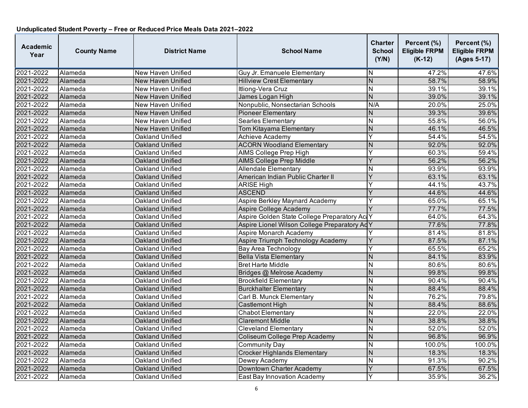| <b>Academic</b><br>Year | <b>County Name</b> | <b>District Name</b>     | <b>School Name</b>                           | <b>Charter</b><br><b>School</b><br>(Y/N) | Percent (%)<br><b>Eligible FRPM</b><br>$(K-12)$ | Percent (%)<br><b>Eligible FRPM</b><br>(Ages 5-17) |
|-------------------------|--------------------|--------------------------|----------------------------------------------|------------------------------------------|-------------------------------------------------|----------------------------------------------------|
| 2021-2022               | Alameda            | New Haven Unified        | Guy Jr. Emanuele Elementary                  | N                                        | 47.2%                                           | 47.6%                                              |
| 2021-2022               | Alameda            | <b>New Haven Unified</b> | <b>Hillview Crest Elementary</b>             | N                                        | 58.7%                                           | 58.9%                                              |
| 2021-2022               | Alameda            | <b>New Haven Unified</b> | Itliong-Vera Cruz                            | N                                        | 39.1%                                           | 39.1%                                              |
| 2021-2022               | Alameda            | New Haven Unified        | James Logan High                             | $\overline{N}$                           | 39.0%                                           | 39.1%                                              |
| 2021-2022               | Alameda            | New Haven Unified        | Nonpublic, Nonsectarian Schools              | N/A                                      | 20.0%                                           | 25.0%                                              |
| 2021-2022               | Alameda            | New Haven Unified        | <b>Pioneer Elementary</b>                    | N                                        | 39.3%                                           | 39.6%                                              |
| 2021-2022               | Alameda            | New Haven Unified        | <b>Searles Elementary</b>                    | N                                        | 55.8%                                           | 56.0%                                              |
| 2021-2022               | Alameda            | <b>New Haven Unified</b> | Tom Kitayama Elementary                      | N                                        | 46.1%                                           | 46.5%                                              |
| 2021-2022               | Alameda            | Oakland Unified          | Achieve Academy                              | Υ                                        | 54.4%                                           | 54.5%                                              |
| 2021-2022               | Alameda            | Oakland Unified          | <b>ACORN Woodland Elementary</b>             | N                                        | 92.0%                                           | 92.0%                                              |
| 2021-2022               | Alameda            | Oakland Unified          | AIMS College Prep High                       | Y                                        | 60.3%                                           | 59.4%                                              |
| 2021-2022               | Alameda            | Oakland Unified          | <b>AIMS College Prep Middle</b>              | Y                                        | 56.2%                                           | 56.2%                                              |
| 2021-2022               | Alameda            | Oakland Unified          | <b>Allendale Elementary</b>                  | N                                        | 93.9%                                           | 93.9%                                              |
| 2021-2022               | Alameda            | Oakland Unified          | American Indian Public Charter II            | Ý                                        | 63.1%                                           | 63.1%                                              |
| 2021-2022               | Alameda            | Oakland Unified          | <b>ARISE High</b>                            | Y                                        | 44.1%                                           | 43.7%                                              |
| 2021-2022               | Alameda            | Oakland Unified          | <b>ASCEND</b>                                | Y                                        | 44.6%                                           | 44.6%                                              |
| 2021-2022               | Alameda            | Oakland Unified          | Aspire Berkley Maynard Academy               | Y                                        | 65.0%                                           | 65.1%                                              |
| 2021-2022               | Alameda            | Oakland Unified          | Aspire College Academy                       |                                          | 77.7%                                           | 77.5%                                              |
| 2021-2022               | Alameda            | Oakland Unified          | Aspire Golden State College Preparatory ActY |                                          | 64.0%                                           | 64.3%                                              |
| 2021-2022               | Alameda            | Oakland Unified          | Aspire Lionel Wilson College Preparatory AdY |                                          | 77.6%                                           | 77.8%                                              |
| 2021-2022               | Alameda            | <b>Oakland Unified</b>   | Aspire Monarch Academy                       |                                          | 81.4%                                           | 81.8%                                              |
| 2021-2022               | Alameda            | Oakland Unified          | Aspire Triumph Technology Academy            | Y                                        | 87.5%                                           | 87.1%                                              |
| 2021-2022               | Alameda            | Oakland Unified          | <b>Bay Area Technology</b>                   | Y                                        | 65.5%                                           | 65.2%                                              |
| 2021-2022               | Alameda            | Oakland Unified          | Bella Vista Elementary                       | $\overline{N}$                           | 84.1%                                           | 83.9%                                              |
| 2021-2022               | Alameda            | Oakland Unified          | <b>Bret Harte Middle</b>                     | N                                        | 80.6%                                           | 80.6%                                              |
| 2021-2022               | Alameda            | Oakland Unified          | Bridges @ Melrose Academy                    | N                                        | 99.8%                                           | 99.8%                                              |
| 2021-2022               | Alameda            | Oakland Unified          | <b>Brookfield Elementary</b>                 | N                                        | 90.4%                                           | 90.4%                                              |
| 2021-2022               | Alameda            | Oakland Unified          | <b>Burckhalter Elementary</b>                | N                                        | 88.4%                                           | 88.4%                                              |
| 2021-2022               | Alameda            | Oakland Unified          | Carl B. Munck Elementary                     | N                                        | 76.2%                                           | 79.8%                                              |
| 2021-2022               | Alameda            | Oakland Unified          | Castlemont High                              | N                                        | 88.4%                                           | 88.6%                                              |
| 2021-2022               | Alameda            | Oakland Unified          | <b>Chabot Elementary</b>                     | $\overline{N}$                           | 22.0%                                           | 22.0%                                              |
| 2021-2022               | Alameda            | Oakland Unified          | <b>Claremont Middle</b>                      | $\overline{N}$                           | 38.8%                                           | 38.8%                                              |
| 2021-2022               | Alameda            | Oakland Unified          | <b>Cleveland Elementary</b>                  | N                                        | 52.0%                                           | 52.0%                                              |
| 2021-2022               | Alameda            | Oakland Unified          | Coliseum College Prep Academy                | N                                        | 96.8%                                           | 96.9%                                              |
| 2021-2022               | Alameda            | Oakland Unified          | <b>Community Day</b>                         | N                                        | 100.0%                                          | 100.0%                                             |
| 2021-2022               | Alameda            | Oakland Unified          | <b>Crocker Highlands Elementary</b>          | $\overline{N}$                           | 18.3%                                           | 18.3%                                              |
| 2021-2022               | Alameda            | Oakland Unified          | Dewey Academy                                | N                                        | 91.3%                                           | 90.2%                                              |
| 2021-2022               | Alameda            | Oakland Unified          | Downtown Charter Academy                     | Y                                        | 67.5%                                           | 67.5%                                              |
| 2021-2022               | Alameda            | Oakland Unified          | East Bay Innovation Academy                  | Y                                        | 35.9%                                           | 36.2%                                              |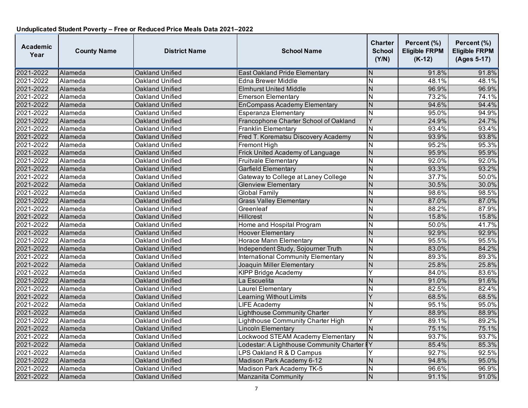| <b>Academic</b><br>Year | <b>County Name</b> | <b>District Name</b>   | <b>School Name</b>                        | Charter<br><b>School</b><br>(Y/N) | Percent (%)<br><b>Eligible FRPM</b><br>$(K-12)$ | Percent (%)<br><b>Eligible FRPM</b><br>(Ages 5-17) |
|-------------------------|--------------------|------------------------|-------------------------------------------|-----------------------------------|-------------------------------------------------|----------------------------------------------------|
| 2021-2022               | Alameda            | <b>Oakland Unified</b> | <b>East Oakland Pride Elementary</b>      | N                                 | 91.8%                                           | 91.8%                                              |
| 2021-2022               | Alameda            | Oakland Unified        | <b>Edna Brewer Middle</b>                 | N                                 | 48.1%                                           | 48.1%                                              |
| 2021-2022               | Alameda            | Oakland Unified        | <b>Elmhurst United Middle</b>             | $\overline{\mathsf{N}}$           | 96.9%                                           | 96.9%                                              |
| 2021-2022               | Alameda            | Oakland Unified        | <b>Emerson Elementary</b>                 | $\overline{\mathsf{N}}$           | 73.2%                                           | 74.1%                                              |
| 2021-2022               | Alameda            | Oakland Unified        | <b>EnCompass Academy Elementary</b>       | N                                 | 94.6%                                           | 94.4%                                              |
| 2021-2022               | Alameda            | Oakland Unified        | Esperanza Elementary                      | N                                 | 95.0%                                           | 94.9%                                              |
| 2021-2022               | Alameda            | Oakland Unified        | Francophone Charter School of Oakland     | $\overline{\mathsf{Y}}$           | 24.9%                                           | 24.7%                                              |
| 2021-2022               | Alameda            | Oakland Unified        | <b>Franklin Elementary</b>                | N                                 | 93.4%                                           | 93.4%                                              |
| 2021-2022               | Alameda            | Oakland Unified        | Fred T. Korematsu Discovery Academy       | $\overline{N}$                    | 93.9%                                           | 93.8%                                              |
| 2021-2022               | Alameda            | Oakland Unified        | Fremont High                              | N                                 | 95.2%                                           | 95.3%                                              |
| 2021-2022               | Alameda            | Oakland Unified        | Frick United Academy of Language          | $\overline{N}$                    | 95.9%                                           | 95.9%                                              |
| 2021-2022               | Alameda            | Oakland Unified        | <b>Fruitvale Elementary</b>               | N                                 | 92.0%                                           | 92.0%                                              |
| 2021-2022               | Alameda            | Oakland Unified        | <b>Garfield Elementary</b>                | $\overline{N}$                    | 93.3%                                           | 93.2%                                              |
| 2021-2022               | Alameda            | Oakland Unified        | Gateway to College at Laney College       | $\overline{\mathsf{N}}$           | 37.7%                                           | 50.0%                                              |
| 2021-2022               | Alameda            | Oakland Unified        | <b>Glenview Elementary</b>                | N                                 | 30.5%                                           | 30.0%                                              |
| 2021-2022               | Alameda            | Oakland Unified        | <b>Global Family</b>                      | N                                 | 98.6%                                           | 98.5%                                              |
| 2021-2022               | Alameda            | Oakland Unified        | <b>Grass Valley Elementary</b>            | $\overline{\mathsf{N}}$           | 87.0%                                           | 87.0%                                              |
| 2021-2022               | Alameda            | Oakland Unified        | Greenleaf                                 | N                                 | 88.2%                                           | 87.9%                                              |
| 2021-2022               | Alameda            | Oakland Unified        | <b>Hillcrest</b>                          | N                                 | 15.8%                                           | 15.8%                                              |
| 2021-2022               | Alameda            | Oakland Unified        | Home and Hospital Program                 | N                                 | 50.0%                                           | 41.7%                                              |
| 2021-2022               | Alameda            | Oakland Unified        | <b>Hoover Elementary</b>                  | N                                 | 92.9%                                           | 92.9%                                              |
| 2021-2022               | Alameda            | Oakland Unified        | <b>Horace Mann Elementary</b>             | $\overline{\mathsf{N}}$           | 95.5%                                           | 95.5%                                              |
| 2021-2022               | Alameda            | Oakland Unified        | Independent Study, Sojourner Truth        | N                                 | 83.0%                                           | 84.2%                                              |
| 2021-2022               | Alameda            | Oakland Unified        | <b>International Community Elementary</b> | $\overline{\mathsf{N}}$           | 89.3%                                           | 89.3%                                              |
| 2021-2022               | Alameda            | <b>Oakland Unified</b> | Joaquin Miller Elementary                 | $\overline{\mathsf{N}}$           | 25.8%                                           | 25.8%                                              |
| 2021-2022               | Alameda            | Oakland Unified        | <b>KIPP Bridge Academy</b>                | Ý                                 | 84.0%                                           | 83.6%                                              |
| 2021-2022               | Alameda            | Oakland Unified        | La Escuelita                              | N                                 | 91.0%                                           | 91.6%                                              |
| 2021-2022               | Alameda            | Oakland Unified        | Laurel Elementary                         | $\overline{\mathsf{N}}$           | 82.5%                                           | 82.4%                                              |
| 2021-2022               | Alameda            | Oakland Unified        | <b>Learning Without Limits</b>            | Ý                                 | 68.5%                                           | 68.5%                                              |
| 2021-2022               | Alameda            | Oakland Unified        | <b>LIFE Academy</b>                       | N                                 | 95.1%                                           | 95.0%                                              |
| 2021-2022               | Alameda            | Oakland Unified        | <b>Lighthouse Community Charter</b>       | Ý                                 | 88.9%                                           | 88.9%                                              |
| 2021-2022               | Alameda            | Oakland Unified        | Lighthouse Community Charter High         | Y                                 | 89.1%                                           | 89.2%                                              |
| 2021-2022               | Alameda            | Oakland Unified        | <b>Lincoln Elementary</b>                 | $\overline{N}$                    | 75.1%                                           | 75.1%                                              |
| 2021-2022               | Alameda            | Oakland Unified        | Lockwood STEAM Academy Elementary         | ${\sf N}$                         | 93.7%                                           | 93.7%                                              |
| 2021-2022               | Alameda            | Oakland Unified        | Lodestar: A Lighthouse Community Charter  | łΥ                                | 85.4%                                           | 85.3%                                              |
| 2021-2022               | Alameda            | Oakland Unified        | LPS Oakland R & D Campus                  |                                   | 92.7%                                           | 92.5%                                              |
| 2021-2022               | Alameda            | Oakland Unified        | Madison Park Academy 6-12                 | N                                 | 94.8%                                           | 95.0%                                              |
| 2021-2022               | Alameda            | Oakland Unified        | Madison Park Academy TK-5                 | N                                 | 96.6%                                           | 96.9%                                              |
| 2021-2022               | Alameda            | Oakland Unified        | Manzanita Community                       | N                                 | 91.1%                                           | 91.0%                                              |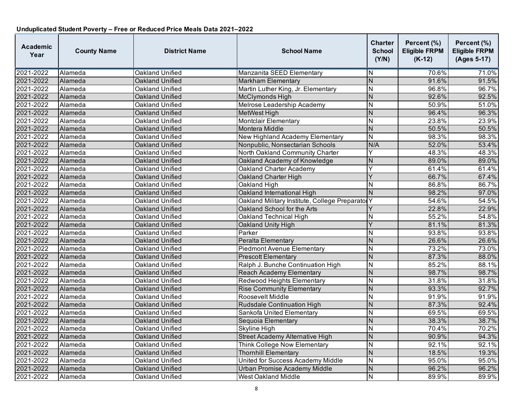| Academic<br>Year | <b>County Name</b> | <b>District Name</b>   | <b>School Name</b>                             | <b>Charter</b><br><b>School</b><br>(Y/N) | Percent (%)<br><b>Eligible FRPM</b><br>$(K-12)$ | Percent (%)<br><b>Eligible FRPM</b><br>(Ages 5-17) |
|------------------|--------------------|------------------------|------------------------------------------------|------------------------------------------|-------------------------------------------------|----------------------------------------------------|
| 2021-2022        | Alameda            | Oakland Unified        | Manzanita SEED Elementary                      | N                                        | 70.6%                                           | 71.0%                                              |
| 2021-2022        | Alameda            | Oakland Unified        | <b>Markham Elementary</b>                      | $\overline{N}$                           | 91.6%                                           | 91.5%                                              |
| 2021-2022        | Alameda            | Oakland Unified        | Martin Luther King, Jr. Elementary             | $\overline{\mathsf{N}}$                  | 96.8%                                           | 96.7%                                              |
| 2021-2022        | Alameda            | Oakland Unified        | McClymonds High                                | N                                        | 92.6%                                           | 92.5%                                              |
| 2021-2022        | Alameda            | Oakland Unified        | Melrose Leadership Academy                     | N                                        | 50.9%                                           | 51.0%                                              |
| 2021-2022        | Alameda            | Oakland Unified        | MetWest High                                   | $\overline{N}$                           | 96.4%                                           | 96.3%                                              |
| 2021-2022        | Alameda            | Oakland Unified        | <b>Montclair Elementary</b>                    | $\overline{\mathsf{N}}$                  | 23.8%                                           | 23.9%                                              |
| 2021-2022        | Alameda            | Oakland Unified        | <b>Montera Middle</b>                          | N                                        | 50.5%                                           | 50.5%                                              |
| 2021-2022        | Alameda            | Oakland Unified        | New Highland Academy Elementary                | N                                        | 98.3%                                           | 98.3%                                              |
| 2021-2022        | Alameda            | Oakland Unified        | Nonpublic, Nonsectarian Schools                | N/A                                      | 52.0%                                           | 53.4%                                              |
| 2021-2022        | Alameda            | <b>Oakland Unified</b> | North Oakland Community Charter                | Ÿ                                        | 48.3%                                           | 48.3%                                              |
| 2021-2022        | Alameda            | Oakland Unified        | Oakland Academy of Knowledge                   | N                                        | 89.0%                                           | 89.0%                                              |
| 2021-2022        | Alameda            | Oakland Unified        | Oakland Charter Academy                        | Y                                        | 61.4%                                           | 61.4%                                              |
| 2021-2022        | Alameda            | Oakland Unified        | Oakland Charter High                           | Y                                        | 66.7%                                           | 67.4%                                              |
| 2021-2022        | Alameda            | <b>Oakland Unified</b> | Oakland High                                   | N                                        | 86.8%                                           | 86.7%                                              |
| 2021-2022        | Alameda            | Oakland Unified        | Oakland International High                     | $\mathsf{N}$                             | 98.2%                                           | 97.0%                                              |
| 2021-2022        | Alameda            | Oakland Unified        | Oakland Military Institute, College Preparator | Υ                                        | 54.6%                                           | 54.5%                                              |
| 2021-2022        | Alameda            | Oakland Unified        | Oakland School for the Arts                    |                                          | 22.8%                                           | 22.9%                                              |
| 2021-2022        | Alameda            | Oakland Unified        | Oakland Technical High                         | N                                        | 55.2%                                           | 54.8%                                              |
| 2021-2022        | Alameda            | Oakland Unified        | Oakland Unity High                             | $\overline{Y}$                           | 81.1%                                           | 81.3%                                              |
| 2021-2022        | Alameda            | Oakland Unified        | Parker                                         | N                                        | 93.8%                                           | 93.8%                                              |
| 2021-2022        | Alameda            | Oakland Unified        | Peralta Elementary                             | N                                        | 26.6%                                           | 26.6%                                              |
| 2021-2022        | Alameda            | Oakland Unified        | <b>Piedmont Avenue Elementary</b>              | $\overline{\mathsf{N}}$                  | 73.2%                                           | 73.0%                                              |
| 2021-2022        | Alameda            | Oakland Unified        | <b>Prescott Elementary</b>                     | $\overline{N}$                           | 87.3%                                           | 88.0%                                              |
| 2021-2022        | Alameda            | Oakland Unified        | Ralph J. Bunche Continuation High              | $\overline{\mathsf{N}}$                  | 85.2%                                           | 88.1%                                              |
| 2021-2022        | Alameda            | Oakland Unified        | <b>Reach Academy Elementary</b>                | N                                        | 98.7%                                           | 98.7%                                              |
| 2021-2022        | Alameda            | Oakland Unified        | Redwood Heights Elementary                     | N                                        | 31.8%                                           | 31.8%                                              |
| 2021-2022        | Alameda            | Oakland Unified        | <b>Rise Community Elementary</b>               | N                                        | 93.3%                                           | 92.7%                                              |
| 2021-2022        | Alameda            | Oakland Unified        | Roosevelt Middle                               | $\overline{\mathsf{N}}$                  | 91.9%                                           | 91.9%                                              |
| 2021-2022        | Alameda            | Oakland Unified        | <b>Rudsdale Continuation High</b>              | $\overline{N}$                           | 87.3%                                           | 92.4%                                              |
| 2021-2022        | Alameda            | Oakland Unified        | Sankofa United Elementary                      | N                                        | 69.5%                                           | 69.5%                                              |
| 2021-2022        | Alameda            | Oakland Unified        | Sequoia Elementary                             | $\overline{N}$                           | 38.3%                                           | 38.7%                                              |
| 2021-2022        | Alameda            | Oakland Unified        | Skyline High                                   | N                                        | 70.4%                                           | 70.2%                                              |
| 2021-2022        | Alameda            | Oakland Unified        | <b>Street Academy Alternative High</b>         | N                                        | 90.9%                                           | 94.3%                                              |
| 2021-2022        | Alameda            | <b>Oakland Unified</b> | Think College Now Elementary                   | Ν                                        | 92.1%                                           | 92.1%                                              |
| 2021-2022        | Alameda            | Oakland Unified        | <b>Thornhill Elementary</b>                    | N                                        | 18.5%                                           | 19.3%                                              |
| 2021-2022        | Alameda            | Oakland Unified        | United for Success Academy Middle              | N                                        | 95.0%                                           | 95.0%                                              |
| 2021-2022        | Alameda            | Oakland Unified        | Urban Promise Academy Middle                   | N                                        | 96.2%                                           | 96.2%                                              |
| 2021-2022        | Alameda            | Oakland Unified        | <b>West Oakland Middle</b>                     | $\overline{\mathsf{N}}$                  | 89.9%                                           | 89.9%                                              |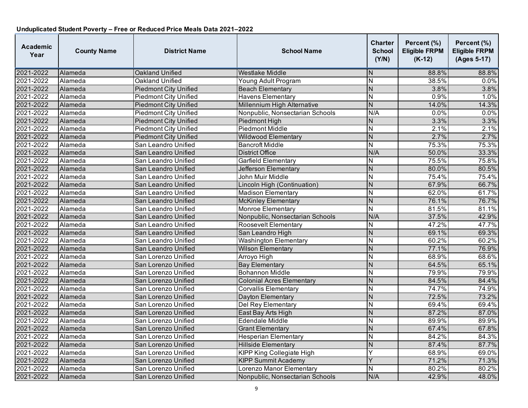| <b>Academic</b><br>Year | <b>County Name</b> | <b>District Name</b>         | <b>School Name</b>               | <b>Charter</b><br><b>School</b><br>(Y/N) | Percent (%)<br><b>Eligible FRPM</b><br>$(K-12)$ | Percent (%)<br><b>Eligible FRPM</b><br>(Ages 5-17) |
|-------------------------|--------------------|------------------------------|----------------------------------|------------------------------------------|-------------------------------------------------|----------------------------------------------------|
| 2021-2022               | Alameda            | Oakland Unified              | <b>Westlake Middle</b>           | N                                        | 88.8%                                           | 88.8%                                              |
| 2021-2022               | Alameda            | Oakland Unified              | Young Adult Program              | N                                        | 38.5%                                           | 0.0%                                               |
| 2021-2022               | Alameda            | <b>Piedmont City Unified</b> | <b>Beach Elementary</b>          | N                                        | 3.8%                                            | 3.8%                                               |
| 2021-2022               | Alameda            | <b>Piedmont City Unified</b> | <b>Havens Elementary</b>         | N                                        | 0.9%                                            | 1.0%                                               |
| 2021-2022               | Alameda            | <b>Piedmont City Unified</b> | Millennium High Alternative      | $\mathsf{N}$                             | 14.0%                                           | 14.3%                                              |
| 2021-2022               | Alameda            | <b>Piedmont City Unified</b> | Nonpublic, Nonsectarian Schools  | N/A                                      | 0.0%                                            | 0.0%                                               |
| 2021-2022               | Alameda            | <b>Piedmont City Unified</b> | Piedmont High                    | $\overline{N}$                           | 3.3%                                            | 3.3%                                               |
| 2021-2022               | Alameda            | <b>Piedmont City Unified</b> | <b>Piedmont Middle</b>           | N                                        | 2.1%                                            | 2.1%                                               |
| 2021-2022               | Alameda            | <b>Piedmont City Unified</b> | Wildwood Elementary              | $\overline{N}$                           | 2.7%                                            | 2.7%                                               |
| 2021-2022               | Alameda            | San Leandro Unified          | <b>Bancroft Middle</b>           | N                                        | 75.3%                                           | 75.3%                                              |
| 2021-2022               | Alameda            | San Leandro Unified          | <b>District Office</b>           | N/A                                      | 50.0%                                           | 33.3%                                              |
| 2021-2022               | Alameda            | San Leandro Unified          | Garfield Elementary              | Ν                                        | 75.5%                                           | 75.8%                                              |
| 2021-2022               | Alameda            | San Leandro Unified          | Jefferson Elementary             | N                                        | 80.0%                                           | 80.5%                                              |
| 2021-2022               | Alameda            | San Leandro Unified          | John Muir Middle                 | $\overline{\mathsf{N}}$                  | 75.4%                                           | 75.4%                                              |
| 2021-2022               | Alameda            | San Leandro Unified          | Lincoln High (Continuation)      | N                                        | 67.9%                                           | 66.7%                                              |
| 2021-2022               | Alameda            | San Leandro Unified          | <b>Madison Elementary</b>        | N                                        | 62.0%                                           | 61.7%                                              |
| 2021-2022               | Alameda            | San Leandro Unified          | <b>McKinley Elementary</b>       | $\overline{N}$                           | 76.1%                                           | 76.7%                                              |
| 2021-2022               | Alameda            | San Leandro Unified          | Monroe Elementary                | $\overline{N}$                           | 81.5%                                           | 81.1%                                              |
| 2021-2022               | Alameda            | San Leandro Unified          | Nonpublic, Nonsectarian Schools  | N/A                                      | 37.5%                                           | 42.9%                                              |
| 2021-2022               | Alameda            | San Leandro Unified          | Roosevelt Elementary             | Ν                                        | 47.2%                                           | 47.7%                                              |
| 2021-2022               | Alameda            | San Leandro Unified          | San Leandro High                 | $\overline{N}$                           | 69.1%                                           | 69.3%                                              |
| 2021-2022               | Alameda            | San Leandro Unified          | <b>Washington Elementary</b>     | $\overline{\mathsf{N}}$                  | 60.2%                                           | 60.2%                                              |
| 2021-2022               | Alameda            | San Leandro Unified          | <b>Wilson Elementary</b>         | N                                        | 77.1%                                           | 76.9%                                              |
| 2021-2022               | Alameda            | San Lorenzo Unified          | Arroyo High                      | N                                        | 68.9%                                           | 68.6%                                              |
| 2021-2022               | Alameda            | San Lorenzo Unified          | <b>Bay Elementary</b>            | N                                        | 64.5%                                           | 65.1%                                              |
| 2021-2022               | Alameda            | San Lorenzo Unified          | <b>Bohannon Middle</b>           | N                                        | 79.9%                                           | 79.9%                                              |
| 2021-2022               | Alameda            | San Lorenzo Unified          | <b>Colonial Acres Elementary</b> | $\overline{N}$                           | 84.5%                                           | 84.4%                                              |
| 2021-2022               | Alameda            | San Lorenzo Unified          | <b>Corvallis Elementary</b>      | $\overline{\mathsf{N}}$                  | 74.7%                                           | 74.9%                                              |
| 2021-2022               | Alameda            | San Lorenzo Unified          | Dayton Elementary                | $\overline{N}$                           | 72.5%                                           | 73.2%                                              |
| 2021-2022               | Alameda            | San Lorenzo Unified          | Del Rey Elementary               | N                                        | 69.4%                                           | 69.4%                                              |
| 2021-2022               | Alameda            | San Lorenzo Unified          | East Bay Arts High               | N                                        | 87.2%                                           | 87.0%                                              |
| 2021-2022               | Alameda            | San Lorenzo Unified          | <b>Edendale Middle</b>           | $\overline{\mathsf{N}}$                  | 89.9%                                           | 89.9%                                              |
| 2021-2022               | Alameda            | San Lorenzo Unified          | <b>Grant Elementary</b>          | N                                        | 67.4%                                           | 67.8%                                              |
| 2021-2022               | Alameda            | San Lorenzo Unified          | <b>Hesperian Elementary</b>      | N                                        | 84.2%                                           | 84.3%                                              |
| 2021-2022               | Alameda            | San Lorenzo Unified          | <b>Hillside Elementary</b>       | N                                        | 87.4%                                           | 87.7%                                              |
| 2021-2022               | Alameda            | San Lorenzo Unified          | <b>KIPP King Collegiate High</b> | Y                                        | 68.9%                                           | 69.0%                                              |
| 2021-2022               | Alameda            | San Lorenzo Unified          | <b>KIPP Summit Academy</b>       | Y                                        | 71.2%                                           | 71.3%                                              |
| 2021-2022               | Alameda            | San Lorenzo Unified          | Lorenzo Manor Elementary         | N                                        | 80.2%                                           | 80.2%                                              |
| 2021-2022               | Alameda            | San Lorenzo Unified          | Nonpublic, Nonsectarian Schools  | N/A                                      | 42.9%                                           | 48.0%                                              |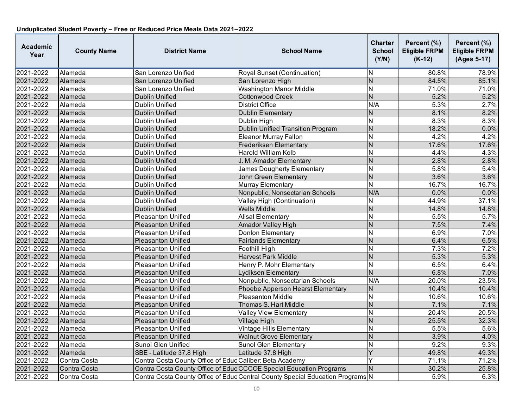| <b>Academic</b><br>Year | <b>County Name</b> | <b>District Name</b>                                     | <b>School Name</b>                                                             | <b>Charter</b><br><b>School</b><br>(Y/N) | Percent (%)<br><b>Eligible FRPM</b><br>$(K-12)$ | Percent (%)<br><b>Eligible FRPM</b><br>(Ages 5-17) |
|-------------------------|--------------------|----------------------------------------------------------|--------------------------------------------------------------------------------|------------------------------------------|-------------------------------------------------|----------------------------------------------------|
| 2021-2022               | Alameda            | San Lorenzo Unified                                      | Royal Sunset (Continuation)                                                    | IN.                                      | 80.8%                                           | 78.9%                                              |
| 2021-2022               | Alameda            | San Lorenzo Unified                                      | San Lorenzo High                                                               | $\overline{N}$                           | 84.5%                                           | 85.1%                                              |
| 2021-2022               | Alameda            | San Lorenzo Unified                                      | <b>Washington Manor Middle</b>                                                 | $\overline{N}$                           | 71.0%                                           | 71.0%                                              |
| 2021-2022               | Alameda            | Dublin Unified                                           | <b>Cottonwood Creek</b>                                                        | $\overline{N}$                           | 5.2%                                            | 5.2%                                               |
| 2021-2022               | Alameda            | Dublin Unified                                           | District Office                                                                | N/A                                      | 5.3%                                            | 2.7%                                               |
| 2021-2022               | Alameda            | <b>Dublin Unified</b>                                    | <b>Dublin Elementary</b>                                                       | $\overline{N}$                           | 8.1%                                            | 8.2%                                               |
| 2021-2022               | Alameda            | Dublin Unified                                           | Dublin High                                                                    | N                                        | 8.3%                                            | 8.3%                                               |
| 2021-2022               | Alameda            | <b>Dublin Unified</b>                                    | <b>Dublin Unified Transition Program</b>                                       | N                                        | 18.2%                                           | 0.0%                                               |
| 2021-2022               | Alameda            | <b>Dublin Unified</b>                                    | <b>Eleanor Murray Fallon</b>                                                   | $\overline{\mathsf{N}}$                  | 4.2%                                            | 4.2%                                               |
| 2021-2022               | Alameda            | Dublin Unified                                           | Frederiksen Elementary                                                         | N                                        | 17.6%                                           | 17.6%                                              |
| 2021-2022               | Alameda            | <b>Dublin Unified</b>                                    | <b>Harold William Kolb</b>                                                     | $\overline{\mathsf{N}}$                  | 4.4%                                            | 4.3%                                               |
| 2021-2022               | Alameda            | Dublin Unified                                           | J. M. Amador Elementary                                                        | N                                        | 2.8%                                            | 2.8%                                               |
| 2021-2022               | Alameda            | Dublin Unified                                           | James Dougherty Elementary                                                     | $\mathsf{N}$                             | 5.8%                                            | 5.4%                                               |
| 2021-2022               | Alameda            | <b>Dublin Unified</b>                                    | John Green Elementary                                                          | $\overline{N}$                           | 3.6%                                            | 3.6%                                               |
| 2021-2022               | Alameda            | <b>Dublin Unified</b>                                    | Murray Elementary                                                              | $\overline{\mathsf{N}}$                  | 16.7%                                           | 16.7%                                              |
| 2021-2022               | Alameda            | <b>Dublin Unified</b>                                    | Nonpublic, Nonsectarian Schools                                                | N/A                                      | 0.0%                                            | 0.0%                                               |
| 2021-2022               | Alameda            | Dublin Unified                                           | Valley High (Continuation)                                                     | N                                        | 44.9%                                           | 37.1%                                              |
| 2021-2022               | Alameda            | <b>Dublin Unified</b>                                    | <b>Wells Middle</b>                                                            | N                                        | 14.8%                                           | 14.8%                                              |
| 2021-2022               | Alameda            | <b>Pleasanton Unified</b>                                | <b>Alisal Elementary</b>                                                       | N                                        | 5.5%                                            | 5.7%                                               |
| 2021-2022               | Alameda            | <b>Pleasanton Unified</b>                                | <b>Amador Valley High</b>                                                      | $\overline{N}$                           | 7.5%                                            | 7.4%                                               |
| 2021-2022               | Alameda            | Pleasanton Unified                                       | <b>Donlon Elementary</b>                                                       | N                                        | 6.9%                                            | 7.0%                                               |
| 2021-2022               | Alameda            | <b>Pleasanton Unified</b>                                | <b>Fairlands Elementary</b>                                                    | $\overline{N}$                           | 6.4%                                            | 6.5%                                               |
| 2021-2022               | Alameda            | <b>Pleasanton Unified</b>                                | Foothill High                                                                  | N                                        | 7.3%                                            | 7.2%                                               |
| 2021-2022               | Alameda            | <b>Pleasanton Unified</b>                                | <b>Harvest Park Middle</b>                                                     | $\overline{N}$                           | 5.3%                                            | 5.3%                                               |
| 2021-2022               | Alameda            | <b>Pleasanton Unified</b>                                | Henry P. Mohr Elementary                                                       | $\overline{N}$                           | 6.5%                                            | 6.4%                                               |
| 2021-2022               | Alameda            | <b>Pleasanton Unified</b>                                | Lydiksen Elementary                                                            | $\overline{N}$                           | 6.8%                                            | 7.0%                                               |
| 2021-2022               | Alameda            | Pleasanton Unified                                       | Nonpublic, Nonsectarian Schools                                                | N/A                                      | 20.0%                                           | 23.5%                                              |
| 2021-2022               | Alameda            | <b>Pleasanton Unified</b>                                | Phoebe Apperson Hearst Elementary                                              | $\overline{N}$                           | 10.4%                                           | 10.4%                                              |
| 2021-2022               | Alameda            | Pleasanton Unified                                       | <b>Pleasanton Middle</b>                                                       | N                                        | 10.6%                                           | 10.6%                                              |
| 2021-2022               | Alameda            | <b>Pleasanton Unified</b>                                | Thomas S. Hart Middle                                                          | $\overline{N}$                           | 7.1%                                            | 7.1%                                               |
| 2021-2022               | Alameda            | Pleasanton Unified                                       | Valley View Elementary                                                         | N                                        | 20.4%                                           | 20.5%                                              |
| 2021-2022               | Alameda            | <b>Pleasanton Unified</b>                                | Village High                                                                   | N                                        | 25.5%                                           | 32.3%                                              |
| 2021-2022               | Alameda            | <b>Pleasanton Unified</b>                                | <b>Vintage Hills Elementary</b>                                                | $\overline{\mathsf{N}}$                  | 5.5%                                            | 5.6%                                               |
| 2021-2022               | Alameda            | <b>Pleasanton Unified</b>                                | <b>Walnut Grove Elementary</b>                                                 | N                                        | 3.9%                                            | 4.0%                                               |
| 2021-2022               | Alameda            | Sunol Glen Unified                                       | <b>Sunol Glen Elementary</b>                                                   | N                                        | 9.2%                                            | 9.3%                                               |
| 2021-2022               | Alameda            | SBE - Latitude 37.8 High                                 | Latitude 37.8 High                                                             | $\overline{\mathsf{Y}}$                  | 49.8%                                           | 49.3%                                              |
| 2021-2022               | Contra Costa       | Contra Costa County Office of Edud Caliber: Beta Academy |                                                                                |                                          | 71.1%                                           | 71.2%                                              |
| 2021-2022               | Contra Costa       |                                                          | Contra Costa County Office of Edud CCCOE Special Education Programs            | N                                        | 30.2%                                           | 25.8%                                              |
| 2021-2022               | Contra Costa       |                                                          | Contra Costa County Office of Educ Central County Special Education Programs N |                                          | 5.9%                                            | 6.3%                                               |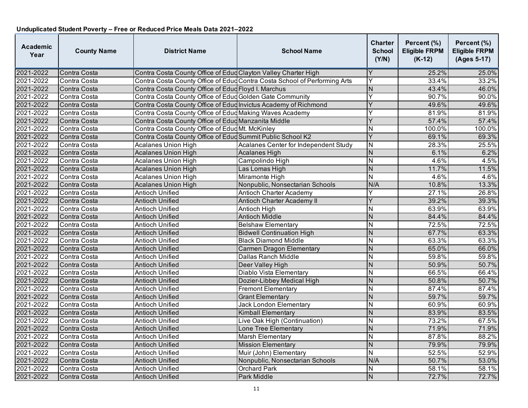| Academic<br>Year | <b>County Name</b> | <b>District Name</b>                                            | <b>School Name</b>                                                        | <b>Charter</b><br><b>School</b><br>(Y/N) | Percent (%)<br><b>Eligible FRPM</b><br>$(K-12)$ | Percent (%)<br><b>Eligible FRPM</b><br>(Ages 5-17) |
|------------------|--------------------|-----------------------------------------------------------------|---------------------------------------------------------------------------|------------------------------------------|-------------------------------------------------|----------------------------------------------------|
| 2021-2022        | Contra Costa       | Contra Costa County Office of Edud Clayton Valley Charter High  |                                                                           | Y                                        | 25.2%                                           | 25.0%                                              |
| 2021-2022        | Contra Costa       |                                                                 | Contra Costa County Office of Edud Contra Costa School of Performing Arts | Y                                        | 33.4%                                           | 33.2%                                              |
| 2021-2022        | Contra Costa       | Contra Costa County Office of Educ Floyd I. Marchus             |                                                                           | N                                        | 43.4%                                           | 46.0%                                              |
| 2021-2022        | Contra Costa       | Contra Costa County Office of Edud Golden Gate Community        |                                                                           | Y                                        | 90.7%                                           | 90.0%                                              |
| 2021-2022        | Contra Costa       | Contra Costa County Office of Edud Invictus Academy of Richmond |                                                                           | Y                                        | 49.6%                                           | 49.6%                                              |
| 2021-2022        | Contra Costa       | Contra Costa County Office of Educ Making Waves Academy         |                                                                           | Υ                                        | 81.9%                                           | 81.9%                                              |
| 2021-2022        | Contra Costa       | Contra Costa County Office of Educ Manzanita Middle             |                                                                           | Y                                        | 57.4%                                           | 57.4%                                              |
| 2021-2022        | Contra Costa       | Contra Costa County Office of EducMt. McKinley                  |                                                                           | N                                        | 100.0%                                          | 100.0%                                             |
| 2021-2022        | Contra Costa       | Contra Costa County Office of Edud Summit Public School K2      |                                                                           | $\overline{Y}$                           | 69.1%                                           | 69.3%                                              |
| 2021-2022        | Contra Costa       | <b>Acalanes Union High</b>                                      | Acalanes Center for Independent Study                                     | N                                        | 28.3%                                           | 25.5%                                              |
| 2021-2022        | Contra Costa       | <b>Acalanes Union High</b>                                      | <b>Acalanes High</b>                                                      | $\overline{N}$                           | 6.1%                                            | 6.2%                                               |
| 2021-2022        | Contra Costa       | <b>Acalanes Union High</b>                                      | Campolindo High                                                           | N                                        | 4.6%                                            | 4.5%                                               |
| 2021-2022        | Contra Costa       | <b>Acalanes Union High</b>                                      | Las Lomas High                                                            | $\overline{N}$                           | 11.7%                                           | 11.5%                                              |
| 2021-2022        | Contra Costa       | <b>Acalanes Union High</b>                                      | Miramonte High                                                            | $\overline{\mathsf{N}}$                  | 4.6%                                            | 4.6%                                               |
| 2021-2022        | Contra Costa       | <b>Acalanes Union High</b>                                      | Nonpublic, Nonsectarian Schools                                           | N/A                                      | 10.8%                                           | 13.3%                                              |
| 2021-2022        | Contra Costa       | <b>Antioch Unified</b>                                          | <b>Antioch Charter Academy</b>                                            | Y                                        | 27.1%                                           | 26.8%                                              |
| 2021-2022        | Contra Costa       | <b>Antioch Unified</b>                                          | Antioch Charter Academy II                                                | Y                                        | 39.2%                                           | 39.3%                                              |
| 2021-2022        | Contra Costa       | <b>Antioch Unified</b>                                          | Antioch High                                                              | N                                        | 63.9%                                           | 63.9%                                              |
| 2021-2022        | Contra Costa       | <b>Antioch Unified</b>                                          | <b>Antioch Middle</b>                                                     | N                                        | 84.4%                                           | 84.4%                                              |
| 2021-2022        | Contra Costa       | Antioch Unified                                                 | <b>Belshaw Elementary</b>                                                 | N                                        | 72.5%                                           | 72.5%                                              |
| 2021-2022        | Contra Costa       | <b>Antioch Unified</b>                                          | <b>Bidwell Continuation High</b>                                          | N                                        | 67.7%                                           | 63.3%                                              |
| 2021-2022        | Contra Costa       | Antioch Unified                                                 | <b>Black Diamond Middle</b>                                               | N                                        | 63.3%                                           | 63.3%                                              |
| 2021-2022        | Contra Costa       | <b>Antioch Unified</b>                                          | Carmen Dragon Elementary                                                  | N                                        | 65.0%                                           | 66.0%                                              |
| 2021-2022        | Contra Costa       | Antioch Unified                                                 | Dallas Ranch Middle                                                       | N                                        | 59.8%                                           | 59.8%                                              |
| 2021-2022        | Contra Costa       | <b>Antioch Unified</b>                                          | Deer Valley High                                                          | N                                        | 50.9%                                           | 50.7%                                              |
| 2021-2022        | Contra Costa       | Antioch Unified                                                 | Diablo Vista Elementary                                                   | N                                        | 66.5%                                           | 66.4%                                              |
| 2021-2022        | Contra Costa       | <b>Antioch Unified</b>                                          | Dozier-Libbey Medical High                                                | N                                        | 50.8%                                           | 50.7%                                              |
| 2021-2022        | Contra Costa       | Antioch Unified                                                 | <b>Fremont Elementary</b>                                                 | N                                        | 87.4%                                           | 87.4%                                              |
| 2021-2022        | Contra Costa       | <b>Antioch Unified</b>                                          | <b>Grant Elementary</b>                                                   | $\overline{N}$                           | 59.7%                                           | 59.7%                                              |
| 2021-2022        | Contra Costa       | Antioch Unified                                                 | Jack London Elementary                                                    | N                                        | 60.9%                                           | 60.9%                                              |
| 2021-2022        | Contra Costa       | <b>Antioch Unified</b>                                          | <b>Kimball Elementary</b>                                                 | N                                        | 83.9%                                           | 83.5%                                              |
| 2021-2022        | Contra Costa       | Antioch Unified                                                 | Live Oak High (Continuation)                                              | N                                        | 73.2%                                           | 67.5%                                              |
| 2021-2022        | Contra Costa       | <b>Antioch Unified</b>                                          | Lone Tree Elementary                                                      | $\mathsf{N}$                             | 71.9%                                           | 71.9%                                              |
| 2021-2022        | Contra Costa       | Antioch Unified                                                 | <b>Marsh Elementary</b>                                                   | N                                        | 87.8%                                           | 88.2%                                              |
| 2021-2022        | Contra Costa       | Antioch Unified                                                 | <b>Mission Elementary</b>                                                 | $\overline{N}$                           | 79.9%                                           | 79.9%                                              |
| 2021-2022        | Contra Costa       | Antioch Unified                                                 | Muir (John) Elementary                                                    | Ñ                                        | 52.5%                                           | 52.9%                                              |
| 2021-2022        | Contra Costa       | <b>Antioch Unified</b>                                          | Nonpublic, Nonsectarian Schools                                           | N/A                                      | 50.7%                                           | 53.0%                                              |
| 2021-2022        | Contra Costa       | Antioch Unified                                                 | <b>Orchard Park</b>                                                       | N                                        | 58.1%                                           | 58.1%                                              |
| 2021-2022        | Contra Costa       | <b>Antioch Unified</b>                                          | <b>Park Middle</b>                                                        | N                                        | 72.7%                                           | 72.7%                                              |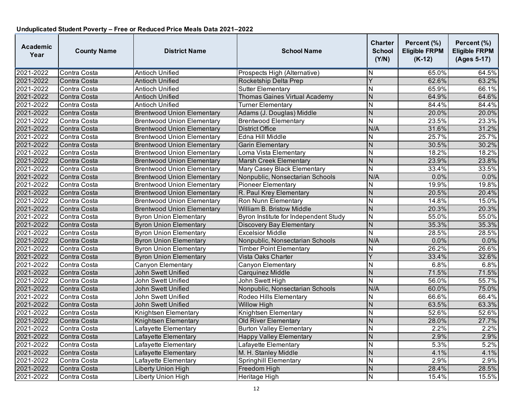| <b>Academic</b><br>Year | <b>County Name</b> | <b>District Name</b>              | <b>School Name</b>                    | Charter<br><b>School</b><br>(Y/N) | Percent (%)<br><b>Eligible FRPM</b><br>$(K-12)$ | Percent (%)<br><b>Eligible FRPM</b><br>(Ages 5-17) |
|-------------------------|--------------------|-----------------------------------|---------------------------------------|-----------------------------------|-------------------------------------------------|----------------------------------------------------|
| 2021-2022               | Contra Costa       | <b>Antioch Unified</b>            | Prospects High (Alternative)          | N                                 | 65.0%                                           | 64.5%                                              |
| 2021-2022               | Contra Costa       | <b>Antioch Unified</b>            | Rocketship Delta Prep                 | $\overline{\mathsf{Y}}$           | 62.6%                                           | 63.2%                                              |
| 2021-2022               | Contra Costa       | Antioch Unified                   | <b>Sutter Elementary</b>              | N                                 | 65.9%                                           | 66.1%                                              |
| 2021-2022               | Contra Costa       | <b>Antioch Unified</b>            | Thomas Gaines Virtual Academy         | $\mathsf{N}$                      | 64.9%                                           | 64.6%                                              |
| 2021-2022               | Contra Costa       | Antioch Unified                   | <b>Turner Elementary</b>              | N                                 | 84.4%                                           | 84.4%                                              |
| 2021-2022               | Contra Costa       | <b>Brentwood Union Elementary</b> | Adams (J. Douglas) Middle             | $\mathsf{N}$                      | 20.0%                                           | 20.0%                                              |
| 2021-2022               | Contra Costa       | <b>Brentwood Union Elementary</b> | <b>Brentwood Elementary</b>           | N                                 | 23.5%                                           | 23.3%                                              |
| 2021-2022               | Contra Costa       | <b>Brentwood Union Elementary</b> | <b>District Office</b>                | N/A                               | 31.6%                                           | 31.2%                                              |
| 2021-2022               | Contra Costa       | <b>Brentwood Union Elementary</b> | Edna Hill Middle                      | N                                 | 25.7%                                           | 25.7%                                              |
| 2021-2022               | Contra Costa       | <b>Brentwood Union Elementary</b> | <b>Garin Elementary</b>               | N                                 | 30.5%                                           | 30.2%                                              |
| 2021-2022               | Contra Costa       | <b>Brentwood Union Elementary</b> | Loma Vista Elementary                 | N                                 | 18.2%                                           | 18.2%                                              |
| 2021-2022               | Contra Costa       | <b>Brentwood Union Elementary</b> | <b>Marsh Creek Elementary</b>         | N                                 | 23.9%                                           | 23.8%                                              |
| 2021-2022               | Contra Costa       | <b>Brentwood Union Elementary</b> | Mary Casey Black Elementary           | $\overline{\mathsf{N}}$           | 33.4%                                           | 33.5%                                              |
| 2021-2022               | Contra Costa       | <b>Brentwood Union Elementary</b> | Nonpublic, Nonsectarian Schools       | N/A                               | 0.0%                                            | 0.0%                                               |
| 2021-2022               | Contra Costa       | <b>Brentwood Union Elementary</b> | <b>Pioneer Elementary</b>             | N                                 | 19.9%                                           | 19.8%                                              |
| 2021-2022               | Contra Costa       | <b>Brentwood Union Elementary</b> | R. Paul Krey Elementary               | $\overline{N}$                    | 20.5%                                           | 20.4%                                              |
| 2021-2022               | Contra Costa       | <b>Brentwood Union Elementary</b> | Ron Nunn Elementary                   | N                                 | 14.8%                                           | 15.0%                                              |
| 2021-2022               | Contra Costa       | <b>Brentwood Union Elementary</b> | <b>William B. Bristow Middle</b>      | N                                 | 20.3%                                           | 20.3%                                              |
| 2021-2022               | Contra Costa       | <b>Byron Union Elementary</b>     | Byron Institute for Independent Study | N                                 | 55.0%                                           | 55.0%                                              |
| 2021-2022               | Contra Costa       | <b>Byron Union Elementary</b>     | <b>Discovery Bay Elementary</b>       | $\mathsf{N}$                      | 35.3%                                           | 35.3%                                              |
| 2021-2022               | Contra Costa       | <b>Byron Union Elementary</b>     | <b>Excelsior Middle</b>               | N                                 | 28.5%                                           | 28.5%                                              |
| 2021-2022               | Contra Costa       | <b>Byron Union Elementary</b>     | Nonpublic, Nonsectarian Schools       | N/A                               | 0.0%                                            | 0.0%                                               |
| 2021-2022               | Contra Costa       | <b>Byron Union Elementary</b>     | <b>Timber Point Elementary</b>        | N                                 | 26.2%                                           | 26.6%                                              |
| 2021-2022               | Contra Costa       | <b>Byron Union Elementary</b>     | Vista Oaks Charter                    | Ý                                 | 33.4%                                           | 32.6%                                              |
| 2021-2022               | Contra Costa       | Canyon Elementary                 | Canyon Elementary                     | N                                 | 6.8%                                            | 6.8%                                               |
| 2021-2022               | Contra Costa       | John Swett Unified                | Carquinez Middle                      | N                                 | 71.5%                                           | 71.5%                                              |
| 2021-2022               | Contra Costa       | John Swett Unified                | John Swett High                       | N                                 | 56.0%                                           | 55.7%                                              |
| 2021-2022               | Contra Costa       | John Swett Unified                | Nonpublic, Nonsectarian Schools       | N/A                               | 60.0%                                           | 75.0%                                              |
| 2021-2022               | Contra Costa       | John Swett Unified                | Rodeo Hills Elementary                | N                                 | 66.6%                                           | 66.4%                                              |
| 2021-2022               | Contra Costa       | John Swett Unified                | <b>Willow High</b>                    | N                                 | 63.5%                                           | 63.3%                                              |
| 2021-2022               | Contra Costa       | Knightsen Elementary              | Knightsen Elementary                  | N                                 | 52.6%                                           | 52.6%                                              |
| 2021-2022               | Contra Costa       | Knightsen Elementary              | Old River Elementary                  | N                                 | 28.0%                                           | 27.7%                                              |
| 2021-2022               | Contra Costa       | Lafayette Elementary              | <b>Burton Valley Elementary</b>       | N                                 | 2.2%                                            | 2.2%                                               |
| 2021-2022               | Contra Costa       | Lafayette Elementary              | <b>Happy Valley Elementary</b>        | N                                 | 2.9%                                            | 2.9%                                               |
| 2021-2022               | Contra Costa       | Lafayette Elementary              | Lafayette Elementary                  | $\overline{N}$                    | 5.3%                                            | 5.2%                                               |
| 2021-2022               | Contra Costa       | Lafayette Elementary              | M. H. Stanley Middle                  | $\overline{N}$                    | 4.1%                                            | 4.1%                                               |
| 2021-2022               | Contra Costa       | Lafayette Elementary              | Springhill Elementary                 | N                                 | 2.9%                                            | 2.9%                                               |
| 2021-2022               | Contra Costa       | Liberty Union High                | Freedom High                          | N                                 | 28.4%                                           | 28.5%                                              |
| 2021-2022               | Contra Costa       | Liberty Union High                | Heritage High                         | N                                 | 15.4%                                           | 15.5%                                              |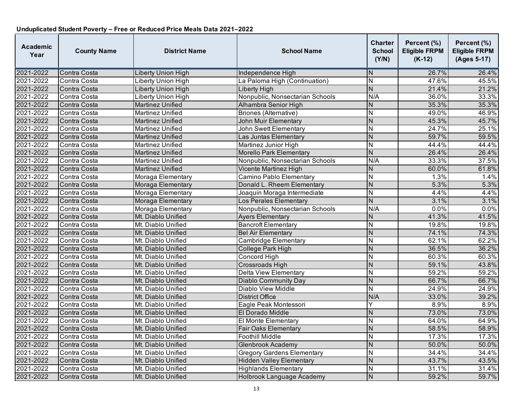| <b>Academic</b><br>Year | <b>County Name</b> | <b>District Name</b>    | <b>School Name</b>                | <b>Charter</b><br><b>School</b><br>(Y/N) | Percent (%)<br><b>Eligible FRPM</b><br>$(K-12)$ | Percent (%)<br><b>Eligible FRPM</b><br>(Ages 5-17) |
|-------------------------|--------------------|-------------------------|-----------------------------------|------------------------------------------|-------------------------------------------------|----------------------------------------------------|
| 2021-2022               | Contra Costa       | Liberty Union High      | Independence High                 | N                                        | 26.7%                                           | 26.4%                                              |
| 2021-2022               | Contra Costa       | Liberty Union High      | La Paloma High (Continuation)     | N                                        | 47.6%                                           | 45.5%                                              |
| 2021-2022               | Contra Costa       | Liberty Union High      | Liberty High                      | $\overline{N}$                           | 21.4%                                           | 21.2%                                              |
| 2021-2022               | Contra Costa       | Liberty Union High      | Nonpublic, Nonsectarian Schools   | N/A                                      | 36.0%                                           | 33.3%                                              |
| 2021-2022               | Contra Costa       | Martinez Unified        | Alhambra Senior High              | N                                        | 35.3%                                           | 35.3%                                              |
| 2021-2022               | Contra Costa       | <b>Martinez Unified</b> | <b>Briones (Alternative)</b>      | N                                        | 49.0%                                           | 46.9%                                              |
| 2021-2022               | Contra Costa       | Martinez Unified        | <b>John Muir Elementary</b>       | $\overline{N}$                           | 45.3%                                           | 45.7%                                              |
| 2021-2022               | Contra Costa       | Martinez Unified        | John Swett Elementary             | N                                        | 24.7%                                           | 25.1%                                              |
| 2021-2022               | Contra Costa       | <b>Martinez Unified</b> | Las Juntas Elementary             | N                                        | 59.7%                                           | 59.5%                                              |
| 2021-2022               | Contra Costa       | Martinez Unified        | Martinez Junior High              | N                                        | 44.4%                                           | 44.4%                                              |
| 2021-2022               | Contra Costa       | Martinez Unified        | Morello Park Elementary           | $\overline{N}$                           | 26.4%                                           | 26.4%                                              |
| 2021-2022               | Contra Costa       | Martinez Unified        | Nonpublic, Nonsectarian Schools   | N/A                                      | 33.3%                                           | 37.5%                                              |
| 2021-2022               | Contra Costa       | Martinez Unified        | Vicente Martinez High             | N                                        | 60.0%                                           | 61.8%                                              |
| 2021-2022               | Contra Costa       | Moraga Elementary       | Camino Pablo Elementary           | $\overline{\mathsf{N}}$                  | 1.3%                                            | 1.4%                                               |
| 2021-2022               | Contra Costa       | Moraga Elementary       | Donald L. Rheem Elementary        | $\overline{N}$                           | 5.3%                                            | 5.3%                                               |
| 2021-2022               | Contra Costa       | Moraga Elementary       | Joaquin Moraga Intermediate       | N                                        | 4.4%                                            | 4.4%                                               |
| 2021-2022               | Contra Costa       | Moraga Elementary       | Los Perales Elementary            | $\overline{N}$                           | 3.1%                                            | 3.1%                                               |
| 2021-2022               | Contra Costa       | Moraga Elementary       | Nonpublic, Nonsectarian Schools   | N/A                                      | 0.0%                                            | 0.0%                                               |
| 2021-2022               | Contra Costa       | Mt. Diablo Unified      | <b>Ayers Elementary</b>           | N                                        | 41.3%                                           | 41.5%                                              |
| 2021-2022               | Contra Costa       | Mt. Diablo Unified      | <b>Bancroft Elementary</b>        | $\overline{N}$                           | 19.8%                                           | 19.8%                                              |
| 2021-2022               | Contra Costa       | Mt. Diablo Unified      | <b>Bel Air Elementary</b>         | $\overline{N}$                           | 74.1%                                           | 74.3%                                              |
| 2021-2022               | Contra Costa       | Mt. Diablo Unified      | <b>Cambridge Elementary</b>       | $\overline{\mathsf{N}}$                  | 62.1%                                           | 62.2%                                              |
| 2021-2022               | Contra Costa       | Mt. Diablo Unified      | College Park High                 | N                                        | 36.5%                                           | 36.2%                                              |
| 2021-2022               | Contra Costa       | Mt. Diablo Unified      | Concord High                      | N                                        | 60.3%                                           | 60.3%                                              |
| 2021-2022               | Contra Costa       | Mt. Diablo Unified      | <b>Crossroads High</b>            | $\overline{N}$                           | 59.1%                                           | 43.8%                                              |
| 2021-2022               | Contra Costa       | Mt. Diablo Unified      | Delta View Elementary             | N                                        | 59.2%                                           | 59.2%                                              |
| 2021-2022               | Contra Costa       | Mt. Diablo Unified      | <b>Diablo Community Day</b>       | N                                        | 66.7%                                           | 66.7%                                              |
| 2021-2022               | Contra Costa       | Mt. Diablo Unified      | <b>Diablo View Middle</b>         | N                                        | 24.9%                                           | 24.9%                                              |
| 2021-2022               | Contra Costa       | Mt. Diablo Unified      | <b>District Office</b>            | N/A                                      | 33.0%                                           | 39.2%                                              |
| 2021-2022               | Contra Costa       | Mt. Diablo Unified      | Eagle Peak Montessori             | Y                                        | 8.9%                                            | 8.9%                                               |
| 2021-2022               | Contra Costa       | Mt. Diablo Unified      | El Dorado Middle                  | $\overline{N}$                           | 73.0%                                           | 73.0%                                              |
| 2021-2022               | Contra Costa       | Mt. Diablo Unified      | El Monte Elementary               | N                                        | 64.0%                                           | 64.9%                                              |
| 2021-2022               | Contra Costa       | Mt. Diablo Unified      | <b>Fair Oaks Elementary</b>       | $\overline{N}$                           | 58.5%                                           | 58.9%                                              |
| 2021-2022               | Contra Costa       | Mt. Diablo Unified      | Foothill Middle                   | N                                        | 17.3%                                           | 17.3%                                              |
| 2021-2022               | Contra Costa       | Mt. Diablo Unified      | <b>Glenbrook Academy</b>          | N                                        | 50.0%                                           | 50.0%                                              |
| 2021-2022               | Contra Costa       | Mt. Diablo Unified      | <b>Gregory Gardens Elementary</b> | N                                        | 34.4%                                           | 34.4%                                              |
| 2021-2022               | Contra Costa       | Mt. Diablo Unified      | <b>Hidden Valley Elementary</b>   | N                                        | 43.7%                                           | 43.5%                                              |
| 2021-2022               | Contra Costa       | Mt. Diablo Unified      | <b>Highlands Elementary</b>       | N                                        | 31.1%                                           | 31.4%                                              |
| 2021-2022               | Contra Costa       | Mt. Diablo Unified      | <b>Holbrook Language Academy</b>  | N                                        | 59.2%                                           | 59.7%                                              |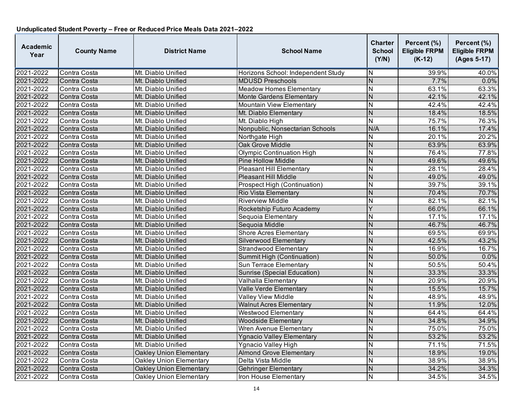| <b>Academic</b><br>Year | <b>County Name</b> | <b>District Name</b>           | <b>School Name</b>                  | Charter<br><b>School</b><br>(Y/N) | Percent (%)<br><b>Eligible FRPM</b><br>$(K-12)$ | Percent (%)<br><b>Eligible FRPM</b><br>(Ages 5-17) |
|-------------------------|--------------------|--------------------------------|-------------------------------------|-----------------------------------|-------------------------------------------------|----------------------------------------------------|
| 2021-2022               | Contra Costa       | Mt. Diablo Unified             | Horizons School: Independent Study  | N                                 | 39.9%                                           | 40.0%                                              |
| 2021-2022               | Contra Costa       | Mt. Diablo Unified             | <b>MDUSD Preschools</b>             | N                                 | 7.7%                                            | 0.0%                                               |
| 2021-2022               | Contra Costa       | Mt. Diablo Unified             | <b>Meadow Homes Elementary</b>      | N                                 | 63.1%                                           | 63.3%                                              |
| 2021-2022               | Contra Costa       | Mt. Diablo Unified             | <b>Monte Gardens Elementary</b>     | N                                 | 42.1%                                           | 42.1%                                              |
| 2021-2022               | Contra Costa       | Mt. Diablo Unified             | Mountain View Elementary            | N                                 | 42.4%                                           | 42.4%                                              |
| 2021-2022               | Contra Costa       | Mt. Diablo Unified             | Mt. Diablo Elementary               | N                                 | 18.4%                                           | 18.5%                                              |
| 2021-2022               | Contra Costa       | Mt. Diablo Unified             | Mt. Diablo High                     | $\overline{\mathsf{N}}$           | 75.7%                                           | 76.3%                                              |
| 2021-2022               | Contra Costa       | Mt. Diablo Unified             | Nonpublic, Nonsectarian Schools     | N/A                               | 16.1%                                           | 17.4%                                              |
| 2021-2022               | Contra Costa       | Mt. Diablo Unified             | Northgate High                      | N                                 | 20.1%                                           | 20.2%                                              |
| 2021-2022               | Contra Costa       | Mt. Diablo Unified             | Oak Grove Middle                    | N                                 | 63.9%                                           | 63.9%                                              |
| 2021-2022               | Contra Costa       | Mt. Diablo Unified             | <b>Olympic Continuation High</b>    | N                                 | 76.4%                                           | 77.8%                                              |
| 2021-2022               | Contra Costa       | Mt. Diablo Unified             | <b>Pine Hollow Middle</b>           | N                                 | 49.6%                                           | 49.6%                                              |
| 2021-2022               | Contra Costa       | Mt. Diablo Unified             | <b>Pleasant Hill Elementary</b>     | N                                 | 28.1%                                           | 28.4%                                              |
| 2021-2022               | Contra Costa       | Mt. Diablo Unified             | <b>Pleasant Hill Middle</b>         | N                                 | 49.0%                                           | 49.0%                                              |
| 2021-2022               | Contra Costa       | Mt. Diablo Unified             | <b>Prospect High (Continuation)</b> | N                                 | 39.7%                                           | 39.1%                                              |
| 2021-2022               | Contra Costa       | Mt. Diablo Unified             | Rio Vista Elementary                | N                                 | 70.4%                                           | 70.7%                                              |
| 2021-2022               | Contra Costa       | Mt. Diablo Unified             | <b>Riverview Middle</b>             | N                                 | 82.1%                                           | 82.1%                                              |
| 2021-2022               | Contra Costa       | Mt. Diablo Unified             | Rocketship Futuro Academy           | Y                                 | 66.0%                                           | 66.1%                                              |
| 2021-2022               | Contra Costa       | Mt. Diablo Unified             | Sequoia Elementary                  | Ν                                 | 17.1%                                           | 17.1%                                              |
| 2021-2022               | Contra Costa       | Mt. Diablo Unified             | Sequoia Middle                      | N                                 | 46.7%                                           | 46.7%                                              |
| 2021-2022               | Contra Costa       | Mt. Diablo Unified             | <b>Shore Acres Elementary</b>       | N                                 | 69.5%                                           | 69.9%                                              |
| 2021-2022               | Contra Costa       | Mt. Diablo Unified             | Silverwood Elementary               | N                                 | 42.5%                                           | 43.2%                                              |
| 2021-2022               | Contra Costa       | Mt. Diablo Unified             | <b>Strandwood Elementary</b>        | N                                 | 16.9%                                           | 16.7%                                              |
| 2021-2022               | Contra Costa       | Mt. Diablo Unified             | Summit High (Continuation)          | N                                 | 50.0%                                           | 0.0%                                               |
| 2021-2022               | Contra Costa       | Mt. Diablo Unified             | Sun Terrace Elementary              | N                                 | 50.5%                                           | 50.4%                                              |
| 2021-2022               | Contra Costa       | Mt. Diablo Unified             | Sunrise (Special Education)         | N                                 | 33.3%                                           | 33.3%                                              |
| 2021-2022               | Contra Costa       | Mt. Diablo Unified             | Valhalla Elementary                 | N                                 | 20.9%                                           | 20.9%                                              |
| 2021-2022               | Contra Costa       | Mt. Diablo Unified             | Valle Verde Elementary              | N                                 | 15.5%                                           | 15.7%                                              |
| 2021-2022               | Contra Costa       | Mt. Diablo Unified             | Valley View Middle                  | N                                 | 48.9%                                           | 48.9%                                              |
| 2021-2022               | Contra Costa       | Mt. Diablo Unified             | <b>Walnut Acres Elementary</b>      | N                                 | 11.9%                                           | 12.0%                                              |
| 2021-2022               | Contra Costa       | Mt. Diablo Unified             | <b>Westwood Elementary</b>          | N                                 | 64.4%                                           | 64.4%                                              |
| 2021-2022               | Contra Costa       | Mt. Diablo Unified             | <b>Woodside Elementary</b>          | N                                 | 34.8%                                           | 34.9%                                              |
| 2021-2022               | Contra Costa       | Mt. Diablo Unified             | Wren Avenue Elementary              | $\overline{\sf N}$                | 75.0%                                           | 75.0%                                              |
| 2021-2022               | Contra Costa       | Mt. Diablo Unified             | <b>Ygnacio Valley Elementary</b>    | N                                 | 53.2%                                           | 53.2%                                              |
| 2021-2022               | Contra Costa       | Mt. Diablo Unified             | Ygnacio Valley High                 | N                                 | 71.1%                                           | 71.5%                                              |
| 2021-2022               | Contra Costa       | Oakley Union Elementary        | <b>Almond Grove Elementary</b>      | N                                 | 18.9%                                           | 19.0%                                              |
| 2021-2022               | Contra Costa       | <b>Oakley Union Elementary</b> | Delta Vista Middle                  | Ν                                 | 38.9%                                           | 38.9%                                              |
| 2021-2022               | Contra Costa       | <b>Oakley Union Elementary</b> | Gehringer Elementary                | N                                 | 34.2%                                           | 34.3%                                              |
| 2021-2022               | Contra Costa       | Oakley Union Elementary        | Iron House Elementary               | N                                 | 34.5%                                           | 34.5%                                              |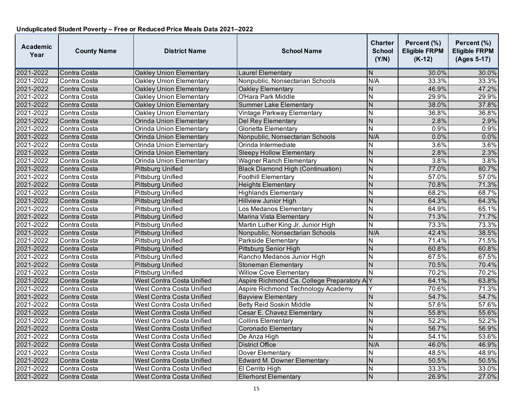| <b>Academic</b><br>Year | <b>County Name</b> | <b>District Name</b>           | <b>School Name</b>                        | <b>Charter</b><br><b>School</b><br>(Y/N) | Percent (%)<br><b>Eligible FRPM</b><br>$(K-12)$ | Percent (%)<br><b>Eligible FRPM</b><br>(Ages 5-17) |
|-------------------------|--------------------|--------------------------------|-------------------------------------------|------------------------------------------|-------------------------------------------------|----------------------------------------------------|
| 2021-2022               | Contra Costa       | Oakley Union Elementary        | Laurel Elementary                         | N                                        | 30.0%                                           | 30.0%                                              |
| 2021-2022               | Contra Costa       | Oakley Union Elementary        | Nonpublic, Nonsectarian Schools           | N/A                                      | 33.3%                                           | 33.3%                                              |
| 2021-2022               | Contra Costa       | <b>Oakley Union Elementary</b> | Oakley Elementary                         | N                                        | 46.9%                                           | 47.2%                                              |
| 2021-2022               | Contra Costa       | <b>Oakley Union Elementary</b> | <b>O'Hara Park Middle</b>                 | $\overline{\mathsf{N}}$                  | 29.9%                                           | 29.9%                                              |
| 2021-2022               | Contra Costa       | Oakley Union Elementary        | <b>Summer Lake Elementary</b>             | N                                        | 38.0%                                           | 37.8%                                              |
| 2021-2022               | Contra Costa       | Oakley Union Elementary        | Vintage Parkway Elementary                | N                                        | 36.8%                                           | 36.8%                                              |
| 2021-2022               | Contra Costa       | Orinda Union Elementary        | Del Rey Elementary                        | N                                        | 2.8%                                            | 2.9%                                               |
| 2021-2022               | Contra Costa       | <b>Orinda Union Elementary</b> | Glorietta Elementary                      | N                                        | 0.9%                                            | 0.9%                                               |
| 2021-2022               | Contra Costa       | Orinda Union Elementary        | Nonpublic, Nonsectarian Schools           | N/A                                      | 0.0%                                            | 0.0%                                               |
| 2021-2022               | Contra Costa       | <b>Orinda Union Elementary</b> | Orinda Intermediate                       | Ν                                        | 3.6%                                            | 3.6%                                               |
| 2021-2022               | Contra Costa       | Orinda Union Elementary        | <b>Sleepy Hollow Elementary</b>           | $\overline{N}$                           | 2.8%                                            | 2.3%                                               |
| 2021-2022               | Contra Costa       | Orinda Union Elementary        | <b>Wagner Ranch Elementary</b>            | N                                        | 3.8%                                            | 3.8%                                               |
| 2021-2022               | Contra Costa       | <b>Pittsburg Unified</b>       | Black Diamond High (Continuation)         | $\overline{N}$                           | 77.0%                                           | 80.7%                                              |
| 2021-2022               | Contra Costa       | Pittsburg Unified              | <b>Foothill Elementary</b>                | N                                        | 57.0%                                           | 57.0%                                              |
| 2021-2022               | Contra Costa       | <b>Pittsburg Unified</b>       | <b>Heights Elementary</b>                 | N                                        | 70.8%                                           | 71.3%                                              |
| 2021-2022               | Contra Costa       | <b>Pittsburg Unified</b>       | <b>Highlands Elementary</b>               | N                                        | 68.2%                                           | 68.7%                                              |
| 2021-2022               | Contra Costa       | Pittsburg Unified              | <b>Hillview Junior High</b>               | N                                        | 64.3%                                           | 64.3%                                              |
| 2021-2022               | Contra Costa       | <b>Pittsburg Unified</b>       | Los Medanos Elementary                    | N                                        | 64.9%                                           | 65.1%                                              |
| 2021-2022               | Contra Costa       | <b>Pittsburg Unified</b>       | Marina Vista Elementary                   | N                                        | 71.3%                                           | 71.7%                                              |
| 2021-2022               | Contra Costa       | Pittsburg Unified              | Martin Luther King Jr. Junior High        | $\mathsf{N}$                             | 73.3%                                           | 73.3%                                              |
| 2021-2022               | Contra Costa       | Pittsburg Unified              | Nonpublic, Nonsectarian Schools           | N/A                                      | 42.4%                                           | 38.5%                                              |
| 2021-2022               | Contra Costa       | Pittsburg Unified              | <b>Parkside Elementary</b>                | N                                        | 71.4%                                           | 71.5%                                              |
| 2021-2022               | Contra Costa       | <b>Pittsburg Unified</b>       | Pittsburg Senior High                     | N                                        | 60.8%                                           | 60.8%                                              |
| 2021-2022               | Contra Costa       | <b>Pittsburg Unified</b>       | Rancho Medanos Junior High                | N                                        | 67.5%                                           | 67.5%                                              |
| 2021-2022               | Contra Costa       | <b>Pittsburg Unified</b>       | <b>Stoneman Elementary</b>                | N                                        | 70.5%                                           | 70.4%                                              |
| 2021-2022               | Contra Costa       | Pittsburg Unified              | <b>Willow Cove Elementary</b>             | N                                        | 70.2%                                           | 70.2%                                              |
| 2021-2022               | Contra Costa       | West Contra Costa Unified      | Aspire Richmond Ca. College Preparatory A | Y                                        | 64.1%                                           | 63.8%                                              |
| 2021-2022               | Contra Costa       | West Contra Costa Unified      | Aspire Richmond Technology Academy        | Y                                        | 70.6%                                           | 71.3%                                              |
| 2021-2022               | Contra Costa       | West Contra Costa Unified      | <b>Bayview Elementary</b>                 | $\mathsf{N}$                             | 54.7%                                           | 54.7%                                              |
| 2021-2022               | Contra Costa       | West Contra Costa Unified      | <b>Betty Reid Soskin Middle</b>           | N                                        | 57.6%                                           | 57.6%                                              |
| 2021-2022               | Contra Costa       | West Contra Costa Unified      | Cesar E. Chavez Elementary                | $\overline{N}$                           | 55.8%                                           | 55.6%                                              |
| 2021-2022               | Contra Costa       | West Contra Costa Unified      | <b>Collins Elementary</b>                 | $\overline{\mathsf{N}}$                  | 52.2%                                           | 52.2%                                              |
| 2021-2022               | Contra Costa       | West Contra Costa Unified      | Coronado Elementary                       | N                                        | 56.7%                                           | 56.9%                                              |
| 2021-2022               | Contra Costa       | West Contra Costa Unified      | De Anza High                              | N                                        | 54.1%                                           | 53.6%                                              |
| 2021-2022               | Contra Costa       | West Contra Costa Unified      | <b>District Office</b>                    | N/A                                      | 46.0%                                           | 46.9%                                              |
| 2021-2022               | Contra Costa       | West Contra Costa Unified      | Dover Elementary                          | N                                        | 48.5%                                           | 48.9%                                              |
| 2021-2022               | Contra Costa       | West Contra Costa Unified      | <b>Edward M. Downer Elementary</b>        | N                                        | 50.5%                                           | 50.5%                                              |
| 2021-2022               | Contra Costa       | West Contra Costa Unified      | El Cerrito High                           | N                                        | 33.3%                                           | 33.0%                                              |
| 2021-2022               | Contra Costa       | West Contra Costa Unified      | <b>Ellerhorst Elementary</b>              | N                                        | 26.9%                                           | 27.0%                                              |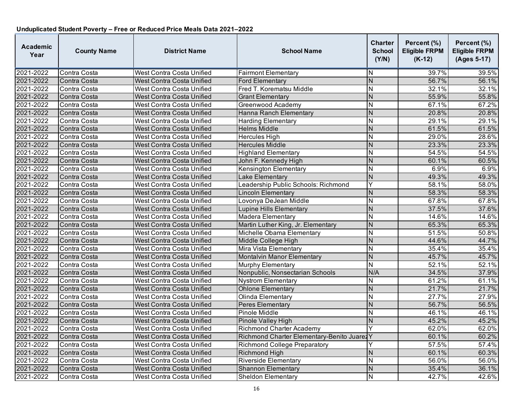| <b>Academic</b><br>Year | <b>County Name</b> | <b>District Name</b>      | <b>School Name</b>                          | <b>Charter</b><br><b>School</b><br>(Y/N) | Percent (%)<br><b>Eligible FRPM</b><br>$(K-12)$ | Percent (%)<br><b>Eligible FRPM</b><br>(Ages 5-17) |
|-------------------------|--------------------|---------------------------|---------------------------------------------|------------------------------------------|-------------------------------------------------|----------------------------------------------------|
| 2021-2022               | Contra Costa       | West Contra Costa Unified | <b>Fairmont Elementary</b>                  | IN.                                      | 39.7%                                           | 39.5%                                              |
| 2021-2022               | Contra Costa       | West Contra Costa Unified | <b>Ford Elementary</b>                      | <b>N</b>                                 | 56.7%                                           | 56.1%                                              |
| 2021-2022               | Contra Costa       | West Contra Costa Unified | Fred T. Korematsu Middle                    | N                                        | 32.1%                                           | 32.1%                                              |
| 2021-2022               | Contra Costa       | West Contra Costa Unified | <b>Grant Elementary</b>                     | $\overline{\mathsf{N}}$                  | 55.9%                                           | 55.8%                                              |
| 2021-2022               | Contra Costa       | West Contra Costa Unified | Greenwood Academy                           | N                                        | 67.1%                                           | 67.2%                                              |
| 2021-2022               | Contra Costa       | West Contra Costa Unified | Hanna Ranch Elementary                      | N                                        | 20.8%                                           | 20.8%                                              |
| 2021-2022               | Contra Costa       | West Contra Costa Unified | <b>Harding Elementary</b>                   | N                                        | 29.1%                                           | 29.1%                                              |
| 2021-2022               | Contra Costa       | West Contra Costa Unified | <b>Helms Middle</b>                         | N                                        | 61.5%                                           | 61.5%                                              |
| 2021-2022               | Contra Costa       | West Contra Costa Unified | <b>Hercules High</b>                        | $\overline{\mathsf{N}}$                  | 29.0%                                           | 28.6%                                              |
| 2021-2022               | Contra Costa       | West Contra Costa Unified | <b>Hercules Middle</b>                      | $\overline{\mathsf{N}}$                  | 23.3%                                           | 23.3%                                              |
| 2021-2022               | Contra Costa       | West Contra Costa Unified | <b>Highland Elementary</b>                  | <b>N</b>                                 | 54.5%                                           | 54.5%                                              |
| 2021-2022               | Contra Costa       | West Contra Costa Unified | John F. Kennedy High                        | N                                        | 60.1%                                           | 60.5%                                              |
| 2021-2022               | Contra Costa       | West Contra Costa Unified | Kensington Elementary                       | ĪΝ                                       | 6.9%                                            | 6.9%                                               |
| 2021-2022               | Contra Costa       | West Contra Costa Unified | Lake Elementary                             | $\overline{\mathsf{N}}$                  | 49.3%                                           | 49.3%                                              |
| 2021-2022               | Contra Costa       | West Contra Costa Unified | Leadership Public Schools: Richmond         | Y                                        | 58.1%                                           | 58.0%                                              |
| 2021-2022               | Contra Costa       | West Contra Costa Unified | <b>Lincoln Elementary</b>                   | N                                        | 58.3%                                           | 58.3%                                              |
| 2021-2022               | Contra Costa       | West Contra Costa Unified | Lovonya DeJean Middle                       | Z                                        | 67.8%                                           | 67.8%                                              |
| 2021-2022               | Contra Costa       | West Contra Costa Unified | Lupine Hills Elementary                     | <b>N</b>                                 | 37.5%                                           | 37.6%                                              |
| 2021-2022               | Contra Costa       | West Contra Costa Unified | <b>Madera Elementary</b>                    | N                                        | 14.6%                                           | 14.6%                                              |
| 2021-2022               | Contra Costa       | West Contra Costa Unified | Martin Luther King, Jr. Elementary          | $\overline{\mathsf{N}}$                  | 65.3%                                           | 65.3%                                              |
| 2021-2022               | Contra Costa       | West Contra Costa Unified | Michelle Obama Elementary                   | N                                        | 51.5%                                           | 50.8%                                              |
| 2021-2022               | Contra Costa       | West Contra Costa Unified | Middle College High                         | Z                                        | 44.6%                                           | 44.7%                                              |
| 2021-2022               | Contra Costa       | West Contra Costa Unified | Mira Vista Elementary                       | IN.                                      | 35.4%                                           | 35.4%                                              |
| 2021-2022               | Contra Costa       | West Contra Costa Unified | Montalvin Manor Elementary                  | N                                        | 45.7%                                           | 45.7%                                              |
| 2021-2022               | Contra Costa       | West Contra Costa Unified | <b>Murphy Elementary</b>                    | N                                        | 52.1%                                           | 52.1%                                              |
| 2021-2022               | Contra Costa       | West Contra Costa Unified | Nonpublic, Nonsectarian Schools             | N/A                                      | 34.5%                                           | 37.9%                                              |
| 2021-2022               | Contra Costa       | West Contra Costa Unified | <b>Nystrom Elementary</b>                   | N                                        | 61.2%                                           | 61.1%                                              |
| 2021-2022               | Contra Costa       | West Contra Costa Unified | <b>Ohlone Elementary</b>                    | $\mathsf{N}$                             | 21.7%                                           | 21.7%                                              |
| 2021-2022               | Contra Costa       | West Contra Costa Unified | Olinda Elementary                           | İΝ                                       | 27.7%                                           | 27.9%                                              |
| 2021-2022               | Contra Costa       | West Contra Costa Unified | Peres Elementary                            | <b>N</b>                                 | 56.7%                                           | 56.5%                                              |
| 2021-2022               | Contra Costa       | West Contra Costa Unified | Pinole Middle                               | $\overline{\mathsf{N}}$                  | 46.1%                                           | 46.1%                                              |
| 2021-2022               | Contra Costa       | West Contra Costa Unified | Pinole Valley High                          | $\overline{\mathsf{N}}$                  | 45.2%                                           | 45.2%                                              |
| 2021-2022               | Contra Costa       | West Contra Costa Unified | <b>Richmond Charter Academy</b>             | Y                                        | 62.0%                                           | 62.0%                                              |
| 2021-2022               | Contra Costa       | West Contra Costa Unified | Richmond Charter Elementary-Benito Juarez Y |                                          | 60.1%                                           | 60.2%                                              |
| 2021-2022               | Contra Costa       | West Contra Costa Unified | Richmond College Preparatory                | Y                                        | 57.5%                                           | 57.4%                                              |
| 2021-2022               | Contra Costa       | West Contra Costa Unified | <b>Richmond High</b>                        | N                                        | 60.1%                                           | 60.3%                                              |
| 2021-2022               | Contra Costa       | West Contra Costa Unified | <b>Riverside Elementary</b>                 | IN.                                      | 56.0%                                           | 56.0%                                              |
| 2021-2022               | Contra Costa       | West Contra Costa Unified | <b>Shannon Elementary</b>                   | <b>N</b>                                 | 35.4%                                           | 36.1%                                              |
| 2021-2022               | Contra Costa       | West Contra Costa Unified | <b>Sheldon Elementary</b>                   | $\overline{\mathsf{N}}$                  | 42.7%                                           | 42.6%                                              |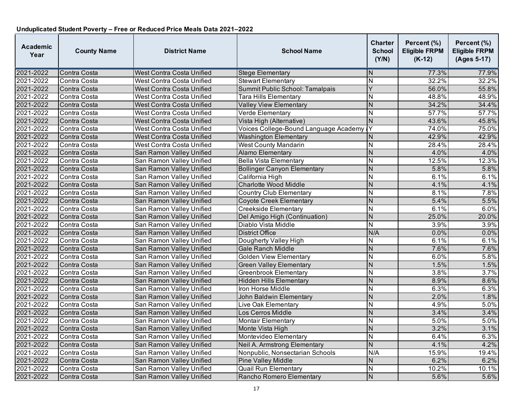| <b>Academic</b><br>Year | <b>County Name</b> | <b>District Name</b>      | <b>School Name</b>                    | <b>Charter</b><br><b>School</b><br>(Y/N) | Percent (%)<br><b>Eligible FRPM</b><br>$(K-12)$ | Percent (%)<br><b>Eligible FRPM</b><br>(Ages 5-17) |
|-------------------------|--------------------|---------------------------|---------------------------------------|------------------------------------------|-------------------------------------------------|----------------------------------------------------|
| 2021-2022               | Contra Costa       | West Contra Costa Unified | <b>Stege Elementary</b>               | N                                        | 77.3%                                           | 77.9%                                              |
| 2021-2022               | Contra Costa       | West Contra Costa Unified | <b>Stewart Elementary</b>             | $\mathsf{N}$                             | 32.2%                                           | 32.2%                                              |
| 2021-2022               | Contra Costa       | West Contra Costa Unified | Summit Public School: Tamalpais       | Ÿ                                        | 56.0%                                           | 55.8%                                              |
| 2021-2022               | Contra Costa       | West Contra Costa Unified | Tara Hills Elementary                 | N                                        | 48.8%                                           | 48.9%                                              |
| 2021-2022               | Contra Costa       | West Contra Costa Unified | <b>Valley View Elementary</b>         | $\mathsf{N}$                             | 34.2%                                           | 34.4%                                              |
| 2021-2022               | Contra Costa       | West Contra Costa Unified | Verde Elementary                      | N                                        | 57.7%                                           | 57.7%                                              |
| 2021-2022               | Contra Costa       | West Contra Costa Unified | Vista High (Alternative)              | N                                        | 43.6%                                           | 45.8%                                              |
| 2021-2022               | Contra Costa       | West Contra Costa Unified | Voices College-Bound Language Academy | Y                                        | 74.0%                                           | 75.0%                                              |
| 2021-2022               | Contra Costa       | West Contra Costa Unified | <b>Washington Elementary</b>          | N                                        | 42.9%                                           | 42.9%                                              |
| 2021-2022               | Contra Costa       | West Contra Costa Unified | <b>West County Mandarin</b>           | N                                        | 28.4%                                           | 28.4%                                              |
| 2021-2022               | Contra Costa       | San Ramon Valley Unified  | <b>Alamo Elementary</b>               | N                                        | 4.0%                                            | 4.0%                                               |
| 2021-2022               | Contra Costa       | San Ramon Valley Unified  | <b>Bella Vista Elementary</b>         | N                                        | 12.5%                                           | 12.3%                                              |
| 2021-2022               | Contra Costa       | San Ramon Valley Unified  | <b>Bollinger Canyon Elementary</b>    | $\overline{N}$                           | 5.8%                                            | 5.8%                                               |
| 2021-2022               | Contra Costa       | San Ramon Valley Unified  | California High                       | $\mathsf{N}$                             | 6.1%                                            | 6.1%                                               |
| 2021-2022               | Contra Costa       | San Ramon Valley Unified  | <b>Charlotte Wood Middle</b>          | $\overline{N}$                           | 4.1%                                            | 4.1%                                               |
| 2021-2022               | Contra Costa       | San Ramon Valley Unified  | Country Club Elementary               | N                                        | 8.1%                                            | 7.8%                                               |
| 2021-2022               | Contra Costa       | San Ramon Valley Unified  | <b>Coyote Creek Elementary</b>        | N                                        | 5.4%                                            | 5.5%                                               |
| 2021-2022               | Contra Costa       | San Ramon Valley Unified  | <b>Creekside Elementary</b>           | N                                        | 6.1%                                            | 6.0%                                               |
| 2021-2022               | Contra Costa       | San Ramon Valley Unified  | Del Amigo High (Continuation)         | N                                        | 25.0%                                           | 20.0%                                              |
| 2021-2022               | Contra Costa       | San Ramon Valley Unified  | Diablo Vista Middle                   | $\overline{N}$                           | 3.9%                                            | 3.9%                                               |
| 2021-2022               | Contra Costa       | San Ramon Valley Unified  | <b>District Office</b>                | N/A                                      | 0.0%                                            | 0.0%                                               |
| 2021-2022               | Contra Costa       | San Ramon Valley Unified  | Dougherty Valley High                 | Ñ                                        | 6.1%                                            | 6.1%                                               |
| 2021-2022               | Contra Costa       | San Ramon Valley Unified  | Gale Ranch Middle                     | N                                        | 7.6%                                            | 7.6%                                               |
| 2021-2022               | Contra Costa       | San Ramon Valley Unified  | <b>Golden View Elementary</b>         | $\mathsf{N}$                             | 6.0%                                            | 5.8%                                               |
| 2021-2022               | Contra Costa       | San Ramon Valley Unified  | <b>Green Valley Elementary</b>        | $\overline{N}$                           | 1.5%                                            | 1.5%                                               |
| 2021-2022               | Contra Costa       | San Ramon Valley Unified  | <b>Greenbrook Elementary</b>          | N                                        | 3.8%                                            | 3.7%                                               |
| 2021-2022               | Contra Costa       | San Ramon Valley Unified  | <b>Hidden Hills Elementary</b>        | $\mathsf{N}$                             | 8.9%                                            | 8.6%                                               |
| 2021-2022               | Contra Costa       | San Ramon Valley Unified  | Iron Horse Middle                     | $\mathsf{N}$                             | 6.3%                                            | 6.3%                                               |
| 2021-2022               | Contra Costa       | San Ramon Valley Unified  | John Baldwin Elementary               | $\mathsf{N}$                             | 2.0%                                            | 1.8%                                               |
| 2021-2022               | Contra Costa       | San Ramon Valley Unified  | Live Oak Elementary                   | N                                        | 4.9%                                            | 5.0%                                               |
| 2021-2022               | Contra Costa       | San Ramon Valley Unified  | Los Cerros Middle                     | $\overline{N}$                           | 3.4%                                            | 3.4%                                               |
| 2021-2022               | Contra Costa       | San Ramon Valley Unified  | <b>Montair Elementary</b>             | Ñ                                        | 5.0%                                            | 5.0%                                               |
| 2021-2022               | Contra Costa       | San Ramon Valley Unified  | Monte Vista High                      | N                                        | 3.2%                                            | 3.1%                                               |
| 2021-2022               | Contra Costa       | San Ramon Valley Unified  | Montevideo Elementary                 | N                                        | 6.4%                                            | 6.3%                                               |
| 2021-2022               | Contra Costa       | San Ramon Valley Unified  | Neil A. Armstrong Elementary          | N                                        | 4.1%                                            | 4.2%                                               |
| 2021-2022               | Contra Costa       | San Ramon Valley Unified  | Nonpublic, Nonsectarian Schools       | N/A                                      | 15.9%                                           | 19.4%                                              |
| 2021-2022               | Contra Costa       | San Ramon Valley Unified  | <b>Pine Valley Middle</b>             | N                                        | 6.2%                                            | 6.2%                                               |
| 2021-2022               | Contra Costa       | San Ramon Valley Unified  | <b>Quail Run Elementary</b>           | $\mathsf{N}$                             | 10.2%                                           | 10.1%                                              |
| 2021-2022               | Contra Costa       | San Ramon Valley Unified  | Rancho Romero Elementary              | $\mathsf{N}$                             | 5.6%                                            | 5.6%                                               |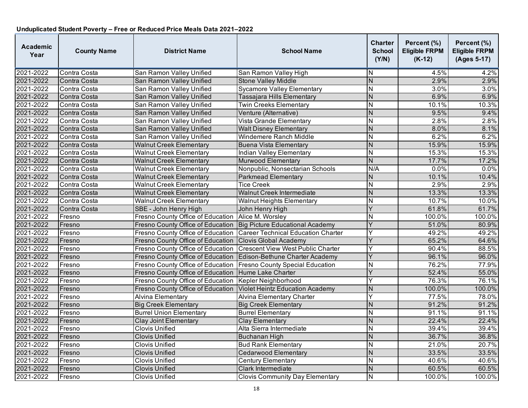| <b>Academic</b><br>Year | <b>County Name</b> | <b>District Name</b>              | <b>School Name</b>                       | <b>Charter</b><br><b>School</b><br>(Y/N) | Percent (%)<br><b>Eligible FRPM</b><br>$(K-12)$ | Percent (%)<br><b>Eligible FRPM</b><br>(Ages 5-17) |
|-------------------------|--------------------|-----------------------------------|------------------------------------------|------------------------------------------|-------------------------------------------------|----------------------------------------------------|
| 2021-2022               | Contra Costa       | San Ramon Valley Unified          | San Ramon Valley High                    | ΙN                                       | 4.5%                                            | 4.2%                                               |
| 2021-2022               | Contra Costa       | San Ramon Valley Unified          | <b>Stone Valley Middle</b>               | <b>N</b>                                 | 2.9%                                            | 2.9%                                               |
| 2021-2022               | Contra Costa       | San Ramon Valley Unified          | <b>Sycamore Valley Elementary</b>        | Z                                        | 3.0%                                            | 3.0%                                               |
| 2021-2022               | Contra Costa       | San Ramon Valley Unified          | Tassajara Hills Elementary               | N                                        | 6.9%                                            | 6.9%                                               |
| 2021-2022               | Contra Costa       | San Ramon Valley Unified          | <b>Twin Creeks Elementary</b>            | $\overline{N}$                           | 10.1%                                           | 10.3%                                              |
| 2021-2022               | Contra Costa       | San Ramon Valley Unified          | Venture (Alternative)                    | N                                        | 9.5%                                            | 9.4%                                               |
| 2021-2022               | Contra Costa       | San Ramon Valley Unified          | Vista Grande Elementary                  | IN.                                      | 2.8%                                            | 2.8%                                               |
| 2021-2022               | Contra Costa       | San Ramon Valley Unified          | <b>Walt Disney Elementary</b>            | $\mathsf{N}$                             | 8.0%                                            | 8.1%                                               |
| 2021-2022               | Contra Costa       | San Ramon Valley Unified          | Windemere Ranch Middle                   | ĪΝ                                       | 6.2%                                            | 6.2%                                               |
| 2021-2022               | Contra Costa       | <b>Walnut Creek Elementary</b>    | <b>Buena Vista Elementary</b>            | $\overline{\mathsf{N}}$                  | 15.9%                                           | 15.9%                                              |
| 2021-2022               | Contra Costa       | <b>Walnut Creek Elementary</b>    | Indian Valley Elementary                 | İΝ                                       | 15.3%                                           | 15.3%                                              |
| 2021-2022               | Contra Costa       | <b>Walnut Creek Elementary</b>    | <b>Murwood Elementary</b>                | N                                        | 17.7%                                           | 17.2%                                              |
| 2021-2022               | Contra Costa       | <b>Walnut Creek Elementary</b>    | Nonpublic, Nonsectarian Schools          | N/A                                      | 0.0%                                            | 0.0%                                               |
| 2021-2022               | Contra Costa       | <b>Walnut Creek Elementary</b>    | Parkmead Elementary                      | $\overline{N}$                           | 10.1%                                           | 10.4%                                              |
| 2021-2022               | Contra Costa       | <b>Walnut Creek Elementary</b>    | <b>Tice Creek</b>                        | $\overline{\mathsf{N}}$                  | 2.9%                                            | 2.9%                                               |
| 2021-2022               | Contra Costa       | <b>Walnut Creek Elementary</b>    | Walnut Creek Intermediate                | N                                        | 13.3%                                           | 13.3%                                              |
| 2021-2022               | Contra Costa       | <b>Walnut Creek Elementary</b>    | <b>Walnut Heights Elementary</b>         | Z                                        | 10.7%                                           | 10.0%                                              |
| 2021-2022               | Contra Costa       | SBE - John Henry High             | John Henry High                          | Y                                        | 61.8%                                           | 61.7%                                              |
| 2021-2022               | Fresno             | Fresno County Office of Education | Alice M. Worsley                         | N                                        | 100.0%                                          | 100.0%                                             |
| 2021-2022               | Fresno             | Fresno County Office of Education | Big Picture Educational Academy          | Y                                        | 51.0%                                           | 80.9%                                              |
| 2021-2022               | Fresno             | Fresno County Office of Education | Career Technical Education Charter       | Y                                        | 49.2%                                           | 49.2%                                              |
| 2021-2022               | Fresno             | Fresno County Office of Education | <b>Clovis Global Academy</b>             | Y                                        | 65.2%                                           | 64.6%                                              |
| 2021-2022               | Fresno             | Fresno County Office of Education | <b>Crescent View West Public Charter</b> | Y                                        | 90.4%                                           | 88.5%                                              |
| 2021-2022               | Fresno             | Fresno County Office of Education | Edison-Bethune Charter Academy           | $\overline{Y}$                           | 96.1%                                           | 96.0%                                              |
| 2021-2022               | Fresno             | Fresno County Office of Education | <b>Fresno County Special Education</b>   | Z                                        | 76.2%                                           | 77.9%                                              |
| 2021-2022               | Fresno             | Fresno County Office of Education | <b>Hume Lake Charter</b>                 | Y                                        | 52.4%                                           | 55.0%                                              |
| 2021-2022               | Fresno             | Fresno County Office of Education | Kepler Neighborhood                      | Y                                        | 76.3%                                           | 76.1%                                              |
| 2021-2022               | Fresno             | Fresno County Office of Education | Violet Heintz Education Academy          | $\overline{N}$                           | 100.0%                                          | 100.0%                                             |
| 2021-2022               | Fresno             | Alvina Elementary                 | <b>Alvina Elementary Charter</b>         | Y                                        | 77.5%                                           | 78.0%                                              |
| 2021-2022               | Fresno             | <b>Big Creek Elementary</b>       | <b>Big Creek Elementary</b>              | $\mathsf{N}$                             | 91.2%                                           | 91.2%                                              |
| 2021-2022               | Fresno             | <b>Burrel Union Elementary</b>    | <b>Burrel Elementary</b>                 | ĪΝ                                       | 91.1%                                           | 91.1%                                              |
| 2021-2022               | Fresno             | <b>Clay Joint Elementary</b>      | <b>Clay Elementary</b>                   | N                                        | 22.4%                                           | 22.4%                                              |
| 2021-2022               | Fresno             | <b>Clovis Unified</b>             | Alta Sierra Intermediate                 | ĪΝ                                       | 39.4%                                           | 39.4%                                              |
| 2021-2022               | Fresno             | <b>Clovis Unified</b>             | <b>Buchanan High</b>                     | N                                        | 36.7%                                           | 36.8%                                              |
| 2021-2022               | Fresno             | <b>Clovis Unified</b>             | <b>Bud Rank Elementary</b>               | <b>N</b>                                 | 21.0%                                           | 20.7%                                              |
| 2021-2022               | Fresno             | <b>Clovis Unified</b>             | <b>Cedarwood Elementary</b>              | $\overline{\mathsf{N}}$                  | 33.5%                                           | 33.5%                                              |
| 2021-2022               | Fresno             | <b>Clovis Unified</b>             | <b>Century Elementary</b>                | N                                        | 40.6%                                           | 40.6%                                              |
| 2021-2022               | Fresno             | Clovis Unified                    | <b>Clark Intermediate</b>                | N                                        | 60.5%                                           | 60.5%                                              |
| 2021-2022               | Fresno             | Clovis Unified                    | <b>Clovis Community Day Elementary</b>   | $\overline{N}$                           | 100.0%                                          | 100.0%                                             |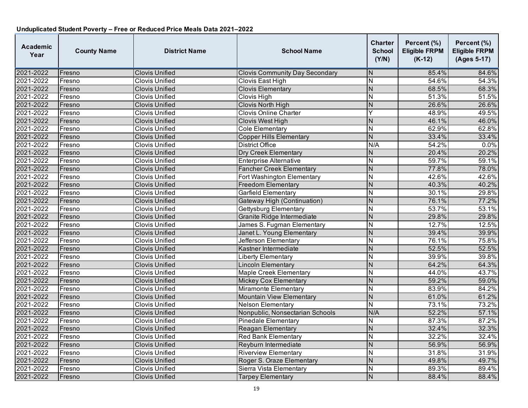| <b>Academic</b><br>Year | <b>County Name</b> | <b>District Name</b>  | <b>School Name</b>                    | <b>Charter</b><br><b>School</b><br>(Y/N) | Percent (%)<br><b>Eligible FRPM</b><br>$(K-12)$ | Percent (%)<br><b>Eligible FRPM</b><br>(Ages 5-17) |
|-------------------------|--------------------|-----------------------|---------------------------------------|------------------------------------------|-------------------------------------------------|----------------------------------------------------|
| 2021-2022               | Fresno             | Clovis Unified        | <b>Clovis Community Day Secondary</b> | N                                        | 85.4%                                           | 84.6%                                              |
| 2021-2022               | Fresno             | <b>Clovis Unified</b> | Clovis East High                      | N                                        | 54.6%                                           | $\overline{54.3\%}$                                |
| 2021-2022               | Fresno             | <b>Clovis Unified</b> | <b>Clovis Elementary</b>              | $\overline{N}$                           | 68.5%                                           | 68.3%                                              |
| 2021-2022               | Fresno             | <b>Clovis Unified</b> | Clovis High                           | $\overline{N}$                           | 51.3%                                           | 51.5%                                              |
| 2021-2022               | Fresno             | <b>Clovis Unified</b> | Clovis North High                     | N                                        | 26.6%                                           | 26.6%                                              |
| 2021-2022               | Fresno             | Clovis Unified        | <b>Clovis Online Charter</b>          | Ÿ                                        | 48.9%                                           | 49.5%                                              |
| 2021-2022               | Fresno             | <b>Clovis Unified</b> | <b>Clovis West High</b>               | N                                        | 46.1%                                           | 46.0%                                              |
| 2021-2022               | Fresno             | <b>Clovis Unified</b> | <b>Cole Elementary</b>                | N                                        | 62.9%                                           | 62.8%                                              |
| 2021-2022               | Fresno             | <b>Clovis Unified</b> | <b>Copper Hills Elementary</b>        | $\overline{N}$                           | 33.4%                                           | 33.4%                                              |
| 2021-2022               | Fresno             | <b>Clovis Unified</b> | <b>District Office</b>                | N/A                                      | 54.2%                                           | 0.0%                                               |
| 2021-2022               | Fresno             | <b>Clovis Unified</b> | <b>Dry Creek Elementary</b>           | $\overline{N}$                           | 20.4%                                           | 20.2%                                              |
| 2021-2022               | Fresno             | <b>Clovis Unified</b> | <b>Enterprise Alternative</b>         | N                                        | 59.7%                                           | 59.1%                                              |
| 2021-2022               | Fresno             | <b>Clovis Unified</b> | <b>Fancher Creek Elementary</b>       | $\overline{N}$                           | 77.8%                                           | 78.0%                                              |
| 2021-2022               | Fresno             | Clovis Unified        | Fort Washington Elementary            | $\overline{\mathsf{N}}$                  | 42.6%                                           | 42.6%                                              |
| 2021-2022               | Fresno             | <b>Clovis Unified</b> | <b>Freedom Elementary</b>             | N                                        | 40.3%                                           | 40.2%                                              |
| 2021-2022               | Fresno             | <b>Clovis Unified</b> | Garfield Elementary                   | N                                        | 30.1%                                           | 29.8%                                              |
| 2021-2022               | Fresno             | <b>Clovis Unified</b> | Gateway High (Continuation)           | N                                        | 76.1%                                           | 77.2%                                              |
| 2021-2022               | Fresno             | <b>Clovis Unified</b> | <b>Gettysburg Elementary</b>          | $\overline{N}$                           | 53.7%                                           | 53.1%                                              |
| 2021-2022               | Fresno             | <b>Clovis Unified</b> | Granite Ridge Intermediate            | N                                        | 29.8%                                           | 29.8%                                              |
| 2021-2022               | Fresno             | <b>Clovis Unified</b> | James S. Fugman Elementary            | $\mathsf{N}$                             | 12.7%                                           | 12.5%                                              |
| 2021-2022               | Fresno             | <b>Clovis Unified</b> | Janet L. Young Elementary             | $\overline{N}$                           | 39.4%                                           | 39.9%                                              |
| 2021-2022               | Fresno             | <b>Clovis Unified</b> | Jefferson Elementary                  | $\overline{\mathsf{N}}$                  | 76.1%                                           | 75.8%                                              |
| 2021-2022               | Fresno             | <b>Clovis Unified</b> | Kastner Intermediate                  | $\mathsf{N}$                             | 52.5%                                           | 52.5%                                              |
| 2021-2022               | Fresno             | Clovis Unified        | Liberty Elementary                    | $\overline{N}$                           | 39.9%                                           | 39.8%                                              |
| 2021-2022               | Fresno             | <b>Clovis Unified</b> | <b>Lincoln Elementary</b>             | N                                        | 64.2%                                           | 64.3%                                              |
| 2021-2022               | Fresno             | <b>Clovis Unified</b> | <b>Maple Creek Elementary</b>         | N                                        | 44.0%                                           | 43.7%                                              |
| 2021-2022               | Fresno             | <b>Clovis Unified</b> | Mickey Cox Elementary                 | N                                        | 59.2%                                           | 59.0%                                              |
| 2021-2022               | Fresno             | <b>Clovis Unified</b> | Miramonte Elementary                  | N                                        | 83.9%                                           | 84.2%                                              |
| 2021-2022               | Fresno             | <b>Clovis Unified</b> | <b>Mountain View Elementary</b>       | $\overline{N}$                           | 61.0%                                           | 61.2%                                              |
| 2021-2022               | Fresno             | <b>Clovis Unified</b> | <b>Nelson Elementary</b>              | $\overline{N}$                           | 73.1%                                           | 73.2%                                              |
| 2021-2022               | Fresno             | <b>Clovis Unified</b> | Nonpublic, Nonsectarian Schools       | N/A                                      | 52.2%                                           | 57.1%                                              |
| 2021-2022               | Fresno             | <b>Clovis Unified</b> | <b>Pinedale Elementary</b>            | N                                        | 87.3%                                           | 87.2%                                              |
| 2021-2022               | Fresno             | <b>Clovis Unified</b> | <b>Reagan Elementary</b>              | N                                        | 32.4%                                           | 32.3%                                              |
| 2021-2022               | Fresno             | <b>Clovis Unified</b> | <b>Red Bank Elementary</b>            | N                                        | 32.2%                                           | 32.4%                                              |
| 2021-2022               | Fresno             | <b>Clovis Unified</b> | Reyburn Intermediate                  | ${\sf N}$                                | 56.9%                                           | 56.9%                                              |
| 2021-2022               | Fresno             | <b>Clovis Unified</b> | <b>Riverview Elementary</b>           | $\overline{\mathsf{N}}$                  | 31.8%                                           | 31.9%                                              |
| 2021-2022               | Fresno             | <b>Clovis Unified</b> | Roger S. Oraze Elementary             | N                                        | 49.8%                                           | 49.7%                                              |
| 2021-2022               | Fresno             | <b>Clovis Unified</b> | Sierra Vista Elementary               | N                                        | 89.3%                                           | 89.4%                                              |
| 2021-2022               | Fresno             | <b>Clovis Unified</b> | <b>Tarpey Elementary</b>              | $\mathsf{N}$                             | 88.4%                                           | 88.4%                                              |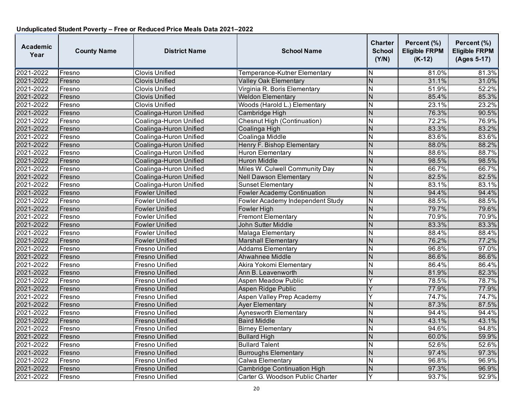| <b>Academic</b><br>Year | <b>County Name</b> | <b>District Name</b>   | <b>School Name</b>                 | Charter<br><b>School</b><br>(Y/N) | Percent (%)<br><b>Eligible FRPM</b><br>$(K-12)$ | Percent (%)<br><b>Eligible FRPM</b><br>(Ages 5-17) |
|-------------------------|--------------------|------------------------|------------------------------------|-----------------------------------|-------------------------------------------------|----------------------------------------------------|
| 2021-2022               | Fresno             | Clovis Unified         | Temperance-Kutner Elementary       | N                                 | 81.0%                                           | 81.3%                                              |
| 2021-2022               | Fresno             | <b>Clovis Unified</b>  | <b>Valley Oak Elementary</b>       | $\overline{\mathsf{N}}$           | 31.1%                                           | 31.0%                                              |
| 2021-2022               | Fresno             | Clovis Unified         | Virginia R. Boris Elementary       | N                                 | 51.9%                                           | 52.2%                                              |
| 2021-2022               | Fresno             | Clovis Unified         | <b>Weldon Elementary</b>           | N                                 | 85.4%                                           | 85.3%                                              |
| 2021-2022               | Fresno             | Clovis Unified         | Woods (Harold L.) Elementary       | N                                 | 23.1%                                           | 23.2%                                              |
| 2021-2022               | Fresno             | Coalinga-Huron Unified | Cambridge High                     | N                                 | 76.3%                                           | 90.5%                                              |
| 2021-2022               | Fresno             | Coalinga-Huron Unified | <b>Chesnut High (Continuation)</b> | $\overline{\mathsf{N}}$           | 72.2%                                           | 76.9%                                              |
| 2021-2022               | Fresno             | Coalinga-Huron Unified | Coalinga High                      | N                                 | 83.3%                                           | 83.2%                                              |
| 2021-2022               | Fresno             | Coalinga-Huron Unified | Coalinga Middle                    | $\overline{\mathsf{N}}$           | 83.6%                                           | 83.6%                                              |
| 2021-2022               | Fresno             | Coalinga-Huron Unified | Henry F. Bishop Elementary         | $\overline{\mathsf{N}}$           | 88.0%                                           | 88.2%                                              |
| 2021-2022               | Fresno             | Coalinga-Huron Unified | Huron Elementary                   | N                                 | 88.6%                                           | 88.7%                                              |
| 2021-2022               | Fresno             | Coalinga-Huron Unified | <b>Huron Middle</b>                | N                                 | 98.5%                                           | 98.5%                                              |
| 2021-2022               | Fresno             | Coalinga-Huron Unified | Miles W. Culwell Community Day     | N                                 | 66.7%                                           | 66.7%                                              |
| 2021-2022               | Fresno             | Coalinga-Huron Unified | <b>Nell Dawson Elementary</b>      | N                                 | 82.5%                                           | 82.5%                                              |
| 2021-2022               | Fresno             | Coalinga-Huron Unified | <b>Sunset Elementary</b>           | N                                 | 83.1%                                           | 83.1%                                              |
| 2021-2022               | Fresno             | <b>Fowler Unified</b>  | <b>Fowler Academy Continuation</b> | N                                 | 94.4%                                           | 94.4%                                              |
| 2021-2022               | Fresno             | <b>Fowler Unified</b>  | Fowler Academy Independent Study   | N                                 | 88.5%                                           | 88.5%                                              |
| 2021-2022               | Fresno             | <b>Fowler Unified</b>  | Fowler High                        | $\overline{N}$                    | 79.7%                                           | 79.6%                                              |
| 2021-2022               | Fresno             | <b>Fowler Unified</b>  | <b>Fremont Elementary</b>          | N                                 | 70.9%                                           | 70.9%                                              |
| 2021-2022               | Fresno             | <b>Fowler Unified</b>  | John Sutter Middle                 | $\overline{\mathsf{N}}$           | 83.3%                                           | 83.3%                                              |
| 2021-2022               | Fresno             | <b>Fowler Unified</b>  | Malaga Elementary                  | N                                 | 88.4%                                           | 88.4%                                              |
| 2021-2022               | Fresno             | <b>Fowler Unified</b>  | <b>Marshall Elementary</b>         | N                                 | 76.2%                                           | 77.2%                                              |
| 2021-2022               | Fresno             | Fresno Unified         | <b>Addams Elementary</b>           | N                                 | 96.8%                                           | 97.0%                                              |
| 2021-2022               | Fresno             | Fresno Unified         | Ahwahnee Middle                    | N                                 | 86.6%                                           | 86.6%                                              |
| 2021-2022               | Fresno             | Fresno Unified         | Akira Yokomi Elementary            | N                                 | 86.4%                                           | 86.4%                                              |
| 2021-2022               | Fresno             | Fresno Unified         | Ann B. Leavenworth                 | N                                 | 81.9%                                           | 82.3%                                              |
| 2021-2022               | Fresno             | Fresno Unified         | <b>Aspen Meadow Public</b>         | Υ                                 | 78.5%                                           | 78.7%                                              |
| 2021-2022               | Fresno             | Fresno Unified         | Aspen Ridge Public                 | Ý                                 | 77.9%                                           | 77.9%                                              |
| 2021-2022               | Fresno             | Fresno Unified         | Aspen Valley Prep Academy          | Y                                 | 74.7%                                           | 74.7%                                              |
| 2021-2022               | Fresno             | Fresno Unified         | <b>Ayer Elementary</b>             | N                                 | 87.3%                                           | 87.5%                                              |
| 2021-2022               | Fresno             | Fresno Unified         | Aynesworth Elementary              | $\overline{\mathsf{N}}$           | 94.4%                                           | 94.4%                                              |
| 2021-2022               | Fresno             | Fresno Unified         | <b>Baird Middle</b>                | N                                 | 43.1%                                           | 43.1%                                              |
| 2021-2022               | Fresno             | Fresno Unified         | <b>Birney Elementary</b>           | N                                 | 94.6%                                           | 94.8%                                              |
| 2021-2022               | Fresno             | Fresno Unified         | <b>Bullard High</b>                | N                                 | 60.0%                                           | 59.9%                                              |
| 2021-2022               | Fresno             | Fresno Unified         | <b>Bullard Talent</b>              | N                                 | 52.6%                                           | 52.6%                                              |
| 2021-2022               | Fresno             | <b>Fresno Unified</b>  | <b>Burroughs Elementary</b>        | N                                 | 97.4%                                           | 97.3%                                              |
| 2021-2022               | Fresno             | Fresno Unified         | Calwa Elementary                   | N                                 | 96.8%                                           | 96.9%                                              |
| 2021-2022               | Fresno             | Fresno Unified         | <b>Cambridge Continuation High</b> | N                                 | 97.3%                                           | 96.9%                                              |
| 2021-2022               | Fresno             | Fresno Unified         | Carter G. Woodson Public Charter   | Ÿ                                 | 93.7%                                           | 92.9%                                              |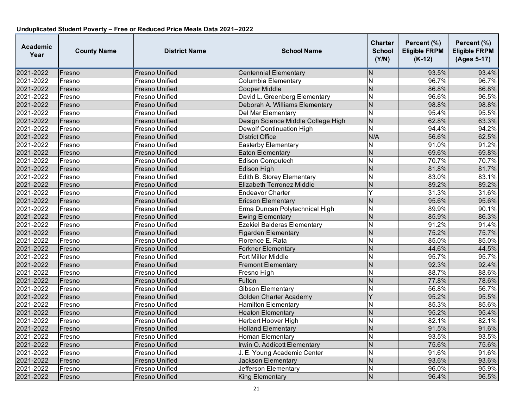| Academic<br>Year | <b>County Name</b> | <b>District Name</b>  | <b>School Name</b>                 | Charter<br><b>School</b><br>(Y/N) | Percent (%)<br><b>Eligible FRPM</b><br>$(K-12)$ | Percent (%)<br><b>Eligible FRPM</b><br>(Ages 5-17) |
|------------------|--------------------|-----------------------|------------------------------------|-----------------------------------|-------------------------------------------------|----------------------------------------------------|
| 2021-2022        | Fresno             | Fresno Unified        | <b>Centennial Elementary</b>       | N                                 | 93.5%                                           | 93.4%                                              |
| 2021-2022        | Fresno             | Fresno Unified        | Columbia Elementary                | N                                 | 96.7%                                           | 96.7%                                              |
| 2021-2022        | Fresno             | <b>Fresno Unified</b> | <b>Cooper Middle</b>               | N                                 | 86.8%                                           | 86.8%                                              |
| 2021-2022        | Fresno             | Fresno Unified        | David L. Greenberg Elementary      | N                                 | 96.6%                                           | 96.5%                                              |
| 2021-2022        | Fresno             | Fresno Unified        | Deborah A. Williams Elementary     | N                                 | 98.8%                                           | 98.8%                                              |
| 2021-2022        | Fresno             | Fresno Unified        | Del Mar Elementary                 | $\overline{\mathsf{N}}$           | 95.4%                                           | 95.5%                                              |
| 2021-2022        | Fresno             | <b>Fresno Unified</b> | Design Science Middle College High | $\overline{N}$                    | 62.8%                                           | 63.3%                                              |
| 2021-2022        | Fresno             | Fresno Unified        | <b>Dewolf Continuation High</b>    | N                                 | 94.4%                                           | 94.2%                                              |
| 2021-2022        | Fresno             | Fresno Unified        | <b>District Office</b>             | N/A                               | 56.6%                                           | 62.5%                                              |
| 2021-2022        | Fresno             | Fresno Unified        | <b>Easterby Elementary</b>         | N                                 | 91.0%                                           | 91.2%                                              |
| 2021-2022        | Fresno             | Fresno Unified        | <b>Eaton Elementary</b>            | $\overline{\mathsf{N}}$           | 69.6%                                           | 69.8%                                              |
| 2021-2022        | Fresno             | Fresno Unified        | <b>Edison Computech</b>            | N                                 | 70.7%                                           | 70.7%                                              |
| 2021-2022        | Fresno             | Fresno Unified        | Edison High                        | N                                 | 81.8%                                           | 81.7%                                              |
| 2021-2022        | Fresno             | Fresno Unified        | Edith B. Storey Elementary         | N                                 | 83.0%                                           | 83.1%                                              |
| 2021-2022        | Fresno             | Fresno Unified        | Elizabeth Terronez Middle          | $\overline{\mathsf{N}}$           | 89.2%                                           | 89.2%                                              |
| 2021-2022        | Fresno             | Fresno Unified        | <b>Endeavor Charter</b>            | Υ                                 | 31.3%                                           | 31.6%                                              |
| 2021-2022        | Fresno             | Fresno Unified        | <b>Ericson Elementary</b>          | N                                 | 95.6%                                           | 95.6%                                              |
| 2021-2022        | Fresno             | Fresno Unified        | Erma Duncan Polytechnical High     | N                                 | 89.9%                                           | 90.1%                                              |
| 2021-2022        | Fresno             | Fresno Unified        | <b>Ewing Elementary</b>            | N                                 | 85.9%                                           | 86.3%                                              |
| 2021-2022        | Fresno             | Fresno Unified        | <b>Ezekiel Balderas Elementary</b> | $\overline{\mathsf{N}}$           | 91.2%                                           | 91.4%                                              |
| 2021-2022        | Fresno             | <b>Fresno Unified</b> | <b>Figarden Elementary</b>         | $\overline{N}$                    | 75.2%                                           | 75.7%                                              |
| 2021-2022        | Fresno             | Fresno Unified        | Florence E. Rata                   | $\overline{\mathsf{N}}$           | 85.0%                                           | 85.0%                                              |
| 2021-2022        | Fresno             | Fresno Unified        | <b>Forkner Elementary</b>          | $\overline{\mathsf{N}}$           | 44.6%                                           | 44.5%                                              |
| 2021-2022        | Fresno             | Fresno Unified        | Fort Miller Middle                 | N                                 | 95.7%                                           | 95.7%                                              |
| 2021-2022        | Fresno             | <b>Fresno Unified</b> | <b>Fremont Elementary</b>          | N                                 | 92.3%                                           | 92.4%                                              |
| 2021-2022        | Fresno             | Fresno Unified        | Fresno High                        | N                                 | 88.7%                                           | 88.6%                                              |
| 2021-2022        | Fresno             | <b>Fresno Unified</b> | Fulton                             | N                                 | 77.8%                                           | 78.6%                                              |
| 2021-2022        | Fresno             | Fresno Unified        | Gibson Elementary                  | N                                 | 56.8%                                           | 56.7%                                              |
| 2021-2022        | Fresno             | Fresno Unified        | <b>Golden Charter Academy</b>      | Y                                 | 95.2%                                           | 95.5%                                              |
| 2021-2022        | Fresno             | Fresno Unified        | <b>Hamilton Elementary</b>         | N                                 | 85.3%                                           | 85.6%                                              |
| 2021-2022        | Fresno             | Fresno Unified        | <b>Heaton Elementary</b>           | $\overline{N}$                    | 95.2%                                           | 95.4%                                              |
| 2021-2022        | Fresno             | Fresno Unified        | Herbert Hoover High                | $\overline{\mathsf{N}}$           | 82.1%                                           | 82.1%                                              |
| 2021-2022        | Fresno             | Fresno Unified        | <b>Holland Elementary</b>          | $\overline{\mathsf{N}}$           | 91.5%                                           | 91.6%                                              |
| 2021-2022        | Fresno             | Fresno Unified        | <b>Homan Elementary</b>            | N                                 | 93.5%                                           | 93.5%                                              |
| 2021-2022        | Fresno             | Fresno Unified        | Irwin O. Addicott Elementary       | N                                 | 75.6%                                           | 75.6%                                              |
| 2021-2022        | Fresno             | Fresno Unified        | J. E. Young Academic Center        | N                                 | 91.6%                                           | 91.6%                                              |
| 2021-2022        | Fresno             | Fresno Unified        | <b>Jackson Elementary</b>          | N                                 | 93.6%                                           | 93.6%                                              |
| 2021-2022        | Fresno             | Fresno Unified        | Jefferson Elementary               | N                                 | 96.0%                                           | 95.9%                                              |
| 2021-2022        | Fresno             | <b>Fresno Unified</b> | <b>King Elementary</b>             | $\overline{\mathsf{N}}$           | 96.4%                                           | 96.5%                                              |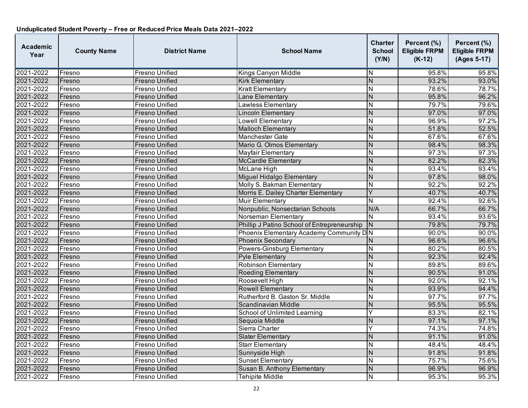| Academic<br>Year | <b>County Name</b> | <b>District Name</b>  | <b>School Name</b>                          | Charter<br><b>School</b><br>(Y/N) | Percent (%)<br><b>Eligible FRPM</b><br>$(K-12)$ | Percent (%)<br><b>Eligible FRPM</b><br>(Ages 5-17) |
|------------------|--------------------|-----------------------|---------------------------------------------|-----------------------------------|-------------------------------------------------|----------------------------------------------------|
| 2021-2022        | Fresno             | Fresno Unified        | Kings Canyon Middle                         | N                                 | 95.8%                                           | 95.8%                                              |
| 2021-2022        | Fresno             | Fresno Unified        | <b>Kirk Elementary</b>                      | $\overline{\mathsf{N}}$           | 93.2%                                           | 93.0%                                              |
| 2021-2022        | Fresno             | Fresno Unified        | <b>Kratt Elementary</b>                     | N                                 | 78.6%                                           | 78.7%                                              |
| 2021-2022        | Fresno             | Fresno Unified        | Lane Elementary                             | $\overline{\mathsf{N}}$           | 95.8%                                           | 96.2%                                              |
| 2021-2022        | Fresno             | Fresno Unified        | <b>Lawless Elementary</b>                   | N                                 | 79.7%                                           | 79.6%                                              |
| 2021-2022        | Fresno             | Fresno Unified        | <b>Lincoln Elementary</b>                   | N                                 | 97.0%                                           | 97.0%                                              |
| 2021-2022        | Fresno             | Fresno Unified        | Lowell Elementary                           | N                                 | 96.9%                                           | 97.2%                                              |
| 2021-2022        | Fresno             | Fresno Unified        | <b>Malloch Elementary</b>                   | N                                 | 51.8%                                           | 52.5%                                              |
| 2021-2022        | Fresno             | Fresno Unified        | <b>Manchester Gate</b>                      | $\overline{\mathsf{N}}$           | 67.6%                                           | 67.6%                                              |
| 2021-2022        | Fresno             | Fresno Unified        | Mario G. Olmos Elementary                   | $\overline{\mathsf{N}}$           | 98.4%                                           | 98.3%                                              |
| 2021-2022        | Fresno             | Fresno Unified        | Mayfair Elementary                          | $\overline{\sf N}$                | 97.3%                                           | 97.3%                                              |
| 2021-2022        | Fresno             | Fresno Unified        | McCardle Elementary                         | N                                 | 82.2%                                           | 82.3%                                              |
| 2021-2022        | Fresno             | Fresno Unified        | McLane High                                 | N                                 | 93.4%                                           | 93.4%                                              |
| 2021-2022        | Fresno             | <b>Fresno Unified</b> | Miguel Hidalgo Elementary                   | $\overline{\mathsf{N}}$           | 97.8%                                           | 98.0%                                              |
| 2021-2022        | Fresno             | Fresno Unified        | Molly S. Bakman Elementary                  | N                                 | 92.2%                                           | 92.2%                                              |
| 2021-2022        | Fresno             | Fresno Unified        | Morris E. Dailey Charter Elementary         | Ý                                 | 40.7%                                           | 40.7%                                              |
| 2021-2022        | Fresno             | Fresno Unified        | Muir Elementary                             | N                                 | 92.4%                                           | 92.6%                                              |
| 2021-2022        | Fresno             | Fresno Unified        | Nonpublic, Nonsectarian Schools             | N/A                               | 66.7%                                           | 66.7%                                              |
| 2021-2022        | Fresno             | Fresno Unified        | Norseman Elementary                         | N                                 | 93.4%                                           | 93.6%                                              |
| 2021-2022        | Fresno             | <b>Fresno Unified</b> | Phillip J Patino School of Entrepreneurship | N                                 | 79.8%                                           | 79.7%                                              |
| 2021-2022        | Fresno             | Fresno Unified        | Phoenix Elementary Academy Community DN     |                                   | 90.0%                                           | 90.0%                                              |
| 2021-2022        | Fresno             | <b>Fresno Unified</b> | <b>Phoenix Secondary</b>                    | N                                 | 96.6%                                           | 96.6%                                              |
| 2021-2022        | Fresno             | Fresno Unified        | Powers-Ginsburg Elementary                  | Ν                                 | 80.2%                                           | 80.5%                                              |
| 2021-2022        | Fresno             | Fresno Unified        | Pyle Elementary                             | $\overline{\mathsf{N}}$           | 92.3%                                           | 92.4%                                              |
| 2021-2022        | Fresno             | Fresno Unified        | <b>Robinson Elementary</b>                  | N                                 | 89.8%                                           | 89.6%                                              |
| 2021-2022        | Fresno             | Fresno Unified        | <b>Roeding Elementary</b>                   | N                                 | 90.5%                                           | 91.0%                                              |
| 2021-2022        | Fresno             | Fresno Unified        | Roosevelt High                              | N                                 | 92.0%                                           | 92.1%                                              |
| 2021-2022        | Fresno             | Fresno Unified        | <b>Rowell Elementary</b>                    | N                                 | 93.9%                                           | 94.4%                                              |
| 2021-2022        | Fresno             | Fresno Unified        | Rutherford B. Gaston Sr. Middle             | $\overline{\mathsf{N}}$           | 97.7%                                           | 97.7%                                              |
| 2021-2022        | Fresno             | Fresno Unified        | Scandinavian Middle                         | N                                 | 95.5%                                           | 95.5%                                              |
| 2021-2022        | Fresno             | Fresno Unified        | School of Unlimited Learning                | Ÿ                                 | 83.3%                                           | 82.1%                                              |
| 2021-2022        | Fresno             | Fresno Unified        | Sequoia Middle                              | $\overline{\mathsf{N}}$           | 97.1%                                           | 97.1%                                              |
| 2021-2022        | Fresno             | Fresno Unified        | Sierra Charter                              | Ý                                 | 74.3%                                           | 74.8%                                              |
| 2021-2022        | Fresno             | Fresno Unified        | <b>Slater Elementary</b>                    | N                                 | 91.1%                                           | 91.0%                                              |
| 2021-2022        | Fresno             | Fresno Unified        | Starr Elementary                            | N                                 | 48.4%                                           | 48.4%                                              |
| 2021-2022        | Fresno             | Fresno Unified        | Sunnyside High                              | N                                 | 91.8%                                           | 91.8%                                              |
| 2021-2022        | Fresno             | Fresno Unified        | <b>Sunset Elementary</b>                    | Ν                                 | 75.7%                                           | 75.6%                                              |
| 2021-2022        | Fresno             | Fresno Unified        | Susan B. Anthony Elementary                 | N                                 | 96.9%                                           | 96.9%                                              |
| 2021-2022        | Fresno             | Fresno Unified        | <b>Tehipite Middle</b>                      | N                                 | 95.3%                                           | 95.3%                                              |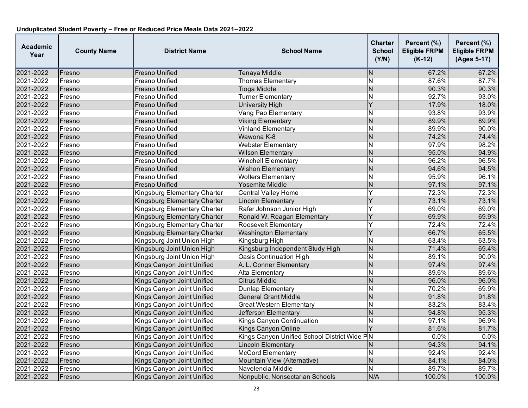| <b>Academic</b><br>Year | <b>County Name</b> | <b>District Name</b>         | <b>School Name</b>                           | Charter<br><b>School</b><br>(Y/N) | Percent (%)<br><b>Eligible FRPM</b><br>$(K-12)$ | Percent (%)<br><b>Eligible FRPM</b><br>(Ages 5-17) |
|-------------------------|--------------------|------------------------------|----------------------------------------------|-----------------------------------|-------------------------------------------------|----------------------------------------------------|
| 2021-2022               | Fresno             | <b>Fresno Unified</b>        | Tenaya Middle                                | N                                 | 67.2%                                           | 67.2%                                              |
| 2021-2022               | Fresno             | Fresno Unified               | <b>Thomas Elementary</b>                     | N                                 | 87.6%                                           | 87.7%                                              |
| 2021-2022               | Fresno             | Fresno Unified               | <b>Tioga Middle</b>                          | N                                 | 90.3%                                           | 90.3%                                              |
| 2021-2022               | Fresno             | Fresno Unified               | Turner Elementary                            | N                                 | 92.7%                                           | 93.0%                                              |
| 2021-2022               | Fresno             | Fresno Unified               | <b>University High</b>                       | Y                                 | 17.9%                                           | 18.0%                                              |
| 2021-2022               | Fresno             | Fresno Unified               | Vang Pao Elementary                          | Ν                                 | 93.8%                                           | 93.9%                                              |
| 2021-2022               | Fresno             | <b>Fresno Unified</b>        | <b>Viking Elementary</b>                     | N                                 | 89.9%                                           | 89.9%                                              |
| 2021-2022               | Fresno             | Fresno Unified               | <b>Vinland Elementary</b>                    | N                                 | 89.9%                                           | 90.0%                                              |
| 2021-2022               | Fresno             | Fresno Unified               | Wawona K-8                                   | $\overline{N}$                    | 74.2%                                           | 74.4%                                              |
| 2021-2022               | Fresno             | <b>Fresno Unified</b>        | <b>Webster Elementary</b>                    | $\overline{\sf N}$                | 97.9%                                           | 98.2%                                              |
| 2021-2022               | Fresno             | Fresno Unified               | <b>Wilson Elementary</b>                     | N                                 | 95.0%                                           | 94.9%                                              |
| 2021-2022               | Fresno             | Fresno Unified               | <b>Winchell Elementary</b>                   | N                                 | 96.2%                                           | 96.5%                                              |
| 2021-2022               | Fresno             | Fresno Unified               | <b>Wishon Elementary</b>                     | N                                 | 94.6%                                           | 94.5%                                              |
| 2021-2022               | Fresno             | Fresno Unified               | <b>Wolters Elementary</b>                    | N                                 | 95.9%                                           | 96.1%                                              |
| 2021-2022               | Fresno             | Fresno Unified               | Yosemite Middle                              | N                                 | 97.1%                                           | 97.1%                                              |
| 2021-2022               | Fresno             | Kingsburg Elementary Charter | <b>Central Valley Home</b>                   |                                   | 72.3%                                           | 72.3%                                              |
| 2021-2022               | Fresno             | Kingsburg Elementary Charter | <b>Lincoln Elementary</b>                    | Y                                 | 73.1%                                           | 73.1%                                              |
| 2021-2022               | Fresno             | Kingsburg Elementary Charter | Rafer Johnson Junior High                    | Υ                                 | 69.0%                                           | 69.0%                                              |
| 2021-2022               | Fresno             | Kingsburg Elementary Charter | Ronald W. Reagan Elementary                  |                                   | 69.9%                                           | 69.9%                                              |
| 2021-2022               | Fresno             | Kingsburg Elementary Charter | Roosevelt Elementary                         |                                   | 72.4%                                           | 72.4%                                              |
| 2021-2022               | Fresno             | Kingsburg Elementary Charter | <b>Washington Elementary</b>                 | Y                                 | 66.7%                                           | 65.5%                                              |
| 2021-2022               | Fresno             | Kingsburg Joint Union High   | Kingsburg High                               | N                                 | 63.4%                                           | 63.5%                                              |
| 2021-2022               | Fresno             | Kingsburg Joint Union High   | Kingsburg Independent Study High             | N                                 | 71.4%                                           | 69.4%                                              |
| 2021-2022               | Fresno             | Kingsburg Joint Union High   | Oasis Continuation High                      | N                                 | 89.1%                                           | 90.0%                                              |
| 2021-2022               | Fresno             | Kings Canyon Joint Unified   | A. L. Conner Elementary                      | N                                 | 97.4%                                           | 97.4%                                              |
| 2021-2022               | Fresno             | Kings Canyon Joint Unified   | <b>Alta Elementary</b>                       | Ν                                 | 89.6%                                           | 89.6%                                              |
| 2021-2022               | Fresno             | Kings Canyon Joint Unified   | <b>Citrus Middle</b>                         | N                                 | 96.0%                                           | 96.0%                                              |
| 2021-2022               | Fresno             | Kings Canyon Joint Unified   | Dunlap Elementary                            | N                                 | 70.2%                                           | 69.9%                                              |
| 2021-2022               | Fresno             | Kings Canyon Joint Unified   | <b>General Grant Middle</b>                  | N                                 | 91.8%                                           | 91.8%                                              |
| 2021-2022               | Fresno             | Kings Canyon Joint Unified   | <b>Great Western Elementary</b>              | N                                 | 83.2%                                           | 83.4%                                              |
| 2021-2022               | Fresno             | Kings Canyon Joint Unified   | Jefferson Elementary                         | $\overline{N}$                    | 94.8%                                           | 95.3%                                              |
| 2021-2022               | Fresno             | Kings Canyon Joint Unified   | <b>Kings Canyon Continuation</b>             | N                                 | 97.1%                                           | 96.9%                                              |
| 2021-2022               | Fresno             | Kings Canyon Joint Unified   | <b>Kings Canyon Online</b>                   | Y                                 | 81.6%                                           | 81.7%                                              |
| 2021-2022               | Fresno             | Kings Canyon Joint Unified   | Kings Canyon Unified School District Wide PN |                                   | 0.0%                                            | 0.0%                                               |
| 2021-2022               | Fresno             | Kings Canyon Joint Unified   | <b>Lincoln Elementary</b>                    | N                                 | 94.3%                                           | 94.1%                                              |
| 2021-2022               | Fresno             | Kings Canyon Joint Unified   | <b>McCord Elementary</b>                     | N                                 | 92.4%                                           | 92.4%                                              |
| 2021-2022               | Fresno             | Kings Canyon Joint Unified   | Mountain View (Alternative)                  | N                                 | 84.1%                                           | 84.0%                                              |
| 2021-2022               | Fresno             | Kings Canyon Joint Unified   | Navelencia Middle                            | N                                 | 89.7%                                           | 89.7%                                              |
| 2021-2022               | Fresno             | Kings Canyon Joint Unified   | Nonpublic, Nonsectarian Schools              | N/A                               | 100.0%                                          | 100.0%                                             |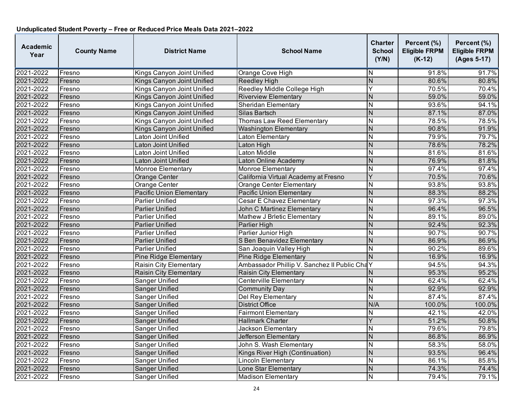| <b>Academic</b><br>Year | <b>County Name</b> | <b>District Name</b>            | <b>School Name</b>                           | <b>Charter</b><br><b>School</b><br>(Y/N) | Percent (%)<br><b>Eligible FRPM</b><br>$(K-12)$ | Percent (%)<br><b>Eligible FRPM</b><br>(Ages 5-17) |
|-------------------------|--------------------|---------------------------------|----------------------------------------------|------------------------------------------|-------------------------------------------------|----------------------------------------------------|
| 2021-2022               | Fresno             | Kings Canyon Joint Unified      | Orange Cove High                             | ΙN                                       | 91.8%                                           | 91.7%                                              |
| 2021-2022               | Fresno             | Kings Canyon Joint Unified      | <b>Reedley High</b>                          | $\overline{N}$                           | 80.6%                                           | 80.8%                                              |
| 2021-2022               | Fresno             | Kings Canyon Joint Unified      | Reedley Middle College High                  | Ÿ                                        | 70.5%                                           | 70.4%                                              |
| 2021-2022               | Fresno             | Kings Canyon Joint Unified      | <b>Riverview Elementary</b>                  | N                                        | 59.0%                                           | 59.0%                                              |
| 2021-2022               | Fresno             | Kings Canyon Joint Unified      | <b>Sheridan Elementary</b>                   | N                                        | 93.6%                                           | 94.1%                                              |
| 2021-2022               | Fresno             | Kings Canyon Joint Unified      | Silas Bartsch                                | $\overline{N}$                           | 87.1%                                           | 87.0%                                              |
| 2021-2022               | Fresno             | Kings Canyon Joint Unified      | <b>Thomas Law Reed Elementary</b>            | N                                        | 78.5%                                           | 78.5%                                              |
| 2021-2022               | Fresno             | Kings Canyon Joint Unified      | <b>Washington Elementary</b>                 | N                                        | 90.8%                                           | 91.9%                                              |
| 2021-2022               | Fresno             | Laton Joint Unified             | Laton Elementary                             | N                                        | 79.9%                                           | 79.7%                                              |
| 2021-2022               | Fresno             | Laton Joint Unified             | Laton High                                   | N                                        | 78.6%                                           | 78.2%                                              |
| 2021-2022               | Fresno             | Laton Joint Unified             | <b>Laton Middle</b>                          | N                                        | 81.6%                                           | 81.6%                                              |
| 2021-2022               | Fresno             | Laton Joint Unified             | Laton Online Academy                         | N                                        | 76.9%                                           | 81.8%                                              |
| 2021-2022               | Fresno             | Monroe Elementary               | Monroe Elementary                            | $\overline{\mathsf{N}}$                  | 97.4%                                           | 97.4%                                              |
| 2021-2022               | Fresno             | Orange Center                   | California Virtual Academy at Fresno         | Ÿ                                        | 70.5%                                           | 70.6%                                              |
| 2021-2022               | Fresno             | Orange Center                   | <b>Orange Center Elementary</b>              | N                                        | 93.8%                                           | 93.8%                                              |
| 2021-2022               | Fresno             | <b>Pacific Union Elementary</b> | <b>Pacific Union Elementary</b>              | $\overline{N}$                           | 88.3%                                           | 88.2%                                              |
| 2021-2022               | Fresno             | <b>Parlier Unified</b>          | Cesar E Chavez Elementary                    | N                                        | 97.3%                                           | 97.3%                                              |
| 2021-2022               | Fresno             | <b>Parlier Unified</b>          | <b>John C Martinez Elementary</b>            | $\overline{N}$                           | 96.4%                                           | 96.5%                                              |
| 2021-2022               | Fresno             | Parlier Unified                 | Mathew J Brletic Elementary                  | N                                        | 89.1%                                           | 89.0%                                              |
| 2021-2022               | Fresno             | <b>Parlier Unified</b>          | Parlier High                                 | N                                        | 92.4%                                           | 92.3%                                              |
| 2021-2022               | Fresno             | <b>Parlier Unified</b>          | Parlier Junior High                          | $\overline{\mathsf{N}}$                  | 90.7%                                           | 90.7%                                              |
| 2021-2022               | Fresno             | <b>Parlier Unified</b>          | S Ben Benavidez Elementary                   | $\overline{N}$                           | 86.9%                                           | 86.9%                                              |
| 2021-2022               | Fresno             | Parlier Unified                 | San Joaquin Valley High                      | N                                        | 90.2%                                           | 89.6%                                              |
| 2021-2022               | Fresno             | Pine Ridge Elementary           | <b>Pine Ridge Elementary</b>                 | $\overline{N}$                           | 16.9%                                           | 16.9%                                              |
| 2021-2022               | Fresno             | <b>Raisin City Elementary</b>   | Ambassador Phillip V. Sanchez II Public ChaY |                                          | 94.5%                                           | 94.3%                                              |
| 2021-2022               | Fresno             | <b>Raisin City Elementary</b>   | Raisin City Elementary                       | N                                        | 95.3%                                           | 95.2%                                              |
| 2021-2022               | Fresno             | Sanger Unified                  | <b>Centerville Elementary</b>                | N                                        | 62.4%                                           | 62.4%                                              |
| 2021-2022               | Fresno             | <b>Sanger Unified</b>           | <b>Community Day</b>                         | $\overline{N}$                           | 92.9%                                           | 92.9%                                              |
| 2021-2022               | Fresno             | Sanger Unified                  | Del Rey Elementary                           | $\overline{\mathsf{N}}$                  | 87.4%                                           | 87.4%                                              |
| 2021-2022               | Fresno             | <b>Sanger Unified</b>           | <b>District Office</b>                       | N/A                                      | 100.0%                                          | 100.0%                                             |
| 2021-2022               | Fresno             | Sanger Unified                  | <b>Fairmont Elementary</b>                   | N                                        | 42.1%                                           | 42.0%                                              |
| 2021-2022               | Fresno             | Sanger Unified                  | <b>Hallmark Charter</b>                      | $\overline{\mathsf{Y}}$                  | 51.2%                                           | 50.8%                                              |
| 2021-2022               | Fresno             | Sanger Unified                  | Jackson Elementary                           | $\overline{\mathsf{N}}$                  | 79.6%                                           | 79.8%                                              |
| 2021-2022               | Fresno             | <b>Sanger Unified</b>           | Jefferson Elementary                         | $\overline{N}$                           | 86.8%                                           | 86.9%                                              |
| 2021-2022               | Fresno             | Sanger Unified                  | John S. Wash Elementary                      | N                                        | 58.3%                                           | 58.0%                                              |
| 2021-2022               | Fresno             | <b>Sanger Unified</b>           | Kings River High (Continuation)              | $\overline{N}$                           | 93.5%                                           | 96.4%                                              |
| 2021-2022               | Fresno             | Sanger Unified                  | Lincoln Elementary                           | N                                        | 86.1%                                           | 85.8%                                              |
| 2021-2022               | Fresno             | <b>Sanger Unified</b>           | Lone Star Elementary                         | N                                        | 74.3%                                           | 74.4%                                              |
| 2021-2022               | Fresno             | Sanger Unified                  | <b>Madison Elementary</b>                    | N                                        | 79.4%                                           | 79.1%                                              |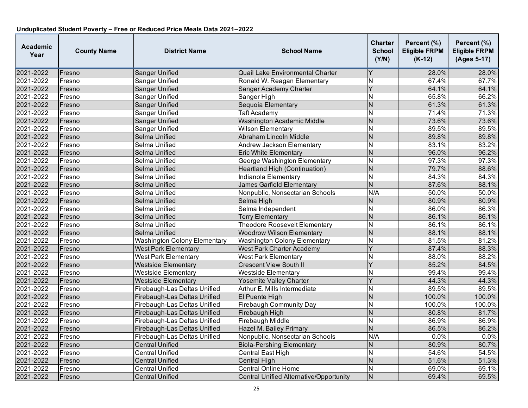| Academic<br>Year | <b>County Name</b> | <b>District Name</b>                | <b>School Name</b>                      | Charter<br><b>School</b><br>(Y/N) | Percent (%)<br><b>Eligible FRPM</b><br>$(K-12)$ | Percent (%)<br><b>Eligible FRPM</b><br>(Ages 5-17) |
|------------------|--------------------|-------------------------------------|-----------------------------------------|-----------------------------------|-------------------------------------------------|----------------------------------------------------|
| 2021-2022        | Fresno             | <b>Sanger Unified</b>               | Quail Lake Environmental Charter        |                                   | 28.0%                                           | 28.0%                                              |
| 2021-2022        | Fresno             | Sanger Unified                      | Ronald W. Reagan Elementary             | N                                 | 67.4%                                           | 67.7%                                              |
| 2021-2022        | Fresno             | Sanger Unified                      | Sanger Academy Charter                  | Ý                                 | 64.1%                                           | 64.1%                                              |
| 2021-2022        | Fresno             | Sanger Unified                      | Sanger High                             | N                                 | 65.8%                                           | 66.2%                                              |
| 2021-2022        | Fresno             | Sanger Unified                      | Sequoia Elementary                      | N                                 | 61.3%                                           | 61.3%                                              |
| 2021-2022        | Fresno             | Sanger Unified                      | <b>Taft Academy</b>                     | N                                 | 71.4%                                           | 71.3%                                              |
| 2021-2022        | Fresno             | Sanger Unified                      | <b>Washington Academic Middle</b>       | $\overline{\mathsf{N}}$           | 73.6%                                           | 73.6%                                              |
| 2021-2022        | Fresno             | Sanger Unified                      | <b>Wilson Elementary</b>                | Ν                                 | 89.5%                                           | 89.5%                                              |
| 2021-2022        | Fresno             | Selma Unified                       | Abraham Lincoln Middle                  | N                                 | 89.8%                                           | 89.8%                                              |
| 2021-2022        | Fresno             | Selma Unified                       | Andrew Jackson Elementary               | N                                 | 83.1%                                           | 83.2%                                              |
| 2021-2022        | Fresno             | Selma Unified                       | <b>Eric White Elementary</b>            | $\overline{\mathsf{N}}$           | 96.0%                                           | 96.2%                                              |
| 2021-2022        | Fresno             | Selma Unified                       | George Washington Elementary            | N                                 | 97.3%                                           | 97.3%                                              |
| 2021-2022        | Fresno             | Selma Unified                       | <b>Heartland High (Continuation)</b>    | N                                 | 79.7%                                           | 88.6%                                              |
| 2021-2022        | Fresno             | Selma Unified                       | Indianola Elementary                    | N                                 | 84.3%                                           | 84.3%                                              |
| 2021-2022        | Fresno             | Selma Unified                       | <b>James Garfield Elementary</b>        | $\overline{\mathsf{N}}$           | 87.6%                                           | 88.1%                                              |
| 2021-2022        | Fresno             | Selma Unified                       | Nonpublic, Nonsectarian Schools         | N/A                               | 50.0%                                           | 50.0%                                              |
| 2021-2022        | Fresno             | Selma Unified                       | Selma High                              | N                                 | 80.9%                                           | 80.9%                                              |
| 2021-2022        | Fresno             | Selma Unified                       | Selma Independent                       | N                                 | 86.0%                                           | 86.3%                                              |
| 2021-2022        | Fresno             | Selma Unified                       | <b>Terry Elementary</b>                 | N                                 | 86.1%                                           | 86.1%                                              |
| 2021-2022        | Fresno             | Selma Unified                       | <b>Theodore Roosevelt Elementary</b>    | $\overline{\mathsf{N}}$           | 86.1%                                           | 86.1%                                              |
| 2021-2022        | Fresno             | Selma Unified                       | <b>Woodrow Wilson Elementary</b>        | $\overline{\mathsf{N}}$           | 88.1%                                           | 88.1%                                              |
| 2021-2022        | Fresno             | <b>Washington Colony Elementary</b> | <b>Washington Colony Elementary</b>     | $\overline{\mathsf{N}}$           | 81.5%                                           | 81.2%                                              |
| 2021-2022        | Fresno             | <b>West Park Elementary</b>         | <b>West Park Charter Academy</b>        | Ý                                 | 87.4%                                           | 88.3%                                              |
| 2021-2022        | Fresno             | <b>West Park Elementary</b>         | <b>West Park Elementary</b>             | N                                 | 88.0%                                           | 88.2%                                              |
| 2021-2022        | Fresno             | <b>Westside Elementary</b>          | <b>Crescent View South II</b>           | Ý                                 | 85.2%                                           | 84.5%                                              |
| 2021-2022        | Fresno             | <b>Westside Elementary</b>          | <b>Westside Elementary</b>              | N                                 | 99.4%                                           | 99.4%                                              |
| 2021-2022        | Fresno             | <b>Westside Elementary</b>          | Yosemite Valley Charter                 | Ý                                 | 44.3%                                           | 44.3%                                              |
| 2021-2022        | Fresno             | Firebaugh-Las Deltas Unified        | Arthur E. Mills Intermediate            | N                                 | 89.5%                                           | 89.5%                                              |
| 2021-2022        | Fresno             | Firebaugh-Las Deltas Unified        | El Puente High                          | N                                 | 100.0%                                          | 100.0%                                             |
| 2021-2022        | Fresno             | Firebaugh-Las Deltas Unified        | <b>Firebaugh Community Day</b>          | N                                 | 100.0%                                          | 100.0%                                             |
| 2021-2022        | Fresno             | Firebaugh-Las Deltas Unified        | Firebaugh High                          | $\overline{N}$                    | 80.8%                                           | 81.7%                                              |
| 2021-2022        | Fresno             | Firebaugh-Las Deltas Unified        | <b>Firebaugh Middle</b>                 | $\overline{\mathsf{N}}$           | 86.9%                                           | 86.9%                                              |
| 2021-2022        | Fresno             | Firebaugh-Las Deltas Unified        | Hazel M. Bailey Primary                 | $\overline{\mathsf{N}}$           | 86.5%                                           | 86.2%                                              |
| 2021-2022        | Fresno             | Firebaugh-Las Deltas Unified        | Nonpublic, Nonsectarian Schools         | N/A                               | 0.0%                                            | 0.0%                                               |
| 2021-2022        | Fresno             | Central Unified                     | <b>Biola-Pershing Elementary</b>        | N                                 | 80.9%                                           | 80.7%                                              |
| 2021-2022        | Fresno             | <b>Central Unified</b>              | <b>Central East High</b>                | $\overline{\mathsf{N}}$           | 54.6%                                           | 54.5%                                              |
| 2021-2022        | Fresno             | <b>Central Unified</b>              | <b>Central High</b>                     | N                                 | 51.6%                                           | 51.3%                                              |
| 2021-2022        | Fresno             | <b>Central Unified</b>              | <b>Central Online Home</b>              | N                                 | 69.0%                                           | 69.1%                                              |
| 2021-2022        | Fresno             | Central Unified                     | Central Unified Alternative/Opportunity | N                                 | 69.4%                                           | 69.5%                                              |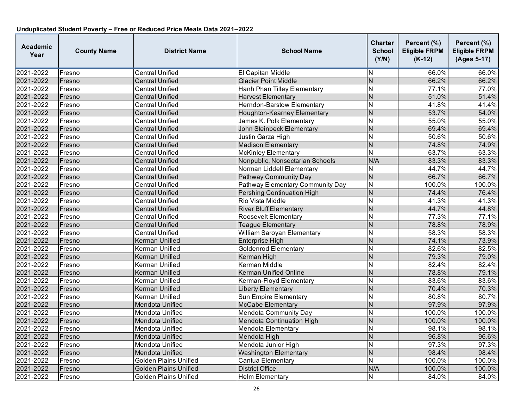| Academic<br>Year | <b>County Name</b> | <b>District Name</b>         | <b>School Name</b>               | Charter<br><b>School</b><br>(Y/N) | Percent (%)<br><b>Eligible FRPM</b><br>$(K-12)$ | Percent (%)<br><b>Eligible FRPM</b><br>(Ages 5-17) |
|------------------|--------------------|------------------------------|----------------------------------|-----------------------------------|-------------------------------------------------|----------------------------------------------------|
| 2021-2022        | Fresno             | <b>Central Unified</b>       | El Capitan Middle                | N                                 | 66.0%                                           | 66.0%                                              |
| 2021-2022        | Fresno             | <b>Central Unified</b>       | <b>Glacier Point Middle</b>      | $\overline{\mathsf{N}}$           | 66.2%                                           | 66.2%                                              |
| 2021-2022        | Fresno             | <b>Central Unified</b>       | Hanh Phan Tilley Elementary      | N                                 | 77.1%                                           | 77.0%                                              |
| 2021-2022        | Fresno             | <b>Central Unified</b>       | <b>Harvest Elementary</b>        | $\overline{\mathsf{N}}$           | 51.0%                                           | 51.4%                                              |
| 2021-2022        | Fresno             | <b>Central Unified</b>       | Herndon-Barstow Elementary       | N                                 | 41.8%                                           | 41.4%                                              |
| 2021-2022        | Fresno             | <b>Central Unified</b>       | Houghton-Kearney Elementary      | N                                 | 53.7%                                           | 54.0%                                              |
| 2021-2022        | Fresno             | <b>Central Unified</b>       | James K. Polk Elementary         | $\overline{\mathsf{N}}$           | 55.0%                                           | 55.0%                                              |
| 2021-2022        | Fresno             | Central Unified              | John Steinbeck Elementary        | N                                 | 69.4%                                           | 69.4%                                              |
| 2021-2022        | Fresno             | <b>Central Unified</b>       | Justin Garza High                | N                                 | 50.6%                                           | 50.6%                                              |
| 2021-2022        | Fresno             | <b>Central Unified</b>       | <b>Madison Elementary</b>        | $\overline{\mathsf{N}}$           | 74.8%                                           | 74.9%                                              |
| 2021-2022        | Fresno             | <b>Central Unified</b>       | <b>McKinley Elementary</b>       | $\overline{\mathsf{N}}$           | 63.7%                                           | 63.3%                                              |
| 2021-2022        | Fresno             | <b>Central Unified</b>       | Nonpublic, Nonsectarian Schools  | N/A                               | 83.3%                                           | 83.3%                                              |
| 2021-2022        | Fresno             | Central Unified              | Norman Liddell Elementary        | N                                 | 44.7%                                           | 44.7%                                              |
| 2021-2022        | Fresno             | <b>Central Unified</b>       | Pathway Community Day            | $\overline{\mathsf{N}}$           | 66.7%                                           | 66.7%                                              |
| 2021-2022        | Fresno             | <b>Central Unified</b>       | Pathway Elementary Community Day | $\overline{\mathsf{N}}$           | 100.0%                                          | 100.0%                                             |
| 2021-2022        | Fresno             | <b>Central Unified</b>       | Pershing Continuation High       | N                                 | 74.4%                                           | 76.4%                                              |
| 2021-2022        | Fresno             | <b>Central Unified</b>       | Rio Vista Middle                 | $\overline{\mathsf{N}}$           | 41.3%                                           | 41.3%                                              |
| 2021-2022        | Fresno             | <b>Central Unified</b>       | <b>River Bluff Elementary</b>    | N                                 | 44.7%                                           | 44.8%                                              |
| 2021-2022        | Fresno             | <b>Central Unified</b>       | <b>Roosevelt Elementary</b>      | N                                 | 77.3%                                           | 77.1%                                              |
| 2021-2022        | Fresno             | <b>Central Unified</b>       | <b>Teague Elementary</b>         | $\overline{N}$                    | 78.8%                                           | 78.9%                                              |
| 2021-2022        | Fresno             | <b>Central Unified</b>       | William Saroyan Elementary       | $\overline{\mathsf{N}}$           | 58.3%                                           | 58.3%                                              |
| 2021-2022        | Fresno             | Kerman Unified               | <b>Enterprise High</b>           | $\overline{\mathsf{N}}$           | 74.1%                                           | 73.9%                                              |
| 2021-2022        | Fresno             | Kerman Unified               | <b>Goldenrod Elementary</b>      | $\overline{\mathsf{N}}$           | 82.6%                                           | 82.5%                                              |
| 2021-2022        | Fresno             | Kerman Unified               | Kerman High                      | N                                 | 79.3%                                           | 79.0%                                              |
| 2021-2022        | Fresno             | Kerman Unified               | <b>Kerman Middle</b>             | N                                 | 82.4%                                           | 82.4%                                              |
| 2021-2022        | Fresno             | Kerman Unified               | <b>Kerman Unified Online</b>     | N                                 | 78.8%                                           | 79.1%                                              |
| 2021-2022        | Fresno             | Kerman Unified               | Kerman-Floyd Elementary          | N                                 | 83.6%                                           | 83.6%                                              |
| 2021-2022        | Fresno             | Kerman Unified               | <b>Liberty Elementary</b>        | N                                 | 70.4%                                           | 70.3%                                              |
| 2021-2022        | Fresno             | Kerman Unified               | Sun Empire Elementary            | N                                 | 80.8%                                           | 80.7%                                              |
| 2021-2022        | Fresno             | Mendota Unified              | <b>McCabe Elementary</b>         | N                                 | 97.9%                                           | 97.9%                                              |
| 2021-2022        | Fresno             | Mendota Unified              | Mendota Community Day            | $\overline{\mathsf{N}}$           | 100.0%                                          | 100.0%                                             |
| 2021-2022        | Fresno             | Mendota Unified              | Mendota Continuation High        | $\overline{N}$                    | 100.0%                                          | 100.0%                                             |
| 2021-2022        | Fresno             | Mendota Unified              | Mendota Elementary               | $\overline{\sf N}$                | 98.1%                                           | 98.1%                                              |
| 2021-2022        | Fresno             | Mendota Unified              | Mendota High                     | N                                 | 96.8%                                           | 96.6%                                              |
| 2021-2022        | Fresno             | Mendota Unified              | Mendota Junior High              | N                                 | 97.3%                                           | 97.3%                                              |
| 2021-2022        | Fresno             | Mendota Unified              | <b>Washington Elementary</b>     | $\overline{\mathsf{N}}$           | 98.4%                                           | 98.4%                                              |
| 2021-2022        | Fresno             | <b>Golden Plains Unified</b> | Cantua Elementary                | N                                 | 100.0%                                          | 100.0%                                             |
| 2021-2022        | Fresno             | <b>Golden Plains Unified</b> | <b>District Office</b>           | N/A                               | 100.0%                                          | 100.0%                                             |
| 2021-2022        | Fresno             | <b>Golden Plains Unified</b> | <b>Helm Elementary</b>           | N                                 | 84.0%                                           | 84.0%                                              |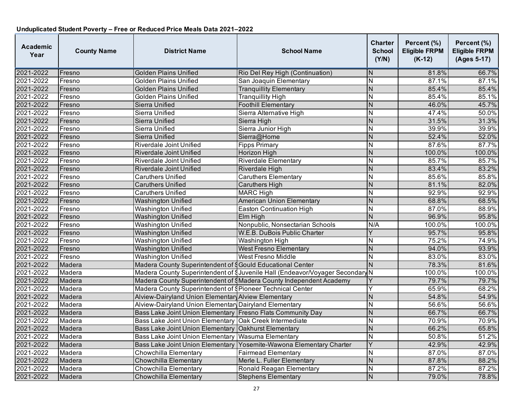| <b>Academic</b><br>Year | <b>County Name</b> | <b>District Name</b>                                            | <b>School Name</b>                                                                  | <b>Charter</b><br><b>School</b><br>(Y/N) | Percent (%)<br><b>Eligible FRPM</b><br>$(K-12)$ | Percent (%)<br><b>Eligible FRPM</b><br>(Ages 5-17) |
|-------------------------|--------------------|-----------------------------------------------------------------|-------------------------------------------------------------------------------------|------------------------------------------|-------------------------------------------------|----------------------------------------------------|
| 2021-2022               | Fresno             | <b>Golden Plains Unified</b>                                    | Rio Del Rey High (Continuation)                                                     | N                                        | 81.8%                                           | 66.7%                                              |
| 2021-2022               | Fresno             | <b>Golden Plains Unified</b>                                    | San Joaquin Elementary                                                              | N                                        | 87.1%                                           | 87.1%                                              |
| 2021-2022               | Fresno             | <b>Golden Plains Unified</b>                                    | <b>Tranquillity Elementary</b>                                                      | $\overline{N}$                           | 85.4%                                           | 85.4%                                              |
| 2021-2022               | Fresno             | Golden Plains Unified                                           | <b>Tranquillity High</b>                                                            | Ñ                                        | 85.4%                                           | 85.1%                                              |
| 2021-2022               | Fresno             | Sierra Unified                                                  | <b>Foothill Elementary</b>                                                          | N                                        | 46.0%                                           | 45.7%                                              |
| 2021-2022               | Fresno             | Sierra Unified                                                  | Sierra Alternative High                                                             | N                                        | 47.4%                                           | 50.0%                                              |
| 2021-2022               | Fresno             | Sierra Unified                                                  | Sierra High                                                                         | N                                        | 31.5%                                           | 31.3%                                              |
| 2021-2022               | Fresno             | Sierra Unified                                                  | Sierra Junior High                                                                  | N                                        | 39.9%                                           | 39.9%                                              |
| 2021-2022               | Fresno             | Sierra Unified                                                  | Sierra@Home                                                                         | $\overline{N}$                           | 52.4%                                           | 52.0%                                              |
| 2021-2022               | Fresno             | Riverdale Joint Unified                                         | <b>Fipps Primary</b>                                                                | N                                        | 87.6%                                           | 87.7%                                              |
| 2021-2022               | Fresno             | Riverdale Joint Unified                                         | Horizon High                                                                        | $\mathsf{N}$                             | 100.0%                                          | 100.0%                                             |
| 2021-2022               | Fresno             | Riverdale Joint Unified                                         | <b>Riverdale Elementary</b>                                                         | N                                        | 85.7%                                           | 85.7%                                              |
| 2021-2022               | Fresno             | Riverdale Joint Unified                                         | Riverdale High                                                                      | $\overline{N}$                           | 83.4%                                           | 83.2%                                              |
| 2021-2022               | Fresno             | <b>Caruthers Unified</b>                                        | <b>Caruthers Elementary</b>                                                         | $\overline{\mathsf{N}}$                  | 85.6%                                           | 85.8%                                              |
| 2021-2022               | Fresno             | <b>Caruthers Unified</b>                                        | <b>Caruthers High</b>                                                               | N                                        | 81.1%                                           | 82.0%                                              |
| 2021-2022               | Fresno             | <b>Caruthers Unified</b>                                        | <b>MARC High</b>                                                                    | N                                        | 92.9%                                           | 92.9%                                              |
| 2021-2022               | Fresno             | <b>Washington Unified</b>                                       | <b>American Union Elementary</b>                                                    | $\overline{N}$                           | 68.8%                                           | 68.5%                                              |
| 2021-2022               | Fresno             | <b>Washington Unified</b>                                       | Easton Continuation High                                                            | N                                        | 87.0%                                           | 88.9%                                              |
| 2021-2022               | Fresno             | <b>Washington Unified</b>                                       | Elm High                                                                            | N                                        | 96.9%                                           | 95.8%                                              |
| 2021-2022               | Fresno             | <b>Washington Unified</b>                                       | Nonpublic, Nonsectarian Schools                                                     | N/A                                      | 100.0%                                          | 100.0%                                             |
| 2021-2022               | Fresno             | <b>Washington Unified</b>                                       | W.E.B. DuBois Public Charter                                                        | Y                                        | 95.7%                                           | 95.8%                                              |
| 2021-2022               | Fresno             | Washington Unified                                              | <b>Washington High</b>                                                              | N                                        | 75.2%                                           | 74.9%                                              |
| 2021-2022               | Fresno             | <b>Washington Unified</b>                                       | <b>West Fresno Elementary</b>                                                       | ${\sf N}$                                | 94.0%                                           | 93.9%                                              |
| 2021-2022               | Fresno             | Washington Unified                                              | <b>West Fresno Middle</b>                                                           | $\overline{N}$                           | 83.0%                                           | 83.0%                                              |
| 2021-2022               | Madera             | Madera County Superintendent of SGould Educational Center       |                                                                                     | $\overline{\mathsf{N}}$                  | 78.3%                                           | 81.6%                                              |
| 2021-2022               | Madera             |                                                                 | Madera County Superintendent of <i>SJuvenile Hall</i> (Endeavor/Voyager Secondary N |                                          | 100.0%                                          | 100.0%                                             |
| 2021-2022               | Madera             |                                                                 | Madera County Superintendent of SMadera County Independent Academy                  |                                          | 79.7%                                           | 79.7%                                              |
| 2021-2022               | Madera             | Madera County Superintendent of <i>Pioneer</i> Technical Center |                                                                                     | Ý                                        | 65.9%                                           | 68.2%                                              |
| 2021-2022               | Madera             | Alview-Dairyland Union Elementary Alview Elementary             |                                                                                     | N                                        | 54.8%                                           | 54.9%                                              |
| 2021-2022               | Madera             | Alview-Dairyland Union Elementary Dairyland Elementary          |                                                                                     | N                                        | 56.6%                                           | 56.6%                                              |
| 2021-2022               | Madera             | Bass Lake Joint Union Elementary Fresno Flats Community Day     |                                                                                     | $\mathsf{N}$                             | 66.7%                                           | 66.7%                                              |
| 2021-2022               | Madera             | Bass Lake Joint Union Elementary Oak Creek Intermediate         |                                                                                     | N                                        | 70.9%                                           | 70.9%                                              |
| 2021-2022               | Madera             | Bass Lake Joint Union Elementary Oakhurst Elementary            |                                                                                     | $\overline{N}$                           | 66.2%                                           | 65.8%                                              |
| 2021-2022               | Madera             | Bass Lake Joint Union Elementary Wasuma Elementary              |                                                                                     | N                                        | 50.8%                                           | 51.2%                                              |
| 2021-2022               | Madera             |                                                                 | Bass Lake Joint Union Elementary Yosemite-Wawona Elementary Charter                 | Ÿ                                        | 42.9%                                           | 42.9%                                              |
| 2021-2022               | Madera             | <b>Chowchilla Elementary</b>                                    | <b>Fairmead Elementary</b>                                                          | Ñ                                        | 87.0%                                           | 87.0%                                              |
| 2021-2022               | Madera             | Chowchilla Elementary                                           | Merle L. Fuller Elementary                                                          | N                                        | 87.8%                                           | 88.2%                                              |
| 2021-2022               | Madera             | Chowchilla Elementary                                           | Ronald Reagan Elementary                                                            | N                                        | 87.2%                                           | 87.2%                                              |
| 2021-2022               | Madera             | <b>Chowchilla Elementary</b>                                    | <b>Stephens Elementary</b>                                                          | $\mathsf{N}$                             | 79.0%                                           | 78.8%                                              |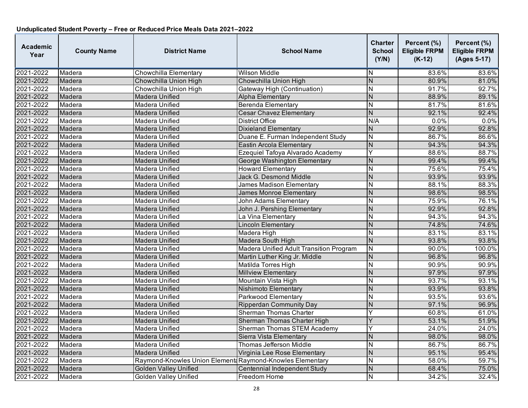| <b>Academic</b><br>Year | <b>County Name</b> | <b>District Name</b>                                     | <b>School Name</b>                             | <b>Charter</b><br><b>School</b><br>(Y/N) | Percent (%)<br><b>Eligible FRPM</b><br>$(K-12)$ | Percent (%)<br><b>Eligible FRPM</b><br>(Ages 5-17) |
|-------------------------|--------------------|----------------------------------------------------------|------------------------------------------------|------------------------------------------|-------------------------------------------------|----------------------------------------------------|
| 2021-2022               | Madera             | Chowchilla Elementary                                    | Wilson Middle                                  | N                                        | 83.6%                                           | 83.6%                                              |
| 2021-2022               | Madera             | Chowchilla Union High                                    | Chowchilla Union High                          | $\overline{N}$                           | 80.9%                                           | 81.0%                                              |
| 2021-2022               | Madera             | Chowchilla Union High                                    | Gateway High (Continuation)                    | N                                        | 91.7%                                           | 92.7%                                              |
| 2021-2022               | Madera             | Madera Unified                                           | <b>Alpha Elementary</b>                        | N                                        | 88.9%                                           | 89.1%                                              |
| 2021-2022               | Madera             | Madera Unified                                           | Berenda Elementary                             | N                                        | 81.7%                                           | 81.6%                                              |
| 2021-2022               | Madera             | <b>Madera Unified</b>                                    | <b>Cesar Chavez Elementary</b>                 | N                                        | 92.1%                                           | 92.4%                                              |
| 2021-2022               | Madera             | Madera Unified                                           | <b>District Office</b>                         | N/A                                      | 0.0%                                            | 0.0%                                               |
| 2021-2022               | Madera             | Madera Unified                                           | <b>Dixieland Elementary</b>                    | N                                        | 92.9%                                           | 92.8%                                              |
| 2021-2022               | Madera             | Madera Unified                                           | Duane E. Furman Independent Study              | $\overline{\mathsf{N}}$                  | 86.7%                                           | 86.6%                                              |
| 2021-2022               | Madera             | Madera Unified                                           | Eastin Arcola Elementary                       | $\overline{\mathsf{N}}$                  | 94.3%                                           | 94.3%                                              |
| 2021-2022               | Madera             | Madera Unified                                           | Ezequiel Tafoya Alvarado Academy               | Y                                        | 88.6%                                           | 88.7%                                              |
| 2021-2022               | Madera             | Madera Unified                                           | George Washington Elementary                   | N                                        | 99.4%                                           | 99.4%                                              |
| 2021-2022               | Madera             | Madera Unified                                           | <b>Howard Elementary</b>                       | N                                        | 75.6%                                           | 75.4%                                              |
| 2021-2022               | Madera             | <b>Madera Unified</b>                                    | <b>Jack G. Desmond Middle</b>                  | N                                        | 93.9%                                           | 93.9%                                              |
| 2021-2022               | Madera             | Madera Unified                                           | <b>James Madison Elementary</b>                | N                                        | 88.1%                                           | 88.3%                                              |
| 2021-2022               | Madera             | Madera Unified                                           | James Monroe Elementary                        | N                                        | 98.6%                                           | 98.5%                                              |
| 2021-2022               | Madera             | Madera Unified                                           | <b>John Adams Elementary</b>                   | N                                        | 75.9%                                           | 76.1%                                              |
| 2021-2022               | Madera             | Madera Unified                                           | John J. Pershing Elementary                    | N                                        | 92.9%                                           | 92.8%                                              |
| 2021-2022               | Madera             | Madera Unified                                           | La Vina Elementary                             | N                                        | 94.3%                                           | 94.3%                                              |
| 2021-2022               | Madera             | <b>Madera Unified</b>                                    | <b>Lincoln Elementary</b>                      | $\overline{N}$                           | 74.8%                                           | 74.6%                                              |
| 2021-2022               | Madera             | Madera Unified                                           | Madera High                                    | N                                        | 83.1%                                           | 83.1%                                              |
| 2021-2022               | Madera             | Madera Unified                                           | Madera South High                              | $\overline{N}$                           | 93.8%                                           | 93.8%                                              |
| 2021-2022               | Madera             | Madera Unified                                           | <b>Madera Unified Adult Transition Program</b> | N                                        | 90.0%                                           | 100.0%                                             |
| 2021-2022               | Madera             | <b>Madera Unified</b>                                    | Martin Luther King Jr. Middle                  | N                                        | 96.8%                                           | 96.8%                                              |
| 2021-2022               | Madera             | Madera Unified                                           | Matilda Torres High                            | N                                        | 90.9%                                           | 90.9%                                              |
| 2021-2022               | Madera             | Madera Unified                                           | <b>Millview Elementary</b>                     | N                                        | 97.9%                                           | 97.9%                                              |
| 2021-2022               | Madera             | Madera Unified                                           | Mountain Vista High                            | $\mathsf{N}$                             | 93.7%                                           | 93.1%                                              |
| 2021-2022               | Madera             | <b>Madera Unified</b>                                    | Nishimoto Elementary                           | N                                        | 93.9%                                           | 93.8%                                              |
| 2021-2022               | Madera             | Madera Unified                                           | Parkwood Elementary                            | N                                        | 93.5%                                           | 93.6%                                              |
| 2021-2022               | Madera             | Madera Unified                                           | <b>Ripperdan Community Day</b>                 | N                                        | 97.1%                                           | 96.9%                                              |
| 2021-2022               | Madera             | Madera Unified                                           | <b>Sherman Thomas Charter</b>                  | Ý                                        | 60.8%                                           | 61.0%                                              |
| 2021-2022               | Madera             | Madera Unified                                           | Sherman Thomas Charter High                    | Ý                                        | 53.1%                                           | 51.9%                                              |
| 2021-2022               | Madera             | Madera Unified                                           | Sherman Thomas STEM Academy                    | Ý                                        | 24.0%                                           | 24.0%                                              |
| 2021-2022               | Madera             | Madera Unified                                           | Sierra Vista Elementarv                        | N                                        | 98.0%                                           | 98.0%                                              |
| 2021-2022               | Madera             | Madera Unified                                           | <b>Thomas Jefferson Middle</b>                 | N                                        | 86.7%                                           | 86.7%                                              |
| 2021-2022               | Madera             | <b>Madera Unified</b>                                    | Virginia Lee Rose Elementary                   | $\overline{N}$                           | 95.1%                                           | 95.4%                                              |
| 2021-2022               | Madera             | Raymond-Knowles Union Element Raymond-Knowles Elementary |                                                | N                                        | 58.0%                                           | 59.7%                                              |
| 2021-2022               | Madera             | <b>Golden Valley Unified</b>                             | Centennial Independent Study                   | N                                        | 68.4%                                           | 75.0%                                              |
| 2021-2022               | Madera             | <b>Golden Valley Unified</b>                             | Freedom Home                                   | $\mathsf{N}$                             | 34.2%                                           | 32.4%                                              |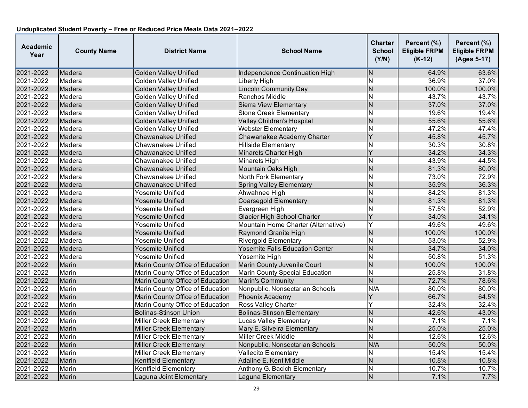| <b>Academic</b><br>Year | <b>County Name</b> | <b>District Name</b>             | <b>School Name</b>                     | <b>Charter</b><br><b>School</b><br>(Y/N) | Percent (%)<br><b>Eligible FRPM</b><br>$(K-12)$ | Percent (%)<br><b>Eligible FRPM</b><br>(Ages 5-17) |
|-------------------------|--------------------|----------------------------------|----------------------------------------|------------------------------------------|-------------------------------------------------|----------------------------------------------------|
| 2021-2022               | Madera             | <b>Golden Valley Unified</b>     | Independence Continuation High         | N                                        | 64.9%                                           | 63.6%                                              |
| 2021-2022               | Madera             | <b>Golden Valley Unified</b>     | Liberty High                           | N                                        | 36.9%                                           | 37.0%                                              |
| 2021-2022               | Madera             | <b>Golden Valley Unified</b>     | <b>Lincoln Community Day</b>           | $\overline{N}$                           | 100.0%                                          | 100.0%                                             |
| 2021-2022               | Madera             | <b>Golden Valley Unified</b>     | Ranchos Middle                         | $\overline{\mathsf{N}}$                  | 43.7%                                           | 43.7%                                              |
| 2021-2022               | Madera             | <b>Golden Valley Unified</b>     | Sierra View Elementary                 | N                                        | 37.0%                                           | 37.0%                                              |
| 2021-2022               | Madera             | <b>Golden Valley Unified</b>     | <b>Stone Creek Elementary</b>          | $\overline{\mathsf{N}}$                  | 19.6%                                           | 19.4%                                              |
| 2021-2022               | Madera             | <b>Golden Valley Unified</b>     | Valley Children's Hospital             | N                                        | 55.6%                                           | 55.6%                                              |
| 2021-2022               | Madera             | <b>Golden Valley Unified</b>     | Webster Elementary                     | N                                        | 47.2%                                           | 47.4%                                              |
| 2021-2022               | Madera             | <b>Chawanakee Unified</b>        | Chawanakee Academy Charter             | Y                                        | 45.8%                                           | 45.7%                                              |
| 2021-2022               | Madera             | Chawanakee Unified               | <b>Hillside Elementary</b>             | Ν                                        | 30.3%                                           | 30.8%                                              |
| 2021-2022               | Madera             | Chawanakee Unified               | Minarets Charter High                  | Y                                        | 34.2%                                           | 34.3%                                              |
| 2021-2022               | Madera             | Chawanakee Unified               | <b>Minarets High</b>                   | N                                        | 43.9%                                           | 44.5%                                              |
| 2021-2022               | Madera             | Chawanakee Unified               | Mountain Oaks High                     | N                                        | 81.3%                                           | 80.0%                                              |
| 2021-2022               | Madera             | Chawanakee Unified               | North Fork Elementary                  | $\overline{\mathsf{N}}$                  | 73.0%                                           | 72.9%                                              |
| 2021-2022               | Madera             | Chawanakee Unified               | <b>Spring Valley Elementary</b>        | N                                        | 35.9%                                           | 36.3%                                              |
| 2021-2022               | Madera             | Yosemite Unified                 | Ahwahnee High                          | N                                        | 84.2%                                           | 81.3%                                              |
| 2021-2022               | Madera             | Yosemite Unified                 | <b>Coarsegold Elementary</b>           | $\overline{N}$                           | 81.3%                                           | 81.3%                                              |
| 2021-2022               | Madera             | Yosemite Unified                 | Evergreen High                         | N                                        | 57.5%                                           | 52.9%                                              |
| 2021-2022               | Madera             | Yosemite Unified                 | <b>Glacier High School Charter</b>     | Y                                        | 34.0%                                           | 34.1%                                              |
| 2021-2022               | Madera             | Yosemite Unified                 | Mountain Home Charter (Alternative)    | Υ                                        | 49.6%                                           | 49.6%                                              |
| 2021-2022               | Madera             | Yosemite Unified                 | Raymond Granite High                   | N                                        | 100.0%                                          | 100.0%                                             |
| 2021-2022               | Madera             | Yosemite Unified                 | <b>Rivergold Elementary</b>            | $\overline{N}$                           | 53.0%                                           | 52.9%                                              |
| 2021-2022               | Madera             | Yosemite Unified                 | <b>Yosemite Falls Education Center</b> | N                                        | 34.7%                                           | 34.0%                                              |
| 2021-2022               | Madera             | Yosemite Unified                 | Yosemite High                          | N                                        | 50.8%                                           | 51.3%                                              |
| 2021-2022               | Marin              | Marin County Office of Education | Marin County Juvenile Court            | $\overline{N}$                           | 100.0%                                          | 100.0%                                             |
| 2021-2022               | Marin              | Marin County Office of Education | Marin County Special Education         | N                                        | 25.8%                                           | 31.8%                                              |
| 2021-2022               | Marin              | Marin County Office of Education | <b>Marin's Community</b>               | $\overline{N}$                           | 72.7%                                           | 78.6%                                              |
| 2021-2022               | Marin              | Marin County Office of Education | Nonpublic, Nonsectarian Schools        | N/A                                      | 80.0%                                           | 80.0%                                              |
| 2021-2022               | Marin              | Marin County Office of Education | Phoenix Academy                        | Y                                        | 66.7%                                           | 64.5%                                              |
| 2021-2022               | Marin              | Marin County Office of Education | <b>Ross Valley Charter</b>             | Y                                        | 32.4%                                           | 32.4%                                              |
| 2021-2022               | Marin              | <b>Bolinas-Stinson Union</b>     | <b>Bolinas-Stinson Elementary</b>      | N                                        | 42.6%                                           | 43.0%                                              |
| 2021-2022               | Marin              | Miller Creek Elementary          | Lucas Valley Elementary                | N                                        | 7.1%                                            | 7.1%                                               |
| 2021-2022               | Marin              | <b>Miller Creek Elementary</b>   | Mary E. Silveira Elementary            | $\overline{N}$                           | 25.0%                                           | 25.0%                                              |
| 2021-2022               | Marin              | Miller Creek Elementary          | <b>Miller Creek Middle</b>             | N                                        | 12.6%                                           | 12.6%                                              |
| 2021-2022               | Marin              | Miller Creek Elementary          | Nonpublic, Nonsectarian Schools        | N/A                                      | 50.0%                                           | 50.0%                                              |
| 2021-2022               | Marin              | <b>Miller Creek Elementary</b>   | Vallecito Elementary                   | N                                        | 15.4%                                           | 15.4%                                              |
| 2021-2022               | Marin              | Kentfield Elementary             | Adaline E. Kent Middle                 | N                                        | 10.8%                                           | 10.8%                                              |
| 2021-2022               | Marin              | Kentfield Elementary             | Anthony G. Bacich Elementary           | N                                        | 10.7%                                           | 10.7%                                              |
| 2021-2022               | Marin              | Laguna Joint Elementary          | Laguna Elementary                      | N                                        | 7.1%                                            | 7.7%                                               |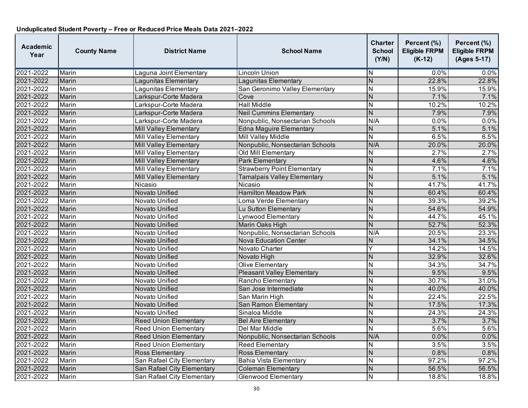| Academic<br>Year | <b>County Name</b> | <b>District Name</b>          | <b>School Name</b>                 | <b>Charter</b><br><b>School</b><br>(Y/N) | Percent (%)<br><b>Eligible FRPM</b><br>$(K-12)$ | Percent (%)<br><b>Eligible FRPM</b><br>(Ages 5-17) |
|------------------|--------------------|-------------------------------|------------------------------------|------------------------------------------|-------------------------------------------------|----------------------------------------------------|
| 2021-2022        | Marin              | Laguna Joint Elementary       | Lincoln Union                      | ΙN                                       | $0.0\%$                                         | $0.0\%$                                            |
| 2021-2022        | Marin              | Lagunitas Elementary          | Lagunitas Elementary               | $\overline{N}$                           | 22.8%                                           | 22.8%                                              |
| 2021-2022        | Marin              | Lagunitas Elementary          | San Geronimo Valley Elementary     | N                                        | 15.9%                                           | 15.9%                                              |
| 2021-2022        | Marin              | Larkspur-Corte Madera         | Cove                               | $\overline{N}$                           | 7.1%                                            | 7.1%                                               |
| 2021-2022        | Marin              | Larkspur-Corte Madera         | <b>Hall Middle</b>                 | N                                        | 10.2%                                           | 10.2%                                              |
| 2021-2022        | Marin              | Larkspur-Corte Madera         | <b>Neil Cummins Elementary</b>     | $\overline{N}$                           | 7.9%                                            | 7.9%                                               |
| 2021-2022        | Marin              | Larkspur-Corte Madera         | Nonpublic, Nonsectarian Schools    | N/A                                      | 0.0%                                            | 0.0%                                               |
| 2021-2022        | Marin              | Mill Valley Elementary        | <b>Edna Maguire Elementary</b>     | N                                        | 5.1%                                            | 5.1%                                               |
| 2021-2022        | Marin              | <b>Mill Valley Elementary</b> | <b>Mill Valley Middle</b>          | $\overline{\mathsf{N}}$                  | 6.5%                                            | 6.5%                                               |
| 2021-2022        | Marin              | Mill Valley Elementary        | Nonpublic, Nonsectarian Schools    | N/A                                      | 20.0%                                           | 20.0%                                              |
| 2021-2022        | Marin              | <b>Mill Valley Elementary</b> | Old Mill Elementary                | Ñ                                        | 2.7%                                            | 2.7%                                               |
| 2021-2022        | Marin              | Mill Valley Elementary        | Park Elementary                    | N                                        | 4.6%                                            | 4.6%                                               |
| 2021-2022        | Marin              | Mill Valley Elementary        | <b>Strawberry Point Elementary</b> | N                                        | 7.1%                                            | 7.1%                                               |
| 2021-2022        | Marin              | Mill Valley Elementary        | Tamalpais Valley Elementary        | $\overline{N}$                           | 5.1%                                            | 5.1%                                               |
| 2021-2022        | Marin              | Nicasio                       | Nicasio                            | N                                        | 41.7%                                           | 41.7%                                              |
| 2021-2022        | Marin              | Novato Unified                | <b>Hamilton Meadow Park</b>        | N                                        | 60.4%                                           | 60.4%                                              |
| 2021-2022        | Marin              | Novato Unified                | Loma Verde Elementary              | N                                        | 39.3%                                           | 39.2%                                              |
| 2021-2022        | Marin              | Novato Unified                | Lu Sutton Elementary               | N                                        | 54.6%                                           | 54.9%                                              |
| 2021-2022        | Marin              | Novato Unified                | Lynwood Elementary                 | N                                        | 44.7%                                           | 45.1%                                              |
| 2021-2022        | Marin              | Novato Unified                | Marin Oaks High                    | $\overline{N}$                           | 52.7%                                           | 52.3%                                              |
| 2021-2022        | Marin              | Novato Unified                | Nonpublic, Nonsectarian Schools    | N/A                                      | 20.5%                                           | 23.3%                                              |
| 2021-2022        | Marin              | Novato Unified                | <b>Nova Education Center</b>       | N                                        | 34.1%                                           | 34.5%                                              |
| 2021-2022        | Marin              | Novato Unified                | Novato Charter                     | Y                                        | 14.2%                                           | 14.5%                                              |
| 2021-2022        | Marin              | Novato Unified                | Novato High                        | $\overline{N}$                           | 32.9%                                           | 32.6%                                              |
| 2021-2022        | Marin              | Novato Unified                | <b>Olive Elementary</b>            | N                                        | 34.3%                                           | 34.7%                                              |
| 2021-2022        | Marin              | Novato Unified                | <b>Pleasant Valley Elementary</b>  | N                                        | 9.5%                                            | 9.5%                                               |
| 2021-2022        | Marin              | Novato Unified                | Rancho Elementary                  | N                                        | 30.7%                                           | 31.0%                                              |
| 2021-2022        | Marin              | Novato Unified                | San Jose Intermediate              | N                                        | 40.0%                                           | 40.0%                                              |
| 2021-2022        | Marin              | Novato Unified                | San Marin High                     | N                                        | 22.4%                                           | 22.5%                                              |
| 2021-2022        | Marin              | Novato Unified                | San Ramon Elementary               | ${\sf N}$                                | 17.5%                                           | 17.3%                                              |
| 2021-2022        | Marin              | Novato Unified                | Sinaloa Middle                     | $\overline{\mathsf{N}}$                  | 24.3%                                           | 24.3%                                              |
| 2021-2022        | Marin              | <b>Reed Union Elementary</b>  | <b>Bel Aire Elementary</b>         | $\overline{\mathsf{N}}$                  | 3.7%                                            | 3.7%                                               |
| 2021-2022        | Marin              | <b>Reed Union Elementary</b>  | Del Mar Middle                     | $\overline{\mathsf{N}}$                  | 5.6%                                            | 5.6%                                               |
| 2021-2022        | Marin              | <b>Reed Union Elementary</b>  | Nonpublic, Nonsectarian Schools    | N/A                                      | $0.0\%$                                         | 0.0%                                               |
| 2021-2022        | Marin              | <b>Reed Union Elementary</b>  | Reed Elementary                    | N                                        | 3.5%                                            | 3.5%                                               |
| 2021-2022        | Marin              | <b>Ross Elementary</b>        | <b>Ross Elementary</b>             | $\overline{N}$                           | 0.8%                                            | 0.8%                                               |
| 2021-2022        | Marin              | San Rafael City Elementary    | <b>Bahia Vista Elementary</b>      | N                                        | 97.2%                                           | 97.2%                                              |
| 2021-2022        | Marin              | San Rafael City Elementary    | Coleman Elementary                 | N                                        | 56.5%                                           | 56.5%                                              |
| 2021-2022        | Marin              | San Rafael City Elementary    | <b>Glenwood Elementary</b>         | N                                        | 18.8%                                           | 18.8%                                              |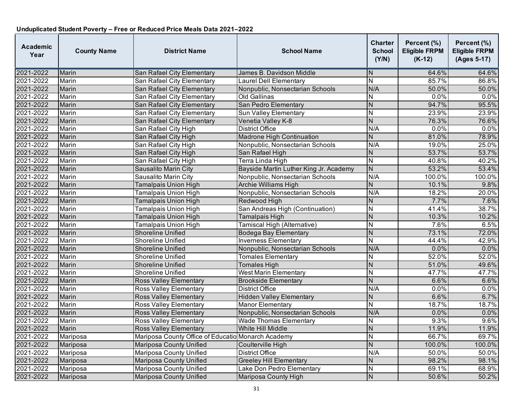| <b>Academic</b><br>Year | <b>County Name</b> | <b>District Name</b>                               | <b>School Name</b>                     | <b>Charter</b><br><b>School</b><br>(Y/N) | Percent (%)<br><b>Eligible FRPM</b><br>$(K-12)$ | Percent (%)<br><b>Eligible FRPM</b><br>(Ages 5-17) |
|-------------------------|--------------------|----------------------------------------------------|----------------------------------------|------------------------------------------|-------------------------------------------------|----------------------------------------------------|
| 2021-2022               | Marin              | San Rafael City Elementary                         | James B. Davidson Middle               | N                                        | 64.6%                                           | 64.6%                                              |
| 2021-2022               | Marin              | San Rafael City Elementary                         | Laurel Dell Elementary                 | $\overline{\mathsf{N}}$                  | 85.7%                                           | 86.8%                                              |
| 2021-2022               | Marin              | San Rafael City Elementary                         | Nonpublic, Nonsectarian Schools        | N/A                                      | 50.0%                                           | 50.0%                                              |
| 2021-2022               | Marin              | San Rafael City Elementary                         | <b>Old Gallinas</b>                    | $\overline{\mathsf{N}}$                  | 0.0%                                            | 0.0%                                               |
| 2021-2022               | Marin              | San Rafael City Elementary                         | San Pedro Elementary                   | $\mathsf{N}$                             | 94.7%                                           | 95.5%                                              |
| 2021-2022               | Marin              | San Rafael City Elementary                         | Sun Valley Elementary                  | N                                        | 23.9%                                           | 23.9%                                              |
| 2021-2022               | Marin              | San Rafael City Elementary                         | Venetia Valley K-8                     | $\overline{N}$                           | 76.3%                                           | 76.6%                                              |
| 2021-2022               | Marin              | San Rafael City High                               | <b>District Office</b>                 | N/A                                      | 0.0%                                            | 0.0%                                               |
| 2021-2022               | Marin              | San Rafael City High                               | <b>Madrone High Continuation</b>       | $\mathsf{N}$                             | 81.0%                                           | 78.9%                                              |
| 2021-2022               | Marin              | San Rafael City High                               | Nonpublic, Nonsectarian Schools        | N/A                                      | 19.0%                                           | 25.0%                                              |
| 2021-2022               | Marin              | San Rafael City High                               | San Rafael High                        | N                                        | 53.7%                                           | 53.7%                                              |
| 2021-2022               | Marin              | San Rafael City High                               | Terra Linda High                       | $\mathsf{N}$                             | 40.8%                                           | 40.2%                                              |
| 2021-2022               | Marin              | Sausalito Marin City                               | Bayside Martin Luther King Jr. Academy | $\overline{N}$                           | 53.2%                                           | 53.4%                                              |
| 2021-2022               | Marin              | Sausalito Marin City                               | Nonpublic, Nonsectarian Schools        | N/A                                      | 100.0%                                          | 100.0%                                             |
| 2021-2022               | Marin              | <b>Tamalpais Union High</b>                        | <b>Archie Williams High</b>            | $\overline{N}$                           | 10.1%                                           | 9.8%                                               |
| 2021-2022               | Marin              | Tamalpais Union High                               | Nonpublic, Nonsectarian Schools        | N/A                                      | 18.2%                                           | 20.0%                                              |
| 2021-2022               | Marin              | <b>Tamalpais Union High</b>                        | Redwood High                           | $\mathsf{N}$                             | 7.7%                                            | 7.6%                                               |
| 2021-2022               | Marin              | <b>Tamalpais Union High</b>                        | San Andreas High (Continuation)        | $\overline{N}$                           | 41.4%                                           | 38.7%                                              |
| 2021-2022               | Marin              | <b>Tamalpais Union High</b>                        | <b>Tamalpais High</b>                  | ${\sf N}$                                | 10.3%                                           | 10.2%                                              |
| 2021-2022               | Marin              | Tamalpais Union High                               | Tamiscal High (Alternative)            | N                                        | 7.6%                                            | 6.5%                                               |
| 2021-2022               | Marin              | <b>Shoreline Unified</b>                           | <b>Bodega Bay Elementary</b>           | $\overline{N}$                           | 73.1%                                           | 72.0%                                              |
| 2021-2022               | Marin              | Shoreline Unified                                  | <b>Inverness Elementary</b>            | $\overline{N}$                           | 44.4%                                           | 42.9%                                              |
| 2021-2022               | Marin              | Shoreline Unified                                  | Nonpublic, Nonsectarian Schools        | N/A                                      | 0.0%                                            | 0.0%                                               |
| 2021-2022               | Marin              | Shoreline Unified                                  | <b>Tomales Elementary</b>              | N                                        | 52.0%                                           | 52.0%                                              |
| 2021-2022               | Marin              | <b>Shoreline Unified</b>                           | <b>Tomales High</b>                    | $\overline{N}$                           | 51.0%                                           | 49.6%                                              |
| 2021-2022               | Marin              | Shoreline Unified                                  | <b>West Marin Elementary</b>           | $\overline{\mathsf{N}}$                  | 47.7%                                           | 47.7%                                              |
| 2021-2022               | Marin              | <b>Ross Valley Elementary</b>                      | <b>Brookside Elementary</b>            | $\overline{N}$                           | 6.6%                                            | 6.6%                                               |
| 2021-2022               | Marin              | Ross Valley Elementary                             | <b>District Office</b>                 | N/A                                      | 0.0%                                            | 0.0%                                               |
| 2021-2022               | Marin              | <b>Ross Valley Elementary</b>                      | <b>Hidden Valley Elementary</b>        | $\mathsf{N}$                             | 6.6%                                            | 6.7%                                               |
| 2021-2022               | Marin              | <b>Ross Valley Elementary</b>                      | <b>Manor Elementary</b>                | Ñ                                        | 18.7%                                           | 18.7%                                              |
| 2021-2022               | Marin              | <b>Ross Valley Elementary</b>                      | Nonpublic, Nonsectarian Schools        | N/A                                      | 0.0%                                            | 0.0%                                               |
| 2021-2022               | Marin              | <b>Ross Valley Elementary</b>                      | <b>Wade Thomas Elementary</b>          | N                                        | 9.3%                                            | 9.6%                                               |
| 2021-2022               | Marin              | <b>Ross Valley Elementary</b>                      | White Hill Middle                      | N                                        | 11.9%                                           | 11.9%                                              |
| 2021-2022               | Mariposa           | Mariposa County Office of Educatio Monarch Academy |                                        | N                                        | 66.7%                                           | 69.7%                                              |
| 2021-2022               | Mariposa           | <b>Mariposa County Unified</b>                     | Coulterville High                      | $\overline{N}$                           | 100.0%                                          | 100.0%                                             |
| 2021-2022               | Mariposa           | <b>Mariposa County Unified</b>                     | <b>District Office</b>                 | N/A                                      | 50.0%                                           | 50.0%                                              |
| 2021-2022               | Mariposa           | Mariposa County Unified                            | <b>Greeley Hill Elementary</b>         | $\overline{N}$                           | 98.2%                                           | 98.1%                                              |
| 2021-2022               | Mariposa           | <b>Mariposa County Unified</b>                     | Lake Don Pedro Elementary              | $\overline{N}$                           | 69.1%                                           | 68.9%                                              |
| 2021-2022               | Mariposa           | Mariposa County Unified                            | Mariposa County High                   | $\overline{N}$                           | 50.6%                                           | 50.2%                                              |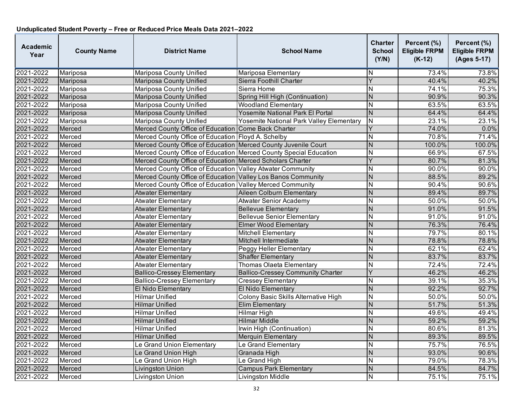| <b>Academic</b><br>Year | <b>County Name</b> | <b>District Name</b>                                                | <b>School Name</b>                       | <b>Charter</b><br><b>School</b><br>(Y/N) | Percent (%)<br><b>Eligible FRPM</b><br>$(K-12)$ | Percent (%)<br><b>Eligible FRPM</b><br>(Ages 5-17) |
|-------------------------|--------------------|---------------------------------------------------------------------|------------------------------------------|------------------------------------------|-------------------------------------------------|----------------------------------------------------|
| 2021-2022               | Mariposa           | Mariposa County Unified                                             | Mariposa Elementary                      | N                                        | 73.4%                                           | 73.8%                                              |
| 2021-2022               | Mariposa           | <b>Mariposa County Unified</b>                                      | Sierra Foothill Charter                  | $\overline{Y}$                           | 40.4%                                           | 40.2%                                              |
| 2021-2022               | Mariposa           | <b>Mariposa County Unified</b>                                      | Sierra Home                              | $\overline{\mathsf{N}}$                  | 74.1%                                           | 75.3%                                              |
| 2021-2022               | Mariposa           | <b>Mariposa County Unified</b>                                      | Spring Hill High (Continuation)          | N                                        | 90.9%                                           | 90.3%                                              |
| 2021-2022               | Mariposa           | <b>Mariposa County Unified</b>                                      | <b>Woodland Elementary</b>               | N                                        | 63.5%                                           | 63.5%                                              |
| 2021-2022               | Mariposa           | Mariposa County Unified                                             | Yosemite National Park El Portal         | $\overline{\mathsf{N}}$                  | 64.4%                                           | 64.4%                                              |
| 2021-2022               | Mariposa           | <b>Mariposa County Unified</b>                                      | Yosemite National Park Valley Elementary | $\mathsf{N}$                             | 23.1%                                           | 23.1%                                              |
| 2021-2022               | Merced             | Merced County Office of Education Come Back Charter                 |                                          | Y                                        | 74.0%                                           | 0.0%                                               |
| 2021-2022               | Merced             | Merced County Office of Education Floyd A. Schelby                  |                                          | N                                        | 70.8%                                           | 71.4%                                              |
| 2021-2022               | Merced             | Merced County Office of Education Merced County Juvenile Court      |                                          | $\overline{N}$                           | 100.0%                                          | 100.0%                                             |
| 2021-2022               | Merced             | Merced County Office of Education   Merced County Special Education |                                          | $\overline{\mathsf{N}}$                  | 66.9%                                           | 67.5%                                              |
| 2021-2022               | Merced             | Merced County Office of Education Merced Scholars Charter           |                                          | Y                                        | 80.7%                                           | 81.3%                                              |
| 2021-2022               | Merced             | Merced County Office of Education Valley Atwater Community          |                                          | $\overline{\mathsf{N}}$                  | 90.0%                                           | 90.0%                                              |
| 2021-2022               | Merced             | Merced County Office of Education   Valley Los Banos Community      |                                          | N                                        | 88.5%                                           | 89.2%                                              |
| 2021-2022               | Merced             | Merced County Office of Education Valley Merced Community           |                                          | $\overline{\mathsf{N}}$                  | 90.4%                                           | 90.6%                                              |
| 2021-2022               | Merced             | <b>Atwater Elementary</b>                                           | Aileen Colburn Elementary                | N                                        | 89.4%                                           | 89.7%                                              |
| 2021-2022               | Merced             | <b>Atwater Elementary</b>                                           | <b>Atwater Senior Academy</b>            | N                                        | 50.0%                                           | 50.0%                                              |
| 2021-2022               | Merced             | <b>Atwater Elementary</b>                                           | <b>Bellevue Elementary</b>               | N                                        | 91.0%                                           | 91.5%                                              |
| 2021-2022               | Merced             | <b>Atwater Elementary</b>                                           | <b>Bellevue Senior Elementary</b>        | N                                        | 91.0%                                           | 91.0%                                              |
| 2021-2022               | Merced             | <b>Atwater Elementary</b>                                           | <b>Elmer Wood Elementary</b>             | $\overline{N}$                           | 76.3%                                           | 76.4%                                              |
| 2021-2022               | Merced             | <b>Atwater Elementary</b>                                           | <b>Mitchell Elementary</b>               | $\overline{\mathsf{N}}$                  | 79.7%                                           | 80.1%                                              |
| 2021-2022               | Merced             | <b>Atwater Elementary</b>                                           | Mitchell Intermediate                    | $\overline{N}$                           | 78.8%                                           | 78.8%                                              |
| 2021-2022               | Merced             | <b>Atwater Elementary</b>                                           | Peggy Heller Elementary                  | N                                        | 62.1%                                           | 62.4%                                              |
| 2021-2022               | Merced             | <b>Atwater Elementary</b>                                           | <b>Shaffer Elementary</b>                | $\overline{N}$                           | 83.7%                                           | 83.7%                                              |
| 2021-2022               | Merced             | Atwater Elementary                                                  | <b>Thomas Olaeta Elementary</b>          | $\overline{\mathsf{N}}$                  | 72.4%                                           | 72.4%                                              |
| 2021-2022               | Merced             | <b>Ballico-Cressey Elementary</b>                                   | <b>Ballico-Cressey Community Charter</b> | Y                                        | 46.2%                                           | 46.2%                                              |
| 2021-2022               | Merced             | <b>Ballico-Cressey Elementary</b>                                   | <b>Cressey Elementary</b>                | N                                        | 39.1%                                           | 35.3%                                              |
| 2021-2022               | Merced             | El Nido Elementary                                                  | El Nido Elementary                       | $\overline{N}$                           | 92.2%                                           | 92.7%                                              |
| 2021-2022               | Merced             | <b>Hilmar Unified</b>                                               | Colony Basic Skills Alternative High     | $\overline{\mathsf{N}}$                  | 50.0%                                           | 50.0%                                              |
| 2021-2022               | Merced             | Hilmar Unified                                                      | <b>Elim Elementary</b>                   | N                                        | 51.7%                                           | 51.3%                                              |
| 2021-2022               | Merced             | <b>Hilmar Unified</b>                                               | <b>Hilmar High</b>                       | $\overline{\mathsf{N}}$                  | 49.6%                                           | 49.4%                                              |
| 2021-2022               | Merced             | <b>Hilmar Unified</b>                                               | <b>Hilmar Middle</b>                     | $\overline{N}$                           | 59.2%                                           | 59.2%                                              |
| 2021-2022               | Merced             | <b>Hilmar Unified</b>                                               | Irwin High (Continuation)                | N                                        | 80.6%                                           | 81.3%                                              |
| 2021-2022               | Merced             | <b>Hilmar Unified</b>                                               | <b>Merquin Elementary</b>                | N                                        | 89.3%                                           | 89.5%                                              |
| 2021-2022               | Merced             | Le Grand Union Elementary                                           | Le Grand Elementary                      | N                                        | 75.7%                                           | 76.5%                                              |
| 2021-2022               | Merced             | Le Grand Union High                                                 | Granada High                             | $\overline{N}$                           | 93.0%                                           | 90.6%                                              |
| 2021-2022               | Merced             | Le Grand Union High                                                 | Le Grand High                            | Ν                                        | 79.0%                                           | 78.3%                                              |
| 2021-2022               | Merced             | Livingston Union                                                    | <b>Campus Park Elementary</b>            | N                                        | 84.5%                                           | 84.7%                                              |
| 2021-2022               | Merced             | Livingston Union                                                    | Livingston Middle                        | N                                        | 75.1%                                           | 75.1%                                              |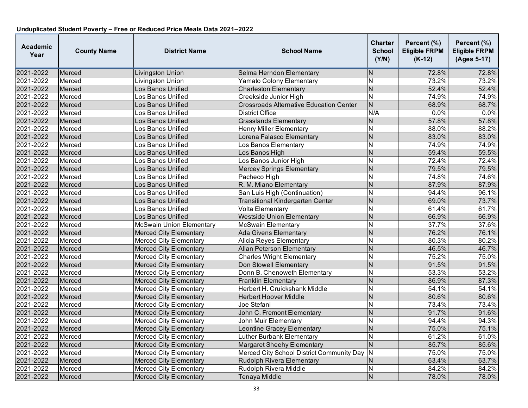| <b>Academic</b><br>Year | <b>County Name</b> | <b>District Name</b>            | <b>School Name</b>                             | Charter<br><b>School</b><br>(Y/N) | Percent (%)<br><b>Eligible FRPM</b><br>$(K-12)$ | Percent (%)<br><b>Eligible FRPM</b><br>(Ages 5-17) |
|-------------------------|--------------------|---------------------------------|------------------------------------------------|-----------------------------------|-------------------------------------------------|----------------------------------------------------|
| 2021-2022               | Merced             | Livingston Union                | Selma Herndon Elementary                       | N                                 | 72.8%                                           | 72.8%                                              |
| 2021-2022               | Merced             | Livingston Union                | <b>Yamato Colony Elementary</b>                | $\overline{N}$                    | 73.2%                                           | 73.2%                                              |
| 2021-2022               | Merced             | Los Banos Unified               | <b>Charleston Elementary</b>                   | $\overline{\mathsf{N}}$           | 52.4%                                           | 52.4%                                              |
| 2021-2022               | Merced             | Los Banos Unified               | Creekside Junior High                          | $\overline{\mathsf{N}}$           | 74.9%                                           | 74.9%                                              |
| 2021-2022               | Merced             | Los Banos Unified               | <b>Crossroads Alternative Education Center</b> | ${\sf N}$                         | 68.9%                                           | 68.7%                                              |
| 2021-2022               | Merced             | Los Banos Unified               | <b>District Office</b>                         | N/A                               | 0.0%                                            | 0.0%                                               |
| 2021-2022               | Merced             | Los Banos Unified               | <b>Grasslands Elementary</b>                   | N                                 | 57.8%                                           | 57.8%                                              |
| 2021-2022               | Merced             | Los Banos Unified               | <b>Henry Miller Elementary</b>                 | N                                 | 88.0%                                           | 88.2%                                              |
| 2021-2022               | Merced             | Los Banos Unified               | Lorena Falasco Elementary                      | $\overline{N}$                    | 83.0%                                           | 83.0%                                              |
| 2021-2022               | Merced             | Los Banos Unified               | Los Banos Elementary                           | $\overline{\mathsf{N}}$           | 74.9%                                           | 74.9%                                              |
| 2021-2022               | Merced             | Los Banos Unified               | Los Banos High                                 | $\overline{\mathsf{N}}$           | 59.4%                                           | 59.5%                                              |
| 2021-2022               | Merced             | Los Banos Unified               | Los Banos Junior High                          | N                                 | 72.4%                                           | 72.4%                                              |
| 2021-2022               | Merced             | Los Banos Unified               | Mercey Springs Elementary                      | $\overline{\mathsf{N}}$           | 79.5%                                           | 79.5%                                              |
| 2021-2022               | Merced             | Los Banos Unified               | Pacheco High                                   | $\overline{\mathsf{N}}$           | 74.8%                                           | 74.6%                                              |
| 2021-2022               | Merced             | Los Banos Unified               | R. M. Miano Elementary                         | N                                 | 87.9%                                           | 87.9%                                              |
| 2021-2022               | Merced             | Los Banos Unified               | San Luis High (Continuation)                   | $\overline{\mathsf{N}}$           | 94.4%                                           | 96.1%                                              |
| 2021-2022               | Merced             | Los Banos Unified               | <b>Transitional Kindergarten Center</b>        | N                                 | 69.0%                                           | 73.7%                                              |
| 2021-2022               | Merced             | Los Banos Unified               | <b>Volta Elementary</b>                        | N                                 | 61.4%                                           | 61.7%                                              |
| 2021-2022               | Merced             | Los Banos Unified               | <b>Westside Union Elementary</b>               | N                                 | 66.9%                                           | 66.9%                                              |
| 2021-2022               | Merced             | <b>McSwain Union Elementary</b> | <b>McSwain Elementary</b>                      | $\overline{\mathsf{N}}$           | 37.7%                                           | 37.6%                                              |
| 2021-2022               | Merced             | <b>Merced City Elementary</b>   | <b>Ada Givens Elementary</b>                   | $\overline{\mathsf{N}}$           | 76.2%                                           | 76.1%                                              |
| 2021-2022               | Merced             | <b>Merced City Elementary</b>   | Alicia Reyes Elementary                        | N                                 | 80.3%                                           | 80.2%                                              |
| 2021-2022               | Merced             | <b>Merced City Elementary</b>   | <b>Allan Peterson Elementary</b>               | N                                 | 46.5%                                           | 46.7%                                              |
| 2021-2022               | Merced             | <b>Merced City Elementary</b>   | Charles Wright Elementary                      | $\overline{\mathsf{N}}$           | 75.2%                                           | 75.0%                                              |
| 2021-2022               | Merced             | <b>Merced City Elementary</b>   | Don Stowell Elementary                         | N                                 | 91.5%                                           | 91.5%                                              |
| 2021-2022               | Merced             | <b>Merced City Elementary</b>   | Donn B. Chenoweth Elementary                   | N                                 | 53.3%                                           | 53.2%                                              |
| 2021-2022               | Merced             | <b>Merced City Elementary</b>   | <b>Franklin Elementary</b>                     | N                                 | 86.9%                                           | 87.3%                                              |
| 2021-2022               | Merced             | <b>Merced City Elementary</b>   | Herbert H. Cruickshank Middle                  | N                                 | 54.1%                                           | 54.1%                                              |
| 2021-2022               | Merced             | <b>Merced City Elementary</b>   | <b>Herbert Hoover Middle</b>                   | $\overline{N}$                    | 80.6%                                           | 80.6%                                              |
| 2021-2022               | Merced             | Merced City Elementary          | Joe Stefani                                    | N                                 | 73.4%                                           | 73.4%                                              |
| 2021-2022               | Merced             | <b>Merced City Elementary</b>   | John C. Fremont Elementary                     | $\overline{\mathsf{N}}$           | 91.7%                                           | 91.6%                                              |
| 2021-2022               | Merced             | <b>Merced City Elementary</b>   | <b>John Muir Elementary</b>                    | $\overline{\sf N}$                | 94.4%                                           | 94.3%                                              |
| 2021-2022               | Merced             | <b>Merced City Elementary</b>   | <b>Leontine Gracey Elementary</b>              | N                                 | 75.0%                                           | 75.1%                                              |
| 2021-2022               | Merced             | <b>Merced City Elementary</b>   | <b>Luther Burbank Elementary</b>               | N                                 | 61.2%                                           | 61.0%                                              |
| 2021-2022               | Merced             | <b>Merced City Elementary</b>   | Margaret Sheehy Elementary                     | $\mathsf{N}$                      | 85.7%                                           | 85.6%                                              |
| 2021-2022               | Merced             | <b>Merced City Elementary</b>   | Merced City School District Community Day      | N                                 | 75.0%                                           | 75.0%                                              |
| 2021-2022               | Merced             | <b>Merced City Elementary</b>   | <b>Rudolph Rivera Elementary</b>               | N                                 | 63.4%                                           | 63.7%                                              |
| 2021-2022               | Merced             | <b>Merced City Elementary</b>   | Rudolph Rivera Middle                          | N                                 | 84.2%                                           | 84.2%                                              |
| 2021-2022               | Merced             | <b>Merced City Elementary</b>   | Tenaya Middle                                  | $\overline{N}$                    | 78.0%                                           | 78.0%                                              |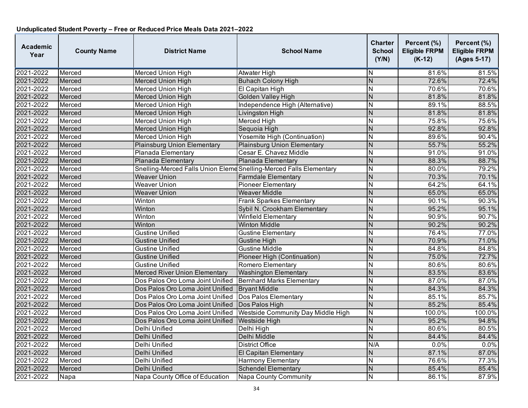| <b>Academic</b><br>Year | <b>County Name</b> | <b>District Name</b>                                               | <b>School Name</b>                 | <b>Charter</b><br><b>School</b><br>(Y/N) | Percent (%)<br><b>Eligible FRPM</b><br>$(K-12)$ | Percent (%)<br><b>Eligible FRPM</b><br>(Ages 5-17) |
|-------------------------|--------------------|--------------------------------------------------------------------|------------------------------------|------------------------------------------|-------------------------------------------------|----------------------------------------------------|
| 2021-2022               | Merced             | Merced Union High                                                  | Atwater High                       | N                                        | 81.6%                                           | 81.5%                                              |
| 2021-2022               | Merced             | Merced Union High                                                  | <b>Buhach Colony High</b>          | N                                        | 72.6%                                           | 72.4%                                              |
| 2021-2022               | Merced             | <b>Merced Union High</b>                                           | El Capitan High                    | N                                        | 70.6%                                           | 70.6%                                              |
| 2021-2022               | Merced             | <b>Merced Union High</b>                                           | <b>Golden Valley High</b>          | N                                        | 81.8%                                           | 81.8%                                              |
| 2021-2022               | Merced             | <b>Merced Union High</b>                                           | Independence High (Alternative)    | N                                        | 89.1%                                           | 88.5%                                              |
| 2021-2022               | Merced             | <b>Merced Union High</b>                                           | Livingston High                    | N                                        | 81.8%                                           | 81.8%                                              |
| 2021-2022               | Merced             | <b>Merced Union High</b>                                           | <b>Merced High</b>                 | $\overline{\mathsf{N}}$                  | 75.8%                                           | 75.6%                                              |
| 2021-2022               | Merced             | <b>Merced Union High</b>                                           | Sequoia High                       | N                                        | 92.8%                                           | 92.8%                                              |
| 2021-2022               | Merced             | <b>Merced Union High</b>                                           | Yosemite High (Continuation)       | $\overline{\mathsf{N}}$                  | 89.6%                                           | 90.4%                                              |
| 2021-2022               | Merced             | <b>Plainsburg Union Elementary</b>                                 | Plainsburg Union Elementary        | N                                        | 55.7%                                           | 55.2%                                              |
| 2021-2022               | Merced             | Planada Elementary                                                 | Cesar E. Chavez Middle             | N                                        | 91.0%                                           | 91.0%                                              |
| 2021-2022               | Merced             | Planada Elementary                                                 | Planada Elementary                 | $\overline{N}$                           | 88.3%                                           | 88.7%                                              |
| 2021-2022               | Merced             | Snelling-Merced Falls Union Eleme Snelling-Merced Falls Elementary |                                    | N                                        | 80.0%                                           | 79.2%                                              |
| 2021-2022               | Merced             | <b>Weaver Union</b>                                                | <b>Farmdale Elementary</b>         | $\overline{N}$                           | 70.3%                                           | 70.1%                                              |
| 2021-2022               | Merced             | <b>Weaver Union</b>                                                | <b>Pioneer Elementary</b>          | N                                        | 64.2%                                           | 64.1%                                              |
| 2021-2022               | Merced             | <b>Weaver Union</b>                                                | <b>Weaver Middle</b>               | N                                        | 65.0%                                           | 65.0%                                              |
| 2021-2022               | Merced             | Winton                                                             | <b>Frank Sparkes Elementary</b>    | $\overline{\mathsf{N}}$                  | 90.1%                                           | 90.3%                                              |
| 2021-2022               | Merced             | Winton                                                             | Sybil N. Crookham Elementary       | N                                        | 95.2%                                           | 95.1%                                              |
| 2021-2022               | Merced             | Winton                                                             | <b>Winfield Elementary</b>         | N                                        | 90.9%                                           | 90.7%                                              |
| 2021-2022               | Merced             | Winton                                                             | <b>Winton Middle</b>               | N                                        | 90.2%                                           | 90.2%                                              |
| 2021-2022               | Merced             | <b>Gustine Unified</b>                                             | Gustine Elementary                 | N                                        | 76.4%                                           | 77.0%                                              |
| 2021-2022               | Merced             | <b>Gustine Unified</b>                                             | <b>Gustine High</b>                | $\overline{N}$                           | 70.9%                                           | 71.0%                                              |
| 2021-2022               | Merced             | Gustine Unified                                                    | Gustine Middle                     | N                                        | 84.8%                                           | 84.8%                                              |
| 2021-2022               | Merced             | <b>Gustine Unified</b>                                             | Pioneer High (Continuation)        | N                                        | 75.0%                                           | 72.7%                                              |
| 2021-2022               | Merced             | Gustine Unified                                                    | Romero Elementary                  | N                                        | 80.6%                                           | 80.6%                                              |
| 2021-2022               | Merced             | <b>Merced River Union Elementary</b>                               | <b>Washington Elementary</b>       | N                                        | 83.5%                                           | 83.6%                                              |
| 2021-2022               | Merced             | Dos Palos Oro Loma Joint Unified                                   | <b>Bernhard Marks Elementary</b>   | $\overline{\mathsf{N}}$                  | 87.0%                                           | 87.0%                                              |
| 2021-2022               | Merced             | Dos Palos Oro Loma Joint Unified                                   | <b>Bryant Middle</b>               | $\overline{N}$                           | 84.3%                                           | 84.3%                                              |
| 2021-2022               | Merced             | Dos Palos Oro Loma Joint Unified                                   | Dos Palos Elementary               | $\overline{\mathsf{N}}$                  | 85.1%                                           | 85.7%                                              |
| 2021-2022               | Merced             | Dos Palos Oro Loma Joint Unified                                   | Dos Palos High                     | N                                        | 85.2%                                           | 85.4%                                              |
| 2021-2022               | Merced             | Dos Palos Oro Loma Joint Unified                                   | Westside Community Day Middle High | N                                        | 100.0%                                          | 100.0%                                             |
| 2021-2022               | Merced             | Dos Palos Oro Loma Joint Unified                                   | <b>Westside High</b>               | $\overline{N}$                           | 95.2%                                           | 94.8%                                              |
| 2021-2022               | Merced             | Delhi Unified                                                      | Delhi High                         | N                                        | 80.6%                                           | 80.5%                                              |
| 2021-2022               | Merced             | Delhi Unified                                                      | Delhi Middle                       | $\overline{N}$                           | 84.4%                                           | 84.4%                                              |
| 2021-2022               | Merced             | Delhi Unified                                                      | <b>District Office</b>             | N/A                                      | 0.0%                                            | 0.0%                                               |
| 2021-2022               | Merced             | Delhi Unified                                                      | <b>El Capitan Elementary</b>       | N                                        | 87.1%                                           | 87.0%                                              |
| 2021-2022               | Merced             | Delhi Unified                                                      | <b>Harmony Elementary</b>          | N                                        | 76.6%                                           | 77.3%                                              |
| 2021-2022               | Merced             | Delhi Unified                                                      | Schendel Elementary                | N                                        | 85.4%                                           | 85.4%                                              |
| 2021-2022               | Napa               | Napa County Office of Education                                    | Napa County Community              | $\overline{\mathsf{N}}$                  | 86.1%                                           | 87.9%                                              |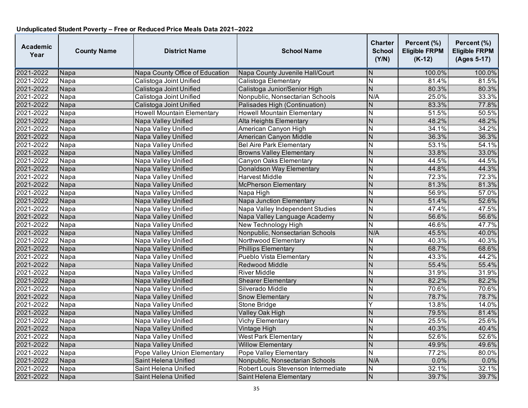| <b>Academic</b><br>Year | <b>County Name</b> | <b>District Name</b>              | <b>School Name</b>                  | <b>Charter</b><br><b>School</b><br>(Y/N) | Percent (%)<br><b>Eligible FRPM</b><br>$(K-12)$ | Percent (%)<br><b>Eligible FRPM</b><br>(Ages 5-17) |
|-------------------------|--------------------|-----------------------------------|-------------------------------------|------------------------------------------|-------------------------------------------------|----------------------------------------------------|
| 2021-2022               | Napa               | Napa County Office of Education   | Napa County Juvenile Hall/Court     | N                                        | 100.0%                                          | 100.0%                                             |
| 2021-2022               | Napa               | Calistoga Joint Unified           | Calistoga Elementary                | N                                        | 81.4%                                           | 81.5%                                              |
| 2021-2022               | Napa               | Calistoga Joint Unified           | Calistoga Junior/Senior High        | $\overline{N}$                           | 80.3%                                           | 80.3%                                              |
| 2021-2022               | Napa               | Calistoga Joint Unified           | Nonpublic, Nonsectarian Schools     | N/A                                      | 25.0%                                           | 33.3%                                              |
| 2021-2022               | Napa               | Calistoga Joint Unified           | Palisades High (Continuation)       | ${\sf N}$                                | 83.3%                                           | 77.8%                                              |
| 2021-2022               | Napa               | <b>Howell Mountain Elementary</b> | <b>Howell Mountain Elementary</b>   | $\overline{N}$                           | 51.5%                                           | 50.5%                                              |
| 2021-2022               | Napa               | Napa Valley Unified               | Alta Heights Elementary             | N                                        | 48.2%                                           | 48.2%                                              |
| 2021-2022               | Napa               | <b>Napa Valley Unified</b>        | American Canyon High                | N                                        | 34.1%                                           | 34.2%                                              |
| 2021-2022               | Napa               | Napa Valley Unified               | American Canyon Middle              | $\overline{N}$                           | 36.3%                                           | 36.3%                                              |
| 2021-2022               | Napa               | Napa Valley Unified               | <b>Bel Aire Park Elementary</b>     | $\overline{\mathsf{N}}$                  | 53.1%                                           | 54.1%                                              |
| 2021-2022               | Napa               | Napa Valley Unified               | <b>Browns Valley Elementary</b>     | $\overline{N}$                           | 33.8%                                           | 33.0%                                              |
| 2021-2022               | Napa               | Napa Valley Unified               | Canyon Oaks Elementary              | N                                        | 44.5%                                           | 44.5%                                              |
| 2021-2022               | Napa               | Napa Valley Unified               | Donaldson Way Elementary            | $\overline{N}$                           | 44.8%                                           | 44.3%                                              |
| 2021-2022               | Napa               | Napa Valley Unified               | <b>Harvest Middle</b>               | $\overline{\mathsf{N}}$                  | 72.3%                                           | 72.3%                                              |
| 2021-2022               | Napa               | Napa Valley Unified               | <b>McPherson Elementary</b>         | $\overline{N}$                           | 81.3%                                           | 81.3%                                              |
| 2021-2022               | Napa               | Napa Valley Unified               | Napa High                           | N                                        | 56.9%                                           | 57.0%                                              |
| 2021-2022               | Napa               | Napa Valley Unified               | <b>Napa Junction Elementary</b>     | ${\sf N}$                                | 51.4%                                           | 52.6%                                              |
| 2021-2022               | Napa               | Napa Valley Unified               | Napa Valley Independent Studies     | $\overline{\mathsf{N}}$                  | 47.4%                                           | 47.5%                                              |
| 2021-2022               | Napa               | Napa Valley Unified               | Napa Valley Language Academy        | N                                        | 56.6%                                           | 56.6%                                              |
| 2021-2022               | Napa               | Napa Valley Unified               | New Technology High                 | $\overline{\mathsf{N}}$                  | 46.6%                                           | 47.7%                                              |
| 2021-2022               | Napa               | Napa Valley Unified               | Nonpublic, Nonsectarian Schools     | N/A                                      | 45.5%                                           | 40.0%                                              |
| 2021-2022               | Napa               | Napa Valley Unified               | Northwood Elementary                | N                                        | 40.3%                                           | 40.3%                                              |
| 2021-2022               | Napa               | Napa Valley Unified               | <b>Phillips Elementary</b>          | $\overline{N}$                           | 68.7%                                           | 68.6%                                              |
| 2021-2022               | Napa               | Napa Valley Unified               | Pueblo Vista Elementary             | $\overline{N}$                           | 43.3%                                           | 44.2%                                              |
| 2021-2022               | Napa               | Napa Valley Unified               | Redwood Middle                      | N                                        | 55.4%                                           | 55.4%                                              |
| 2021-2022               | Napa               | Napa Valley Unified               | <b>River Middle</b>                 | N                                        | 31.9%                                           | 31.9%                                              |
| 2021-2022               | Napa               | Napa Valley Unified               | <b>Shearer Elementary</b>           | N                                        | 82.2%                                           | 82.2%                                              |
| 2021-2022               | Napa               | Napa Valley Unified               | Silverado Middle                    | N                                        | 70.6%                                           | 70.6%                                              |
| 2021-2022               | Napa               | Napa Valley Unified               | <b>Snow Elementary</b>              | $\overline{N}$                           | 78.7%                                           | 78.7%                                              |
| 2021-2022               | Napa               | Napa Valley Unified               | Stone Bridge                        | Υ                                        | 13.8%                                           | 14.0%                                              |
| 2021-2022               | Napa               | Napa Valley Unified               | Valley Oak High                     | N                                        | 79.5%                                           | 81.4%                                              |
| 2021-2022               | Napa               | Napa Valley Unified               | <b>Vichy Elementary</b>             | $\overline{\mathsf{N}}$                  | 25.5%                                           | 25.6%                                              |
| 2021-2022               | Napa               | Napa Valley Unified               | Vintage High                        | N                                        | 40.3%                                           | 40.4%                                              |
| 2021-2022               | Napa               | Napa Valley Unified               | <b>West Park Elementary</b>         | N                                        | 52.6%                                           | 52.6%                                              |
| 2021-2022               | Napa               | Napa Valley Unified               | <b>Willow Elementary</b>            | $\overline{N}$                           | 49.9%                                           | 49.6%                                              |
| 2021-2022               | Napa               | Pope Valley Union Elementary      | Pope Valley Elementary              | $\overline{N}$                           | 77.2%                                           | 80.0%                                              |
| 2021-2022               | Napa               | Saint Helena Unified              | Nonpublic, Nonsectarian Schools     | N/A                                      | 0.0%                                            | 0.0%                                               |
| 2021-2022               | Napa               | Saint Helena Unified              | Robert Louis Stevenson Intermediate | N                                        | 32.1%                                           | 32.1%                                              |
| 2021-2022               | Napa               | Saint Helena Unified              | Saint Helena Elementary             | $\overline{N}$                           | 39.7%                                           | 39.7%                                              |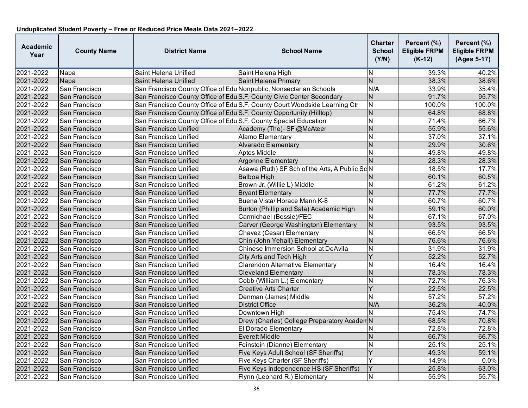| <b>Academic</b><br>Year | <b>County Name</b> | <b>District Name</b>                                                 | <b>School Name</b>                                                         | <b>Charter</b><br><b>School</b><br>(Y/N) | Percent (%)<br><b>Eligible FRPM</b><br>$(K-12)$ | Percent (%)<br><b>Eligible FRPM</b><br>(Ages 5-17) |
|-------------------------|--------------------|----------------------------------------------------------------------|----------------------------------------------------------------------------|------------------------------------------|-------------------------------------------------|----------------------------------------------------|
| 2021-2022               | Napa               | Saint Helena Unified                                                 | Saint Helena High                                                          | ΙN                                       | 39.3%                                           | 40.2%                                              |
| 2021-2022               | Napa               | Saint Helena Unified                                                 | Saint Helena Primary                                                       | $\overline{N}$                           | 38.3%                                           | 38.6%                                              |
| 2021-2022               | San Francisco      | San Francisco County Office of Edu Nonpublic, Nonsectarian Schools   |                                                                            | N/A                                      | 33.9%                                           | 35.4%                                              |
| 2021-2022               | San Francisco      |                                                                      | San Francisco County Office of Edu S.F. County Civic Center Secondary      | N                                        | 91.7%                                           | 95.7%                                              |
| 2021-2022               | San Francisco      |                                                                      | San Francisco County Office of Edu S.F. County Court Woodside Learning Ctr | N                                        | 100.0%                                          | 100.0%                                             |
| 2021-2022               | San Francisco      | San Francisco County Office of Edu S.F. County Opportunity (Hilltop) |                                                                            | $\overline{N}$                           | 64.8%                                           | 68.8%                                              |
| 2021-2022               | San Francisco      | San Francisco County Office of Edu S.F. County Special Education     |                                                                            | N                                        | 71.4%                                           | 66.7%                                              |
| 2021-2022               | San Francisco      | San Francisco Unified                                                | Academy (The)- SF @McAteer                                                 | N                                        | 55.9%                                           | 55.6%                                              |
| 2021-2022               | San Francisco      | San Francisco Unified                                                | Alamo Elementary                                                           | N                                        | 37.0%                                           | 37.1%                                              |
| 2021-2022               | San Francisco      | San Francisco Unified                                                | Alvarado Elementary                                                        | $\overline{N}$                           | 29.9%                                           | 30.6%                                              |
| 2021-2022               | San Francisco      | San Francisco Unified                                                | <b>Aptos Middle</b>                                                        | $\overline{\mathsf{N}}$                  | 49.8%                                           | 49.8%                                              |
| 2021-2022               | San Francisco      | San Francisco Unified                                                | <b>Argonne Elementary</b>                                                  | N                                        | 28.3%                                           | 28.3%                                              |
| 2021-2022               | San Francisco      | San Francisco Unified                                                | Asawa (Ruth) SF Sch of the Arts, A Public ScN                              |                                          | 18.5%                                           | 17.7%                                              |
| 2021-2022               | San Francisco      | San Francisco Unified                                                | Balboa High                                                                | N                                        | 60.1%                                           | 60.5%                                              |
| 2021-2022               | San Francisco      | San Francisco Unified                                                | Brown Jr. (Willie L) Middle                                                | N                                        | 61.2%                                           | 61.2%                                              |
| 2021-2022               | San Francisco      | San Francisco Unified                                                | <b>Bryant Elementary</b>                                                   | N                                        | 77.7%                                           | 77.7%                                              |
| 2021-2022               | San Francisco      | San Francisco Unified                                                | Buena Vista/Horace Mann K-8                                                | N                                        | 60.7%                                           | 60.7%                                              |
| 2021-2022               | San Francisco      | San Francisco Unified                                                | Burton (Phillip and Sala) Academic High                                    | N                                        | 59.1%                                           | 60.0%                                              |
| 2021-2022               | San Francisco      | San Francisco Unified                                                | Carmichael (Bessie)/FEC                                                    | $\mathsf{N}$                             | 67.1%                                           | 67.0%                                              |
| 2021-2022               | San Francisco      | San Francisco Unified                                                | Carver (George Washington) Elementary                                      | $\overline{N}$                           | 93.5%                                           | 93.5%                                              |
| 2021-2022               | San Francisco      | San Francisco Unified                                                | Chavez (Cesar) Elementary                                                  | N                                        | 66.5%                                           | 66.5%                                              |
| 2021-2022               | San Francisco      | San Francisco Unified                                                | Chin (John Yehall) Elementary                                              | $\overline{N}$                           | 76.6%                                           | 76.6%                                              |
| 2021-2022               | San Francisco      | San Francisco Unified                                                | Chinese Immersion School at DeAvila                                        | $\overline{\mathsf{N}}$                  | 31.9%                                           | 31.9%                                              |
| 2021-2022               | San Francisco      | San Francisco Unified                                                | City Arts and Tech High                                                    | Y                                        | 52.2%                                           | 52.7%                                              |
| 2021-2022               | San Francisco      | San Francisco Unified                                                | Clarendon Alternative Elementary                                           | N                                        | 16.4%                                           | 16.4%                                              |
| 2021-2022               | San Francisco      | San Francisco Unified                                                | <b>Cleveland Elementary</b>                                                | N                                        | 78.3%                                           | 78.3%                                              |
| 2021-2022               | San Francisco      | San Francisco Unified                                                | Cobb (William L.) Elementary                                               | $\mathsf{N}$                             | 72.7%                                           | 76.3%                                              |
| 2021-2022               | San Francisco      | San Francisco Unified                                                | <b>Creative Arts Charter</b>                                               | Ÿ                                        | 22.5%                                           | 22.5%                                              |
| 2021-2022               | San Francisco      | San Francisco Unified                                                | Denman (James) Middle                                                      | $\overline{\mathsf{N}}$                  | 57.2%                                           | 57.2%                                              |
| 2021-2022               | San Francisco      | San Francisco Unified                                                | <b>District Office</b>                                                     | N/A                                      | 36.2%                                           | 40.0%                                              |
| 2021-2022               | San Francisco      | San Francisco Unified                                                | Downtown High                                                              | N                                        | 75.4%                                           | 74.7%                                              |
| 2021-2022               | San Francisco      | San Francisco Unified                                                | Drew (Charles) College Preparatory AcademN                                 |                                          | 68.5%                                           | 70.8%                                              |
| 2021-2022               | San Francisco      | San Francisco Unified                                                | El Dorado Elementary                                                       | N                                        | 72.8%                                           | 72.8%                                              |
| 2021-2022               | San Francisco      | San Francisco Unified                                                | <b>Everett Middle</b>                                                      | N                                        | 66.7%                                           | 66.7%                                              |
| 2021-2022               | San Francisco      | San Francisco Unified                                                | Feinstein (Dianne) Elementary                                              | N                                        | 25.1%                                           | 25.1%                                              |
| 2021-2022               | San Francisco      | San Francisco Unified                                                | Five Keys Adult School (SF Sheriffs)                                       | Y                                        | 49.3%                                           | 59.1%                                              |
| 2021-2022               | San Francisco      | San Francisco Unified                                                | Five Keys Charter (SF Sheriffs)                                            | Y                                        | 14.9%                                           | 0.0%                                               |
| 2021-2022               | San Francisco      | San Francisco Unified                                                | Five Keys Independence HS (SF Sheriffs)                                    | Y                                        | 25.8%                                           | 63.0%                                              |
| 2021-2022               | San Francisco      | San Francisco Unified                                                | Flynn (Leonard R.) Elementary                                              | $\mathsf{N}$                             | 55.9%                                           | 55.7%                                              |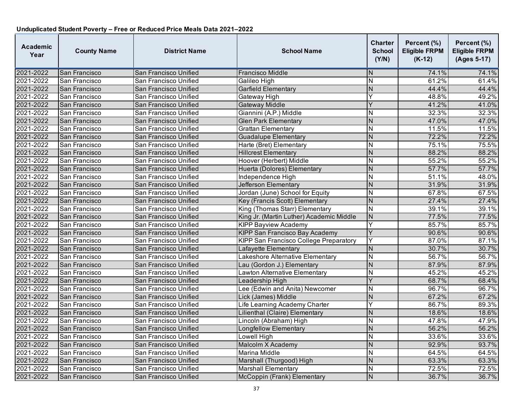| <b>Academic</b><br>Year | <b>County Name</b> | <b>District Name</b>  | <b>School Name</b>                            | <b>Charter</b><br><b>School</b><br>(Y/N) | Percent (%)<br><b>Eligible FRPM</b><br>$(K-12)$ | Percent (%)<br><b>Eligible FRPM</b><br>(Ages 5-17) |
|-------------------------|--------------------|-----------------------|-----------------------------------------------|------------------------------------------|-------------------------------------------------|----------------------------------------------------|
| 2021-2022               | San Francisco      | San Francisco Unified | Francisco Middle                              | N                                        | 74.1%                                           | 74.1%                                              |
| 2021-2022               | San Francisco      | San Francisco Unified | Galileo High                                  | N                                        | 61.2%                                           | 61.4%                                              |
| 2021-2022               | San Francisco      | San Francisco Unified | <b>Garfield Elementary</b>                    | $\overline{N}$                           | 44.4%                                           | 44.4%                                              |
| 2021-2022               | San Francisco      | San Francisco Unified | Gateway High                                  | Y                                        | 48.8%                                           | 49.2%                                              |
| 2021-2022               | San Francisco      | San Francisco Unified | Gateway Middle                                | Y                                        | 41.2%                                           | 41.0%                                              |
| 2021-2022               | San Francisco      | San Francisco Unified | Giannini (A.P.) Middle                        | N                                        | 32.3%                                           | 32.3%                                              |
| 2021-2022               | San Francisco      | San Francisco Unified | <b>Glen Park Elementary</b>                   | N                                        | 47.0%                                           | 47.0%                                              |
| 2021-2022               | San Francisco      | San Francisco Unified | Grattan Elementary                            | N                                        | 11.5%                                           | 11.5%                                              |
| 2021-2022               | San Francisco      | San Francisco Unified | <b>Guadalupe Elementary</b>                   | N                                        | 72.2%                                           | 72.2%                                              |
| 2021-2022               | San Francisco      | San Francisco Unified | Harte (Bret) Elementary                       | N                                        | 75.1%                                           | 75.5%                                              |
| 2021-2022               | San Francisco      | San Francisco Unified | <b>Hillcrest Elementary</b>                   | $\mathsf{N}$                             | 88.2%                                           | 88.2%                                              |
| 2021-2022               | San Francisco      | San Francisco Unified | Hoover (Herbert) Middle                       | N                                        | 55.2%                                           | 55.2%                                              |
| 2021-2022               | San Francisco      | San Francisco Unified | Huerta (Dolores) Elementary                   | N                                        | 57.7%                                           | 57.7%                                              |
| 2021-2022               | San Francisco      | San Francisco Unified | Independence High                             | $\overline{\mathsf{N}}$                  | 51.1%                                           | 48.0%                                              |
| 2021-2022               | San Francisco      | San Francisco Unified | Jefferson Elementary                          | N                                        | 31.9%                                           | 31.9%                                              |
| 2021-2022               | San Francisco      | San Francisco Unified | Jordan (June) School for Equity               | N                                        | 67.8%                                           | 67.5%                                              |
| 2021-2022               | San Francisco      | San Francisco Unified | Key (Francis Scott) Elementary                | $\overline{N}$                           | 27.4%                                           | 27.4%                                              |
| 2021-2022               | San Francisco      | San Francisco Unified | King (Thomas Starr) Elementary                | N                                        | 39.1%                                           | 39.1%                                              |
| 2021-2022               | San Francisco      | San Francisco Unified | King Jr. (Martin Luther) Academic Middle      | N                                        | 77.5%                                           | 77.5%                                              |
| 2021-2022               | San Francisco      | San Francisco Unified | <b>KIPP Bayview Academy</b>                   | Y                                        | 85.7%                                           | 85.7%                                              |
| 2021-2022               | San Francisco      | San Francisco Unified | <b>KIPP San Francisco Bay Academy</b>         | Y                                        | 90.6%                                           | 90.6%                                              |
| 2021-2022               | San Francisco      | San Francisco Unified | <b>KIPP San Francisco College Preparatory</b> | Y                                        | 87.0%                                           | 87.1%                                              |
| 2021-2022               | San Francisco      | San Francisco Unified | Lafayette Elementary                          | $\mathsf{N}$                             | 30.7%                                           | 30.7%                                              |
| 2021-2022               | San Francisco      | San Francisco Unified | Lakeshore Alternative Elementary              | N                                        | 56.7%                                           | 56.7%                                              |
| 2021-2022               | San Francisco      | San Francisco Unified | Lau (Gordon J.) Elementary                    | $\overline{N}$                           | 87.9%                                           | 87.9%                                              |
| 2021-2022               | San Francisco      | San Francisco Unified | Lawton Alternative Elementary                 | N                                        | 45.2%                                           | 45.2%                                              |
| 2021-2022               | San Francisco      | San Francisco Unified | Leadership High                               | Y                                        | 68.7%                                           | 68.4%                                              |
| 2021-2022               | San Francisco      | San Francisco Unified | Lee (Edwin and Anita) Newcomer                | N                                        | 96.7%                                           | 96.7%                                              |
| 2021-2022               | San Francisco      | San Francisco Unified | Lick (James) Middle                           | N                                        | 67.2%                                           | 67.2%                                              |
| 2021-2022               | San Francisco      | San Francisco Unified | Life Learning Academy Charter                 | Y                                        | 86.7%                                           | 89.3%                                              |
| 2021-2022               | San Francisco      | San Francisco Unified | Lilienthal (Claire) Elementary                | $\mathsf{N}$                             | 18.6%                                           | 18.6%                                              |
| 2021-2022               | San Francisco      | San Francisco Unified | Lincoln (Abraham) High                        | N                                        | 47.8%                                           | 47.9%                                              |
| 2021-2022               | San Francisco      | San Francisco Unified | <b>Longfellow Elementary</b>                  | $\mathsf{N}$                             | 56.2%                                           | 56.2%                                              |
| 2021-2022               | San Francisco      | San Francisco Unified | Lowell High                                   | N                                        | 33.6%                                           | 33.6%                                              |
| 2021-2022               | San Francisco      | San Francisco Unified | Malcolm X Academy                             | $\overline{N}$                           | 92.9%                                           | 93.7%                                              |
| 2021-2022               | San Francisco      | San Francisco Unified | <b>Marina Middle</b>                          | $\overline{\mathsf{N}}$                  | 64.5%                                           | 64.5%                                              |
| 2021-2022               | San Francisco      | San Francisco Unified | Marshall (Thurgood) High                      | N                                        | 63.3%                                           | 63.3%                                              |
| 2021-2022               | San Francisco      | San Francisco Unified | <b>Marshall Elementary</b>                    | N                                        | 72.5%                                           | 72.5%                                              |
| 2021-2022               | San Francisco      | San Francisco Unified | McCoppin (Frank) Elementary                   | N                                        | 36.7%                                           | 36.7%                                              |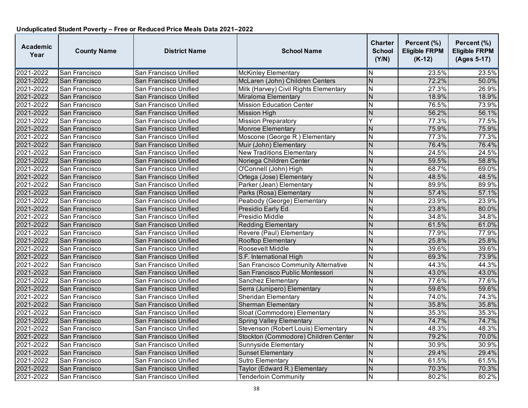| <b>Academic</b><br>Year | <b>County Name</b> | <b>District Name</b>  | <b>School Name</b>                    | <b>Charter</b><br><b>School</b><br>(Y/N) | Percent (%)<br><b>Eligible FRPM</b><br>$(K-12)$ | Percent (%)<br><b>Eligible FRPM</b><br>(Ages 5-17) |
|-------------------------|--------------------|-----------------------|---------------------------------------|------------------------------------------|-------------------------------------------------|----------------------------------------------------|
| 2021-2022               | San Francisco      | San Francisco Unified | <b>McKinley Elementary</b>            | ΙN                                       | 23.5%                                           | 23.5%                                              |
| 2021-2022               | San Francisco      | San Francisco Unified | McLaren (John) Children Centers       | N                                        | 72.2%                                           | 50.0%                                              |
| 2021-2022               | San Francisco      | San Francisco Unified | Milk (Harvey) Civil Rights Elementary | $\overline{N}$                           | 27.3%                                           | 26.9%                                              |
| 2021-2022               | San Francisco      | San Francisco Unified | Miraloma Elementary                   | N                                        | 18.9%                                           | 18.9%                                              |
| 2021-2022               | San Francisco      | San Francisco Unified | <b>Mission Education Center</b>       | N                                        | 76.5%                                           | 73.9%                                              |
| 2021-2022               | San Francisco      | San Francisco Unified | <b>Mission High</b>                   | N                                        | 56.2%                                           | 56.1%                                              |
| 2021-2022               | San Francisco      | San Francisco Unified | <b>Mission Preparatory</b>            | Y                                        | 77.3%                                           | 77.5%                                              |
| 2021-2022               | San Francisco      | San Francisco Unified | Monroe Elementary                     | <b>N</b>                                 | 75.9%                                           | 75.9%                                              |
| 2021-2022               | San Francisco      | San Francisco Unified | Moscone (George R.) Elementary        | N                                        | 77.3%                                           | 77.3%                                              |
| 2021-2022               | San Francisco      | San Francisco Unified | Muir (John) Elementary                | N                                        | 76.4%                                           | 76.4%                                              |
| 2021-2022               | San Francisco      | San Francisco Unified | <b>New Traditions Elementary</b>      | IN                                       | 24.5%                                           | 24.5%                                              |
| 2021-2022               | San Francisco      | San Francisco Unified | Noriega Children Center               | N                                        | 59.5%                                           | 58.8%                                              |
| 2021-2022               | San Francisco      | San Francisco Unified | O'Connell (John) High                 | <b>N</b>                                 | 68.7%                                           | 69.0%                                              |
| 2021-2022               | San Francisco      | San Francisco Unified | Ortega (Jose) Elementary              | Z                                        | 48.5%                                           | 48.5%                                              |
| 2021-2022               | San Francisco      | San Francisco Unified | Parker (Jean) Elementary              | N                                        | 89.9%                                           | 89.9%                                              |
| 2021-2022               | San Francisco      | San Francisco Unified | Parks (Rosa) Elementary               | $\overline{\mathsf{N}}$                  | 57.4%                                           | 57.1%                                              |
| 2021-2022               | San Francisco      | San Francisco Unified | Peabody (George) Elementary           | N                                        | 23.9%                                           | 23.9%                                              |
| 2021-2022               | San Francisco      | San Francisco Unified | Presidio Early Ed.                    | $\mathsf{N}$                             | 23.8%                                           | 80.0%                                              |
| 2021-2022               | San Francisco      | San Francisco Unified | Presidio Middle                       | N                                        | 34.8%                                           | 34.8%                                              |
| 2021-2022               | San Francisco      | San Francisco Unified | <b>Redding Elementary</b>             | N                                        | 61.5%                                           | 61.0%                                              |
| 2021-2022               | San Francisco      | San Francisco Unified | Revere (Paul) Elementary              | N                                        | 77.9%                                           | 77.9%                                              |
| 2021-2022               | San Francisco      | San Francisco Unified | Rooftop Elementary                    | <b>N</b>                                 | 25.8%                                           | 25.8%                                              |
| 2021-2022               | San Francisco      | San Francisco Unified | Roosevelt Middle                      | N                                        | 39.6%                                           | 39.6%                                              |
| 2021-2022               | San Francisco      | San Francisco Unified | S.F. International High               | Z                                        | 69.3%                                           | 73.9%                                              |
| 2021-2022               | San Francisco      | San Francisco Unified | San Francisco Community Alternative   | IN.                                      | 44.3%                                           | 44.3%                                              |
| 2021-2022               | San Francisco      | San Francisco Unified | San Francisco Public Montessori       | N                                        | 43.0%                                           | 43.0%                                              |
| 2021-2022               | San Francisco      | San Francisco Unified | Sanchez Elementary                    | N                                        | 77.6%                                           | 77.6%                                              |
| 2021-2022               | San Francisco      | San Francisco Unified | Serra (Junipero) Elementary           | N                                        | 59.6%                                           | 59.6%                                              |
| 2021-2022               | San Francisco      | San Francisco Unified | <b>Sheridan Elementary</b>            | N                                        | 74.0%                                           | 74.3%                                              |
| 2021-2022               | San Francisco      | San Francisco Unified | <b>Sherman Elementary</b>             | N                                        | 35.8%                                           | 35.8%                                              |
| 2021-2022               | San Francisco      | San Francisco Unified | Sloat (Commodore) Elementary          | $\overline{\mathsf{N}}$                  | 35.3%                                           | 35.3%                                              |
| 2021-2022               | San Francisco      | San Francisco Unified | <b>Spring Valley Elementary</b>       | N                                        | 74.7%                                           | 74.7%                                              |
| 2021-2022               | San Francisco      | San Francisco Unified | Stevenson (Robert Louis) Elementary   | <b>N</b>                                 | 48.3%                                           | 48.3%                                              |
| 2021-2022               | San Francisco      | San Francisco Unified | Stockton (Commodore) Children Center  | N                                        | 79.2%                                           | 70.0%                                              |
| 2021-2022               | San Francisco      | San Francisco Unified | Sunnyside Elementary                  | <b>N</b>                                 | 30.9%                                           | 30.9%                                              |
| 2021-2022               | San Francisco      | San Francisco Unified | <b>Sunset Elementary</b>              | $\overline{\mathsf{N}}$                  | 29.4%                                           | 29.4%                                              |
| 2021-2022               | San Francisco      | San Francisco Unified | <b>Sutro Elementary</b>               | N                                        | 61.5%                                           | 61.5%                                              |
| 2021-2022               | San Francisco      | San Francisco Unified | Taylor (Edward R.) Elementary         | N                                        | 70.3%                                           | 70.3%                                              |
| 2021-2022               | San Francisco      | San Francisco Unified | <b>Tenderloin Community</b>           | N                                        | 80.2%                                           | 80.2%                                              |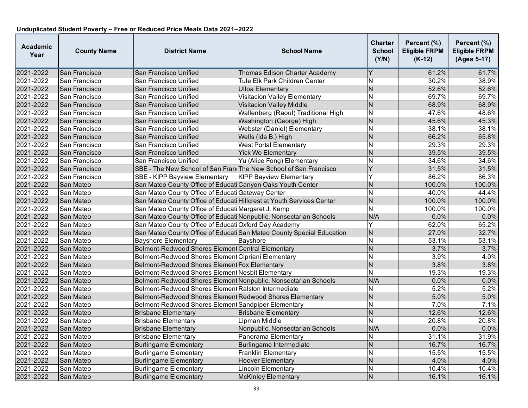| <b>Academic</b><br>Year | <b>County Name</b> | <b>District Name</b>                                                  | <b>School Name</b>                                                    | <b>Charter</b><br><b>School</b><br>(Y/N) | Percent (%)<br><b>Eligible FRPM</b><br>$(K-12)$ | Percent (%)<br><b>Eligible FRPM</b><br>(Ages 5-17) |
|-------------------------|--------------------|-----------------------------------------------------------------------|-----------------------------------------------------------------------|------------------------------------------|-------------------------------------------------|----------------------------------------------------|
| 2021-2022               | San Francisco      | San Francisco Unified                                                 | Thomas Edison Charter Academy                                         |                                          | 61.2%                                           | 61.7%                                              |
| 2021-2022               | San Francisco      | San Francisco Unified                                                 | Tule Elk Park Children Center                                         | $\overline{N}$                           | 30.2%                                           | 38.9%                                              |
| 2021-2022               | San Francisco      | San Francisco Unified                                                 | <b>Ulloa Elementary</b>                                               | N                                        | 52.6%                                           | 52.6%                                              |
| 2021-2022               | San Francisco      | San Francisco Unified                                                 | <b>Visitacion Valley Elementary</b>                                   | N                                        | 69.7%                                           | 69.7%                                              |
| 2021-2022               | San Francisco      | San Francisco Unified                                                 | Visitacion Valley Middle                                              | $\mathsf{N}$                             | 68.9%                                           | 68.9%                                              |
| 2021-2022               | San Francisco      | San Francisco Unified                                                 | Wallenberg (Raoul) Traditional High                                   | N                                        | 47.6%                                           | 48.6%                                              |
| 2021-2022               | San Francisco      | San Francisco Unified                                                 | Washington (George) High                                              | $\overline{N}$                           | 45.6%                                           | 45.3%                                              |
| 2021-2022               | San Francisco      | San Francisco Unified                                                 | Webster (Daniel) Elementary                                           | N                                        | 38.1%                                           | 38.1%                                              |
| 2021-2022               | San Francisco      | San Francisco Unified                                                 | Wells (Ida B.) High                                                   | N                                        | 66.2%                                           | 65.8%                                              |
| 2021-2022               | San Francisco      | San Francisco Unified                                                 | <b>West Portal Elementary</b>                                         | N                                        | 29.3%                                           | 29.3%                                              |
| 2021-2022               | San Francisco      | San Francisco Unified                                                 | <b>Yick Wo Elementary</b>                                             | N                                        | 39.5%                                           | 39.5%                                              |
| 2021-2022               | San Francisco      | San Francisco Unified                                                 | Yu (Alice Fong) Elementary                                            | N                                        | 34.6%                                           | 34.6%                                              |
| 2021-2022               | San Francisco      | SBE - The New School of San Fran The New School of San Francisco      |                                                                       | Ÿ                                        | 31.5%                                           | 31.5%                                              |
| 2021-2022               | San Francisco      | <b>SBE - KIPP Bayview Elementary</b>                                  | <b>KIPP Bayview Elementary</b>                                        | Y                                        | 86.2%                                           | 86.3%                                              |
| 2021-2022               | San Mateo          | San Mateo County Office of Educati Canyon Oaks Youth Center           |                                                                       | N                                        | 100.0%                                          | 100.0%                                             |
| 2021-2022               | San Mateo          | San Mateo County Office of Educati Gateway Center                     |                                                                       | $\overline{\mathsf{N}}$                  | 40.0%                                           | 44.4%                                              |
| 2021-2022               | San Mateo          | San Mateo County Office of Educati Hillcrest at Youth Services Center |                                                                       | N                                        | 100.0%                                          | 100.0%                                             |
| 2021-2022               | San Mateo          | San Mateo County Office of Educati Margaret J. Kemp                   |                                                                       | $\overline{\mathsf{N}}$                  | 100.0%                                          | 100.0%                                             |
| 2021-2022               | San Mateo          | San Mateo County Office of Educati Nonpublic, Nonsectarian Schools    |                                                                       | N/A                                      | 0.0%                                            | 0.0%                                               |
| 2021-2022               | San Mateo          | San Mateo County Office of Educati Oxford Day Academy                 |                                                                       | Υ                                        | 62.0%                                           | 65.2%                                              |
| 2021-2022               | San Mateo          |                                                                       | San Mateo County Office of Educati San Mateo County Special Education | N                                        | 27.0%                                           | 32.7%                                              |
| 2021-2022               | San Mateo          | <b>Bayshore Elementary</b>                                            | <b>Bayshore</b>                                                       | N                                        | 53.1%                                           | 53.1%                                              |
| 2021-2022               | San Mateo          | Belmont-Redwood Shores Element Central Elementary                     |                                                                       | N                                        | 3.7%                                            | 3.7%                                               |
| 2021-2022               | San Mateo          | Belmont-Redwood Shores Element Cipriani Elementary                    |                                                                       | $\overline{N}$                           | 3.9%                                            | 4.0%                                               |
| 2021-2022               | San Mateo          | Belmont-Redwood Shores Element Fox Elementary                         |                                                                       | $\overline{\mathsf{N}}$                  | 3.8%                                            | 3.8%                                               |
| 2021-2022               | San Mateo          | Belmont-Redwood Shores Element Nesbit Elementary                      |                                                                       | $\overline{\mathsf{N}}$                  | 19.3%                                           | 19.3%                                              |
| 2021-2022               | San Mateo          | Belmont-Redwood Shores Element Nonpublic, Nonsectarian Schools        |                                                                       | N/A                                      | 0.0%                                            | 0.0%                                               |
| 2021-2022               | San Mateo          | Belmont-Redwood Shores Element Ralston Intermediate                   |                                                                       | Ν                                        | 5.2%                                            | 5.2%                                               |
| 2021-2022               | San Mateo          | Belmont-Redwood Shores Element Redwood Shores Elementary              |                                                                       | $\overline{N}$                           | 5.0%                                            | 5.0%                                               |
| 2021-2022               | San Mateo          | Belmont-Redwood Shores Element Sandpiper Elementary                   |                                                                       | N                                        | 7.0%                                            | 7.1%                                               |
| 2021-2022               | San Mateo          | <b>Brisbane Elementary</b>                                            | <b>Brisbane Elementary</b>                                            | $\mathsf{N}$                             | 12.6%                                           | 12.6%                                              |
| 2021-2022               | San Mateo          | <b>Brisbane Elementary</b>                                            | <b>Lipman Middle</b>                                                  | N                                        | 20.8%                                           | 20.8%                                              |
| 2021-2022               | San Mateo          | <b>Brisbane Elementary</b>                                            | Nonpublic, Nonsectarian Schools                                       | N/A                                      | 0.0%                                            | 0.0%                                               |
| 2021-2022               | San Mateo          | <b>Brisbane Elementary</b>                                            | Panorama Elementary                                                   | Ν                                        | 31.1%                                           | 31.9%                                              |
| 2021-2022               | San Mateo          | <b>Burlingame Elementary</b>                                          | Burlingame Intermediate                                               | $\overline{N}$                           | 16.7%                                           | 16.7%                                              |
| 2021-2022               | San Mateo          | <b>Burlingame Elementary</b>                                          | Franklin Elementary                                                   | $\overline{\mathsf{N}}$                  | 15.5%                                           | 15.5%                                              |
| 2021-2022               | San Mateo          | <b>Burlingame Elementary</b>                                          | <b>Hoover Elementary</b>                                              | N                                        | 4.0%                                            | 4.0%                                               |
| 2021-2022               | San Mateo          | <b>Burlingame Elementary</b>                                          | <b>Lincoln Elementary</b>                                             | N                                        | 10.4%                                           | 10.4%                                              |
| 2021-2022               | San Mateo          | <b>Burlingame Elementary</b>                                          | <b>McKinley Elementary</b>                                            | N                                        | 16.1%                                           | 16.1%                                              |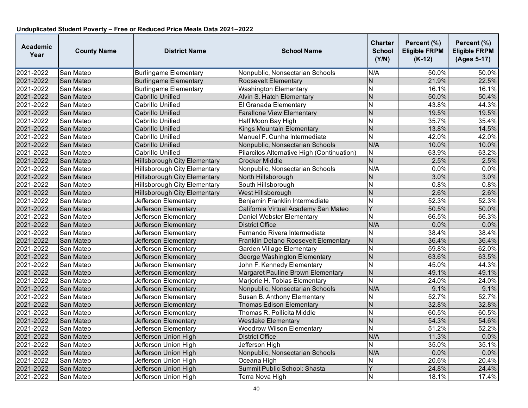| <b>Academic</b><br>Year | <b>County Name</b> | <b>District Name</b>                | <b>School Name</b>                         | <b>Charter</b><br><b>School</b><br>(Y/N) | Percent (%)<br><b>Eligible FRPM</b><br>$(K-12)$ | Percent (%)<br><b>Eligible FRPM</b><br>(Ages 5-17) |
|-------------------------|--------------------|-------------------------------------|--------------------------------------------|------------------------------------------|-------------------------------------------------|----------------------------------------------------|
| 2021-2022               | San Mateo          | <b>Burlingame Elementary</b>        | Nonpublic, Nonsectarian Schools            | N/A                                      | 50.0%                                           | 50.0%                                              |
| 2021-2022               | San Mateo          | <b>Burlingame Elementary</b>        | Roosevelt Elementary                       | N                                        | 21.9%                                           | 22.5%                                              |
| 2021-2022               | San Mateo          | <b>Burlingame Elementary</b>        | <b>Washington Elementary</b>               | $\overline{\mathsf{N}}$                  | 16.1%                                           | 16.1%                                              |
| 2021-2022               | San Mateo          | <b>Cabrillo Unified</b>             | Alvin S. Hatch Elementary                  | $\overline{N}$                           | 50.0%                                           | 50.4%                                              |
| 2021-2022               | San Mateo          | Cabrillo Unified                    | El Granada Elementary                      | N                                        | 43.8%                                           | 44.3%                                              |
| 2021-2022               | San Mateo          | Cabrillo Unified                    | <b>Farallone View Elementary</b>           | $\overline{N}$                           | 19.5%                                           | 19.5%                                              |
| 2021-2022               | San Mateo          | Cabrillo Unified                    | Half Moon Bay High                         | N                                        | 35.7%                                           | 35.4%                                              |
| 2021-2022               | San Mateo          | <b>Cabrillo Unified</b>             | <b>Kings Mountain Elementary</b>           | N                                        | 13.8%                                           | 14.5%                                              |
| 2021-2022               | San Mateo          | Cabrillo Unified                    | Manuel F. Cunha Intermediate               | $\overline{\mathsf{N}}$                  | 42.0%                                           | 42.0%                                              |
| 2021-2022               | San Mateo          | <b>Cabrillo Unified</b>             | Nonpublic, Nonsectarian Schools            | N/A                                      | 10.0%                                           | 10.0%                                              |
| 2021-2022               | San Mateo          | Cabrillo Unified                    | Pilarcitos Alternative High (Continuation) | $\overline{\mathsf{N}}$                  | 63.9%                                           | 63.2%                                              |
| 2021-2022               | San Mateo          | <b>Hillsborough City Elementary</b> | <b>Crocker Middle</b>                      | $\overline{N}$                           | 2.5%                                            | 2.5%                                               |
| 2021-2022               | San Mateo          | <b>Hillsborough City Elementary</b> | Nonpublic, Nonsectarian Schools            | N/A                                      | 0.0%                                            | 0.0%                                               |
| 2021-2022               | San Mateo          | <b>Hillsborough City Elementary</b> | North Hillsborough                         | N                                        | 3.0%                                            | 3.0%                                               |
| 2021-2022               | San Mateo          | Hillsborough City Elementary        | South Hillsborough                         | N                                        | 0.8%                                            | 0.8%                                               |
| 2021-2022               | San Mateo          | <b>Hillsborough City Elementary</b> | West Hillsborough                          | N                                        | 2.6%                                            | 2.6%                                               |
| 2021-2022               | San Mateo          | Jefferson Elementary                | Benjamin Franklin Intermediate             | $\overline{\mathsf{N}}$                  | 52.3%                                           | 52.3%                                              |
| 2021-2022               | San Mateo          | Jefferson Elementary                | California Virtual Academy San Mateo       | Y                                        | 50.5%                                           | 50.0%                                              |
| 2021-2022               | San Mateo          | Jefferson Elementary                | Daniel Webster Elementary                  | N                                        | 66.5%                                           | 66.3%                                              |
| 2021-2022               | San Mateo          | <b>Jefferson Elementary</b>         | <b>District Office</b>                     | N/A                                      | 0.0%                                            | 0.0%                                               |
| 2021-2022               | San Mateo          | Jefferson Elementary                | Fernando Rivera Intermediate               | N                                        | 38.4%                                           | 38.4%                                              |
| 2021-2022               | San Mateo          | Jefferson Elementary                | Franklin Delano Roosevelt Elementary       | $\overline{N}$                           | 36.4%                                           | 36.4%                                              |
| 2021-2022               | San Mateo          | Jefferson Elementary                | Garden Village Elementary                  | ${\sf N}$                                | 59.8%                                           | 62.0%                                              |
| 2021-2022               | San Mateo          | Jefferson Elementary                | George Washington Elementary               | $\overline{N}$                           | 63.6%                                           | 63.5%                                              |
| 2021-2022               | San Mateo          | Jefferson Elementary                | John F. Kennedy Elementary                 | $\overline{\mathsf{N}}$                  | 45.0%                                           | 44.3%                                              |
| 2021-2022               | San Mateo          | Jefferson Elementary                | Margaret Pauline Brown Elementary          | N                                        | 49.1%                                           | 49.1%                                              |
| 2021-2022               | San Mateo          | Jefferson Elementary                | Marjorie H. Tobias Elementary              | $\overline{\mathsf{N}}$                  | 24.0%                                           | 24.0%                                              |
| 2021-2022               | San Mateo          | Jefferson Elementary                | Nonpublic, Nonsectarian Schools            | N/A                                      | 9.1%                                            | 9.1%                                               |
| 2021-2022               | San Mateo          | Jefferson Elementary                | Susan B. Anthony Elementary                | N                                        | 52.7%                                           | 52.7%                                              |
| 2021-2022               | San Mateo          | Jefferson Elementary                | <b>Thomas Edison Elementary</b>            | N                                        | 32.8%                                           | 32.8%                                              |
| 2021-2022               | San Mateo          | Jefferson Elementary                | Thomas R. Pollicita Middle                 | N                                        | 60.5%                                           | 60.5%                                              |
| 2021-2022               | San Mateo          | Jefferson Elementary                | <b>Westlake Elementary</b>                 | N                                        | 54.3%                                           | 54.6%                                              |
| 2021-2022               | San Mateo          | Jefferson Elementary                | <b>Woodrow Wilson Elementary</b>           | $\overline{\mathsf{N}}$                  | 51.2%                                           | 52.2%                                              |
| 2021-2022               | San Mateo          | Jefferson Union High                | <b>District Office</b>                     | N/A                                      | 11.3%                                           | 0.0%                                               |
| 2021-2022               | San Mateo          | Jefferson Union High                | Jefferson High                             | $\overline{\mathsf{N}}$                  | 35.0%                                           | 35.1%                                              |
| 2021-2022               | San Mateo          | Jefferson Union High                | Nonpublic, Nonsectarian Schools            | N/A                                      | 0.0%                                            | 0.0%                                               |
| 2021-2022               | San Mateo          | Jefferson Union High                | Oceana High                                | N                                        | 20.6%                                           | 20.4%                                              |
| 2021-2022               | San Mateo          | Jefferson Union High                | Summit Public School: Shasta               | Y                                        | 24.8%                                           | 24.4%                                              |
| 2021-2022               | San Mateo          | Jefferson Union High                | Terra Nova High                            | N                                        | 18.1%                                           | 17.4%                                              |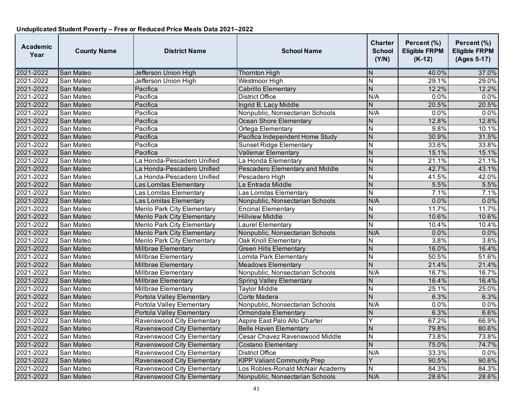| <b>Academic</b><br>Year | <b>County Name</b> | <b>District Name</b>              | <b>School Name</b>                 | Charter<br><b>School</b><br>(Y/N) | Percent (%)<br><b>Eligible FRPM</b><br>$(K-12)$ | Percent (%)<br><b>Eligible FRPM</b><br>(Ages 5-17) |
|-------------------------|--------------------|-----------------------------------|------------------------------------|-----------------------------------|-------------------------------------------------|----------------------------------------------------|
| 2021-2022               | San Mateo          | Jefferson Union High              | <b>Thornton High</b>               | N                                 | 40.0%                                           | 37.0%                                              |
| 2021-2022               | San Mateo          | Jefferson Union High              | Westmoor High                      | $\overline{\mathsf{N}}$           | 29.1%                                           | 29.0%                                              |
| 2021-2022               | San Mateo          | Pacifica                          | <b>Cabrillo Elementary</b>         | $\overline{\mathsf{N}}$           | 12.2%                                           | 12.2%                                              |
| 2021-2022               | San Mateo          | Pacifica                          | District Office                    | N/A                               | 0.0%                                            | 0.0%                                               |
| 2021-2022               | San Mateo          | Pacifica                          | Ingrid B. Lacy Middle              | N                                 | 20.5%                                           | 20.5%                                              |
| 2021-2022               | San Mateo          | Pacifica                          | Nonpublic, Nonsectarian Schools    | N/A                               | 0.0%                                            | 0.0%                                               |
| 2021-2022               | San Mateo          | Pacifica                          | <b>Ocean Shore Elementary</b>      | N                                 | 12.8%                                           | 12.8%                                              |
| 2021-2022               | San Mateo          | Pacifica                          | Ortega Elementary                  | N                                 | 9.8%                                            | 10.1%                                              |
| 2021-2022               | San Mateo          | Pacifica                          | Pacifica Independent Home Study    | N                                 | 30.9%                                           | 31.5%                                              |
| 2021-2022               | San Mateo          | Pacifica                          | <b>Sunset Ridge Elementary</b>     | $\overline{\mathsf{N}}$           | 33.6%                                           | 33.8%                                              |
| 2021-2022               | San Mateo          | Pacifica                          | Vallemar Elementary                | $\overline{\mathsf{N}}$           | 15.1%                                           | 15.1%                                              |
| 2021-2022               | San Mateo          | La Honda-Pescadero Unified        | La Honda Elementary                | $\overline{\mathsf{N}}$           | 21.1%                                           | 21.1%                                              |
| 2021-2022               | San Mateo          | La Honda-Pescadero Unified        | Pescadero Elementary and Middle    | N                                 | 42.7%                                           | 43.1%                                              |
| 2021-2022               | San Mateo          | La Honda-Pescadero Unified        | Pescadero High                     | N                                 | 41.5%                                           | 42.0%                                              |
| 2021-2022               | San Mateo          | Las Lomitas Elementary            | La Entrada Middle                  | $\overline{\mathsf{N}}$           | 5.5%                                            | 5.5%                                               |
| 2021-2022               | San Mateo          | Las Lomitas Elementary            | Las Lomitas Elementary             | N                                 | 7.1%                                            | 7.1%                                               |
| 2021-2022               | San Mateo          | Las Lomitas Elementary            | Nonpublic, Nonsectarian Schools    | N/A                               | 0.0%                                            | 0.0%                                               |
| 2021-2022               | San Mateo          | <b>Menlo Park City Elementary</b> | <b>Encinal Elementary</b>          | N                                 | 11.7%                                           | 11.7%                                              |
| 2021-2022               | San Mateo          | <b>Menlo Park City Elementary</b> | <b>Hillview Middle</b>             | N                                 | 10.6%                                           | 10.6%                                              |
| 2021-2022               | San Mateo          | Menlo Park City Elementary        | Laurel Elementary                  | $\overline{N}$                    | 10.4%                                           | 10.4%                                              |
| 2021-2022               | San Mateo          | Menlo Park City Elementary        | Nonpublic, Nonsectarian Schools    | N/A                               | 0.0%                                            | 0.0%                                               |
| 2021-2022               | San Mateo          | <b>Menlo Park City Elementary</b> | <b>Oak Knoll Elementary</b>        | $\overline{\mathsf{N}}$           | 3.8%                                            | 3.8%                                               |
| 2021-2022               | San Mateo          | Millbrae Elementary               | <b>Green Hills Elementary</b>      | $\overline{\mathsf{N}}$           | 16.0%                                           | 16.4%                                              |
| 2021-2022               | San Mateo          | Millbrae Elementary               | Lomita Park Elementary             | N                                 | 50.5%                                           | 51.6%                                              |
| 2021-2022               | San Mateo          | Millbrae Elementary               | <b>Meadows Elementary</b>          | $\overline{\mathsf{N}}$           | 21.4%                                           | 21.4%                                              |
| 2021-2022               | San Mateo          | Millbrae Elementary               | Nonpublic, Nonsectarian Schools    | N/A                               | 16.7%                                           | 16.7%                                              |
| 2021-2022               | San Mateo          | Millbrae Elementary               | <b>Spring Valley Elementary</b>    | N                                 | 16.4%                                           | 16.4%                                              |
| 2021-2022               | San Mateo          | <b>Millbrae Elementary</b>        | <b>Taylor Middle</b>               | $\overline{N}$                    | 25.1%                                           | 25.0%                                              |
| 2021-2022               | San Mateo          | Portola Valley Elementary         | Corte Madera                       | $\mathsf{N}$                      | 6.3%                                            | 6.3%                                               |
| 2021-2022               | San Mateo          | Portola Valley Elementary         | Nonpublic, Nonsectarian Schools    | N/A                               | 0.0%                                            | 0.0%                                               |
| 2021-2022               | San Mateo          | Portola Valley Elementary         | <b>Ormondale Elementary</b>        | N                                 | 6.3%                                            | 6.6%                                               |
| 2021-2022               | San Mateo          | Ravenswood City Elementary        | Aspire East Palo Alto Charter      | Ÿ                                 | 67.2%                                           | 66.9%                                              |
| 2021-2022               | San Mateo          | Ravenswood City Elementary        | <b>Belle Haven Elementary</b>      | $\overline{\mathsf{N}}$           | 79.8%                                           | 80.6%                                              |
| 2021-2022               | San Mateo          | Ravenswood City Elementary        | Cesar Chavez Ravenswood Middle     | N                                 | 73.8%                                           | 73.8%                                              |
| 2021-2022               | San Mateo          | Ravenswood City Elementary        | <b>Costano Elementary</b>          | $\overline{\mathsf{N}}$           | 75.0%                                           | 74.7%                                              |
| 2021-2022               | San Mateo          | Ravenswood City Elementary        | District Office                    | N/A                               | 33.3%                                           | 0.0%                                               |
| 2021-2022               | San Mateo          | Ravenswood City Elementary        | <b>KIPP Valiant Community Prep</b> | Y                                 | 90.5%                                           | 90.6%                                              |
| 2021-2022               | San Mateo          | Ravenswood City Elementary        | Los Robles-Ronald McNair Academy   | N                                 | 84.3%                                           | 84.3%                                              |
| 2021-2022               | San Mateo          | Ravenswood City Elementary        | Nonpublic, Nonsectarian Schools    | N/A                               | 28.6%                                           | 28.6%                                              |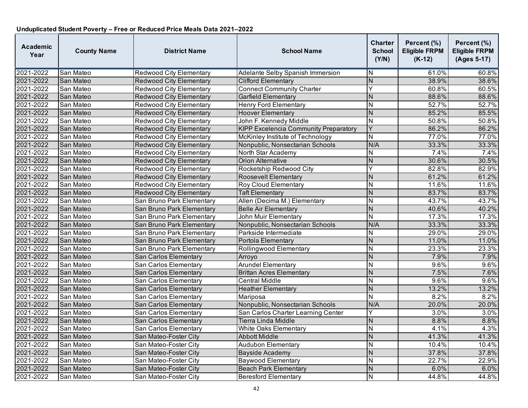| <b>Academic</b><br>Year | <b>County Name</b> | <b>District Name</b>           | <b>School Name</b>                           | <b>Charter</b><br><b>School</b><br>(Y/N) | Percent (%)<br><b>Eligible FRPM</b><br>$(K-12)$ | Percent (%)<br><b>Eligible FRPM</b><br>(Ages 5-17) |
|-------------------------|--------------------|--------------------------------|----------------------------------------------|------------------------------------------|-------------------------------------------------|----------------------------------------------------|
| 2021-2022               | San Mateo          | <b>Redwood City Elementary</b> | <b>Adelante Selby Spanish Immersion</b>      | ΙN                                       | 61.0%                                           | 60.8%                                              |
| 2021-2022               | San Mateo          | <b>Redwood City Elementary</b> | <b>Clifford Elementary</b>                   | $\overline{N}$                           | 38.9%                                           | 38.6%                                              |
| 2021-2022               | San Mateo          | <b>Redwood City Elementary</b> | <b>Connect Community Charter</b>             | Ÿ                                        | 60.8%                                           | 60.5%                                              |
| 2021-2022               | San Mateo          | <b>Redwood City Elementary</b> | Garfield Elementary                          | N                                        | 88.6%                                           | 88.6%                                              |
| 2021-2022               | San Mateo          | <b>Redwood City Elementary</b> | <b>Henry Ford Elementary</b>                 | N                                        | 52.7%                                           | 52.7%                                              |
| 2021-2022               | San Mateo          | <b>Redwood City Elementary</b> | <b>Hoover Elementary</b>                     | $\overline{N}$                           | 85.2%                                           | 85.5%                                              |
| 2021-2022               | San Mateo          | Redwood City Elementary        | John F. Kennedy Middle                       | N                                        | 50.8%                                           | 50.8%                                              |
| 2021-2022               | San Mateo          | <b>Redwood City Elementary</b> | <b>KIPP Excelencia Community Preparatory</b> | Y                                        | 86.2%                                           | 86.2%                                              |
| 2021-2022               | San Mateo          | <b>Redwood City Elementary</b> | McKinley Institute of Technology             | N                                        | 77.0%                                           | 77.0%                                              |
| 2021-2022               | San Mateo          | <b>Redwood City Elementary</b> | Nonpublic, Nonsectarian Schools              | N/A                                      | 33.3%                                           | 33.3%                                              |
| 2021-2022               | San Mateo          | <b>Redwood City Elementary</b> | North Star Academy                           | N                                        | 7.4%                                            | 7.4%                                               |
| 2021-2022               | San Mateo          | <b>Redwood City Elementary</b> | Orion Alternative                            | N                                        | 30.6%                                           | 30.5%                                              |
| 2021-2022               | San Mateo          | <b>Redwood City Elementary</b> | Rocketship Redwood City                      | Y                                        | 82.8%                                           | 82.9%                                              |
| 2021-2022               | San Mateo          | <b>Redwood City Elementary</b> | Roosevelt Elementary                         | N                                        | 61.2%                                           | 61.2%                                              |
| 2021-2022               | San Mateo          | <b>Redwood City Elementary</b> | <b>Roy Cloud Elementary</b>                  | N                                        | 11.6%                                           | 11.6%                                              |
| 2021-2022               | San Mateo          | <b>Redwood City Elementary</b> | <b>Taft Elementary</b>                       | $\overline{N}$                           | 83.7%                                           | 83.7%                                              |
| 2021-2022               | San Mateo          | San Bruno Park Elementary      | Allen (Decima M.) Elementary                 | N                                        | 43.7%                                           | 43.7%                                              |
| 2021-2022               | San Mateo          | San Bruno Park Elementary      | <b>Belle Air Elementary</b>                  | $\overline{N}$                           | 40.6%                                           | 40.2%                                              |
| 2021-2022               | San Mateo          | San Bruno Park Elementary      | John Muir Elementary                         | N                                        | 17.3%                                           | 17.3%                                              |
| 2021-2022               | San Mateo          | San Bruno Park Elementary      | Nonpublic, Nonsectarian Schools              | N/A                                      | 33.3%                                           | 33.3%                                              |
| 2021-2022               | San Mateo          | San Bruno Park Elementary      | Parkside Intermediate                        | N                                        | 29.0%                                           | 29.0%                                              |
| 2021-2022               | San Mateo          | San Bruno Park Elementary      | Portola Elementary                           | $\overline{N}$                           | 11.0%                                           | 11.0%                                              |
| 2021-2022               | San Mateo          | San Bruno Park Elementary      | Rollingwood Elementary                       | $\overline{\mathsf{N}}$                  | 23.3%                                           | 23.3%                                              |
| 2021-2022               | San Mateo          | San Carlos Elementary          | Arroyo                                       | $\overline{\mathsf{N}}$                  | 7.9%                                            | 7.9%                                               |
| 2021-2022               | San Mateo          | San Carlos Elementary          | <b>Arundel Elementary</b>                    | N                                        | 9.6%                                            | 9.6%                                               |
| 2021-2022               | San Mateo          | San Carlos Elementary          | <b>Brittan Acres Elementary</b>              | $\overline{N}$                           | 7.5%                                            | 7.6%                                               |
| 2021-2022               | San Mateo          | San Carlos Elementary          | Central Middle                               | N                                        | 9.6%                                            | 9.6%                                               |
| 2021-2022               | San Mateo          | San Carlos Elementary          | <b>Heather Elementary</b>                    | N                                        | 13.2%                                           | 13.2%                                              |
| 2021-2022               | San Mateo          | San Carlos Elementary          | Mariposa                                     | $\overline{\mathsf{N}}$                  | 8.2%                                            | 8.2%                                               |
| 2021-2022               | San Mateo          | San Carlos Elementary          | Nonpublic, Nonsectarian Schools              | N/A                                      | 20.0%                                           | 20.0%                                              |
| 2021-2022               | San Mateo          | San Carlos Elementary          | San Carlos Charter Learning Center           | Ý                                        | 3.0%                                            | 3.0%                                               |
| 2021-2022               | San Mateo          | San Carlos Elementary          | Tierra Linda Middle                          | $\mathsf{N}$                             | 8.8%                                            | 8.8%                                               |
| 2021-2022               | San Mateo          | San Carlos Elementary          | <b>White Oaks Elementary</b>                 | $\overline{\mathsf{N}}$                  | 4.1%                                            | 4.3%                                               |
| 2021-2022               | San Mateo          | San Mateo-Foster Citv          | Abbott Middle                                | $\overline{N}$                           | 41.3%                                           | 41.3%                                              |
| 2021-2022               | San Mateo          | San Mateo-Foster City          | <b>Audubon Elementary</b>                    | N                                        | 10.4%                                           | 10.4%                                              |
| 2021-2022               | San Mateo          | San Mateo-Foster City          | <b>Bayside Academy</b>                       | $\overline{N}$                           | 37.8%                                           | 37.8%                                              |
| 2021-2022               | San Mateo          | San Mateo-Foster City          | <b>Baywood Elementary</b>                    | N                                        | 22.7%                                           | 22.9%                                              |
| 2021-2022               | San Mateo          | San Mateo-Foster City          | <b>Beach Park Elementary</b>                 | N                                        | 6.0%                                            | 6.0%                                               |
| 2021-2022               | San Mateo          | San Mateo-Foster Citv          | <b>Beresford Elementary</b>                  | N                                        | 44.8%                                           | 44.8%                                              |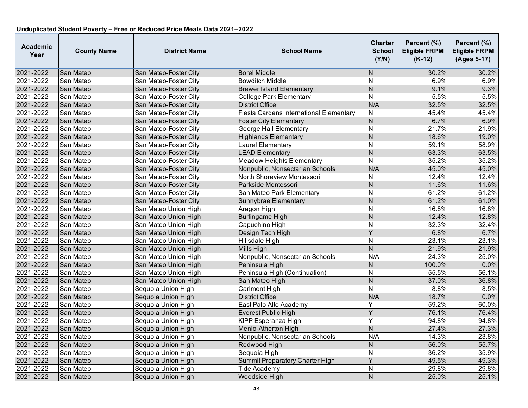| <b>Academic</b><br>Year | <b>County Name</b> | <b>District Name</b>  | <b>School Name</b>                      | <b>Charter</b><br><b>School</b><br>(Y/N) | Percent (%)<br><b>Eligible FRPM</b><br>$(K-12)$ | Percent (%)<br><b>Eligible FRPM</b><br>(Ages 5-17) |
|-------------------------|--------------------|-----------------------|-----------------------------------------|------------------------------------------|-------------------------------------------------|----------------------------------------------------|
| 2021-2022               | San Mateo          | San Mateo-Foster City | <b>Borel Middle</b>                     | N                                        | 30.2%                                           | 30.2%                                              |
| 2021-2022               | San Mateo          | San Mateo-Foster City | <b>Bowditch Middle</b>                  | $\overline{\mathsf{N}}$                  | 6.9%                                            | 6.9%                                               |
| 2021-2022               | San Mateo          | San Mateo-Foster City | <b>Brewer Island Elementary</b>         | $\overline{N}$                           | 9.1%                                            | 9.3%                                               |
| 2021-2022               | San Mateo          | San Mateo-Foster City | <b>College Park Elementary</b>          | $\overline{\mathsf{N}}$                  | 5.5%                                            | 5.5%                                               |
| 2021-2022               | San Mateo          | San Mateo-Foster City | <b>District Office</b>                  | N/A                                      | 32.5%                                           | 32.5%                                              |
| 2021-2022               | San Mateo          | San Mateo-Foster City | Fiesta Gardens International Elementary | N                                        | 45.4%                                           | 45.4%                                              |
| 2021-2022               | San Mateo          | San Mateo-Foster City | <b>Foster City Elementary</b>           | $\overline{N}$                           | 6.7%                                            | 6.9%                                               |
| 2021-2022               | San Mateo          | San Mateo-Foster City | George Hall Elementary                  | N                                        | 21.7%                                           | 21.9%                                              |
| 2021-2022               | San Mateo          | San Mateo-Foster City | <b>Highlands Elementary</b>             | N                                        | 18.6%                                           | 19.0%                                              |
| 2021-2022               | San Mateo          | San Mateo-Foster City | Laurel Elementary                       | $\overline{\mathsf{N}}$                  | 59.1%                                           | 58.9%                                              |
| 2021-2022               | San Mateo          | San Mateo-Foster City | <b>LEAD Elementary</b>                  | $\overline{N}$                           | 63.3%                                           | 63.5%                                              |
| 2021-2022               | San Mateo          | San Mateo-Foster City | <b>Meadow Heights Elementary</b>        | N                                        | 35.2%                                           | 35.2%                                              |
| 2021-2022               | San Mateo          | San Mateo-Foster City | Nonpublic, Nonsectarian Schools         | N/A                                      | 45.0%                                           | 45.0%                                              |
| 2021-2022               | San Mateo          | San Mateo-Foster City | North Shoreview Montessori              | Ν                                        | 12.4%                                           | 12.4%                                              |
| 2021-2022               | San Mateo          | San Mateo-Foster City | Parkside Montessori                     | N                                        | 11.6%                                           | 11.6%                                              |
| 2021-2022               | San Mateo          | San Mateo-Foster Citv | San Mateo Park Elementary               | $\overline{\mathsf{N}}$                  | 61.2%                                           | 61.2%                                              |
| 2021-2022               | San Mateo          | San Mateo-Foster City | Sunnybrae Elementary                    | N                                        | 61.2%                                           | 61.0%                                              |
| 2021-2022               | San Mateo          | San Mateo Union High  | Aragon High                             | N                                        | 16.8%                                           | 16.8%                                              |
| 2021-2022               | San Mateo          | San Mateo Union High  | <b>Burlingame High</b>                  | N                                        | 12.4%                                           | 12.8%                                              |
| 2021-2022               | San Mateo          | San Mateo Union High  | Capuchino High                          | N                                        | 32.3%                                           | 32.4%                                              |
| 2021-2022               | San Mateo          | San Mateo Union High  | Design Tech High                        | Y                                        | 6.8%                                            | 6.7%                                               |
| 2021-2022               | San Mateo          | San Mateo Union High  | Hillsdale High                          | N                                        | 23.1%                                           | 23.1%                                              |
| 2021-2022               | San Mateo          | San Mateo Union High  | <b>Mills High</b>                       | N                                        | 21.9%                                           | 21.9%                                              |
| 2021-2022               | San Mateo          | San Mateo Union High  | Nonpublic, Nonsectarian Schools         | N/A                                      | 24.3%                                           | 25.0%                                              |
| 2021-2022               | San Mateo          | San Mateo Union High  | Peninsula High                          | N                                        | 100.0%                                          | 0.0%                                               |
| 2021-2022               | San Mateo          | San Mateo Union High  | Peninsula High (Continuation)           | N                                        | 55.5%                                           | 56.1%                                              |
| 2021-2022               | San Mateo          | San Mateo Union High  | San Mateo High                          | $\overline{N}$                           | 37.0%                                           | 36.8%                                              |
| 2021-2022               | San Mateo          | Sequoia Union High    | Carlmont High                           | N                                        | 8.8%                                            | 8.5%                                               |
| 2021-2022               | San Mateo          | Sequoia Union High    | <b>District Office</b>                  | N/A                                      | 18.7%                                           | 0.0%                                               |
| 2021-2022               | San Mateo          | Sequoia Union High    | East Palo Alto Academy                  | Y                                        | 59.2%                                           | 60.0%                                              |
| 2021-2022               | San Mateo          | Sequoia Union High    | Everest Public High                     | Y                                        | 76.1%                                           | 76.4%                                              |
| 2021-2022               | San Mateo          | Sequoia Union High    | <b>KIPP Esperanza High</b>              | Y                                        | 94.8%                                           | 94.8%                                              |
| 2021-2022               | San Mateo          | Sequoia Union High    | Menlo-Atherton High                     | $\overline{N}$                           | 27.4%                                           | 27.3%                                              |
| 2021-2022               | San Mateo          | Sequoia Union High    | Nonpublic, Nonsectarian Schools         | N/A                                      | 14.3%                                           | 23.8%                                              |
| 2021-2022               | San Mateo          | Sequoia Union High    | Redwood High                            | N                                        | 56.0%                                           | 55.7%                                              |
| 2021-2022               | San Mateo          | Sequoia Union High    | Sequoia High                            | Ñ                                        | 36.2%                                           | 35.9%                                              |
| 2021-2022               | San Mateo          | Sequoia Union High    | Summit Preparatory Charter High         | Y                                        | 49.5%                                           | 49.3%                                              |
| 2021-2022               | San Mateo          | Sequoia Union High    | <b>Tide Academy</b>                     | N                                        | 29.8%                                           | 29.8%                                              |
| 2021-2022               | San Mateo          | Sequoia Union High    | Woodside High                           | N                                        | 25.0%                                           | 25.1%                                              |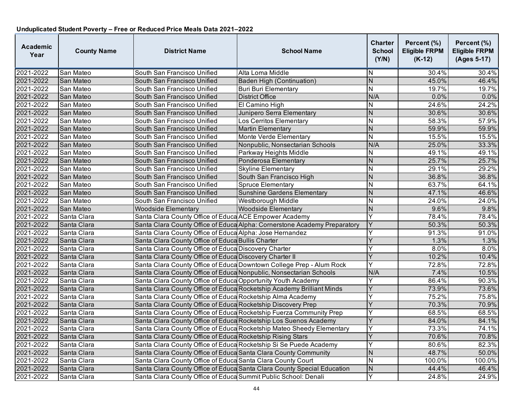| <b>Academic</b><br>Year | <b>County Name</b> | <b>District Name</b>                                               | <b>School Name</b>                                                        | <b>Charter</b><br><b>School</b><br>(Y/N) | Percent (%)<br><b>Eligible FRPM</b><br>$(K-12)$ | Percent (%)<br><b>Eligible FRPM</b><br>(Ages 5-17) |
|-------------------------|--------------------|--------------------------------------------------------------------|---------------------------------------------------------------------------|------------------------------------------|-------------------------------------------------|----------------------------------------------------|
| 2021-2022               | San Mateo          | South San Francisco Unified                                        | Alta Loma Middle                                                          | N                                        | 30.4%                                           | 30.4%                                              |
| 2021-2022               | San Mateo          | South San Francisco Unified                                        | Baden High (Continuation)                                                 | ${\sf N}$                                | 45.0%                                           | 46.4%                                              |
| 2021-2022               | San Mateo          | South San Francisco Unified                                        | <b>Buri Buri Elementary</b>                                               | $\overline{\mathsf{N}}$                  | 19.7%                                           | 19.7%                                              |
| 2021-2022               | San Mateo          | South San Francisco Unified                                        | <b>District Office</b>                                                    | N/A                                      | 0.0%                                            | 0.0%                                               |
| 2021-2022               | San Mateo          | South San Francisco Unified                                        | El Camino High                                                            | Ν                                        | 24.6%                                           | 24.2%                                              |
| 2021-2022               | San Mateo          | South San Francisco Unified                                        | Junipero Serra Elementary                                                 | $\overline{N}$                           | 30.6%                                           | 30.6%                                              |
| 2021-2022               | San Mateo          | South San Francisco Unified                                        | Los Cerritos Elementary                                                   | $\overline{\mathsf{N}}$                  | 58.3%                                           | 57.9%                                              |
| 2021-2022               | San Mateo          | South San Francisco Unified                                        | <b>Martin Elementary</b>                                                  | N                                        | 59.9%                                           | 59.9%                                              |
| 2021-2022               | San Mateo          | South San Francisco Unified                                        | Monte Verde Elementary                                                    | $\mathsf{N}$                             | 15.5%                                           | 15.5%                                              |
| 2021-2022               | San Mateo          | South San Francisco Unified                                        | Nonpublic, Nonsectarian Schools                                           | N/A                                      | 25.0%                                           | 33.3%                                              |
| 2021-2022               | San Mateo          | South San Francisco Unified                                        | Parkway Heights Middle                                                    | N                                        | 49.1%                                           | 49.1%                                              |
| 2021-2022               | San Mateo          | South San Francisco Unified                                        | Ponderosa Elementary                                                      | $\mathsf{N}$                             | 25.7%                                           | 25.7%                                              |
| 2021-2022               | San Mateo          | South San Francisco Unified                                        | <b>Skyline Elementary</b>                                                 | N                                        | 29.1%                                           | 29.2%                                              |
| 2021-2022               | San Mateo          | South San Francisco Unified                                        | South San Francisco High                                                  | N                                        | 36.8%                                           | 36.8%                                              |
| 2021-2022               | San Mateo          | South San Francisco Unified                                        | <b>Spruce Elementary</b>                                                  | Ñ                                        | 63.7%                                           | 64.1%                                              |
| 2021-2022               | San Mateo          | South San Francisco Unified                                        | <b>Sunshine Gardens Elementary</b>                                        | N                                        | 47.1%                                           | 46.6%                                              |
| 2021-2022               | San Mateo          | South San Francisco Unified                                        | Westborough Middle                                                        | N                                        | 24.0%                                           | 24.0%                                              |
| 2021-2022               | San Mateo          | Woodside Elementarv                                                | <b>Woodside Elementary</b>                                                | $\overline{N}$                           | 9.6%                                            | 9.8%                                               |
| 2021-2022               | Santa Clara        | Santa Clara County Office of Educa ACE Empower Academy             |                                                                           | Y                                        | 78.4%                                           | 78.4%                                              |
| 2021-2022               | Santa Clara        |                                                                    | Santa Clara County Office of Educa Alpha: Cornerstone Academy Preparatory | Y                                        | 50.3%                                           | 50.3%                                              |
| 2021-2022               | Santa Clara        | Santa Clara County Office of Educa Alpha: Jose Hernandez           |                                                                           | Y                                        | 91.3%                                           | 91.0%                                              |
| 2021-2022               | Santa Clara        | Santa Clara County Office of Educa Bullis Charter                  |                                                                           | Y                                        | 1.3%                                            | 1.3%                                               |
| 2021-2022               | Santa Clara        | Santa Clara County Office of Educa Discovery Charter               |                                                                           | Y                                        | 8.0%                                            | 8.0%                                               |
| 2021-2022               | Santa Clara        | Santa Clara County Office of Educa Discovery Charter II            |                                                                           | Y                                        | 10.2%                                           | 10.4%                                              |
| 2021-2022               | Santa Clara        |                                                                    | Santa Clara County Office of Educa Downtown College Prep - Alum Rock      | Y                                        | 72.8%                                           | 72.8%                                              |
| 2021-2022               | Santa Clara        | Santa Clara County Office of Educa Nonpublic, Nonsectarian Schools |                                                                           | N/A                                      | 7.4%                                            | 10.5%                                              |
| 2021-2022               | Santa Clara        | Santa Clara County Office of Educa Opportunity Youth Academy       |                                                                           | Y                                        | 86.4%                                           | 90.3%                                              |
| 2021-2022               | Santa Clara        |                                                                    | Santa Clara County Office of Educa Rocketship Academy Brilliant Minds     | Ÿ                                        | 73.9%                                           | 73.6%                                              |
| 2021-2022               | Santa Clara        | Santa Clara County Office of Educa Rocketship Alma Academy         |                                                                           | Y                                        | 75.2%                                           | 75.8%                                              |
| 2021-2022               | Santa Clara        | Santa Clara County Office of Educa Rocketship Discovery Prep       |                                                                           | Y                                        | 70.3%                                           | 70.9%                                              |
| 2021-2022               | Santa Clara        |                                                                    | Santa Clara County Office of Educa Rocketship Fuerza Community Prep       | Y                                        | 68.5%                                           | 68.5%                                              |
| 2021-2022               | Santa Clara        | Santa Clara County Office of Educa Rocketship Los Suenos Academy   |                                                                           | Y                                        | 84.0%                                           | 84.1%                                              |
| 2021-2022               | Santa Clara        |                                                                    | Santa Clara County Office of Educa Rocketship Mateo Sheedy Elementary     | Y                                        | 73.3%                                           | 74.1%                                              |
| 2021-2022               | Santa Clara        | Santa Clara County Office of Educa Rocketship Rising Stars         |                                                                           | Y                                        | 70.6%                                           | 70.8%                                              |
| 2021-2022               | Santa Clara        | Santa Clara County Office of Educa Rocketship Si Se Puede Academy  |                                                                           | Y                                        | 80.6%                                           | 82.3%                                              |
| 2021-2022               | Santa Clara        | Santa Clara County Office of Educa Santa Clara County Community    |                                                                           | $\mathsf{N}$                             | 48.7%                                           | 50.0%                                              |
| 2021-2022               | Santa Clara        | Santa Clara County Office of Educa Santa Clara County Court        |                                                                           | $\mathsf{N}$                             | 100.0%                                          | 100.0%                                             |
| 2021-2022               | Santa Clara        |                                                                    | Santa Clara County Office of Educa Santa Clara County Special Education   | N                                        | 44.4%                                           | 46.4%                                              |
| 2021-2022               | Santa Clara        | Santa Clara County Office of Educa Summit Public School: Denali    |                                                                           | Y                                        | 24.8%                                           | 24.9%                                              |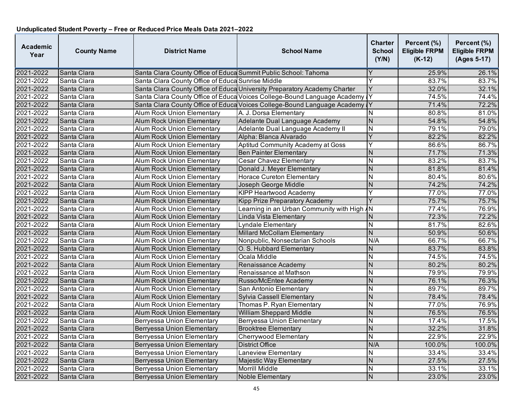| <b>Academic</b><br>Year | <b>County Name</b> | <b>District Name</b>                                            | <b>School Name</b>                                                         | <b>Charter</b><br><b>School</b><br>(Y/N) | Percent (%)<br><b>Eligible FRPM</b><br>$(K-12)$ | Percent (%)<br><b>Eligible FRPM</b><br>(Ages 5-17) |
|-------------------------|--------------------|-----------------------------------------------------------------|----------------------------------------------------------------------------|------------------------------------------|-------------------------------------------------|----------------------------------------------------|
| 2021-2022               | Santa Clara        | Santa Clara County Office of Educa Summit Public School: Tahoma |                                                                            |                                          | 25.9%                                           | 26.1%                                              |
| 2021-2022               | Santa Clara        | Santa Clara County Office of Educa Sunrise Middle               |                                                                            | Y                                        | 83.7%                                           | 83.7%                                              |
| 2021-2022               | Santa Clara        |                                                                 | Santa Clara County Office of Educa University Preparatory Academy Charter  | Y                                        | 32.0%                                           | 32.1%                                              |
| 2021-2022               | Santa Clara        |                                                                 | Santa Clara County Office of Educa Voices College-Bound Language Academy Y |                                          | 74.5%                                           | 74.4%                                              |
| 2021-2022               | Santa Clara        |                                                                 | Santa Clara County Office of Educa Voices College-Bound Language Academy   |                                          | 71.4%                                           | 72.2%                                              |
| 2021-2022               | Santa Clara        | <b>Alum Rock Union Elementary</b>                               | A. J. Dorsa Elementary                                                     | N                                        | 80.8%                                           | 81.0%                                              |
| 2021-2022               | Santa Clara        | <b>Alum Rock Union Elementary</b>                               | Adelante Dual Language Academy                                             | $\overline{\mathsf{N}}$                  | 54.8%                                           | 54.8%                                              |
| 2021-2022               | Santa Clara        | <b>Alum Rock Union Elementary</b>                               | Adelante Dual Language Academy II                                          | $\overline{\mathsf{N}}$                  | 79.1%                                           | 79.0%                                              |
| 2021-2022               | Santa Clara        | <b>Alum Rock Union Elementary</b>                               | Alpha: Blanca Alvarado                                                     | $\overline{Y}$                           | 82.2%                                           | 82.2%                                              |
| 2021-2022               | Santa Clara        | <b>Alum Rock Union Elementary</b>                               | Aptitud Community Academy at Goss                                          | Ÿ                                        | 86.6%                                           | 86.7%                                              |
| 2021-2022               | Santa Clara        | <b>Alum Rock Union Elementary</b>                               | <b>Ben Painter Elementary</b>                                              | N                                        | 71.7%                                           | 71.3%                                              |
| 2021-2022               | Santa Clara        | <b>Alum Rock Union Elementary</b>                               | <b>Cesar Chavez Elementary</b>                                             | N                                        | 83.2%                                           | 83.7%                                              |
| 2021-2022               | Santa Clara        | <b>Alum Rock Union Elementary</b>                               | Donald J. Meyer Elementary                                                 | N                                        | 81.8%                                           | 81.4%                                              |
| 2021-2022               | Santa Clara        | <b>Alum Rock Union Elementary</b>                               | <b>Horace Cureton Elementary</b>                                           | N                                        | 80.4%                                           | 80.6%                                              |
| 2021-2022               | Santa Clara        | <b>Alum Rock Union Elementary</b>                               | Joseph George Middle                                                       | $\mathsf{N}$                             | 74.2%                                           | 74.2%                                              |
| 2021-2022               | Santa Clara        | Alum Rock Union Elementary                                      | <b>KIPP Heartwood Academy</b>                                              | Y                                        | 77.0%                                           | 77.0%                                              |
| 2021-2022               | Santa Clara        | <b>Alum Rock Union Elementary</b>                               | Kipp Prize Preparatory Academy                                             | Y                                        | 75.7%                                           | 75.7%                                              |
| 2021-2022               | Santa Clara        | <b>Alum Rock Union Elementary</b>                               | Learning in an Urban Community with High AN                                |                                          | 77.4%                                           | 76.9%                                              |
| 2021-2022               | Santa Clara        | <b>Alum Rock Union Elementary</b>                               | Linda Vista Elementary                                                     | N                                        | 72.3%                                           | 72.2%                                              |
| 2021-2022               | Santa Clara        | Alum Rock Union Elementary                                      | Lyndale Elementary                                                         | <b>N</b>                                 | 81.7%                                           | 82.6%                                              |
| 2021-2022               | Santa Clara        | <b>Alum Rock Union Elementary</b>                               | Millard McCollam Elementary                                                | $\overline{N}$                           | 50.9%                                           | 50.6%                                              |
| 2021-2022               | Santa Clara        | <b>Alum Rock Union Elementary</b>                               | Nonpublic, Nonsectarian Schools                                            | N/A                                      | 66.7%                                           | 66.7%                                              |
| 2021-2022               | Santa Clara        | <b>Alum Rock Union Elementary</b>                               | O. S. Hubbard Elementary                                                   | $\overline{\mathsf{N}}$                  | 83.7%                                           | 83.8%                                              |
| 2021-2022               | Santa Clara        | <b>Alum Rock Union Elementary</b>                               | Ocala Middle                                                               | $\overline{N}$                           | 74.5%                                           | 74.5%                                              |
| 2021-2022               | Santa Clara        | <b>Alum Rock Union Elementary</b>                               | Renaissance Academy                                                        | N                                        | 80.2%                                           | 80.2%                                              |
| 2021-2022               | Santa Clara        | <b>Alum Rock Union Elementary</b>                               | Renaissance at Mathson                                                     | N                                        | 79.9%                                           | 79.9%                                              |
| 2021-2022               | Santa Clara        | <b>Alum Rock Union Elementary</b>                               | Russo/McEntee Academy                                                      | $\overline{\mathsf{N}}$                  | 76.1%                                           | 76.3%                                              |
| 2021-2022               | Santa Clara        | <b>Alum Rock Union Elementary</b>                               | San Antonio Elementary                                                     | $\overline{\mathsf{N}}$                  | 89.7%                                           | 89.7%                                              |
| 2021-2022               | Santa Clara        | Alum Rock Union Elementary                                      | Sylvia Cassell Elementary                                                  | <b>N</b>                                 | 78.4%                                           | 78.4%                                              |
| 2021-2022               | Santa Clara        | <b>Alum Rock Union Elementary</b>                               | Thomas P. Ryan Elementary                                                  | $\overline{\mathsf{N}}$                  | 77.0%                                           | 76.9%                                              |
| 2021-2022               | Santa Clara        | <b>Alum Rock Union Elementary</b>                               | William Sheppard Middle                                                    | N                                        | 76.5%                                           | 76.5%                                              |
| 2021-2022               | Santa Clara        | Berryessa Union Elementary                                      | Berryessa Union Elementary                                                 | N                                        | 17.4%                                           | 17.5%                                              |
| 2021-2022               | Santa Clara        | <b>Berryessa Union Elementary</b>                               | <b>Brooktree Elementary</b>                                                | $\overline{\mathsf{N}}$                  | 32.2%                                           | 31.8%                                              |
| 2021-2022               | Santa Clara        | Berryessa Union Elementary                                      | <b>Cherrywood Elementary</b>                                               | $\overline{\mathsf{N}}$                  | 22.9%                                           | 22.9%                                              |
| 2021-2022               | Santa Clara        | <b>Berryessa Union Elementary</b>                               | <b>District Office</b>                                                     | N/A                                      | 100.0%                                          | 100.0%                                             |
| 2021-2022               | Santa Clara        | Berryessa Union Elementary                                      | <b>Laneview Elementary</b>                                                 | N                                        | 33.4%                                           | 33.4%                                              |
| 2021-2022               | Santa Clara        | Berryessa Union Elementary                                      | Majestic Way Elementary                                                    | N                                        | 27.5%                                           | 27.5%                                              |
| 2021-2022               | Santa Clara        | Berryessa Union Elementary                                      | <b>Morrill Middle</b>                                                      | N                                        | 33.1%                                           | 33.1%                                              |
| 2021-2022               | Santa Clara        | Berryessa Union Elementary                                      | <b>Noble Elementary</b>                                                    | N                                        | 23.0%                                           | 23.0%                                              |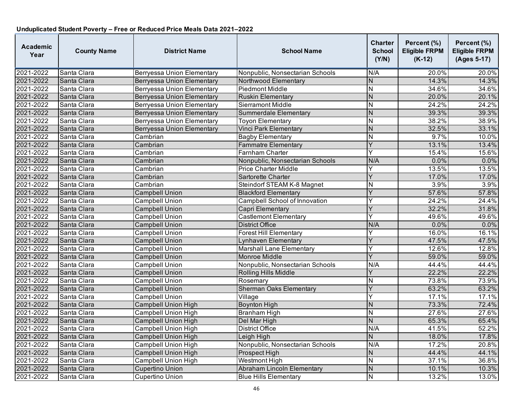| <b>Academic</b><br>Year | <b>County Name</b> | <b>District Name</b>              | <b>School Name</b>              | <b>Charter</b><br><b>School</b><br>(Y/N) | Percent (%)<br><b>Eligible FRPM</b><br>$(K-12)$ | Percent (%)<br><b>Eligible FRPM</b><br>(Ages 5-17) |
|-------------------------|--------------------|-----------------------------------|---------------------------------|------------------------------------------|-------------------------------------------------|----------------------------------------------------|
| 2021-2022               | Santa Clara        | <b>Berryessa Union Elementary</b> | Nonpublic, Nonsectarian Schools | N/A                                      | 20.0%                                           | 20.0%                                              |
| 2021-2022               | Santa Clara        | Berryessa Union Elementary        | Northwood Elementary            | $\mathsf{N}$                             | 14.3%                                           | 14.3%                                              |
| 2021-2022               | Santa Clara        | <b>Berryessa Union Elementary</b> | <b>Piedmont Middle</b>          | $\overline{\mathsf{N}}$                  | 34.6%                                           | 34.6%                                              |
| 2021-2022               | Santa Clara        | Berryessa Union Elementary        | <b>Ruskin Elementary</b>        | $\overline{N}$                           | 20.0%                                           | 20.1%                                              |
| 2021-2022               | Santa Clara        | Berryessa Union Elementary        | Sierramont Middle               | N                                        | 24.2%                                           | 24.2%                                              |
| 2021-2022               | Santa Clara        | <b>Berryessa Union Elementary</b> | Summerdale Elementary           | $\overline{N}$                           | 39.3%                                           | 39.3%                                              |
| 2021-2022               | Santa Clara        | <b>Berryessa Union Elementary</b> | <b>Toyon Elementary</b>         | $\overline{\mathsf{N}}$                  | 38.2%                                           | 38.9%                                              |
| 2021-2022               | Santa Clara        | <b>Berryessa Union Elementary</b> | <b>Vinci Park Elementary</b>    | N                                        | 32.5%                                           | 33.1%                                              |
| 2021-2022               | Santa Clara        | Cambrian                          | <b>Bagby Elementary</b>         | $\overline{\mathsf{N}}$                  | 9.7%                                            | 10.0%                                              |
| 2021-2022               | Santa Clara        | Cambrian                          | <b>Fammatre Elementary</b>      | Y                                        | 13.1%                                           | 13.4%                                              |
| 2021-2022               | Santa Clara        | Cambrian                          | <b>Farnham Charter</b>          | Y                                        | 15.4%                                           | 15.6%                                              |
| 2021-2022               | Santa Clara        | Cambrian                          | Nonpublic, Nonsectarian Schools | N/A                                      | 0.0%                                            | 0.0%                                               |
| 2021-2022               | Santa Clara        | Cambrian                          | <b>Price Charter Middle</b>     | Y                                        | 13.5%                                           | 13.5%                                              |
| 2021-2022               | Santa Clara        | Cambrian                          | Sartorette Charter              | $\overline{\mathsf{Y}}$                  | 17.0%                                           | 17.0%                                              |
| 2021-2022               | Santa Clara        | Cambrian                          | Steindorf STEAM K-8 Magnet      | $\overline{\mathsf{N}}$                  | 3.9%                                            | 3.9%                                               |
| 2021-2022               | Santa Clara        | Campbell Union                    | <b>Blackford Elementary</b>     | Y                                        | 57.6%                                           | 57.8%                                              |
| 2021-2022               | Santa Clara        | Campbell Union                    | Campbell School of Innovation   | Y                                        | 24.2%                                           | 24.4%                                              |
| 2021-2022               | Santa Clara        | Campbell Union                    | Capri Elementary                | Y                                        | 32.2%                                           | 31.8%                                              |
| 2021-2022               | Santa Clara        | Campbell Union                    | <b>Castlemont Elementary</b>    | Y                                        | 49.6%                                           | 49.6%                                              |
| 2021-2022               | Santa Clara        | <b>Campbell Union</b>             | <b>District Office</b>          | N/A                                      | 0.0%                                            | 0.0%                                               |
| 2021-2022               | Santa Clara        | <b>Campbell Union</b>             | <b>Forest Hill Elementary</b>   | Y                                        | 16.0%                                           | 16.1%                                              |
| 2021-2022               | Santa Clara        | <b>Campbell Union</b>             | Lynhaven Elementary             | Y                                        | 47.5%                                           | 47.5%                                              |
| 2021-2022               | Santa Clara        | <b>Campbell Union</b>             | <b>Marshall Lane Elementary</b> | Y                                        | 12.6%                                           | 12.8%                                              |
| 2021-2022               | Santa Clara        | <b>Campbell Union</b>             | <b>Monroe Middle</b>            | Y                                        | 59.0%                                           | 59.0%                                              |
| 2021-2022               | Santa Clara        | <b>Campbell Union</b>             | Nonpublic, Nonsectarian Schools | N/A                                      | 44.4%                                           | 44.4%                                              |
| 2021-2022               | Santa Clara        | <b>Campbell Union</b>             | Rolling Hills Middle            | Ý                                        | 22.2%                                           | 22.2%                                              |
| 2021-2022               | Santa Clara        | <b>Campbell Union</b>             | Rosemary                        | N                                        | 73.8%                                           | 73.9%                                              |
| 2021-2022               | Santa Clara        | <b>Campbell Union</b>             | <b>Sherman Oaks Elementary</b>  | Ý                                        | 63.2%                                           | 63.2%                                              |
| 2021-2022               | Santa Clara        | <b>Campbell Union</b>             | Village                         | Ý                                        | 17.1%                                           | 17.1%                                              |
| 2021-2022               | Santa Clara        | <b>Campbell Union High</b>        | <b>Boynton High</b>             | N                                        | 73.3%                                           | 72.4%                                              |
| 2021-2022               | Santa Clara        | <b>Campbell Union High</b>        | <b>Branham High</b>             | N                                        | 27.6%                                           | 27.6%                                              |
| 2021-2022               | Santa Clara        | <b>Campbell Union High</b>        | Del Mar High                    | $\overline{N}$                           | 65.3%                                           | 65.4%                                              |
| 2021-2022               | Santa Clara        | <b>Campbell Union High</b>        | <b>District Office</b>          | N/A                                      | 41.5%                                           | 52.2%                                              |
| 2021-2022               | Santa Clara        | <b>Campbell Union High</b>        | Leigh High                      | N                                        | 18.0%                                           | 17.8%                                              |
| 2021-2022               | Santa Clara        | Campbell Union High               | Nonpublic, Nonsectarian Schools | N/A                                      | 17.2%                                           | 20.8%                                              |
| 2021-2022               | Santa Clara        | <b>Campbell Union High</b>        | Prospect High                   | N                                        | 44.4%                                           | 44.1%                                              |
| 2021-2022               | Santa Clara        | <b>Campbell Union High</b>        | <b>Westmont High</b>            | $\overline{\mathsf{N}}$                  | 37.1%                                           | 36.8%                                              |
| 2021-2022               | Santa Clara        | <b>Cupertino Union</b>            | Abraham Lincoln Elementary      | N                                        | 10.1%                                           | 10.3%                                              |
| 2021-2022               | Santa Clara        | <b>Cupertino Union</b>            | <b>Blue Hills Elementary</b>    | $\mathsf{N}$                             | 13.2%                                           | 13.0%                                              |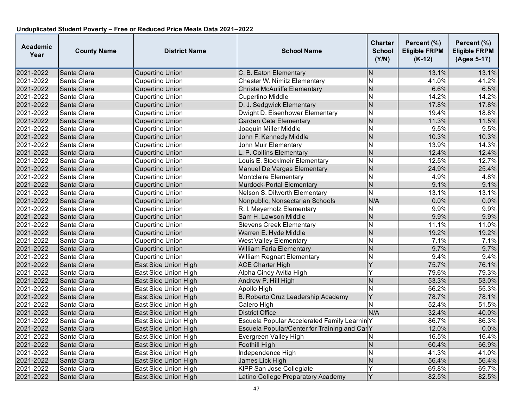| <b>Academic</b><br>Year | <b>County Name</b> | <b>District Name</b>        | <b>School Name</b>                           | <b>Charter</b><br><b>School</b><br>(Y/N) | Percent (%)<br><b>Eligible FRPM</b><br>$(K-12)$ | Percent (%)<br><b>Eligible FRPM</b><br>(Ages 5-17) |
|-------------------------|--------------------|-----------------------------|----------------------------------------------|------------------------------------------|-------------------------------------------------|----------------------------------------------------|
| 2021-2022               | Santa Clara        | <b>Cupertino Union</b>      | C. B. Eaton Elementary                       | N                                        | 13.1%                                           | 13.1%                                              |
| 2021-2022               | Santa Clara        | Cupertino Union             | Chester W. Nimitz Elementary                 | N                                        | 41.0%                                           | 41.2%                                              |
| 2021-2022               | Santa Clara        | <b>Cupertino Union</b>      | Christa McAuliffe Elementary                 | N                                        | 6.6%                                            | 6.5%                                               |
| 2021-2022               | Santa Clara        | Cupertino Union             | Cupertino Middle                             | N                                        | 14.2%                                           | 14.2%                                              |
| 2021-2022               | Santa Clara        | <b>Cupertino Union</b>      | D. J. Sedgwick Elementary                    | N                                        | 17.8%                                           | 17.8%                                              |
| 2021-2022               | Santa Clara        | Cupertino Union             | Dwight D. Eisenhower Elementary              | N                                        | 19.4%                                           | 18.8%                                              |
| 2021-2022               | Santa Clara        | <b>Cupertino Union</b>      | <b>Garden Gate Elementary</b>                | $\overline{N}$                           | 11.3%                                           | 11.5%                                              |
| 2021-2022               | Santa Clara        | <b>Cupertino Union</b>      | Joaquin Miller Middle                        | N                                        | 9.5%                                            | 9.5%                                               |
| 2021-2022               | Santa Clara        | Cupertino Union             | John F. Kennedy Middle                       | N                                        | 10.3%                                           | 10.3%                                              |
| 2021-2022               | Santa Clara        | <b>Cupertino Union</b>      | John Muir Elementary                         | N                                        | 13.9%                                           | 14.3%                                              |
| 2021-2022               | Santa Clara        | <b>Cupertino Union</b>      | L. P. Collins Elementary                     | $\overline{N}$                           | 12.4%                                           | 12.4%                                              |
| 2021-2022               | Santa Clara        | Cupertino Union             | Louis E. StockImeir Elementary               | N                                        | 12.5%                                           | 12.7%                                              |
| 2021-2022               | Santa Clara        | <b>Cupertino Union</b>      | Manuel De Vargas Elementary                  | N                                        | 24.9%                                           | 25.4%                                              |
| 2021-2022               | Santa Clara        | <b>Cupertino Union</b>      | Montclaire Elementary                        | N                                        | 4.9%                                            | 4.8%                                               |
| 2021-2022               | Santa Clara        | <b>Cupertino Union</b>      | Murdock-Portal Elementary                    | $\overline{N}$                           | 9.1%                                            | 9.1%                                               |
| 2021-2022               | Santa Clara        | <b>Cupertino Union</b>      | Nelson S. Dilworth Elementary                | N                                        | 13.1%                                           | 13.1%                                              |
| 2021-2022               | Santa Clara        | <b>Cupertino Union</b>      | Nonpublic, Nonsectarian Schools              | N/A                                      | 0.0%                                            | 0.0%                                               |
| 2021-2022               | Santa Clara        | Cupertino Union             | R. I. Meyerholz Elementary                   | N                                        | 9.9%                                            | 9.9%                                               |
| 2021-2022               | Santa Clara        | <b>Cupertino Union</b>      | Sam H. Lawson Middle                         | N                                        | 9.9%                                            | 9.9%                                               |
| 2021-2022               | Santa Clara        | <b>Cupertino Union</b>      | <b>Stevens Creek Elementary</b>              | $\overline{N}$                           | 11.1%                                           | 11.0%                                              |
| 2021-2022               | Santa Clara        | <b>Cupertino Union</b>      | Warren E. Hyde Middle                        | $\overline{N}$                           | 19.2%                                           | 19.2%                                              |
| 2021-2022               | Santa Clara        | Cupertino Union             | <b>West Valley Elementary</b>                | $\overline{N}$                           | 7.1%                                            | 7.1%                                               |
| 2021-2022               | Santa Clara        | <b>Cupertino Union</b>      | <b>William Faria Elementary</b>              | $\overline{N}$                           | 9.7%                                            | 9.7%                                               |
| 2021-2022               | Santa Clara        | Cupertino Union             | William Regnart Elementary                   | N                                        | 9.4%                                            | 9.4%                                               |
| 2021-2022               | Santa Clara        | East Side Union High        | <b>ACE Charter High</b>                      | Y                                        | 75.7%                                           | 76.1%                                              |
| 2021-2022               | Santa Clara        | East Side Union High        | Alpha Cindy Avitia High                      | Y                                        | 79.6%                                           | 79.3%                                              |
| 2021-2022               | Santa Clara        | East Side Union High        | Andrew P. Hill High                          | N                                        | 53.3%                                           | 53.0%                                              |
| 2021-2022               | Santa Clara        | East Side Union High        | Apollo High                                  | $\overline{\mathsf{N}}$                  | 56.2%                                           | 55.3%                                              |
| 2021-2022               | Santa Clara        | East Side Union High        | B. Roberto Cruz Leadership Academy           | Y                                        | 78.7%                                           | 78.1%                                              |
| 2021-2022               | Santa Clara        | East Side Union High        | Calero High                                  | N                                        | 52.4%                                           | 51.5%                                              |
| 2021-2022               | Santa Clara        | East Side Union High        | <b>District Office</b>                       | N/A                                      | 32.4%                                           | 40.0%                                              |
| 2021-2022               | Santa Clara        | East Side Union High        | Escuela Popular Accelerated Family Learnin Y |                                          | 86.7%                                           | 86.3%                                              |
| 2021-2022               | Santa Clara        | East Side Union High        | Escuela Popular/Center for Training and Car  |                                          | 12.0%                                           | 0.0%                                               |
| 2021-2022               | Santa Clara        | East Side Union High        | Evergreen Valley High                        | N                                        | 16.5%                                           | 16.4%                                              |
| 2021-2022               | Santa Clara        | East Side Union High        | Foothill High                                | N                                        | 60.4%                                           | 66.9%                                              |
| 2021-2022               | Santa Clara        | East Side Union High        | Independence High                            | N                                        | 41.3%                                           | 41.0%                                              |
| 2021-2022               | Santa Clara        | East Side Union High        | James Lick High                              | N                                        | 56.4%                                           | 56.4%                                              |
| 2021-2022               | Santa Clara        | East Side Union High        | <b>KIPP San Jose Collegiate</b>              | Υ                                        | 69.8%                                           | 69.7%                                              |
| 2021-2022               | Santa Clara        | <b>East Side Union High</b> | Latino College Preparatory Academy           | Y                                        | 82.5%                                           | 82.5%                                              |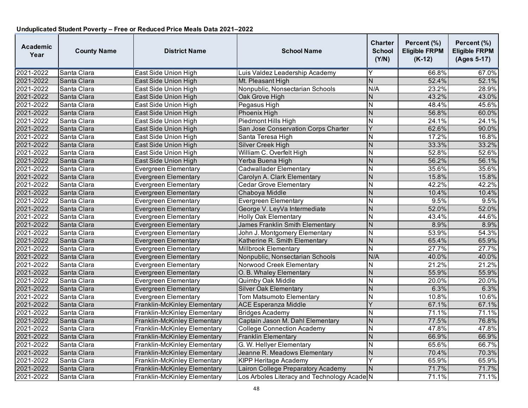| <b>Academic</b><br>Year | <b>County Name</b> | <b>District Name</b>         | <b>School Name</b>                          | <b>Charter</b><br><b>School</b><br>(Y/N) | Percent (%)<br><b>Eligible FRPM</b><br>$(K-12)$ | Percent (%)<br><b>Eligible FRPM</b><br>(Ages 5-17) |
|-------------------------|--------------------|------------------------------|---------------------------------------------|------------------------------------------|-------------------------------------------------|----------------------------------------------------|
| 2021-2022               | Santa Clara        | East Side Union High         | Luis Valdez Leadership Academy              | Y                                        | 66.8%                                           | 67.0%                                              |
| 2021-2022               | Santa Clara        | East Side Union High         | Mt. Pleasant High                           | N                                        | 52.4%                                           | 52.1%                                              |
| 2021-2022               | Santa Clara        | East Side Union High         | Nonpublic, Nonsectarian Schools             | N/A                                      | 23.2%                                           | 28.9%                                              |
| 2021-2022               | Santa Clara        | East Side Union High         | Oak Grove High                              | N                                        | 43.2%                                           | 43.0%                                              |
| 2021-2022               | Santa Clara        | East Side Union High         | Pegasus High                                | N                                        | 48.4%                                           | 45.6%                                              |
| 2021-2022               | Santa Clara        | East Side Union High         | <b>Phoenix High</b>                         | N                                        | 56.8%                                           | 60.0%                                              |
| 2021-2022               | Santa Clara        | East Side Union High         | Piedmont Hills High                         | $\overline{N}$                           | 24.1%                                           | 24.1%                                              |
| 2021-2022               | Santa Clara        | East Side Union High         | San Jose Conservation Corps Charter         | Y                                        | 62.6%                                           | 90.0%                                              |
| 2021-2022               | Santa Clara        | East Side Union High         | Santa Teresa High                           | N                                        | 17.2%                                           | 16.8%                                              |
| 2021-2022               | Santa Clara        | East Side Union High         | Silver Creek High                           | N                                        | 33.3%                                           | 33.2%                                              |
| 2021-2022               | Santa Clara        | East Side Union High         | William C. Overfelt High                    | $\overline{\mathsf{N}}$                  | 52.8%                                           | 52.6%                                              |
| 2021-2022               | Santa Clara        | East Side Union High         | Yerba Buena High                            | N                                        | 56.2%                                           | 56.1%                                              |
| 2021-2022               | Santa Clara        | <b>Evergreen Elementary</b>  | <b>Cadwallader Elementary</b>               | N                                        | 35.6%                                           | 35.6%                                              |
| 2021-2022               | Santa Clara        | <b>Evergreen Elementary</b>  | Carolyn A. Clark Elementary                 | N                                        | 15.8%                                           | 15.8%                                              |
| 2021-2022               | Santa Clara        | <b>Evergreen Elementary</b>  | <b>Cedar Grove Elementary</b>               | $\overline{\mathsf{N}}$                  | 42.2%                                           | 42.2%                                              |
| 2021-2022               | Santa Clara        | <b>Evergreen Elementary</b>  | Chaboya Middle                              | N                                        | 10.4%                                           | 10.4%                                              |
| 2021-2022               | Santa Clara        | <b>Evergreen Elementary</b>  | Evergreen Elementary                        | N                                        | 9.5%                                            | 9.5%                                               |
| 2021-2022               | Santa Clara        | <b>Evergreen Elementary</b>  | George V. LeyVa Intermediate                | N                                        | 52.0%                                           | 52.0%                                              |
| 2021-2022               | Santa Clara        | <b>Evergreen Elementary</b>  | <b>Holly Oak Elementary</b>                 | N                                        | 43.4%                                           | 44.6%                                              |
| 2021-2022               | Santa Clara        | <b>Evergreen Elementary</b>  | James Franklin Smith Elementary             | N                                        | 8.9%                                            | 8.9%                                               |
| 2021-2022               | Santa Clara        | <b>Evergreen Elementary</b>  | John J. Montgomery Elementary               | N                                        | 53.9%                                           | 54.3%                                              |
| 2021-2022               | Santa Clara        | <b>Evergreen Elementary</b>  | Katherine R. Smith Elementary               | $\overline{N}$                           | 65.4%                                           | 65.9%                                              |
| 2021-2022               | Santa Clara        | <b>Evergreen Elementary</b>  | <b>Millbrook Elementary</b>                 | $\overline{\mathsf{N}}$                  | 27.7%                                           | 27.7%                                              |
| 2021-2022               | Santa Clara        | <b>Evergreen Elementary</b>  | Nonpublic, Nonsectarian Schools             | N/A                                      | 40.0%                                           | 40.0%                                              |
| 2021-2022               | Santa Clara        | <b>Evergreen Elementary</b>  | Norwood Creek Elementary                    | N                                        | 21.2%                                           | 21.2%                                              |
| 2021-2022               | Santa Clara        | <b>Evergreen Elementary</b>  | O. B. Whaley Elementary                     | N                                        | 55.9%                                           | 55.9%                                              |
| 2021-2022               | Santa Clara        | <b>Evergreen Elementary</b>  | Quimby Oak Middle                           | N                                        | 20.0%                                           | 20.0%                                              |
| 2021-2022               | Santa Clara        | Evergreen Elementary         | <b>Silver Oak Elementary</b>                | N                                        | 6.3%                                            | 6.3%                                               |
| 2021-2022               | Santa Clara        | Evergreen Elementary         | Tom Matsumoto Elementary                    | N                                        | 10.8%                                           | 10.6%                                              |
| 2021-2022               | Santa Clara        | Franklin-McKinley Elementary | <b>ACE Esperanza Middle</b>                 | Y                                        | 67.1%                                           | 67.1%                                              |
| 2021-2022               | Santa Clara        | Franklin-McKinley Elementary | <b>Bridges Academy</b>                      | N                                        | 71.1%                                           | 71.1%                                              |
| 2021-2022               | Santa Clara        | Franklin-McKinley Elementary | Captain Jason M. Dahl Elementary            | N                                        | 77.5%                                           | 76.8%                                              |
| 2021-2022               | Santa Clara        | Franklin-McKinley Elementary | <b>College Connection Academy</b>           | $\overline{\mathsf{N}}$                  | 47.8%                                           | 47.8%                                              |
| 2021-2022               | Santa Clara        | Franklin-McKinley Elementary | Franklin Elementary                         | N                                        | 66.9%                                           | 66.9%                                              |
| 2021-2022               | Santa Clara        | Franklin-McKinley Elementary | G. W. Hellyer Elementary                    | N                                        | 65.6%                                           | 66.7%                                              |
| 2021-2022               | Santa Clara        | Franklin-McKinley Elementary | Jeanne R. Meadows Elementary                | $\overline{N}$                           | 70.4%                                           | 70.3%                                              |
| 2021-2022               | Santa Clara        | Franklin-McKinley Elementary | <b>KIPP Heritage Academy</b>                | Y                                        | 65.9%                                           | 65.9%                                              |
| 2021-2022               | Santa Clara        | Franklin-McKinley Elementary | Lairon College Preparatory Academy          | $\mathsf{N}$                             | 71.7%                                           | 71.7%                                              |
| 2021-2022               | Santa Clara        | Franklin-McKinley Elementary | Los Arboles Literacy and Technology Acade N |                                          | 71.1%                                           | 71.1%                                              |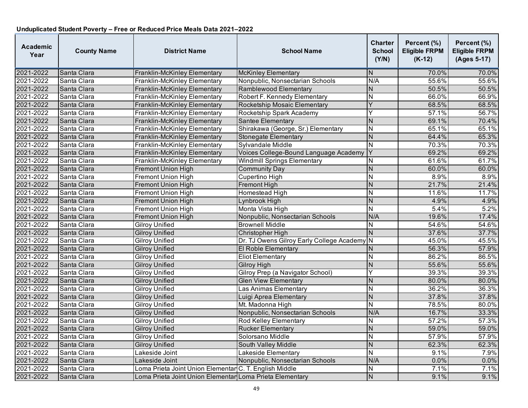| <b>Academic</b><br>Year | <b>County Name</b> | <b>District Name</b>                                     | <b>School Name</b>                          | <b>Charter</b><br><b>School</b><br>(Y/N) | Percent (%)<br><b>Eligible FRPM</b><br>$(K-12)$ | Percent (%)<br><b>Eligible FRPM</b><br>(Ages 5-17) |
|-------------------------|--------------------|----------------------------------------------------------|---------------------------------------------|------------------------------------------|-------------------------------------------------|----------------------------------------------------|
| 2021-2022               | Santa Clara        | Franklin-McKinley Elementary                             | <b>McKinley Elementary</b>                  | N                                        | 70.0%                                           | 70.0%                                              |
| 2021-2022               | Santa Clara        | Franklin-McKinley Elementary                             | Nonpublic, Nonsectarian Schools             | N/A                                      | 55.6%                                           | 55.6%                                              |
| 2021-2022               | Santa Clara        | Franklin-McKinley Elementary                             | Ramblewood Elementary                       | N                                        | 50.5%                                           | 50.5%                                              |
| 2021-2022               | Santa Clara        | Franklin-McKinley Elementary                             | Robert F. Kennedy Elementary                | $\overline{\mathsf{N}}$                  | 66.0%                                           | 66.9%                                              |
| 2021-2022               | Santa Clara        | Franklin-McKinley Elementary                             | Rocketship Mosaic Elementary                | Y                                        | 68.5%                                           | 68.5%                                              |
| 2021-2022               | Santa Clara        | Franklin-McKinley Elementary                             | Rocketship Spark Academy                    | Ý                                        | 57.1%                                           | 56.7%                                              |
| 2021-2022               | Santa Clara        | Franklin-McKinley Elementary                             | Santee Elementary                           | N                                        | 69.1%                                           | 70.4%                                              |
| 2021-2022               | Santa Clara        | Franklin-McKinley Elementary                             | Shirakawa (George, Sr.) Elementary          | N                                        | 65.1%                                           | 65.1%                                              |
| 2021-2022               | Santa Clara        | Franklin-McKinley Elementary                             | Stonegate Elementary                        | $\overline{N}$                           | 64.4%                                           | 65.3%                                              |
| 2021-2022               | Santa Clara        | Franklin-McKinley Elementary                             | Sylvandale Middle                           | N                                        | 70.3%                                           | 70.3%                                              |
| 2021-2022               | Santa Clara        | Franklin-McKinley Elementary                             | Voices College-Bound Language Academy       | Y                                        | 69.2%                                           | 69.2%                                              |
| 2021-2022               | Santa Clara        | Franklin-McKinley Elementary                             | <b>Windmill Springs Elementary</b>          | N                                        | 61.6%                                           | 61.7%                                              |
| 2021-2022               | Santa Clara        | Fremont Union High                                       | <b>Community Day</b>                        | $\overline{N}$                           | 60.0%                                           | 60.0%                                              |
| 2021-2022               | Santa Clara        | <b>Fremont Union High</b>                                | Cupertino High                              | $\overline{\mathsf{N}}$                  | 8.9%                                            | 8.9%                                               |
| 2021-2022               | Santa Clara        | <b>Fremont Union High</b>                                | Fremont High                                | N.                                       | 21.7%                                           | 21.4%                                              |
| 2021-2022               | Santa Clara        | <b>Fremont Union High</b>                                | Homestead High                              | N                                        | 11.6%                                           | 11.7%                                              |
| 2021-2022               | Santa Clara        | <b>Fremont Union High</b>                                | Lynbrook High                               | $\overline{N}$                           | 4.9%                                            | 4.9%                                               |
| 2021-2022               | Santa Clara        | <b>Fremont Union High</b>                                | Monta Vista High                            | N                                        | 5.4%                                            | 5.2%                                               |
| 2021-2022               | Santa Clara        | <b>Fremont Union High</b>                                | Nonpublic, Nonsectarian Schools             | N/A                                      | 19.6%                                           | 17.4%                                              |
| 2021-2022               | Santa Clara        | <b>Gilroy Unified</b>                                    | <b>Brownell Middle</b>                      | $\overline{\mathsf{N}}$                  | 54.6%                                           | 54.6%                                              |
| 2021-2022               | Santa Clara        | <b>Gilroy Unified</b>                                    | Christopher High                            | N                                        | 37.6%                                           | 37.7%                                              |
| 2021-2022               | Santa Clara        | <b>Gilroy Unified</b>                                    | Dr. TJ Owens Gilroy Early College Academy N |                                          | 45.0%                                           | 45.5%                                              |
| 2021-2022               | Santa Clara        | <b>Gilroy Unified</b>                                    | El Roble Elementary                         | N                                        | 56.3%                                           | 57.9%                                              |
| 2021-2022               | Santa Clara        | <b>Gilroy Unified</b>                                    | <b>Eliot Elementary</b>                     | $\overline{\mathsf{N}}$                  | 86.2%                                           | 86.5%                                              |
| 2021-2022               | Santa Clara        | <b>Gilroy Unified</b>                                    | <b>Gilroy High</b>                          | $\overline{\mathsf{N}}$                  | 55.6%                                           | 55.6%                                              |
| 2021-2022               | Santa Clara        | <b>Gilroy Unified</b>                                    | Gilroy Prep (a Navigator School)            | Ý                                        | 39.3%                                           | 39.3%                                              |
| 2021-2022               | Santa Clara        | Gilroy Unified                                           | <b>Glen View Elementary</b>                 | N                                        | 80.0%                                           | 80.0%                                              |
| 2021-2022               | Santa Clara        | <b>Gilroy Unified</b>                                    | Las Animas Elementary                       | $\overline{\mathsf{N}}$                  | 36.2%                                           | 36.3%                                              |
| 2021-2022               | Santa Clara        | <b>Gilroy Unified</b>                                    | Luigi Aprea Elementary                      | $\overline{N}$                           | 37.8%                                           | 37.8%                                              |
| 2021-2022               | Santa Clara        | Gilroy Unified                                           | Mt. Madonna High                            | $\overline{\mathsf{N}}$                  | 78.5%                                           | 80.0%                                              |
| 2021-2022               | Santa Clara        | <b>Gilroy Unified</b>                                    | Nonpublic, Nonsectarian Schools             | N/A                                      | 16.7%                                           | 33.3%                                              |
| 2021-2022               | Santa Clara        | <b>Gilroy Unified</b>                                    | Rod Kelley Elementary                       | N                                        | 57.2%                                           | 57.3%                                              |
| 2021-2022               | Santa Clara        | <b>Gilroy Unified</b>                                    | <b>Rucker Elementary</b>                    | $\overline{N}$                           | 59.0%                                           | 59.0%                                              |
| 2021-2022               | Santa Clara        | <b>Gilroy Unified</b>                                    | Solorsano Middle                            | N                                        | 57.9%                                           | 57.9%                                              |
| 2021-2022               | Santa Clara        | <b>Gilroy Unified</b>                                    | South Valley Middle                         | $\overline{N}$                           | 62.3%                                           | 62.3%                                              |
| 2021-2022               | Santa Clara        | Lakeside Joint                                           | Lakeside Elementary                         | $\overline{\mathsf{N}}$                  | 9.1%                                            | 7.9%                                               |
| 2021-2022               | Santa Clara        | Lakeside Joint                                           | Nonpublic, Nonsectarian Schools             | N/A                                      | 0.0%                                            | 0.0%                                               |
| 2021-2022               | Santa Clara        | Loma Prieta Joint Union Elementar C. T. English Middle   |                                             | N                                        | 7.1%                                            | 7.1%                                               |
| 2021-2022               | Santa Clara        | Loma Prieta Joint Union Elementar Loma Prieta Elementary |                                             | $\mathsf{N}$                             | 9.1%                                            | 9.1%                                               |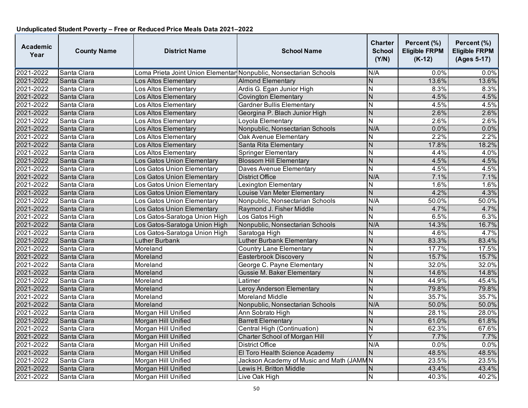| <b>Academic</b><br>Year | <b>County Name</b> | <b>District Name</b>                                              | <b>School Name</b>                        | <b>Charter</b><br><b>School</b><br>(Y/N) | Percent (%)<br><b>Eligible FRPM</b><br>$(K-12)$ | Percent (%)<br><b>Eligible FRPM</b><br>(Ages 5-17) |
|-------------------------|--------------------|-------------------------------------------------------------------|-------------------------------------------|------------------------------------------|-------------------------------------------------|----------------------------------------------------|
| 2021-2022               | Santa Clara        | Loma Prieta Joint Union Elementar Nonpublic, Nonsectarian Schools |                                           | N/A                                      | 0.0%                                            | 0.0%                                               |
| 2021-2022               | Santa Clara        | Los Altos Elementary                                              | <b>Almond Elementary</b>                  | N                                        | 13.6%                                           | 13.6%                                              |
| 2021-2022               | Santa Clara        | Los Altos Elementary                                              | Ardis G. Egan Junior High                 | <b>N</b>                                 | 8.3%                                            | 8.3%                                               |
| 2021-2022               | Santa Clara        | Los Altos Elementary                                              | <b>Covington Elementary</b>               | N                                        | 4.5%                                            | 4.5%                                               |
| 2021-2022               | Santa Clara        | Los Altos Elementary                                              | <b>Gardner Bullis Elementary</b>          | $\overline{N}$                           | 4.5%                                            | 4.5%                                               |
| 2021-2022               | Santa Clara        | Los Altos Elementary                                              | Georgina P. Blach Junior High             | N                                        | 2.6%                                            | 2.6%                                               |
| 2021-2022               | Santa Clara        | Los Altos Elementary                                              | Loyola Elementary                         | N                                        | 2.6%                                            | 2.6%                                               |
| 2021-2022               | Santa Clara        | Los Altos Elementary                                              | Nonpublic, Nonsectarian Schools           | N/A                                      | 0.0%                                            | 0.0%                                               |
| 2021-2022               | Santa Clara        | Los Altos Elementary                                              | Oak Avenue Elementary                     | $\overline{N}$                           | 2.2%                                            | 2.2%                                               |
| 2021-2022               | Santa Clara        | Los Altos Elementary                                              | Santa Rita Elementary                     | N                                        | 17.8%                                           | 18.2%                                              |
| 2021-2022               | Santa Clara        | Los Altos Elementary                                              | Springer Elementary                       | lΝ                                       | 4.4%                                            | 4.0%                                               |
| 2021-2022               | Santa Clara        | Los Gatos Union Elementary                                        | <b>Blossom Hill Elementary</b>            | N                                        | 4.5%                                            | 4.5%                                               |
| 2021-2022               | Santa Clara        | Los Gatos Union Elementary                                        | Daves Avenue Elementary                   | N                                        | 4.5%                                            | 4.5%                                               |
| 2021-2022               | Santa Clara        | Los Gatos Union Elementary                                        | <b>District Office</b>                    | N/A                                      | 7.1%                                            | 7.1%                                               |
| 2021-2022               | Santa Clara        | Los Gatos Union Elementary                                        | <b>Lexington Elementary</b>               | N                                        | 1.6%                                            | 1.6%                                               |
| 2021-2022               | Santa Clara        | Los Gatos Union Elementary                                        | Louise Van Meter Elementary               | N                                        | 4.2%                                            | 4.3%                                               |
| 2021-2022               | Santa Clara        | Los Gatos Union Elementary                                        | Nonpublic, Nonsectarian Schools           | N/A                                      | 50.0%                                           | 50.0%                                              |
| 2021-2022               | Santa Clara        | Los Gatos Union Elementarv                                        | Raymond J. Fisher Middle                  | N                                        | 4.7%                                            | 4.7%                                               |
| 2021-2022               | Santa Clara        | Los Gatos-Saratoga Union High                                     | Los Gatos High                            | ${\sf N}$                                | 6.5%                                            | 6.3%                                               |
| 2021-2022               | Santa Clara        | Los Gatos-Saratoga Union High                                     | Nonpublic, Nonsectarian Schools           | N/A                                      | 14.3%                                           | 16.7%                                              |
| 2021-2022               | Santa Clara        | Los Gatos-Saratoga Union High                                     | Saratoga High                             | $\overline{N}$                           | 4.6%                                            | 4.7%                                               |
| 2021-2022               | Santa Clara        | <b>Luther Burbank</b>                                             | Luther Burbank Elementary                 | Z                                        | 83.3%                                           | 83.4%                                              |
| 2021-2022               | Santa Clara        | Moreland                                                          | <b>Country Lane Elementary</b>            | N                                        | 17.7%                                           | 17.5%                                              |
| 2021-2022               | Santa Clara        | Moreland                                                          | Easterbrook Discovery                     | <b>N</b>                                 | 15.7%                                           | 15.7%                                              |
| 2021-2022               | Santa Clara        | Moreland                                                          | George C. Payne Elementary                | <b>N</b>                                 | 32.0%                                           | 32.0%                                              |
| 2021-2022               | Santa Clara        | Moreland                                                          | Gussie M. Baker Elementary                | Z                                        | 14.6%                                           | 14.8%                                              |
| 2021-2022               | Santa Clara        | Moreland                                                          | Latimer                                   | N                                        | 44.9%                                           | 45.4%                                              |
| 2021-2022               | Santa Clara        | Moreland                                                          | Leroy Anderson Elementary                 | N                                        | 79.8%                                           | 79.8%                                              |
| 2021-2022               | Santa Clara        | Moreland                                                          | <b>Moreland Middle</b>                    | $\overline{\mathsf{N}}$                  | 35.7%                                           | 35.7%                                              |
| 2021-2022               | Santa Clara        | Moreland                                                          | Nonpublic, Nonsectarian Schools           | N/A                                      | 50.0%                                           | 50.0%                                              |
| 2021-2022               | Santa Clara        | Morgan Hill Unified                                               | Ann Sobrato High                          | $\overline{N}$                           | 28.1%                                           | 28.0%                                              |
| 2021-2022               | Santa Clara        | Morgan Hill Unified                                               | <b>Barrett Elementary</b>                 | N                                        | 61.0%                                           | 61.8%                                              |
| 2021-2022               | Santa Clara        | Morgan Hill Unified                                               | Central High (Continuation)               | IN.                                      | 62.3%                                           | 67.6%                                              |
| 2021-2022               | Santa Clara        | Morgan Hill Unified                                               | Charter School of Morgan Hill             | Y                                        | 7.7%                                            | 7.7%                                               |
| 2021-2022               | Santa Clara        | Morgan Hill Unified                                               | <b>District Office</b>                    | N/A                                      | 0.0%                                            | 0.0%                                               |
| 2021-2022               | Santa Clara        | Morgan Hill Unified                                               | El Toro Health Science Academy            | <b>N</b>                                 | 48.5%                                           | 48.5%                                              |
| 2021-2022               | Santa Clara        | Morgan Hill Unified                                               | Jackson Academy of Music and Math (JAMM N |                                          | 23.5%                                           | 23.5%                                              |
| 2021-2022               | Santa Clara        | <b>Morgan Hill Unified</b>                                        | Lewis H. Britton Middle                   | N                                        | 43.4%                                           | 43.4%                                              |
| 2021-2022               | Santa Clara        | Morgan Hill Unified                                               | Live Oak High                             | $\overline{\mathsf{N}}$                  | 40.3%                                           | 40.2%                                              |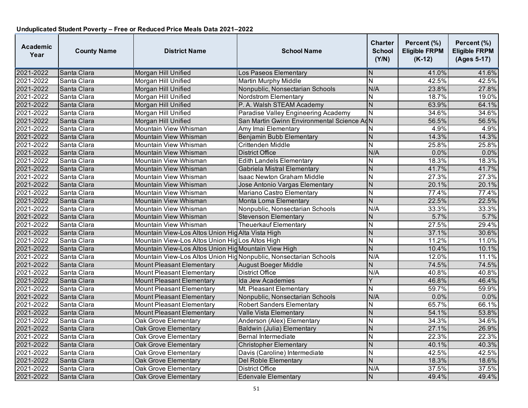| <b>Academic</b><br>Year | <b>County Name</b> | <b>District Name</b>                                             | <b>School Name</b>                         | Charter<br><b>School</b><br>(Y/N) | Percent (%)<br><b>Eligible FRPM</b><br>$(K-12)$ | Percent (%)<br><b>Eligible FRPM</b><br>(Ages 5-17) |
|-------------------------|--------------------|------------------------------------------------------------------|--------------------------------------------|-----------------------------------|-------------------------------------------------|----------------------------------------------------|
| 2021-2022               | Santa Clara        | Morgan Hill Unified                                              | Los Paseos Elementary                      | ΙN                                | 41.0%                                           | 41.6%                                              |
| 2021-2022               | Santa Clara        | Morgan Hill Unified                                              | Martin Murphy Middle                       | N                                 | 42.5%                                           | 42.5%                                              |
| 2021-2022               | Santa Clara        | Morgan Hill Unified                                              | Nonpublic, Nonsectarian Schools            | N/A                               | 23.8%                                           | 27.8%                                              |
| 2021-2022               | Santa Clara        | Morgan Hill Unified                                              | <b>Nordstrom Elementary</b>                | Ñ                                 | 18.7%                                           | 19.0%                                              |
| 2021-2022               | Santa Clara        | Morgan Hill Unified                                              | P. A. Walsh STEAM Academy                  | $\mathsf{N}$                      | 63.9%                                           | 64.1%                                              |
| 2021-2022               | Santa Clara        | Morgan Hill Unified                                              | Paradise Valley Engineering Academy        | $\mathsf{N}$                      | 34.6%                                           | 34.6%                                              |
| 2021-2022               | Santa Clara        | Morgan Hill Unified                                              | San Martin Gwinn Environmental Science AdN |                                   | 56.5%                                           | 56.5%                                              |
| 2021-2022               | Santa Clara        | Mountain View Whisman                                            | Amy Imai Elementary                        | N                                 | 4.9%                                            | 4.9%                                               |
| 2021-2022               | Santa Clara        | Mountain View Whisman                                            | Benjamin Bubb Elementary                   | $\mathsf{N}$                      | 14.3%                                           | 14.3%                                              |
| 2021-2022               | Santa Clara        | Mountain View Whisman                                            | Crittenden Middle                          | $\mathsf{N}$                      | 25.8%                                           | 25.8%                                              |
| 2021-2022               | Santa Clara        | <b>Mountain View Whisman</b>                                     | <b>District Office</b>                     | N/A                               | 0.0%                                            | 0.0%                                               |
| 2021-2022               | Santa Clara        | Mountain View Whisman                                            | <b>Edith Landels Elementary</b>            | N                                 | 18.3%                                           | 18.3%                                              |
| 2021-2022               | Santa Clara        | Mountain View Whisman                                            | Gabriela Mistral Elementary                | $\mathsf{N}$                      | 41.7%                                           | 41.7%                                              |
| 2021-2022               | Santa Clara        | Mountain View Whisman                                            | Isaac Newton Graham Middle                 | $\overline{\mathsf{N}}$           | 27.3%                                           | 27.3%                                              |
| 2021-2022               | Santa Clara        | Mountain View Whisman                                            | Jose Antonio Vargas Elementary             | $\mathsf{N}$                      | 20.1%                                           | 20.1%                                              |
| 2021-2022               | Santa Clara        | Mountain View Whisman                                            | Mariano Castro Elementary                  | N                                 | 77.4%                                           | 77.4%                                              |
| 2021-2022               | Santa Clara        | Mountain View Whisman                                            | Monta Loma Elementary                      | $\overline{N}$                    | 22.5%                                           | 22.5%                                              |
| 2021-2022               | Santa Clara        | Mountain View Whisman                                            | Nonpublic, Nonsectarian Schools            | N/A                               | 33.3%                                           | 33.3%                                              |
| 2021-2022               | Santa Clara        | Mountain View Whisman                                            | <b>Stevenson Elementary</b>                | N                                 | 5.7%                                            | 5.7%                                               |
| 2021-2022               | Santa Clara        | Mountain View Whisman                                            | <b>Theuerkauf Elementary</b>               | $\overline{\mathsf{N}}$           | 27.5%                                           | 29.4%                                              |
| 2021-2022               | Santa Clara        | Mountain View-Los Altos Union Hig Alta Vista High                |                                            | N                                 | 37.1%                                           | 30.6%                                              |
| 2021-2022               | Santa Clara        | Mountain View-Los Altos Union Hig Los Altos High                 |                                            | Ñ                                 | 11.2%                                           | 11.0%                                              |
| 2021-2022               | Santa Clara        | Mountain View-Los Altos Union Hig Mountain View High             |                                            | N                                 | 10.4%                                           | 10.1%                                              |
| 2021-2022               | Santa Clara        | Mountain View-Los Altos Union HigNonpublic, Nonsectarian Schools |                                            | N/A                               | 12.0%                                           | 11.1%                                              |
| 2021-2022               | Santa Clara        | <b>Mount Pleasant Elementary</b>                                 | August Boeger Middle                       | $\overline{N}$                    | 74.5%                                           | 74.5%                                              |
| 2021-2022               | Santa Clara        | <b>Mount Pleasant Elementary</b>                                 | <b>District Office</b>                     | N/A                               | 40.8%                                           | 40.8%                                              |
| 2021-2022               | Santa Clara        | <b>Mount Pleasant Elementary</b>                                 | Ida Jew Academies                          | Y                                 | 46.8%                                           | 46.4%                                              |
| 2021-2022               | Santa Clara        | <b>Mount Pleasant Elementary</b>                                 | Mt. Pleasant Elementary                    | Ñ                                 | 59.7%                                           | 59.9%                                              |
| 2021-2022               | Santa Clara        | <b>Mount Pleasant Elementary</b>                                 | Nonpublic, Nonsectarian Schools            | N/A                               | 0.0%                                            | $0.0\%$                                            |
| 2021-2022               | Santa Clara        | <b>Mount Pleasant Elementary</b>                                 | <b>Robert Sanders Elementary</b>           | N                                 | 65.7%                                           | 66.1%                                              |
| 2021-2022               | Santa Clara        | <b>Mount Pleasant Elementary</b>                                 | Valle Vista Elementary                     | $\mathsf{N}$                      | 54.1%                                           | 53.8%                                              |
| 2021-2022               | Santa Clara        | Oak Grove Elementary                                             | Anderson (Alex) Elementary                 | N                                 | 34.3%                                           | 34.6%                                              |
| 2021-2022               | Santa Clara        | <b>Oak Grove Elementary</b>                                      | Baldwin (Julia) Elementary                 | $\mathsf{N}$                      | 27.1%                                           | 26.9%                                              |
| 2021-2022               | Santa Clara        | Oak Grove Elementary                                             | Bernal Intermediate                        | N                                 | 22.3%                                           | 22.3%                                              |
| 2021-2022               | Santa Clara        | Oak Grove Elementary                                             | <b>Christopher Elementary</b>              | $\overline{N}$                    | 40.1%                                           | 40.3%                                              |
| 2021-2022               | Santa Clara        | <b>Oak Grove Elementary</b>                                      | Davis (Caroline) Intermediate              | Ñ                                 | 42.5%                                           | 42.5%                                              |
| 2021-2022               | Santa Clara        | Oak Grove Elementary                                             | Del Roble Elementary                       | N                                 | 18.3%                                           | 18.6%                                              |
| 2021-2022               | Santa Clara        | Oak Grove Elementary                                             | District Office                            | N/A                               | 37.5%                                           | 37.5%                                              |
| 2021-2022               | Santa Clara        | Oak Grove Elementary                                             | <b>Edenvale Elementary</b>                 | $\mathsf{N}$                      | 49.4%                                           | 49.4%                                              |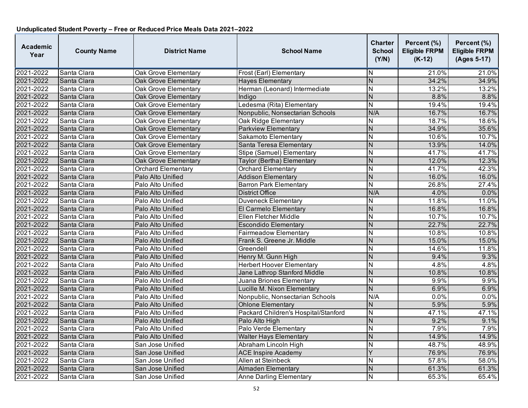| <b>Academic</b><br>Year | <b>County Name</b> | <b>District Name</b>        | <b>School Name</b>                   | <b>Charter</b><br><b>School</b><br>(Y/N) | Percent (%)<br><b>Eligible FRPM</b><br>$(K-12)$ | Percent (%)<br><b>Eligible FRPM</b><br>(Ages 5-17) |
|-------------------------|--------------------|-----------------------------|--------------------------------------|------------------------------------------|-------------------------------------------------|----------------------------------------------------|
| 2021-2022               | Santa Clara        | <b>Oak Grove Elementary</b> | Frost (Earl) Elementary              | N                                        | 21.0%                                           | 21.0%                                              |
| 2021-2022               | Santa Clara        | Oak Grove Elementary        | <b>Hayes Elementary</b>              | $\overline{N}$                           | 34.2%                                           | 34.9%                                              |
| 2021-2022               | Santa Clara        | <b>Oak Grove Elementary</b> | Herman (Leonard) Intermediate        | $\overline{\mathsf{N}}$                  | 13.2%                                           | 13.2%                                              |
| 2021-2022               | Santa Clara        | <b>Oak Grove Elementary</b> | Indiao                               | $\overline{N}$                           | 8.8%                                            | 8.8%                                               |
| 2021-2022               | Santa Clara        | Oak Grove Elementary        | Ledesma (Rita) Elementary            | N                                        | 19.4%                                           | 19.4%                                              |
| 2021-2022               | Santa Clara        | Oak Grove Elementary        | Nonpublic, Nonsectarian Schools      | N/A                                      | 16.7%                                           | 16.7%                                              |
| 2021-2022               | Santa Clara        | Oak Grove Elementary        | Oak Ridge Elementary                 | N                                        | 18.7%                                           | 18.6%                                              |
| 2021-2022               | Santa Clara        | Oak Grove Elementary        | Parkview Elementary                  | N                                        | 34.9%                                           | 35.6%                                              |
| 2021-2022               | Santa Clara        | <b>Oak Grove Elementary</b> | Sakamoto Elementary                  | $\overline{N}$                           | 10.6%                                           | 10.7%                                              |
| 2021-2022               | Santa Clara        | <b>Oak Grove Elementary</b> | Santa Teresa Elementary              | N                                        | 13.9%                                           | 14.0%                                              |
| 2021-2022               | Santa Clara        | Oak Grove Elementary        | Stipe (Samuel) Elementary            | N                                        | 41.7%                                           | 41.7%                                              |
| 2021-2022               | Santa Clara        | <b>Oak Grove Elementary</b> | Taylor (Bertha) Elementary           | N                                        | 12.0%                                           | 12.3%                                              |
| 2021-2022               | Santa Clara        | <b>Orchard Elementary</b>   | <b>Orchard Elementary</b>            | N                                        | 41.7%                                           | 42.3%                                              |
| 2021-2022               | Santa Clara        | Palo Alto Unified           | <b>Addison Elementary</b>            | $\overline{N}$                           | 16.0%                                           | 16.0%                                              |
| 2021-2022               | Santa Clara        | Palo Alto Unified           | <b>Barron Park Elementary</b>        | N                                        | 26.8%                                           | 27.4%                                              |
| 2021-2022               | Santa Clara        | Palo Alto Unified           | <b>District Office</b>               | N/A                                      | 4.0%                                            | 0.0%                                               |
| 2021-2022               | Santa Clara        | Palo Alto Unified           | <b>Duveneck Elementary</b>           | N                                        | 11.8%                                           | 11.0%                                              |
| 2021-2022               | Santa Clara        | Palo Alto Unified           | El Carmelo Elementary                | N                                        | 16.8%                                           | 16.8%                                              |
| 2021-2022               | Santa Clara        | Palo Alto Unified           | Ellen Fletcher Middle                | N                                        | 10.7%                                           | 10.7%                                              |
| 2021-2022               | Santa Clara        | Palo Alto Unified           | <b>Escondido Elementary</b>          | $\overline{N}$                           | 22.7%                                           | 22.7%                                              |
| 2021-2022               | Santa Clara        | Palo Alto Unified           | <b>Fairmeadow Elementary</b>         | N                                        | 10.8%                                           | 10.8%                                              |
| 2021-2022               | Santa Clara        | Palo Alto Unified           | Frank S. Greene Jr. Middle           | N                                        | 15.0%                                           | 15.0%                                              |
| 2021-2022               | Santa Clara        | Palo Alto Unified           | Greendell                            | N                                        | 14.6%                                           | 11.8%                                              |
| 2021-2022               | Santa Clara        | Palo Alto Unified           | Henry M. Gunn High                   | $\overline{N}$                           | 9.4%                                            | 9.3%                                               |
| 2021-2022               | Santa Clara        | Palo Alto Unified           | <b>Herbert Hoover Elementary</b>     | $\overline{\mathsf{N}}$                  | 4.8%                                            | 4.8%                                               |
| 2021-2022               | Santa Clara        | Palo Alto Unified           | Jane Lathrop Stanford Middle         | N                                        | 10.8%                                           | 10.8%                                              |
| 2021-2022               | Santa Clara        | Palo Alto Unified           | Juana Briones Elementary             | N                                        | 9.9%                                            | 9.9%                                               |
| 2021-2022               | Santa Clara        | Palo Alto Unified           | Lucille M. Nixon Elementary          | $\overline{N}$                           | 6.9%                                            | 6.9%                                               |
| 2021-2022               | Santa Clara        | Palo Alto Unified           | Nonpublic, Nonsectarian Schools      | N/A                                      | 0.0%                                            | 0.0%                                               |
| 2021-2022               | Santa Clara        | Palo Alto Unified           | <b>Ohlone Elementary</b>             | N                                        | 5.9%                                            | 5.9%                                               |
| 2021-2022               | Santa Clara        | Palo Alto Unified           | Packard Children's Hospital/Stanford | N                                        | 47.1%                                           | 47.1%                                              |
| 2021-2022               | Santa Clara        | Palo Alto Unified           | Palo Alto High                       | $\mathsf{N}$                             | 9.2%                                            | 9.1%                                               |
| 2021-2022               | Santa Clara        | Palo Alto Unified           | Palo Verde Elementary                | N                                        | 7.9%                                            | 7.9%                                               |
| 2021-2022               | Santa Clara        | Palo Alto Unified           | <b>Walter Hays Elementary</b>        | N                                        | 14.9%                                           | 14.9%                                              |
| 2021-2022               | Santa Clara        | San Jose Unified            | Abraham Lincoln High                 | $\overline{N}$                           | 48.7%                                           | 48.9%                                              |
| 2021-2022               | Santa Clara        | San Jose Unified            | <b>ACE Inspire Academy</b>           | Ÿ                                        | 76.9%                                           | 76.9%                                              |
| 2021-2022               | Santa Clara        | San Jose Unified            | <b>Allen at Steinbeck</b>            | N                                        | 57.8%                                           | $\frac{1}{58.0\%}$                                 |
| 2021-2022               | Santa Clara        | San Jose Unified            | <b>Almaden Elementary</b>            | N                                        | 61.3%                                           | 61.3%                                              |
| 2021-2022               | Santa Clara        | San Jose Unified            | <b>Anne Darling Elementary</b>       | N                                        | 65.3%                                           | 65.4%                                              |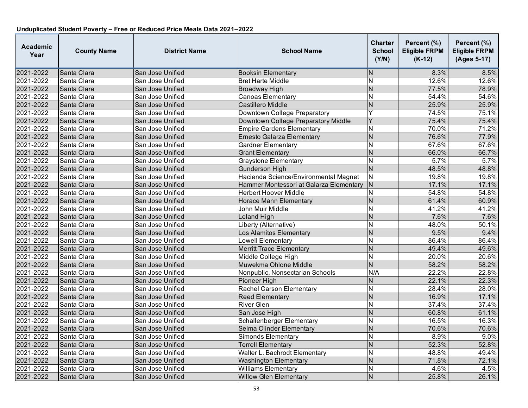| <b>Academic</b><br>Year | <b>County Name</b> | <b>District Name</b> | <b>School Name</b>                      | <b>Charter</b><br><b>School</b><br>(Y/N) | Percent (%)<br><b>Eligible FRPM</b><br>$(K-12)$ | Percent (%)<br><b>Eligible FRPM</b><br>(Ages 5-17) |
|-------------------------|--------------------|----------------------|-----------------------------------------|------------------------------------------|-------------------------------------------------|----------------------------------------------------|
| 2021-2022               | Santa Clara        | San Jose Unified     | <b>Booksin Elementary</b>               | N                                        | 8.3%                                            | 8.5%                                               |
| 2021-2022               | Santa Clara        | San Jose Unified     | <b>Bret Harte Middle</b>                | N                                        | 12.6%                                           | 12.6%                                              |
| 2021-2022               | Santa Clara        | San Jose Unified     | <b>Broadway High</b>                    | N                                        | 77.5%                                           | 78.9%                                              |
| 2021-2022               | Santa Clara        | San Jose Unified     | <b>Canoas Elementary</b>                | $\overline{\mathsf{N}}$                  | 54.4%                                           | 54.6%                                              |
| 2021-2022               | Santa Clara        | San Jose Unified     | <b>Castillero Middle</b>                | N                                        | 25.9%                                           | 25.9%                                              |
| 2021-2022               | Santa Clara        | San Jose Unified     | Downtown College Preparatory            | Ÿ                                        | 74.5%                                           | 75.1%                                              |
| 2021-2022               | Santa Clara        | San Jose Unified     | Downtown College Preparatory Middle     | Ý                                        | 75.4%                                           | 75.4%                                              |
| 2021-2022               | Santa Clara        | San Jose Unified     | <b>Empire Gardens Elementary</b>        | N                                        | 70.0%                                           | 71.2%                                              |
| 2021-2022               | Santa Clara        | San Jose Unified     | Ernesto Galarza Elementary              | N                                        | 76.6%                                           | 77.9%                                              |
| 2021-2022               | Santa Clara        | San Jose Unified     | <b>Gardner Elementary</b>               | N                                        | 67.6%                                           | 67.6%                                              |
| 2021-2022               | Santa Clara        | San Jose Unified     | <b>Grant Elementary</b>                 | N                                        | 66.0%                                           | 66.7%                                              |
| 2021-2022               | Santa Clara        | San Jose Unified     | <b>Graystone Elementary</b>             | N                                        | 5.7%                                            | 5.7%                                               |
| 2021-2022               | Santa Clara        | San Jose Unified     | <b>Gunderson High</b>                   | $\overline{N}$                           | 48.5%                                           | 48.8%                                              |
| 2021-2022               | Santa Clara        | San Jose Unified     | Hacienda Science/Environmental Magnet   | $\overline{\mathsf{N}}$                  | 19.8%                                           | 19.8%                                              |
| 2021-2022               | Santa Clara        | San Jose Unified     | Hammer Montessori at Galarza Elementary | $\mathsf{N}$                             | 17.1%                                           | 17.1%                                              |
| 2021-2022               | Santa Clara        | San Jose Unified     | <b>Herbert Hoover Middle</b>            | N                                        | 54.8%                                           | 54.8%                                              |
| 2021-2022               | Santa Clara        | San Jose Unified     | <b>Horace Mann Elementary</b>           | N                                        | 61.4%                                           | 60.9%                                              |
| 2021-2022               | Santa Clara        | San Jose Unified     | John Muir Middle                        | N                                        | 41.2%                                           | 41.2%                                              |
| 2021-2022               | Santa Clara        | San Jose Unified     | Leland High                             | N                                        | 7.6%                                            | 7.6%                                               |
| 2021-2022               | Santa Clara        | San Jose Unified     | Liberty (Alternative)                   | N                                        | 48.0%                                           | 50.1%                                              |
| 2021-2022               | Santa Clara        | San Jose Unified     | Los Alamitos Elementary                 | $\overline{N}$                           | 9.5%                                            | 9.4%                                               |
| 2021-2022               | Santa Clara        | San Jose Unified     | <b>Lowell Elementary</b>                | N                                        | 86.4%                                           | 86.4%                                              |
| 2021-2022               | Santa Clara        | San Jose Unified     | <b>Merritt Trace Elementary</b>         | N                                        | 49.4%                                           | 49.6%                                              |
| 2021-2022               | Santa Clara        | San Jose Unified     | Middle College High                     | $\overline{N}$                           | 20.0%                                           | 20.6%                                              |
| 2021-2022               | Santa Clara        | San Jose Unified     | Muwekma Ohlone Middle                   | $\overline{N}$                           | 58.2%                                           | 58.2%                                              |
| 2021-2022               | Santa Clara        | San Jose Unified     | Nonpublic, Nonsectarian Schools         | N/A                                      | 22.2%                                           | 22.8%                                              |
| 2021-2022               | Santa Clara        | San Jose Unified     | Pioneer High                            | N                                        | 22.1%                                           | 22.3%                                              |
| 2021-2022               | Santa Clara        | San Jose Unified     | Rachel Carson Elementary                | N                                        | 28.4%                                           | 28.0%                                              |
| 2021-2022               | Santa Clara        | San Jose Unified     | <b>Reed Elementary</b>                  | $\overline{N}$                           | 16.9%                                           | 17.1%                                              |
| 2021-2022               | Santa Clara        | San Jose Unified     | <b>River Glen</b>                       | N                                        | 37.4%                                           | 37.4%                                              |
| 2021-2022               | Santa Clara        | San Jose Unified     | San Jose High                           | N                                        | 60.8%                                           | 61.1%                                              |
| 2021-2022               | Santa Clara        | San Jose Unified     | Schallenberger Elementary               | N                                        | 16.5%                                           | 16.3%                                              |
| 2021-2022               | Santa Clara        | San Jose Unified     | Selma Olinder Elementary                | N                                        | 70.6%                                           | 70.6%                                              |
| 2021-2022               | Santa Clara        | San Jose Unified     | Simonds Elementary                      | N                                        | 8.9%                                            | 9.0%                                               |
| 2021-2022               | Santa Clara        | San Jose Unified     | <b>Terrell Elementary</b>               | $\overline{N}$                           | 52.3%                                           | 52.8%                                              |
| 2021-2022               | Santa Clara        | San Jose Unified     | Walter L. Bachrodt Elementary           | N                                        | 48.8%                                           | 49.4%                                              |
| 2021-2022               | Santa Clara        | San Jose Unified     | <b>Washington Elementary</b>            | N                                        | 71.8%                                           | 72.1%                                              |
| 2021-2022               | Santa Clara        | San Jose Unified     | <b>Williams Elementary</b>              | N                                        | 4.6%                                            | 4.5%                                               |
| 2021-2022               | Santa Clara        | San Jose Unified     | <b>Willow Glen Elementary</b>           | $\mathsf{N}$                             | 25.8%                                           | 26.1%                                              |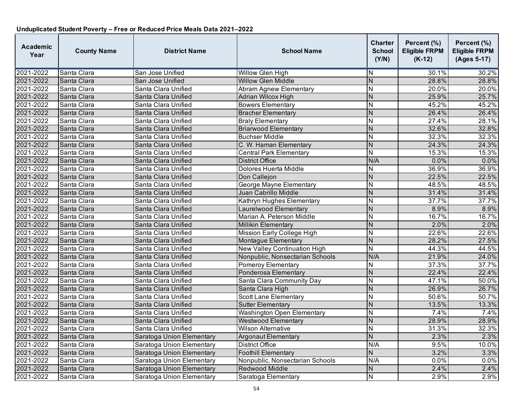| <b>Academic</b><br>Year | <b>County Name</b> | <b>District Name</b>      | <b>School Name</b>                  | <b>Charter</b><br><b>School</b><br>(Y/N) | Percent (%)<br><b>Eligible FRPM</b><br>$(K-12)$ | Percent (%)<br><b>Eligible FRPM</b><br>(Ages 5-17) |
|-------------------------|--------------------|---------------------------|-------------------------------------|------------------------------------------|-------------------------------------------------|----------------------------------------------------|
| 2021-2022               | Santa Clara        | San Jose Unified          | Willow Glen High                    | N                                        | 30.1%                                           | 30.2%                                              |
| 2021-2022               | Santa Clara        | San Jose Unified          | <b>Willow Glen Middle</b>           | $\mathsf{N}$                             | 28.8%                                           | 28.8%                                              |
| 2021-2022               | Santa Clara        | Santa Clara Unified       | <b>Abram Agnew Elementary</b>       | N                                        | 20.0%                                           | 20.0%                                              |
| 2021-2022               | Santa Clara        | Santa Clara Unified       | Adrian Wilcox High                  | $\overline{N}$                           | 25.9%                                           | 25.7%                                              |
| 2021-2022               | Santa Clara        | Santa Clara Unified       | <b>Bowers Elementary</b>            | N                                        | 45.2%                                           | 45.2%                                              |
| 2021-2022               | Santa Clara        | Santa Clara Unified       | <b>Bracher Elementary</b>           | N                                        | 26.4%                                           | 26.4%                                              |
| 2021-2022               | Santa Clara        | Santa Clara Unified       | <b>Braly Elementary</b>             | N                                        | 27.4%                                           | 28.1%                                              |
| 2021-2022               | Santa Clara        | Santa Clara Unified       | <b>Briarwood Elementary</b>         | N                                        | 32.6%                                           | 32.8%                                              |
| 2021-2022               | Santa Clara        | Santa Clara Unified       | <b>Buchser Middle</b>               | N                                        | 32.3%                                           | 32.3%                                              |
| 2021-2022               | Santa Clara        | Santa Clara Unified       | C. W. Haman Elementary              | $\overline{\mathsf{N}}$                  | 24.3%                                           | 24.3%                                              |
| 2021-2022               | Santa Clara        | Santa Clara Unified       | <b>Central Park Elementary</b>      | $\overline{\mathsf{N}}$                  | 15.3%                                           | 15.3%                                              |
| 2021-2022               | Santa Clara        | Santa Clara Unified       | District Office                     | N/A                                      | 0.0%                                            | 0.0%                                               |
| 2021-2022               | Santa Clara        | Santa Clara Unified       | Dolores Huerta Middle               | N                                        | 36.9%                                           | 36.9%                                              |
| 2021-2022               | Santa Clara        | Santa Clara Unified       | Don Callejon                        | $\overline{N}$                           | 22.5%                                           | 22.5%                                              |
| 2021-2022               | Santa Clara        | Santa Clara Unified       | George Mayne Elementary             | N                                        | 48.5%                                           | 48.5%                                              |
| 2021-2022               | Santa Clara        | Santa Clara Unified       | Juan Cabrillo Middle                | N                                        | 31.4%                                           | 31.4%                                              |
| 2021-2022               | Santa Clara        | Santa Clara Unified       | Kathryn Hughes Elementary           | N                                        | 37.7%                                           | 37.7%                                              |
| 2021-2022               | Santa Clara        | Santa Clara Unified       | Laurelwood Elementary               | N                                        | 8.9%                                            | 8.9%                                               |
| 2021-2022               | Santa Clara        | Santa Clara Unified       | Marian A. Peterson Middle           | N                                        | 16.7%                                           | 16.7%                                              |
| 2021-2022               | Santa Clara        | Santa Clara Unified       | <b>Millikin Elementary</b>          | N                                        | 2.0%                                            | 2.0%                                               |
| 2021-2022               | Santa Clara        | Santa Clara Unified       | Mission Early College High          | $\overline{\mathsf{N}}$                  | 22.6%                                           | 22.6%                                              |
| 2021-2022               | Santa Clara        | Santa Clara Unified       | Montague Elementary                 | N                                        | 28.2%                                           | 27.5%                                              |
| 2021-2022               | Santa Clara        | Santa Clara Unified       | <b>New Valley Continuation High</b> | N                                        | 44.3%                                           | 44.5%                                              |
| 2021-2022               | Santa Clara        | Santa Clara Unified       | Nonpublic, Nonsectarian Schools     | N/A                                      | 21.9%                                           | 24.0%                                              |
| 2021-2022               | Santa Clara        | Santa Clara Unified       | Pomeroy Elementary                  | N                                        | 37.3%                                           | 37.7%                                              |
| 2021-2022               | Santa Clara        | Santa Clara Unified       | Ponderosa Elementary                | N                                        | 22.4%                                           | 22.4%                                              |
| 2021-2022               | Santa Clara        | Santa Clara Unified       | Santa Clara Community Day           | N                                        | 47.1%                                           | 50.0%                                              |
| 2021-2022               | Santa Clara        | Santa Clara Unified       | Santa Clara High                    | N                                        | 26.9%                                           | 26.7%                                              |
| 2021-2022               | Santa Clara        | Santa Clara Unified       | <b>Scott Lane Elementary</b>        | N                                        | 50.6%                                           | 50.7%                                              |
| 2021-2022               | Santa Clara        | Santa Clara Unified       | <b>Sutter Elementary</b>            | N                                        | 13.5%                                           | 13.3%                                              |
| 2021-2022               | Santa Clara        | Santa Clara Unified       | Washington Open Elementary          | $\overline{N}$                           | 7.4%                                            | 7.4%                                               |
| 2021-2022               | Santa Clara        | Santa Clara Unified       | <b>Westwood Elementary</b>          | $\overline{N}$                           | 28.9%                                           | 28.9%                                              |
| 2021-2022               | Santa Clara        | Santa Clara Unified       | <b>Wilson Alternative</b>           | N                                        | 31.3%                                           | 32.3%                                              |
| 2021-2022               | Santa Clara        | Saratoga Union Elementary | <b>Argonaut Elementary</b>          | N                                        | 2.3%                                            | 2.3%                                               |
| 2021-2022               | Santa Clara        | Saratoga Union Elementary | <b>District Office</b>              | N/A                                      | 9.5%                                            | 10.0%                                              |
| 2021-2022               | Santa Clara        | Saratoga Union Elementary | <b>Foothill Elementary</b>          | $\overline{N}$                           | 3.2%                                            | 3.3%                                               |
| 2021-2022               | Santa Clara        | Saratoga Union Elementary | Nonpublic, Nonsectarian Schools     | N/A                                      | 0.0%                                            | 0.0%                                               |
| 2021-2022               | Santa Clara        | Saratoga Union Elementary | Redwood Middle                      | N                                        | 2.4%                                            | 2.4%                                               |
| 2021-2022               | Santa Clara        | Saratoga Union Elementary | Saratoga Elementary                 | $\mathsf{N}$                             | 2.9%                                            | 2.9%                                               |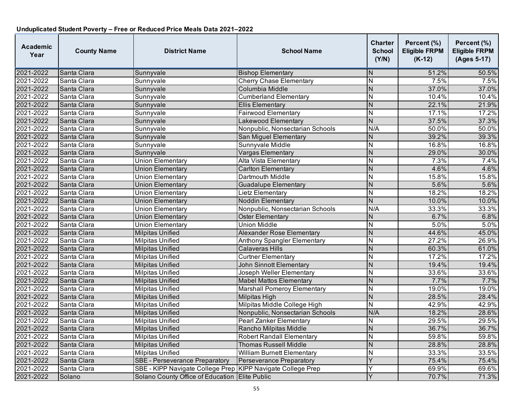| <b>Academic</b><br>Year | <b>County Name</b> | <b>District Name</b>                                        | <b>School Name</b>                 | <b>Charter</b><br><b>School</b><br>(Y/N) | Percent (%)<br><b>Eligible FRPM</b><br>$(K-12)$ | Percent (%)<br><b>Eligible FRPM</b><br>(Ages 5-17) |
|-------------------------|--------------------|-------------------------------------------------------------|------------------------------------|------------------------------------------|-------------------------------------------------|----------------------------------------------------|
| 2021-2022               | Santa Clara        | Sunnyvale                                                   | <b>Bishop Elementary</b>           | N                                        | 51.2%                                           | 50.5%                                              |
| 2021-2022               | Santa Clara        | Sunnyvale                                                   | <b>Cherry Chase Elementary</b>     | $\mathsf{N}$                             | 7.5%                                            | 7.5%                                               |
| 2021-2022               | Santa Clara        | Sunnyvale                                                   | Columbia Middle                    | $\overline{N}$                           | 37.0%                                           | 37.0%                                              |
| 2021-2022               | Santa Clara        | Sunnyvale                                                   | <b>Cumberland Elementary</b>       | N                                        | 10.4%                                           | 10.4%                                              |
| 2021-2022               | Santa Clara        | Sunnyvale                                                   | <b>Ellis Elementary</b>            | $\overline{N}$                           | 22.1%                                           | 21.9%                                              |
| 2021-2022               | Santa Clara        | Sunnyvale                                                   | Fairwood Elementary                | N                                        | 17.1%                                           | 17.2%                                              |
| 2021-2022               | Santa Clara        | Sunnyvale                                                   | Lakewood Elementary                | $\overline{N}$                           | 37.5%                                           | 37.3%                                              |
| 2021-2022               | Santa Clara        | Sunnyvale                                                   | Nonpublic, Nonsectarian Schools    | N/A                                      | 50.0%                                           | 50.0%                                              |
| 2021-2022               | Santa Clara        | Sunnyvale                                                   | San Miguel Elementary              | N                                        | 39.2%                                           | 39.3%                                              |
| 2021-2022               | Santa Clara        | Sunnyvale                                                   | Sunnyvale Middle                   | $\overline{\mathsf{N}}$                  | 16.8%                                           | 16.8%                                              |
| 2021-2022               | Santa Clara        | Sunnyvale                                                   | Vargas Elementary                  | N                                        | 29.0%                                           | 30.0%                                              |
| 2021-2022               | Santa Clara        | <b>Union Elementary</b>                                     | Alta Vista Elementary              | N                                        | 7.3%                                            | 7.4%                                               |
| 2021-2022               | Santa Clara        | <b>Union Elementary</b>                                     | <b>Carlton Elementary</b>          | $\overline{\mathsf{N}}$                  | 4.6%                                            | 4.6%                                               |
| 2021-2022               | Santa Clara        | <b>Union Elementary</b>                                     | Dartmouth Middle                   | $\overline{\mathsf{N}}$                  | 15.8%                                           | 15.8%                                              |
| 2021-2022               | Santa Clara        | <b>Union Elementary</b>                                     | <b>Guadalupe Elementary</b>        | $\overline{N}$                           | 5.6%                                            | 5.6%                                               |
| 2021-2022               | Santa Clara        | <b>Union Elementary</b>                                     | Lietz Elementary                   | N                                        | 18.2%                                           | 18.2%                                              |
| 2021-2022               | Santa Clara        | Union Elementary                                            | <b>Noddin Elementary</b>           | $\overline{N}$                           | 10.0%                                           | 10.0%                                              |
| 2021-2022               | Santa Clara        | <b>Union Elementary</b>                                     | Nonpublic, Nonsectarian Schools    | N/A                                      | 33.3%                                           | 33.3%                                              |
| 2021-2022               | Santa Clara        | <b>Union Elementary</b>                                     | Oster Elementary                   | N                                        | 6.7%                                            | 6.8%                                               |
| 2021-2022               | Santa Clara        | <b>Union Elementary</b>                                     | Union Middle                       | $\overline{\mathsf{N}}$                  | 5.0%                                            | 5.0%                                               |
| 2021-2022               | Santa Clara        | <b>Milpitas Unified</b>                                     | <b>Alexander Rose Elementary</b>   | $\overline{\mathsf{N}}$                  | 44.6%                                           | 45.0%                                              |
| 2021-2022               | Santa Clara        | <b>Milpitas Unified</b>                                     | <b>Anthony Spangler Elementary</b> | $\overline{\mathsf{N}}$                  | 27.2%                                           | 26.9%                                              |
| 2021-2022               | Santa Clara        | Milpitas Unified                                            | <b>Calaveras Hills</b>             | N                                        | 60.3%                                           | 61.0%                                              |
| 2021-2022               | Santa Clara        | <b>Milpitas Unified</b>                                     | <b>Curtner Elementary</b>          | N                                        | 17.2%                                           | 17.2%                                              |
| 2021-2022               | Santa Clara        | <b>Milpitas Unified</b>                                     | <b>John Sinnott Elementary</b>     | $\overline{N}$                           | 19.4%                                           | 19.4%                                              |
| 2021-2022               | Santa Clara        | <b>Milpitas Unified</b>                                     | Joseph Weller Elementary           | N                                        | 33.6%                                           | 33.6%                                              |
| 2021-2022<br>2021-2022  | Santa Clara        | <b>Milpitas Unified</b>                                     | <b>Mabel Mattos Elementary</b>     | $\overline{N}$                           | 7.7%                                            | 7.7%                                               |
|                         | Santa Clara        | <b>Milpitas Unified</b>                                     | <b>Marshall Pomeroy Elementary</b> | N                                        | 19.0%                                           | 19.0%                                              |
| 2021-2022               | Santa Clara        | <b>Milpitas Unified</b>                                     | <b>Milpitas High</b>               | $\overline{N}$                           | 28.5%                                           | 28.4%                                              |
| 2021-2022               | Santa Clara        | <b>Milpitas Unified</b>                                     | Milpitas Middle College High       | N                                        | 42.9%                                           | 42.9%                                              |
| 2021-2022               | Santa Clara        | <b>Milpitas Unified</b>                                     | Nonpublic, Nonsectarian Schools    | N/A                                      | 18.2%                                           | 28.6%                                              |
| 2021-2022               | Santa Clara        | <b>Milpitas Unified</b>                                     | <b>Pearl Zanker Elementary</b>     | N                                        | 29.5%                                           | 29.5%                                              |
| 2021-2022               | Santa Clara        | <b>Milpitas Unified</b>                                     | Rancho Milpitas Middle             | N                                        | 36.7%                                           | 36.7%                                              |
| 2021-2022               | Santa Clara        | <b>Milpitas Unified</b>                                     | <b>Robert Randall Elementary</b>   | N                                        | 59.8%                                           | 59.8%                                              |
| 2021-2022               | Santa Clara        | <b>Milpitas Unified</b>                                     | <b>Thomas Russell Middle</b>       | N                                        | 28.8%                                           | 28.8%                                              |
| 2021-2022               | Santa Clara        | <b>Milpitas Unified</b>                                     | <b>William Burnett Elementary</b>  | N                                        | 33.3%                                           | 33.5%                                              |
| 2021-2022               | Santa Clara        | <b>SBE - Perseverance Preparatory</b>                       | <b>Perseverance Preparatory</b>    | Y                                        | 75.4%                                           | 75.4%                                              |
| 2021-2022               | Santa Clara        | SBE - KIPP Navigate College Prep KIPP Navigate College Prep |                                    | Υ                                        | 69.9%                                           | 69.6%                                              |
| 2021-2022               | Solano             | Solano County Office of Education Elite Public              |                                    | Y                                        | 70.7%                                           | 71.3%                                              |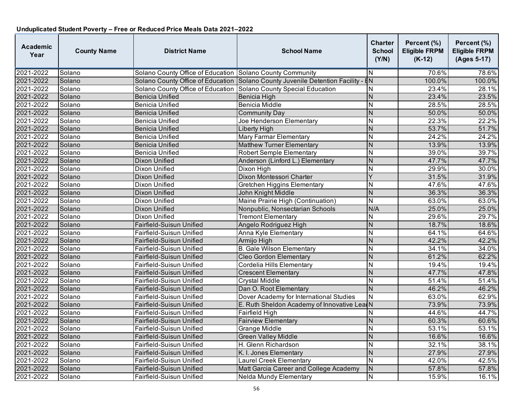| <b>Academic</b><br>Year | <b>County Name</b> | <b>District Name</b>                                              | <b>School Name</b>                                                            | <b>Charter</b><br><b>School</b><br>(Y/N) | Percent (%)<br><b>Eligible FRPM</b><br>$(K-12)$ | Percent (%)<br><b>Eligible FRPM</b><br>(Ages 5-17) |
|-------------------------|--------------------|-------------------------------------------------------------------|-------------------------------------------------------------------------------|------------------------------------------|-------------------------------------------------|----------------------------------------------------|
| 2021-2022               | Solano             | Solano County Office of Education Solano County Community         |                                                                               | IN.                                      | 70.6%                                           | 78.6%                                              |
| 2021-2022               | Solano             |                                                                   | Solano County Office of Education Solano County Juvenile Detention Facility - | $\overline{BN}$                          | 100.0%                                          | 100.0%                                             |
| 2021-2022               | Solano             | Solano County Office of Education Solano County Special Education |                                                                               | N                                        | 23.4%                                           | 28.1%                                              |
| 2021-2022               | Solano             | Benicia Unified                                                   | Benicia High                                                                  | $\overline{N}$                           | 23.4%                                           | 23.5%                                              |
| 2021-2022               | Solano             | Benicia Unified                                                   | <b>Benicia Middle</b>                                                         | N                                        | 28.5%                                           | 28.5%                                              |
| 2021-2022               | Solano             | <b>Benicia Unified</b>                                            | Community Day                                                                 | $\overline{N}$                           | 50.0%                                           | 50.0%                                              |
| 2021-2022               | Solano             | Benicia Unified                                                   | Joe Henderson Elementary                                                      | $\overline{\mathsf{N}}$                  | 22.3%                                           | 22.2%                                              |
| 2021-2022               | Solano             | Benicia Unified                                                   | Liberty High                                                                  | N                                        | 53.7%                                           | 51.7%                                              |
| 2021-2022               | Solano             | Benicia Unified                                                   | <b>Mary Farmar Elementary</b>                                                 | N                                        | 24.2%                                           | 24.2%                                              |
| 2021-2022               | Solano             | Benicia Unified                                                   | <b>Matthew Turner Elementary</b>                                              | N                                        | 13.9%                                           | 13.9%                                              |
| 2021-2022               | Solano             | <b>Benicia Unified</b>                                            | <b>Robert Semple Elementary</b>                                               | $\overline{\mathsf{N}}$                  | 39.0%                                           | 39.7%                                              |
| 2021-2022               | Solano             | Dixon Unified                                                     | Anderson (Linford L.) Elementary                                              | N                                        | 47.7%                                           | 47.7%                                              |
| 2021-2022               | Solano             | Dixon Unified                                                     | Dixon High                                                                    | N                                        | 29.9%                                           | 30.0%                                              |
| 2021-2022               | Solano             | Dixon Unified                                                     | Dixon Montessori Charter                                                      | Ý                                        | 31.5%                                           | 31.9%                                              |
| 2021-2022               | Solano             | Dixon Unified                                                     | Gretchen Higgins Elementary                                                   | N                                        | 47.6%                                           | 47.6%                                              |
| 2021-2022               | Solano             | Dixon Unified                                                     | John Knight Middle                                                            | N                                        | 36.3%                                           | 36.3%                                              |
| 2021-2022               | Solano             | Dixon Unified                                                     | Maine Prairie High (Continuation)                                             | $\overline{N}$                           | 63.0%                                           | 63.0%                                              |
| 2021-2022               | Solano             | <b>Dixon Unified</b>                                              | Nonpublic, Nonsectarian Schools                                               | N/A                                      | 25.0%                                           | 25.0%                                              |
| 2021-2022               | Solano             | Dixon Unified                                                     | <b>Tremont Elementary</b>                                                     | N                                        | 29.6%                                           | 29.7%                                              |
| 2021-2022               | Solano             | Fairfield-Suisun Unified                                          | Angelo Rodriguez High                                                         | $\overline{N}$                           | 18.7%                                           | 18.6%                                              |
| 2021-2022               | Solano             | Fairfield-Suisun Unified                                          | Anna Kyle Elementary                                                          | $\overline{\mathsf{N}}$                  | 64.1%                                           | 64.6%                                              |
| 2021-2022               | Solano             | Fairfield-Suisun Unified                                          | Armijo High                                                                   | $\overline{N}$                           | 42.2%                                           | 42.2%                                              |
| 2021-2022               | Solano             | Fairfield-Suisun Unified                                          | <b>B.</b> Gale Wilson Elementary                                              | $\overline{\mathsf{N}}$                  | 34.1%                                           | 34.0%                                              |
| 2021-2022               | Solano             | Fairfield-Suisun Unified                                          | <b>Cleo Gordon Elementary</b>                                                 | $\overline{N}$                           | 61.2%                                           | 62.2%                                              |
| 2021-2022               | Solano             | Fairfield-Suisun Unified                                          | Cordelia Hills Elementary                                                     | $\overline{\mathsf{N}}$                  | 19.4%                                           | 19.4%                                              |
| 2021-2022               | Solano             | Fairfield-Suisun Unified                                          | <b>Crescent Elementary</b>                                                    | N                                        | 47.7%                                           | 47.8%                                              |
| 2021-2022               | Solano             | Fairfield-Suisun Unified                                          | <b>Crystal Middle</b>                                                         | N                                        | 51.4%                                           | 51.4%                                              |
| 2021-2022               | Solano             | Fairfield-Suisun Unified                                          | Dan O. Root Elementary                                                        | $\overline{N}$                           | 46.2%                                           | 46.2%                                              |
| 2021-2022               | Solano             | Fairfield-Suisun Unified                                          | Dover Academy for International Studies                                       | $\overline{\mathsf{N}}$                  | 63.0%                                           | 62.9%                                              |
| 2021-2022               | Solano             | Fairfield-Suisun Unified                                          | E. Ruth Sheldon Academy of Innovative Lea                                     |                                          | 73.9%                                           | 73.9%                                              |
| 2021-2022               | Solano             | Fairfield-Suisun Unified                                          | Fairfield High                                                                | N                                        | 44.6%                                           | 44.7%                                              |
| 2021-2022               | Solano             | Fairfield-Suisun Unified                                          | <b>Fairview Elementary</b>                                                    | N                                        | 60.3%                                           | 60.6%                                              |
| 2021-2022               | Solano             | Fairfield-Suisun Unified                                          | <b>Grange Middle</b>                                                          | $\overline{\mathsf{N}}$                  | 53.1%                                           | 53.1%                                              |
| 2021-2022               | Solano             | Fairfield-Suisun Unified                                          | <b>Green Valley Middle</b>                                                    | N                                        | 16.6%                                           | 16.6%                                              |
| 2021-2022               | Solano             | Fairfield-Suisun Unified                                          | H. Glenn Richardson                                                           | N                                        | 32.1%                                           | 38.1%                                              |
| 2021-2022               | Solano             | Fairfield-Suisun Unified                                          | K. I. Jones Elementary                                                        | $\overline{N}$                           | 27.9%                                           | 27.9%                                              |
| 2021-2022               | Solano             | Fairfield-Suisun Unified                                          | Laurel Creek Elementary                                                       | N                                        | 42.0%                                           | 42.5%                                              |
| 2021-2022               | Solano             | Fairfield-Suisun Unified                                          | Matt Garcia Career and College Academy                                        | $\mathsf{N}$                             | 57.8%                                           | 57.8%                                              |
| 2021-2022               | Solano             | Fairfield-Suisun Unified                                          | Nelda Mundy Elementary                                                        | $\overline{\mathsf{N}}$                  | 15.9%                                           | 16.1%                                              |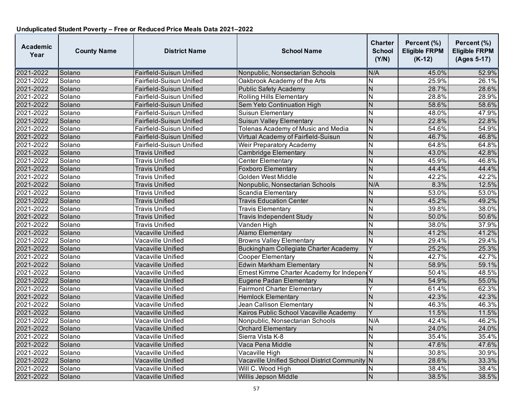| <b>Academic</b><br>Year | <b>County Name</b> | <b>District Name</b>     | <b>School Name</b>                                 | <b>Charter</b><br><b>School</b><br>(Y/N) | Percent (%)<br><b>Eligible FRPM</b><br>$(K-12)$ | Percent (%)<br><b>Eligible FRPM</b><br>(Ages 5-17) |
|-------------------------|--------------------|--------------------------|----------------------------------------------------|------------------------------------------|-------------------------------------------------|----------------------------------------------------|
| 2021-2022               | Solano             | Fairfield-Suisun Unified | Nonpublic, Nonsectarian Schools                    | N/A                                      | 45.0%                                           | 52.9%                                              |
| 2021-2022               | Solano             | Fairfield-Suisun Unified | Oakbrook Academy of the Arts                       | N                                        | 25.9%                                           | 26.1%                                              |
| 2021-2022               | Solano             | Fairfield-Suisun Unified | <b>Public Safety Academy</b>                       | $\overline{N}$                           | 28.7%                                           | 28.6%                                              |
| 2021-2022               | Solano             | Fairfield-Suisun Unified | <b>Rolling Hills Elementary</b>                    | $\overline{\mathsf{N}}$                  | 28.8%                                           | 28.9%                                              |
| 2021-2022               | Solano             | Fairfield-Suisun Unified | Sem Yeto Continuation High                         | N                                        | 58.6%                                           | 58.6%                                              |
| 2021-2022               | Solano             | Fairfield-Suisun Unified | <b>Suisun Elementary</b>                           | N                                        | 48.0%                                           | 47.9%                                              |
| 2021-2022               | Solano             | Fairfield-Suisun Unified | Suisun Valley Elementary                           | N                                        | 22.8%                                           | 22.8%                                              |
| 2021-2022               | Solano             | Fairfield-Suisun Unified | Tolenas Academy of Music and Media                 | N                                        | 54.6%                                           | 54.9%                                              |
| 2021-2022               | Solano             | Fairfield-Suisun Unified | Virtual Academy of Fairfield-Suisun                | $\overline{N}$                           | 46.7%                                           | 46.8%                                              |
| 2021-2022               | Solano             | Fairfield-Suisun Unified | Weir Preparatory Academy                           | N                                        | 64.8%                                           | 64.8%                                              |
| 2021-2022               | Solano             | <b>Travis Unified</b>    | Cambridge Elementary                               | N                                        | 43.0%                                           | 42.8%                                              |
| 2021-2022               | Solano             | <b>Travis Unified</b>    | <b>Center Elementary</b>                           | N                                        | 45.9%                                           | 46.8%                                              |
| 2021-2022               | Solano             | <b>Travis Unified</b>    | <b>Foxboro Elementary</b>                          | $\overline{N}$                           | 44.4%                                           | 44.4%                                              |
| 2021-2022               | Solano             | <b>Travis Unified</b>    | Golden West Middle                                 | Ñ                                        | 42.2%                                           | 42.2%                                              |
| 2021-2022               | Solano             | Travis Unified           | Nonpublic, Nonsectarian Schools                    | N/A                                      | 8.3%                                            | 12.5%                                              |
| 2021-2022               | Solano             | Travis Unified           | Scandia Elementary                                 | N                                        | 53.0%                                           | 53.0%                                              |
| 2021-2022               | Solano             | <b>Travis Unified</b>    | <b>Travis Education Center</b>                     | $\overline{N}$                           | 45.2%                                           | 49.2%                                              |
| 2021-2022               | Solano             | <b>Travis Unified</b>    | <b>Travis Elementary</b>                           | N                                        | 39.8%                                           | 38.0%                                              |
| 2021-2022               | Solano             | Travis Unified           | <b>Travis Independent Study</b>                    | N                                        | 50.0%                                           | 50.6%                                              |
| 2021-2022               | Solano             | Travis Unified           | Vanden High                                        | N                                        | 38.0%                                           | 37.9%                                              |
| 2021-2022               | Solano             | Vacaville Unified        | <b>Alamo Elementary</b>                            | N                                        | 41.2%                                           | 41.2%                                              |
| 2021-2022               | Solano             | Vacaville Unified        | <b>Browns Valley Elementary</b>                    | $\overline{N}$                           | 29.4%                                           | 29.4%                                              |
| 2021-2022               | Solano             | Vacaville Unified        | Buckingham Collegiate Charter Academy              | Y                                        | 25.2%                                           | 25.3%                                              |
| 2021-2022               | Solano             | Vacaville Unified        | <b>Cooper Elementary</b>                           | N                                        | 42.7%                                           | 42.7%                                              |
| 2021-2022               | Solano             | Vacaville Unified        | <b>Edwin Markham Elementary</b>                    | $\overline{\mathsf{N}}$                  | 58.9%                                           | 59.1%                                              |
| 2021-2022               | Solano             | Vacaville Unified        | Ernest Kimme Charter Academy for Independ          | Υ                                        | 50.4%                                           | 48.5%                                              |
| 2021-2022               | Solano             | Vacaville Unified        | <b>Eugene Padan Elementary</b>                     | Ν                                        | 54.9%                                           | 55.0%                                              |
| 2021-2022               | Solano             | Vacaville Unified        | <b>Fairmont Charter Elementary</b>                 | Y                                        | 61.4%                                           | 62.3%                                              |
| 2021-2022               | Solano             | Vacaville Unified        | <b>Hemlock Elementary</b>                          | N                                        | 42.3%                                           | 42.3%                                              |
| 2021-2022               | Solano             | Vacaville Unified        | Jean Callison Elementary                           | N                                        | 46.3%                                           | 46.3%                                              |
| 2021-2022               | Solano             | Vacaville Unified        | Kairos Public School Vacaville Academy             | Y                                        | 11.5%                                           | 11.5%                                              |
| 2021-2022               | Solano             | Vacaville Unified        | Nonpublic, Nonsectarian Schools                    | N/A                                      | 42.4%                                           | 46.2%                                              |
| 2021-2022               | Solano             | Vacaville Unified        | <b>Orchard Elementary</b>                          | N                                        | 24.0%                                           | 24.0%                                              |
| 2021-2022               | Solano             | Vacaville Unified        | Sierra Vista K-8                                   | N                                        | 35.4%                                           | 35.4%                                              |
| 2021-2022               | Solano             | Vacaville Unified        | Vaca Pena Middle                                   | $\overline{N}$                           | 47.6%                                           | 47.6%                                              |
| 2021-2022               | Solano             | Vacaville Unified        | Vacaville High                                     | $\overline{\mathsf{N}}$                  | 30.8%                                           | 30.9%                                              |
| 2021-2022               | Solano             | Vacaville Unified        | <b>Vacaville Unified School District Community</b> | N                                        | 28.6%                                           | 33.3%                                              |
| 2021-2022               | Solano             | Vacaville Unified        | Will C. Wood High                                  | N                                        | 38.4%                                           | 38.4%                                              |
| 2021-2022               | Solano             | Vacaville Unified        | Willis Jepson Middle                               | N                                        | 38.5%                                           | 38.5%                                              |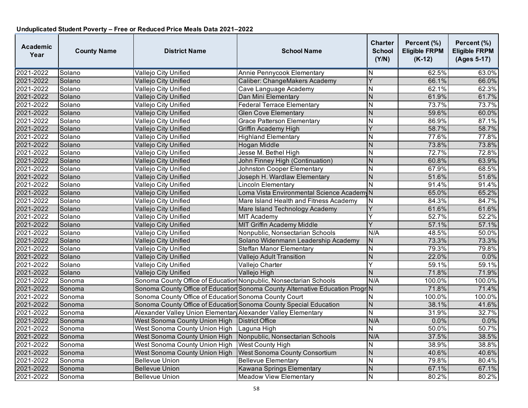| <b>Academic</b><br>Year | <b>County Name</b> | <b>District Name</b>                                              | <b>School Name</b>                                                            | <b>Charter</b><br><b>School</b><br>(Y/N) | Percent (%)<br><b>Eligible FRPM</b><br>$(K-12)$ | Percent (%)<br><b>Eligible FRPM</b><br>(Ages 5-17) |
|-------------------------|--------------------|-------------------------------------------------------------------|-------------------------------------------------------------------------------|------------------------------------------|-------------------------------------------------|----------------------------------------------------|
| 2021-2022               | Solano             | Vallejo City Unified                                              | Annie Pennycook Elementary                                                    | N                                        | 62.5%                                           | 63.0%                                              |
| 2021-2022               | Solano             | Vallejo City Unified                                              | Caliber: ChangeMakers Academy                                                 | $\overline{Y}$                           | 66.1%                                           | 66.0%                                              |
| 2021-2022               | Solano             | Vallejo City Unified                                              | Cave Language Academy                                                         | Ν                                        | 62.1%                                           | 62.3%                                              |
| 2021-2022               | Solano             | Vallejo City Unified                                              | Dan Mini Elementary                                                           | $\overline{N}$                           | 61.9%                                           | 61.7%                                              |
| 2021-2022               | Solano             | Vallejo City Unified                                              | <b>Federal Terrace Elementary</b>                                             | N                                        | 73.7%                                           | 73.7%                                              |
| 2021-2022               | Solano             | Vallejo City Unified                                              | <b>Glen Cove Elementary</b>                                                   | N                                        | 59.6%                                           | 60.0%                                              |
| 2021-2022               | Solano             | Vallejo City Unified                                              | <b>Grace Patterson Elementary</b>                                             | $\overline{\mathsf{N}}$                  | 86.9%                                           | 87.1%                                              |
| 2021-2022               | Solano             | Vallejo City Unified                                              | Griffin Academy High                                                          | Y                                        | 58.7%                                           | 58.7%                                              |
| 2021-2022               | Solano             | Vallejo City Unified                                              | <b>Highland Elementary</b>                                                    | N                                        | 77.6%                                           | 77.8%                                              |
| 2021-2022               | Solano             | Vallejo City Unified                                              | <b>Hogan Middle</b>                                                           | N                                        | 73.8%                                           | 73.8%                                              |
| 2021-2022               | Solano             | Vallejo City Unified                                              | Jesse M. Bethel High                                                          | $\overline{\mathsf{N}}$                  | 72.7%                                           | 72.8%                                              |
| 2021-2022               | Solano             | Vallejo City Unified                                              | John Finney High (Continuation)                                               | N                                        | 60.8%                                           | 63.9%                                              |
| 2021-2022               | Solano             | Vallejo City Unified                                              | <b>Johnston Cooper Elementary</b>                                             | $\overline{\mathsf{N}}$                  | 67.9%                                           | 68.5%                                              |
| 2021-2022               | Solano             | Vallejo City Unified                                              | Joseph H. Wardlaw Elementary                                                  | N                                        | 51.6%                                           | 51.6%                                              |
| 2021-2022               | Solano             | Vallejo City Unified                                              | Lincoln Elementary                                                            | N                                        | 91.4%                                           | 91.4%                                              |
| 2021-2022               | Solano             | Vallejo City Unified                                              | Loma Vista Environmental Science Academ                                       |                                          | 65.0%                                           | 65.2%                                              |
| 2021-2022               | Solano             | Vallejo City Unified                                              | Mare Island Health and Fitness Academy                                        | N                                        | 84.3%                                           | 84.7%                                              |
| 2021-2022               | Solano             | Vallejo City Unified                                              | Mare Island Technology Academy                                                | Y                                        | 61.6%                                           | 61.6%                                              |
| 2021-2022               | Solano             | Vallejo City Unified                                              | <b>MIT Academy</b>                                                            | Y                                        | 52.7%                                           | 52.2%                                              |
| 2021-2022               | Solano             | Vallejo City Unified                                              | <b>MIT Griffin Academy Middle</b>                                             | Y                                        | 57.1%                                           | 57.1%                                              |
| 2021-2022               | Solano             | Vallejo City Unified                                              | Nonpublic, Nonsectarian Schools                                               | N/A                                      | 48.5%                                           | 50.0%                                              |
| 2021-2022               | Solano             | Vallejo City Unified                                              | Solano Widenmann Leadership Academy                                           | ${\sf N}$                                | 73.3%                                           | 73.3%                                              |
| 2021-2022               | Solano             | Vallejo City Unified                                              | Steffan Manor Elementary                                                      | N                                        | 79.3%                                           | 79.8%                                              |
| 2021-2022               | Solano             | Vallejo City Unified                                              | Vallejo Adult Transition                                                      | $\overline{N}$                           | 22.0%                                           | 0.0%                                               |
| 2021-2022               | Solano             | Vallejo City Unified                                              | Vallejo Charter                                                               | Ÿ                                        | 59.1%                                           | 59.1%                                              |
| 2021-2022               | Solano             | Vallejo City Unified                                              | Vallejo High                                                                  | N                                        | 71.8%                                           | 71.9%                                              |
| 2021-2022               | Sonoma             | Sonoma County Office of Education Nonpublic, Nonsectarian Schools |                                                                               | N/A                                      | 100.0%                                          | 100.0%                                             |
| 2021-2022               | Sonoma             |                                                                   | Sonoma County Office of Education Sonoma County Alternative Education Progr N |                                          | 71.8%                                           | 71.4%                                              |
| 2021-2022               | Sonoma             | Sonoma County Office of Education Sonoma County Court             |                                                                               | N                                        | 100.0%                                          | 100.0%                                             |
| 2021-2022               | Sonoma             |                                                                   | Sonoma County Office of Education Sonoma County Special Education             | N                                        | 38.1%                                           | 41.6%                                              |
| 2021-2022               | Sonoma             | Alexander Valley Union Elementar Alexander Valley Elementary      |                                                                               | N                                        | 31.9%                                           | 32.7%                                              |
| 2021-2022               | Sonoma             | West Sonoma County Union High   District Office                   |                                                                               | N/A                                      | 0.0%                                            | 0.0%                                               |
| 2021-2022               | Sonoma             | West Sonoma County Union High Laguna High                         |                                                                               | Ñ                                        | 50.0%                                           | 50.7%                                              |
| 2021-2022               | Sonoma             | West Sonoma County Union High Nonpublic, Nonsectarian Schools     |                                                                               | N/A                                      | 37.5%                                           | 38.5%                                              |
| 2021-2022               | Sonoma             | West Sonoma County Union High   West County High                  |                                                                               | N                                        | 38.9%                                           | 38.8%                                              |
| 2021-2022               | Sonoma             | West Sonoma County Union High   West Sonoma County Consortium     |                                                                               | $\overline{\mathsf{N}}$                  | 40.6%                                           | 40.6%                                              |
| 2021-2022               | Sonoma             | <b>Bellevue Union</b>                                             | <b>Bellevue Elementary</b>                                                    | N                                        | 79.8%                                           | 80.4%                                              |
| 2021-2022               | Sonoma             | <b>Bellevue Union</b>                                             | Kawana Springs Elementary                                                     | N                                        | 67.1%                                           | 67.1%                                              |
| 2021-2022               | Sonoma             | <b>Bellevue Union</b>                                             | <b>Meadow View Elementary</b>                                                 | N                                        | 80.2%                                           | 80.2%                                              |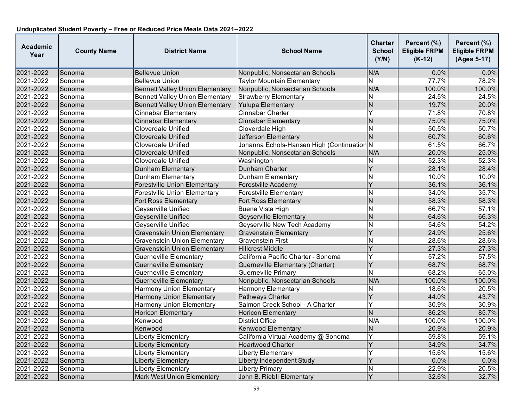| <b>Academic</b><br>Year | <b>County Name</b> | <b>District Name</b>                   | <b>School Name</b>                         | <b>Charter</b><br><b>School</b><br>(Y/N) | Percent (%)<br><b>Eligible FRPM</b><br>$(K-12)$ | Percent (%)<br><b>Eligible FRPM</b><br>(Ages 5-17) |
|-------------------------|--------------------|----------------------------------------|--------------------------------------------|------------------------------------------|-------------------------------------------------|----------------------------------------------------|
| 2021-2022               | Sonoma             | <b>Bellevue Union</b>                  | Nonpublic, Nonsectarian Schools            | N/A                                      | $0.0\%$                                         | 0.0%                                               |
| 2021-2022               | Sonoma             | <b>Bellevue Union</b>                  | <b>Taylor Mountain Elementary</b>          | $\overline{\mathsf{N}}$                  | 77.7%                                           | 78.2%                                              |
| 2021-2022               | Sonoma             | <b>Bennett Valley Union Elementary</b> | Nonpublic, Nonsectarian Schools            | N/A                                      | 100.0%                                          | 100.0%                                             |
| 2021-2022               | Sonoma             | <b>Bennett Valley Union Elementary</b> | <b>Strawberry Elementary</b>               | N                                        | 24.5%                                           | 24.5%                                              |
| 2021-2022               | Sonoma             | <b>Bennett Valley Union Elementary</b> | <b>Yulupa Elementary</b>                   | $\mathsf{N}$                             | 19.7%                                           | 20.0%                                              |
| 2021-2022               | Sonoma             | <b>Cinnabar Elementary</b>             | Cinnabar Charter                           | Y                                        | 71.8%                                           | 70.8%                                              |
| 2021-2022               | Sonoma             | <b>Cinnabar Elementary</b>             | Cinnabar Elementary                        | N                                        | 75.0%                                           | 75.0%                                              |
| 2021-2022               | Sonoma             | <b>Cloverdale Unified</b>              | Cloverdale High                            | N                                        | 50.5%                                           | 50.7%                                              |
| 2021-2022               | Sonoma             | Cloverdale Unified                     | Jefferson Elementary                       | $\overline{N}$                           | 60.7%                                           | 60.6%                                              |
| 2021-2022               | Sonoma             | Cloverdale Unified                     | Johanna Echols-Hansen High (Continuation N |                                          | 61.5%                                           | 66.7%                                              |
| 2021-2022               | Sonoma             | Cloverdale Unified                     | Nonpublic, Nonsectarian Schools            | N/A                                      | 20.0%                                           | 25.0%                                              |
| 2021-2022               | Sonoma             | Cloverdale Unified                     | Washington                                 | N                                        | 52.3%                                           | 52.3%                                              |
| 2021-2022               | Sonoma             | Dunham Elementary                      | Dunham Charter                             | $\overline{\mathsf{Y}}$                  | 28.1%                                           | 28.4%                                              |
| 2021-2022               | Sonoma             | Dunham Elementary                      | Dunham Elementary                          | N                                        | 10.0%                                           | 10.0%                                              |
| 2021-2022               | Sonoma             | Forestville Union Elementary           | Forestville Academy                        | Y                                        | 36.1%                                           | 36.1%                                              |
| 2021-2022               | Sonoma             | <b>Forestville Union Elementary</b>    | <b>Forestville Elementary</b>              | N                                        | 34.0%                                           | 35.7%                                              |
| 2021-2022               | Sonoma             | Fort Ross Elementary                   | Fort Ross Elementary                       | N                                        | 58.3%                                           | 58.3%                                              |
| 2021-2022               | Sonoma             | Geyserville Unified                    | Buena Vista High                           | $\overline{\mathsf{N}}$                  | 66.7%                                           | 57.1%                                              |
| 2021-2022               | Sonoma             | Geyserville Unified                    | Geyserville Elementary                     | N                                        | 64.6%                                           | 66.3%                                              |
| 2021-2022               | Sonoma             | Geyserville Unified                    | Geyserville New Tech Academy               | N                                        | 54.6%                                           | 54.2%                                              |
| 2021-2022               | Sonoma             | <b>Gravenstein Union Elementary</b>    | Gravenstein Elementary                     | Ÿ                                        | 24.9%                                           | 25.6%                                              |
| 2021-2022               | Sonoma             | <b>Gravenstein Union Elementary</b>    | Gravenstein First                          | N                                        | 28.6%                                           | 28.6%                                              |
| 2021-2022               | Sonoma             | <b>Gravenstein Union Elementary</b>    | <b>Hillcrest Middle</b>                    | Y                                        | 27.3%                                           | 27.3%                                              |
| 2021-2022               | Sonoma             | Guerneville Elementary                 | California Pacific Charter - Sonoma        | Y                                        | 57.2%                                           | 57.5%                                              |
| 2021-2022               | Sonoma             | <b>Guerneville Elementary</b>          | Guerneville Elementary (Charter)           | Y                                        | 68.7%                                           | 68.7%                                              |
| 2021-2022               | Sonoma             | <b>Guerneville Elementary</b>          | <b>Guerneville Primary</b>                 | N                                        | 68.2%                                           | 65.0%                                              |
| 2021-2022               | Sonoma             | <b>Guerneville Elementary</b>          | Nonpublic, Nonsectarian Schools            | N/A                                      | 100.0%                                          | 100.0%                                             |
| 2021-2022               | Sonoma             | <b>Harmony Union Elementary</b>        | <b>Harmony Elementary</b>                  | N                                        | 18.6%                                           | 20.5%                                              |
| 2021-2022               | Sonoma             | <b>Harmony Union Elementary</b>        | Pathways Charter                           | Y                                        | 44.0%                                           | 43.7%                                              |
| 2021-2022               | Sonoma             | <b>Harmony Union Elementary</b>        | Salmon Creek School - A Charter            | Y                                        | 30.9%                                           | 30.9%                                              |
| 2021-2022               | Sonoma             | <b>Horicon Elementary</b>              | <b>Horicon Elementary</b>                  | $\overline{N}$                           | 86.2%                                           | 85.7%                                              |
| 2021-2022               | Sonoma             | Kenwood                                | <b>District Office</b>                     | N/A                                      | 100.0%                                          | 100.0%                                             |
| 2021-2022               | Sonoma             | Kenwood                                | <b>Kenwood Elementary</b>                  | N                                        | 20.9%                                           | 20.9%                                              |
| 2021-2022               | Sonoma             | Liberty Elementary                     | California Virtual Academy @ Sonoma        | Ÿ                                        | 59.8%                                           | 59.1%                                              |
| 2021-2022               | Sonoma             | Liberty Elementary                     | <b>Heartwood Charter</b>                   | Ÿ                                        | 34.9%                                           | 34.7%                                              |
| 2021-2022               | Sonoma             | Liberty Elementary                     | <b>Liberty Elementary</b>                  | Y                                        | 15.6%                                           | 15.6%                                              |
| 2021-2022               | Sonoma             | Liberty Elementary                     | Liberty Independent Study                  | Y                                        | 0.0%                                            | 0.0%                                               |
| 2021-2022               | Sonoma             | <b>Liberty Elementary</b>              | <b>Liberty Primary</b>                     | N                                        | 22.9%                                           | 20.5%                                              |
| 2021-2022               | Sonoma             | <b>Mark West Union Elementary</b>      | John B. Riebli Elementary                  | Y                                        | 32.6%                                           | 32.7%                                              |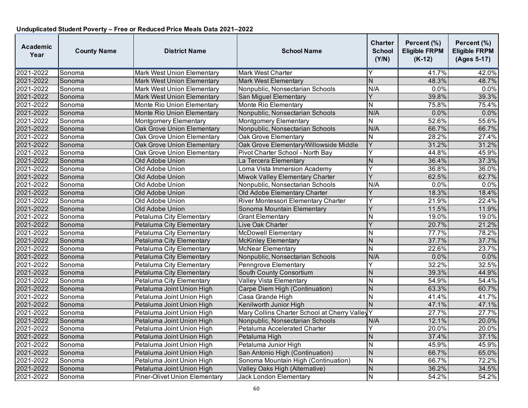| <b>Academic</b><br>Year | <b>County Name</b> | <b>District Name</b>              | <b>School Name</b>                           | <b>Charter</b><br><b>School</b><br>(Y/N) | Percent (%)<br><b>Eligible FRPM</b><br>$(K-12)$ | Percent (%)<br><b>Eligible FRPM</b><br>(Ages 5-17) |
|-------------------------|--------------------|-----------------------------------|----------------------------------------------|------------------------------------------|-------------------------------------------------|----------------------------------------------------|
| 2021-2022               | Sonoma             | <b>Mark West Union Elementary</b> | <b>Mark West Charter</b>                     | Y                                        | 41.7%                                           | 42.0%                                              |
| 2021-2022               | Sonoma             | <b>Mark West Union Elementary</b> | <b>Mark West Elementary</b>                  | $\mathsf{N}$                             | 48.3%                                           | 48.7%                                              |
| 2021-2022               | Sonoma             | <b>Mark West Union Elementary</b> | Nonpublic, Nonsectarian Schools              | N/A                                      | 0.0%                                            | 0.0%                                               |
| 2021-2022               | Sonoma             | <b>Mark West Union Elementary</b> | San Miguel Elementary                        | Y                                        | 39.8%                                           | 39.3%                                              |
| 2021-2022               | Sonoma             | Monte Rio Union Elementary        | Monte Rio Elementary                         | N                                        | 75.8%                                           | 75.4%                                              |
| 2021-2022               | Sonoma             | Monte Rio Union Elementary        | Nonpublic, Nonsectarian Schools              | N/A                                      | 0.0%                                            | 0.0%                                               |
| 2021-2022               | Sonoma             | Montgomery Elementary             | Montgomery Elementary                        | N                                        | 52.6%                                           | 55.6%                                              |
| 2021-2022               | Sonoma             | <b>Oak Grove Union Elementary</b> | Nonpublic, Nonsectarian Schools              | N/A                                      | 66.7%                                           | 66.7%                                              |
| 2021-2022               | Sonoma             | Oak Grove Union Elementary        | <b>Oak Grove Elementary</b>                  | N                                        | 28.2%                                           | 27.4%                                              |
| 2021-2022               | Sonoma             | Oak Grove Union Elementary        | Oak Grove Elementary/Willowside Middle       | Y                                        | 31.2%                                           | 31.2%                                              |
| 2021-2022               | Sonoma             | Oak Grove Union Elementary        | Pivot Charter School - North Bay             | Υ                                        | 44.8%                                           | 45.9%                                              |
| 2021-2022               | Sonoma             | Old Adobe Union                   | La Tercera Elementary                        | N                                        | 36.4%                                           | 37.3%                                              |
| 2021-2022               | Sonoma             | Old Adobe Union                   | Loma Vista Immersion Academy                 | Y                                        | 36.8%                                           | 36.0%                                              |
| 2021-2022               | Sonoma             | Old Adobe Union                   | Miwok Valley Elementary Charter              | Y                                        | 62.5%                                           | 62.7%                                              |
| 2021-2022               | Sonoma             | Old Adobe Union                   | Nonpublic, Nonsectarian Schools              | N/A                                      | 0.0%                                            | 0.0%                                               |
| 2021-2022               | Sonoma             | Old Adobe Union                   | Old Adobe Elementary Charter                 | Y                                        | 18.3%                                           | 18.4%                                              |
| 2021-2022               | Sonoma             | Old Adobe Union                   | River Montessori Elementary Charter          | Ÿ                                        | 21.9%                                           | 22.4%                                              |
| 2021-2022               | Sonoma             | Old Adobe Union                   | Sonoma Mountain Elementary                   | Y                                        | 11.5%                                           | 11.9%                                              |
| 2021-2022               | Sonoma             | Petaluma City Elementary          | <b>Grant Elementary</b>                      | N                                        | 19.0%                                           | 19.0%                                              |
| 2021-2022               | Sonoma             | Petaluma City Elementary          | Live Oak Charter                             | Y                                        | 20.7%                                           | 21.2%                                              |
| 2021-2022               | Sonoma             | Petaluma City Elementary          | <b>McDowell Elementary</b>                   | N                                        | 77.7%                                           | 78.2%                                              |
| 2021-2022               | Sonoma             | Petaluma City Elementary          | <b>McKinley Elementary</b>                   | N                                        | 37.7%                                           | 37.7%                                              |
| 2021-2022               | Sonoma             | Petaluma City Elementary          | <b>McNear Elementary</b>                     | N                                        | 22.6%                                           | 23.7%                                              |
| 2021-2022               | Sonoma             | Petaluma City Elementary          | Nonpublic, Nonsectarian Schools              | N/A                                      | 0.0%                                            | 0.0%                                               |
| 2021-2022               | Sonoma             | Petaluma City Elementary          | <b>Penngrove Elementary</b>                  | Y                                        | 32.2%                                           | 32.5%                                              |
| 2021-2022               | Sonoma             | Petaluma City Elementary          | South County Consortium                      | N                                        | 39.3%                                           | 44.9%                                              |
| 2021-2022               | Sonoma             | Petaluma City Elementary          | <b>Valley Vista Elementary</b>               | N                                        | 54.9%                                           | 54.4%                                              |
| 2021-2022               | Sonoma             | Petaluma Joint Union High         | Carpe Diem High (Continuation)               | $\overline{N}$                           | 63.3%                                           | 60.7%                                              |
| 2021-2022               | Sonoma             | Petaluma Joint Union High         | Casa Grande High                             | N                                        | 41.4%                                           | 41.7%                                              |
| 2021-2022               | Sonoma             | Petaluma Joint Union High         | Kenilworth Junior High                       | N                                        | 47.1%                                           | 47.1%                                              |
| 2021-2022               | Sonoma             | Petaluma Joint Union High         | Mary Collins Charter School at Cherry Valley | ΙY                                       | 27.7%                                           | 27.7%                                              |
| 2021-2022               | Sonoma             | Petaluma Joint Union High         | Nonpublic, Nonsectarian Schools              | N/A                                      | 12.1%                                           | 20.0%                                              |
| 2021-2022               | Sonoma             | Petaluma Joint Union High         | Petaluma Accelerated Charter                 |                                          | 20.0%                                           | 20.0%                                              |
| 2021-2022               | Sonoma             | Petaluma Joint Union High         | Petaluma High                                | N                                        | 37.4%                                           | 37.1%                                              |
| 2021-2022               | Sonoma             | Petaluma Joint Union High         | Petaluma Junior High                         | $\overline{\mathsf{N}}$                  | 45.9%                                           | 45.9%                                              |
| 2021-2022               | Sonoma             | Petaluma Joint Union High         | San Antonio High (Continuation)              | $\overline{\mathsf{N}}$                  | 66.7%                                           | 65.0%                                              |
| 2021-2022               | Sonoma             | Petaluma Joint Union High         | Sonoma Mountain High (Continuation)          | N                                        | 66.7%                                           | 72.2%                                              |
| 2021-2022               | Sonoma             | Petaluma Joint Union High         | Valley Oaks High (Alternative)               | N                                        | 36.2%                                           | 34.5%                                              |
| 2021-2022               | Sonoma             | Piner-Olivet Union Elementary     | Jack London Elementary                       | N                                        | 54.2%                                           | 54.2%                                              |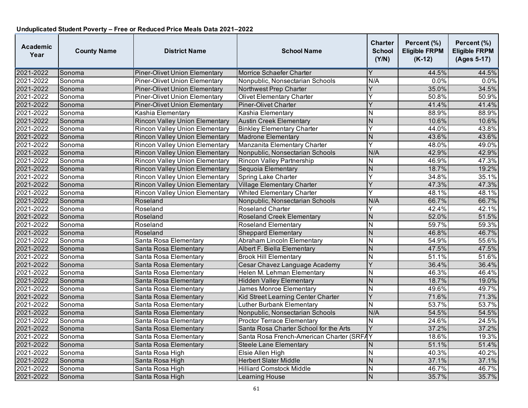| <b>Academic</b><br>Year | <b>County Name</b> | <b>District Name</b>                  | <b>School Name</b>                        | <b>Charter</b><br><b>School</b><br>(Y/N) | Percent (%)<br><b>Eligible FRPM</b><br>$(K-12)$ | Percent (%)<br><b>Eligible FRPM</b><br>(Ages 5-17) |
|-------------------------|--------------------|---------------------------------------|-------------------------------------------|------------------------------------------|-------------------------------------------------|----------------------------------------------------|
| 2021-2022               | Sonoma             | <b>Piner-Olivet Union Elementary</b>  | Morrice Schaefer Charter                  | Y                                        | 44.5%                                           | 44.5%                                              |
| 2021-2022               | Sonoma             | Piner-Olivet Union Elementary         | Nonpublic, Nonsectarian Schools           | N/A                                      | 0.0%                                            | 0.0%                                               |
| 2021-2022               | Sonoma             | Piner-Olivet Union Elementary         | Northwest Prep Charter                    | Ý                                        | 35.0%                                           | 34.5%                                              |
| 2021-2022               | Sonoma             | <b>Piner-Olivet Union Elementary</b>  | <b>Olivet Elementary Charter</b>          | Ý                                        | 50.8%                                           | 50.9%                                              |
| 2021-2022               | Sonoma             | <b>Piner-Olivet Union Elementary</b>  | Piner-Olivet Charter                      | Y                                        | 41.4%                                           | 41.4%                                              |
| 2021-2022               | Sonoma             | Kashia Elementary                     | Kashia Elementary                         | N                                        | 88.9%                                           | 88.9%                                              |
| 2021-2022               | Sonoma             | <b>Rincon Valley Union Elementary</b> | <b>Austin Creek Elementary</b>            | $\overline{N}$                           | 10.6%                                           | 10.6%                                              |
| 2021-2022               | Sonoma             | <b>Rincon Valley Union Elementary</b> | <b>Binkley Elementary Charter</b>         | Y                                        | 44.0%                                           | 43.8%                                              |
| 2021-2022               | Sonoma             | <b>Rincon Valley Union Elementary</b> | <b>Madrone Elementary</b>                 | N                                        | 43.6%                                           | 43.6%                                              |
| 2021-2022               | Sonoma             | <b>Rincon Valley Union Elementary</b> | Manzanita Elementary Charter              | Y                                        | 48.0%                                           | 49.0%                                              |
| 2021-2022               | Sonoma             | Rincon Valley Union Elementary        | Nonpublic, Nonsectarian Schools           | N/A                                      | 42.9%                                           | 42.9%                                              |
| 2021-2022               | Sonoma             | <b>Rincon Valley Union Elementary</b> | <b>Rincon Valley Partnership</b>          | N                                        | 46.9%                                           | 47.3%                                              |
| 2021-2022               | Sonoma             | <b>Rincon Valley Union Elementary</b> | Sequoia Elementary                        | $\overline{N}$                           | 18.7%                                           | 19.2%                                              |
| 2021-2022               | Sonoma             | <b>Rincon Valley Union Elementary</b> | <b>Spring Lake Charter</b>                | Ý                                        | 34.8%                                           | 35.1%                                              |
| 2021-2022               | Sonoma             | <b>Rincon Valley Union Elementary</b> | <b>Village Elementary Charter</b>         | $\overline{\mathsf{Y}}$                  | 47.3%                                           | 47.3%                                              |
| 2021-2022               | Sonoma             | <b>Rincon Valley Union Elementary</b> | <b>Whited Elementary Charter</b>          | Y                                        | 48.1%                                           | 48.1%                                              |
| 2021-2022               | Sonoma             | Roseland                              | Nonpublic, Nonsectarian Schools           | N/A                                      | 66.7%                                           | 66.7%                                              |
| 2021-2022               | Sonoma             | Roseland                              | <b>Roseland Charter</b>                   | Y                                        | 42.4%                                           | 42.1%                                              |
| 2021-2022               | Sonoma             | Roseland                              | Roseland Creek Elementary                 | N                                        | 52.0%                                           | 51.5%                                              |
| 2021-2022               | Sonoma             | Roseland                              | <b>Roseland Elementary</b>                | N                                        | 59.7%                                           | 59.3%                                              |
| 2021-2022               | Sonoma             | Roseland                              | <b>Sheppard Elementary</b>                | $\overline{N}$                           | 46.8%                                           | 46.7%                                              |
| 2021-2022               | Sonoma             | Santa Rosa Elementary                 | Abraham Lincoln Elementary                | N                                        | 54.9%                                           | 55.6%                                              |
| 2021-2022               | Sonoma             | Santa Rosa Elementary                 | Albert F. Biella Elementary               | N                                        | 47.5%                                           | 47.5%                                              |
| 2021-2022               | Sonoma             | Santa Rosa Elementary                 | <b>Brook Hill Elementary</b>              | N                                        | 51.1%                                           | 51.6%                                              |
| 2021-2022               | Sonoma             | Santa Rosa Elementary                 | Cesar Chavez Language Academy             | Ý                                        | 36.4%                                           | 36.4%                                              |
| 2021-2022               | Sonoma             | Santa Rosa Elementary                 | Helen M. Lehman Elementary                | $\overline{\mathsf{N}}$                  | 46.3%                                           | 46.4%                                              |
| 2021-2022               | Sonoma             | Santa Rosa Elementary                 | <b>Hidden Valley Elementary</b>           | $\overline{N}$                           | 18.7%                                           | 19.0%                                              |
| 2021-2022               | Sonoma             | Santa Rosa Elementary                 | James Monroe Elementary                   | N                                        | 49.6%                                           | 49.7%                                              |
| 2021-2022               | Sonoma             | Santa Rosa Elementary                 | Kid Street Learning Center Charter        | Ý                                        | 71.6%                                           | 71.3%                                              |
| 2021-2022               | Sonoma             | Santa Rosa Elementary                 | Luther Burbank Elementary                 | N                                        | 53.7%                                           | 53.7%                                              |
| 2021-2022               | Sonoma             | Santa Rosa Elementary                 | Nonpublic, Nonsectarian Schools           | N/A                                      | 54.5%                                           | 54.5%                                              |
| 2021-2022               | Sonoma             | Santa Rosa Elementary                 | <b>Proctor Terrace Elementary</b>         | N                                        | 24.6%                                           | 24.5%                                              |
| 2021-2022               | Sonoma             | Santa Rosa Elementary                 | Santa Rosa Charter School for the Arts    | Y                                        | 37.2%                                           | 37.2%                                              |
| 2021-2022               | Sonoma             | Santa Rosa Elementary                 | Santa Rosa French-American Charter (SRFAY |                                          | 18.6%                                           | 19.3%                                              |
| 2021-2022               | Sonoma             | Santa Rosa Elementary                 | <b>Steele Lane Elementary</b>             | N                                        | 51.1%                                           | 51.4%                                              |
| 2021-2022               | Sonoma             | Santa Rosa High                       | Elsie Allen High                          | N                                        | 40.3%                                           | 40.2%                                              |
| 2021-2022               | Sonoma             | Santa Rosa High                       | <b>Herbert Slater Middle</b>              | N                                        | 37.1%                                           | 37.1%                                              |
| 2021-2022               | Sonoma             | Santa Rosa High                       | <b>Hilliard Comstock Middle</b>           | N                                        | 46.7%                                           | 46.7%                                              |
| 2021-2022               | Sonoma             | Santa Rosa High                       | Learning House                            | $\mathsf{N}$                             | 35.7%                                           | 35.7%                                              |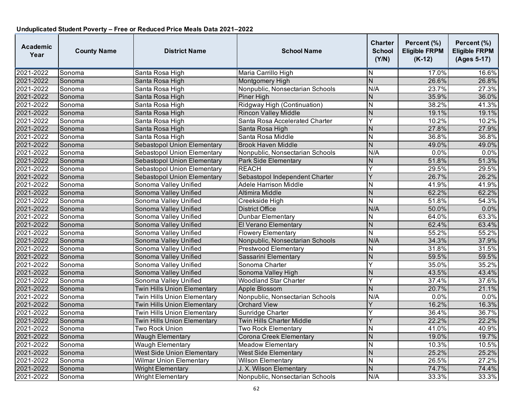| Academic<br>Year | <b>County Name</b> | <b>District Name</b>               | <b>School Name</b>               | Charter<br><b>School</b><br>(Y/N) | Percent (%)<br><b>Eligible FRPM</b><br>$(K-12)$ | Percent (%)<br><b>Eligible FRPM</b><br>(Ages 5-17) |
|------------------|--------------------|------------------------------------|----------------------------------|-----------------------------------|-------------------------------------------------|----------------------------------------------------|
| 2021-2022        | Sonoma             | Santa Rosa High                    | Maria Carrillo High              | N                                 | 17.0%                                           | 16.6%                                              |
| 2021-2022        | Sonoma             | Santa Rosa High                    | Montgomery High                  | $\overline{N}$                    | 26.6%                                           | 26.8%                                              |
| 2021-2022        | Sonoma             | Santa Rosa High                    | Nonpublic, Nonsectarian Schools  | N/A                               | 23.7%                                           | 27.3%                                              |
| 2021-2022        | Sonoma             | Santa Rosa High                    | Piner High                       | Ν                                 | 35.9%                                           | 36.0%                                              |
| 2021-2022        | Sonoma             | Santa Rosa High                    | Ridgway High (Continuation)      | N                                 | 38.2%                                           | 41.3%                                              |
| 2021-2022        | Sonoma             | Santa Rosa High                    | <b>Rincon Valley Middle</b>      | N                                 | 19.1%                                           | 19.1%                                              |
| 2021-2022        | Sonoma             | Santa Rosa High                    | Santa Rosa Accelerated Charter   | Y                                 | 10.2%                                           | 10.2%                                              |
| 2021-2022        | Sonoma             | Santa Rosa High                    | Santa Rosa High                  | N                                 | 27.8%                                           | 27.9%                                              |
| 2021-2022        | Sonoma             | Santa Rosa High                    | Santa Rosa Middle                | N                                 | 36.8%                                           | 36.8%                                              |
| 2021-2022        | Sonoma             | Sebastopol Union Elementary        | <b>Brook Haven Middle</b>        | $\overline{\mathsf{N}}$           | 49.0%                                           | 49.0%                                              |
| 2021-2022        | Sonoma             | Sebastopol Union Elementary        | Nonpublic, Nonsectarian Schools  | N/A                               | 0.0%                                            | 0.0%                                               |
| 2021-2022        | Sonoma             | Sebastopol Union Elementary        | <b>Park Side Elementary</b>      | Ν                                 | 51.8%                                           | 51.3%                                              |
| 2021-2022        | Sonoma             | Sebastopol Union Elementary        | <b>REACH</b>                     | Ý                                 | 29.5%                                           | 29.5%                                              |
| 2021-2022        | Sonoma             | Sebastopol Union Elementary        | Sebastopol Independent Charter   | Y                                 | 26.7%                                           | 26.2%                                              |
| 2021-2022        | Sonoma             | Sonoma Valley Unified              | <b>Adele Harrison Middle</b>     | Ν                                 | 41.9%                                           | 41.9%                                              |
| 2021-2022        | Sonoma             | Sonoma Valley Unified              | Altimira Middle                  | N                                 | 62.2%                                           | 62.2%                                              |
| 2021-2022        | Sonoma             | Sonoma Valley Unified              | Creekside High                   | N                                 | 51.8%                                           | 54.3%                                              |
| 2021-2022        | Sonoma             | Sonoma Valley Unified              | <b>District Office</b>           | N/A                               | 50.0%                                           | $0.0\%$                                            |
| 2021-2022        | Sonoma             | Sonoma Valley Unified              | Dunbar Elementary                | N                                 | 64.0%                                           | 63.3%                                              |
| 2021-2022        | Sonoma             | Sonoma Valley Unified              | El Verano Elementary             | $\overline{N}$                    | 62.4%                                           | 63.4%                                              |
| 2021-2022        | Sonoma             | Sonoma Valley Unified              | Flowery Elementary               | $\overline{\mathsf{N}}$           | 55.2%                                           | 55.2%                                              |
| 2021-2022        | Sonoma             | Sonoma Valley Unified              | Nonpublic, Nonsectarian Schools  | N/A                               | 34.3%                                           | 37.9%                                              |
| 2021-2022        | Sonoma             | Sonoma Valley Unified              | <b>Prestwood Elementary</b>      | N                                 | 31.8%                                           | 31.5%                                              |
| 2021-2022        | Sonoma             | Sonoma Valley Unified              | Sassarini Elementary             | N                                 | 59.5%                                           | 59.5%                                              |
| 2021-2022        | Sonoma             | Sonoma Valley Unified              | Sonoma Charter                   | Y                                 | 35.0%                                           | 35.2%                                              |
| 2021-2022        | Sonoma             | Sonoma Valley Unified              | Sonoma Valley High               | N                                 | 43.5%                                           | 43.4%                                              |
| 2021-2022        | Sonoma             | Sonoma Valley Unified              | <b>Woodland Star Charter</b>     | Y                                 | 37.4%                                           | 37.6%                                              |
| 2021-2022        | Sonoma             | <b>Twin Hills Union Elementary</b> | Apple Blossom                    | N                                 | 20.7%                                           | 21.1%                                              |
| 2021-2022        | Sonoma             | <b>Twin Hills Union Elementary</b> | Nonpublic, Nonsectarian Schools  | N/A                               | 0.0%                                            | 0.0%                                               |
| 2021-2022        | Sonoma             | <b>Twin Hills Union Elementary</b> | <b>Orchard View</b>              | Y                                 | 16.2%                                           | 16.3%                                              |
| 2021-2022        | Sonoma             | <b>Twin Hills Union Elementary</b> | Sunridge Charter                 | Y                                 | 36.4%                                           | 36.7%                                              |
| 2021-2022        | Sonoma             | <b>Twin Hills Union Elementary</b> | <b>Twin Hills Charter Middle</b> | Ý                                 | 22.2%                                           | 22.2%                                              |
| 2021-2022        | Sonoma             | Two Rock Union                     | Two Rock Elementary              | Ν                                 | 41.0%                                           | 40.9%                                              |
| 2021-2022        | Sonoma             | <b>Waugh Elementary</b>            | Corona Creek Elementary          | N                                 | 19.0%                                           | 19.7%                                              |
| 2021-2022        | Sonoma             | <b>Waugh Elementary</b>            | <b>Meadow Elementary</b>         | N                                 | 10.3%                                           | 10.5%                                              |
| 2021-2022        | Sonoma             | <b>West Side Union Elementary</b>  | <b>West Side Elementary</b>      | N                                 | 25.2%                                           | 25.2%                                              |
| 2021-2022        | Sonoma             | <b>Wilmar Union Elementary</b>     | <b>Wilson Elementary</b>         | N                                 | 26.5%                                           | 27.2%                                              |
| 2021-2022        | Sonoma             | <b>Wright Elementary</b>           | J. X. Wilson Elementary          | N                                 | 74.7%                                           | 74.4%                                              |
| 2021-2022        | Sonoma             | <b>Wright Elementary</b>           | Nonpublic, Nonsectarian Schools  | N/A                               | 33.3%                                           | 33.3%                                              |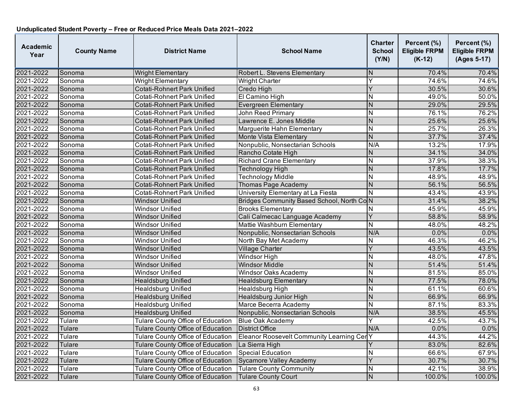| <b>Academic</b><br>Year | <b>County Name</b> | <b>District Name</b>                     | <b>School Name</b>                              | <b>Charter</b><br><b>School</b><br>(Y/N) | Percent (%)<br><b>Eligible FRPM</b><br>$(K-12)$ | Percent (%)<br><b>Eligible FRPM</b><br>(Ages 5-17) |
|-------------------------|--------------------|------------------------------------------|-------------------------------------------------|------------------------------------------|-------------------------------------------------|----------------------------------------------------|
| 2021-2022               | Sonoma             | <b>Wright Elementary</b>                 | Robert L. Stevens Elementary                    | N                                        | 70.4%                                           | 70.4%                                              |
| 2021-2022               | Sonoma             | <b>Wright Elementary</b>                 | <b>Wright Charter</b>                           | Υ                                        | 74.6%                                           | 74.6%                                              |
| 2021-2022               | Sonoma             | <b>Cotati-Rohnert Park Unified</b>       | Credo High                                      | Ý                                        | 30.5%                                           | 30.6%                                              |
| 2021-2022               | Sonoma             | Cotati-Rohnert Park Unified              | El Camino High                                  | $\overline{\mathsf{N}}$                  | 49.0%                                           | $\frac{1}{50.0\%}$                                 |
| 2021-2022               | Sonoma             | Cotati-Rohnert Park Unified              | Evergreen Elementary                            | N                                        | 29.0%                                           | 29.5%                                              |
| 2021-2022               | Sonoma             | Cotati-Rohnert Park Unified              | <b>John Reed Primary</b>                        | N                                        | 76.1%                                           | 76.2%                                              |
| 2021-2022               | Sonoma             | <b>Cotati-Rohnert Park Unified</b>       | Lawrence E. Jones Middle                        | N                                        | 25.6%                                           | 25.6%                                              |
| 2021-2022               | Sonoma             | <b>Cotati-Rohnert Park Unified</b>       | Marguerite Hahn Elementary                      | N                                        | 25.7%                                           | 26.3%                                              |
| 2021-2022               | Sonoma             | <b>Cotati-Rohnert Park Unified</b>       | Monte Vista Elementary                          | $\overline{N}$                           | 37.7%                                           | 37.4%                                              |
| 2021-2022               | Sonoma             | <b>Cotati-Rohnert Park Unified</b>       | Nonpublic, Nonsectarian Schools                 | N/A                                      | 13.2%                                           | 17.9%                                              |
| 2021-2022               | Sonoma             | <b>Cotati-Rohnert Park Unified</b>       | Rancho Cotate High                              | N                                        | 34.1%                                           | 34.0%                                              |
| 2021-2022               | Sonoma             | Cotati-Rohnert Park Unified              | <b>Richard Crane Elementary</b>                 | N                                        | 37.9%                                           | 38.3%                                              |
| 2021-2022               | Sonoma             | <b>Cotati-Rohnert Park Unified</b>       | Technology High                                 | $\overline{N}$                           | 17.8%                                           | 17.7%                                              |
| 2021-2022               | Sonoma             | <b>Cotati-Rohnert Park Unified</b>       | <b>Technology Middle</b>                        | $\overline{\mathsf{N}}$                  | 48.9%                                           | 48.9%                                              |
| 2021-2022               | Sonoma             | Cotati-Rohnert Park Unified              | <b>Thomas Page Academy</b>                      | N                                        | 56.1%                                           | 56.5%                                              |
| 2021-2022               | Sonoma             | Cotati-Rohnert Park Unified              | University Elementary at La Fiesta              | N                                        | 43.4%                                           | 43.9%                                              |
| 2021-2022               | Sonoma             | <b>Windsor Unified</b>                   | Bridges Community Based School, North CoN       |                                          | 31.4%                                           | 38.2%                                              |
| 2021-2022               | Sonoma             | <b>Windsor Unified</b>                   | <b>Brooks Elementary</b>                        | N                                        | 45.9%                                           | 45.9%                                              |
| 2021-2022               | Sonoma             | <b>Windsor Unified</b>                   | Cali Calmecac Language Academy                  | Y                                        | 58.8%                                           | 58.9%                                              |
| 2021-2022               | Sonoma             | Windsor Unified                          | Mattie Washburn Elementary                      | $\overline{\mathsf{N}}$                  | 48.0%                                           | 48.2%                                              |
| 2021-2022               | Sonoma             | <b>Windsor Unified</b>                   | Nonpublic, Nonsectarian Schools                 | N/A                                      | 0.0%                                            | 0.0%                                               |
| 2021-2022               | Sonoma             | <b>Windsor Unified</b>                   | North Bay Met Academy                           | N                                        | 46.3%                                           | 46.2%                                              |
| 2021-2022               | Sonoma             | <b>Windsor Unified</b>                   | Village Charter                                 | Y                                        | 43.5%                                           | 43.5%                                              |
| 2021-2022               | Sonoma             | <b>Windsor Unified</b>                   | Windsor High                                    | $\overline{\mathsf{N}}$                  | 48.0%                                           | 47.8%                                              |
| 2021-2022               | Sonoma             | <b>Windsor Unified</b>                   | <b>Windsor Middle</b>                           | $\overline{N}$                           | 51.4%                                           | 51.4%                                              |
| 2021-2022               | Sonoma             | Windsor Unified                          | <b>Windsor Oaks Academy</b>                     | N                                        | 81.5%                                           | 85.0%                                              |
| 2021-2022               | Sonoma             | <b>Healdsburg Unified</b>                | <b>Healdsburg Elementary</b>                    | N                                        | 77.5%                                           | 78.0%                                              |
| 2021-2022               | Sonoma             | Healdsburg Unified                       | <b>Healdsburg High</b>                          | $\overline{\mathsf{N}}$                  | 61.1%                                           | 60.6%                                              |
| 2021-2022               | Sonoma             | <b>Healdsburg Unified</b>                | Healdsburg Junior High                          | N                                        | 66.9%                                           | 66.9%                                              |
| 2021-2022               | Sonoma             | <b>Healdsburg Unified</b>                | Marce Becerra Academy                           | N                                        | 87.1%                                           | 83.3%                                              |
| 2021-2022               | Sonoma             | <b>Healdsburg Unified</b>                | Nonpublic, Nonsectarian Schools                 | N/A                                      | 38.5%                                           | 45.5%                                              |
| 2021-2022               | Tulare             | Tulare County Office of Education        | <b>Blue Oak Academy</b>                         | Y                                        | 42.5%                                           | 43.7%                                              |
| 2021-2022               | Tulare             | <b>Tulare County Office of Education</b> | <b>District Office</b>                          | N/A                                      | 0.0%                                            | 0.0%                                               |
| 2021-2022               | Tulare             | Tulare County Office of Education        | <b>Eleanor Roosevelt Community Learning Cer</b> | Υ                                        | 44.3%                                           | 44.2%                                              |
| 2021-2022               | Tulare             | Tulare County Office of Education        | La Sierra High                                  | Y                                        | 83.0%                                           | 82.6%                                              |
| 2021-2022               | Tulare             | <b>Tulare County Office of Education</b> | <b>Special Education</b>                        | $\overline{\mathsf{N}}$                  | 66.6%                                           | 67.9%                                              |
| 2021-2022               | Tulare             | Tulare County Office of Education        | Sycamore Valley Academy                         | Ý                                        | 30.7%                                           | 30.7%                                              |
| 2021-2022               | Tulare             | <b>Tulare County Office of Education</b> | <b>Tulare County Community</b>                  | N                                        | 42.1%                                           | 38.9%                                              |
| 2021-2022               | Tulare             | Tulare County Office of Education        | <b>Tulare County Court</b>                      | N                                        | 100.0%                                          | 100.0%                                             |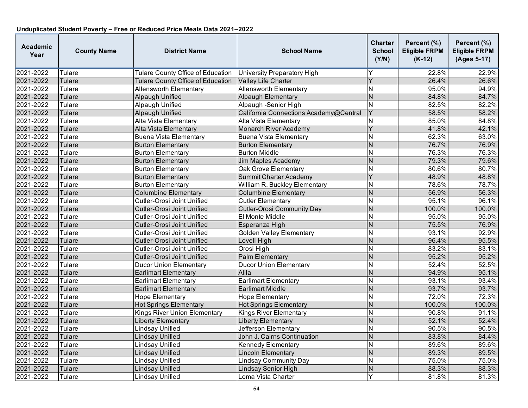| <b>Academic</b><br>Year | <b>County Name</b> | <b>District Name</b>                     | <b>School Name</b>                     | <b>Charter</b><br><b>School</b><br>(Y/N) | Percent (%)<br><b>Eligible FRPM</b><br>$(K-12)$ | Percent (%)<br><b>Eligible FRPM</b><br>(Ages 5-17) |
|-------------------------|--------------------|------------------------------------------|----------------------------------------|------------------------------------------|-------------------------------------------------|----------------------------------------------------|
| 2021-2022               | Tulare             | Tulare County Office of Education        | University Preparatory High            |                                          | 22.8%                                           | 22.9%                                              |
| 2021-2022               | Tulare             | <b>Tulare County Office of Education</b> | Valley Life Charter                    | Y                                        | 26.4%                                           | 26.6%                                              |
| 2021-2022               | Tulare             | <b>Allensworth Elementary</b>            | <b>Allensworth Elementary</b>          | $\overline{\mathsf{N}}$                  | 95.0%                                           | 94.9%                                              |
| 2021-2022               | <b>Tulare</b>      | <b>Alpaugh Unified</b>                   | <b>Alpaugh Elementary</b>              | $\overline{N}$                           | 84.8%                                           | 84.7%                                              |
| 2021-2022               | Tulare             | Alpaugh Unified                          | Alpaugh -Senior High                   | N                                        | 82.5%                                           | 82.2%                                              |
| 2021-2022               | <b>Tulare</b>      | Alpaugh Unified                          | California Connections Academy@Central | Ÿ                                        | 58.5%                                           | 58.2%                                              |
| 2021-2022               | Tulare             | Alta Vista Elementary                    | Alta Vista Elementary                  | N                                        | 85.0%                                           | 84.8%                                              |
| 2021-2022               | <b>Tulare</b>      | Alta Vista Elementary                    | <b>Monarch River Academy</b>           | Y                                        | 41.8%                                           | 42.1%                                              |
| 2021-2022               | Tulare             | <b>Buena Vista Elementary</b>            | <b>Buena Vista Elementary</b>          | N                                        | 62.3%                                           | 63.0%                                              |
| 2021-2022               | Tulare             | <b>Burton Elementary</b>                 | <b>Burton Elementary</b>               | N                                        | 76.7%                                           | 76.9%                                              |
| 2021-2022               | Tulare             | <b>Burton Elementary</b>                 | <b>Burton Middle</b>                   | $\mathsf{N}$                             | 76.3%                                           | 76.3%                                              |
| 2021-2022               | Tulare             | <b>Burton Elementary</b>                 | Jim Maples Academy                     | N                                        | 79.3%                                           | 79.6%                                              |
| 2021-2022               | Tulare             | <b>Burton Elementary</b>                 | <b>Oak Grove Elementary</b>            | N                                        | 80.6%                                           | 80.7%                                              |
| 2021-2022               | Tulare             | <b>Burton Elementary</b>                 | Summit Charter Academy                 | Ý                                        | 48.9%                                           | 48.8%                                              |
| 2021-2022               | Tulare             | <b>Burton Elementary</b>                 | William R. Buckley Elementary          | Ñ                                        | 78.6%                                           | 78.7%                                              |
| 2021-2022               | <b>Tulare</b>      | <b>Columbine Elementary</b>              | <b>Columbine Elementary</b>            | N                                        | 56.9%                                           | 56.3%                                              |
| 2021-2022               | <b>Tulare</b>      | Cutler-Orosi Joint Unified               | <b>Cutler Elementary</b>               | N                                        | 95.1%                                           | 96.1%                                              |
| 2021-2022               | Tulare             | Cutler-Orosi Joint Unified               | <b>Cutler-Orosi Community Day</b>      | $\overline{N}$                           | 100.0%                                          | 100.0%                                             |
| 2021-2022               | Tulare             | Cutler-Orosi Joint Unified               | El Monte Middle                        | N                                        | 95.0%                                           | 95.0%                                              |
| 2021-2022               | <b>Tulare</b>      | Cutler-Orosi Joint Unified               | Esperanza High                         | $\overline{N}$                           | 75.5%                                           | 76.9%                                              |
| 2021-2022               | Tulare             | Cutler-Orosi Joint Unified               | <b>Golden Valley Elementary</b>        | N                                        | 93.1%                                           | 92.9%                                              |
| 2021-2022               | Tulare             | <b>Cutler-Orosi Joint Unified</b>        | Lovell High                            | N                                        | 96.4%                                           | 95.5%                                              |
| 2021-2022               | Tulare             | Cutler-Orosi Joint Unified               | Orosi High                             | N                                        | 83.2%                                           | 83.1%                                              |
| 2021-2022               | <b>Tulare</b>      | Cutler-Orosi Joint Unified               | <b>Palm Elementary</b>                 | $\overline{N}$                           | 95.2%                                           | 95.2%                                              |
| 2021-2022               | Tulare             | <b>Ducor Union Elementary</b>            | <b>Ducor Union Elementary</b>          | $\overline{\mathsf{N}}$                  | 52.4%                                           | 52.5%                                              |
| 2021-2022               | <b>Tulare</b>      | <b>Earlimart Elementary</b>              | Alila                                  | $\overline{N}$                           | 94.9%                                           | 95.1%                                              |
| 2021-2022               | Tulare             | <b>Earlimart Elementary</b>              | <b>Earlimart Elementary</b>            | Ñ                                        | 93.1%                                           | 93.4%                                              |
| 2021-2022               | <b>Tulare</b>      | <b>Earlimart Elementary</b>              | <b>Earlimart Middle</b>                | $\overline{N}$                           | 93.7%                                           | 93.7%                                              |
| 2021-2022               | Tulare             | <b>Hope Elementary</b>                   | <b>Hope Elementary</b>                 | $\overline{\mathsf{N}}$                  | 72.0%                                           | 72.3%                                              |
| 2021-2022               | <b>Tulare</b>      | <b>Hot Springs Elementary</b>            | <b>Hot Springs Elementary</b>          | N                                        | 100.0%                                          | 100.0%                                             |
| 2021-2022               | Tulare             | <b>Kings River Union Elementary</b>      | <b>Kings River Elementary</b>          | N                                        | 90.8%                                           | 91.1%                                              |
| 2021-2022               | Tulare             | <b>Liberty Elementary</b>                | <b>Liberty Elementary</b>              | $\overline{N}$                           | 52.1%                                           | 52.4%                                              |
| 2021-2022               | Tulare             | Lindsay Unified                          | Jefferson Elementary                   | N                                        | 90.5%                                           | 90.5%                                              |
| 2021-2022               | <b>Tulare</b>      | <b>Lindsay Unified</b>                   | John J. Cairns Continuation            | N                                        | 83.8%                                           | 84.4%                                              |
| 2021-2022               | Tulare             | Lindsay Unified                          | Kennedy Elementary                     | $\mathsf{N}$                             | 89.6%                                           | 89.6%                                              |
| 2021-2022               | Tulare             | <b>Lindsay Unified</b>                   | Lincoln Elementary                     | $\overline{N}$                           | 89.3%                                           | 89.5%                                              |
| 2021-2022               | Tulare             | Lindsay Unified                          | <b>Lindsay Community Day</b>           | $\overline{\mathsf{N}}$                  | 75.0%                                           | 75.0%                                              |
| 2021-2022               | <b>Tulare</b>      | <b>Lindsay Unified</b>                   | Lindsay Senior High                    | N                                        | 88.3%                                           | 88.3%                                              |
| 2021-2022               | Tulare             | <b>Lindsay Unified</b>                   | Loma Vista Charter                     | Y                                        | 81.8%                                           | 81.3%                                              |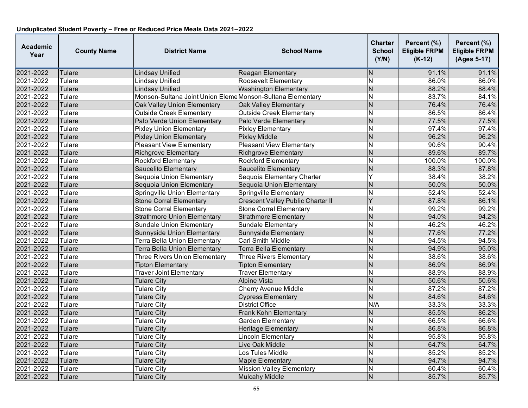| Academic<br>Year | <b>County Name</b> | <b>District Name</b>                                       | <b>School Name</b>                | Charter<br><b>School</b><br>(Y/N) | Percent (%)<br><b>Eligible FRPM</b><br>$(K-12)$ | Percent (%)<br><b>Eligible FRPM</b><br>(Ages 5-17) |
|------------------|--------------------|------------------------------------------------------------|-----------------------------------|-----------------------------------|-------------------------------------------------|----------------------------------------------------|
| 2021-2022        | Tulare             | <b>Lindsay Unified</b>                                     | <b>Reagan Elementary</b>          | N                                 | 91.1%                                           | 91.1%                                              |
| 2021-2022        | Tulare             | Lindsay Unified                                            | Roosevelt Elementary              | $\overline{N}$                    | 86.0%                                           | 86.0%                                              |
| 2021-2022        | Tulare             | <b>Lindsay Unified</b>                                     | <b>Washington Elementary</b>      | $\overline{\mathsf{N}}$           | 88.2%                                           | 88.4%                                              |
| 2021-2022        | Tulare             | Monson-Sultana Joint Union Eleme Monson-Sultana Elementary |                                   | N                                 | 83.7%                                           | 84.1%                                              |
| 2021-2022        | Tulare             | Oak Valley Union Elementary                                | <b>Oak Valley Elementary</b>      | N                                 | 76.4%                                           | 76.4%                                              |
| 2021-2022        | Tulare             | <b>Outside Creek Elementary</b>                            | <b>Outside Creek Elementary</b>   | $\overline{\mathsf{N}}$           | 86.5%                                           | 86.4%                                              |
| 2021-2022        | Tulare             | Palo Verde Union Elementary                                | Palo Verde Elementary             | N                                 | 77.5%                                           | 77.5%                                              |
| 2021-2022        | Tulare             | <b>Pixley Union Elementary</b>                             | <b>Pixley Elementary</b>          | N                                 | 97.4%                                           | 97.4%                                              |
| 2021-2022        | Tulare             | <b>Pixley Union Elementary</b>                             | <b>Pixley Middle</b>              | $\overline{N}$                    | 96.2%                                           | 96.2%                                              |
| 2021-2022        | Tulare             | <b>Pleasant View Elementary</b>                            | <b>Pleasant View Elementary</b>   | $\overline{\mathsf{N}}$           | 90.6%                                           | 90.4%                                              |
| 2021-2022        | Tulare             | <b>Richgrove Elementary</b>                                | <b>Richgrove Elementary</b>       | $\overline{\mathsf{N}}$           | 89.6%                                           | 89.7%                                              |
| 2021-2022        | Tulare             | <b>Rockford Elementary</b>                                 | <b>Rockford Elementary</b>        | N                                 | 100.0%                                          | 100.0%                                             |
| 2021-2022        | Tulare             | <b>Saucelito Elementary</b>                                | <b>Saucelito Elementary</b>       | $\overline{\mathsf{N}}$           | 88.3%                                           | 87.8%                                              |
| 2021-2022        | Tulare             | Sequoia Union Elementary                                   | Sequoia Elementary Charter        | Υ                                 | 38.4%                                           | 38.2%                                              |
| 2021-2022        | Tulare             | Sequoia Union Elementary                                   | Sequoia Union Elementary          | N                                 | 50.0%                                           | 50.0%                                              |
| 2021-2022        | Tulare             | Springville Union Elementary                               | Springville Elementary            | N                                 | 52.4%                                           | 52.4%                                              |
| 2021-2022        | Tulare             | <b>Stone Corral Elementary</b>                             | Crescent Valley Public Charter II | Ý                                 | 87.8%                                           | 86.1%                                              |
| 2021-2022        | Tulare             | <b>Stone Corral Elementary</b>                             | <b>Stone Corral Elementary</b>    | $\overline{\mathsf{N}}$           | 99.2%                                           | 99.2%                                              |
| 2021-2022        | Tulare             | <b>Strathmore Union Elementary</b>                         | <b>Strathmore Elementary</b>      | N                                 | 94.0%                                           | 94.2%                                              |
| 2021-2022        | Tulare             | <b>Sundale Union Elementary</b>                            | Sundale Elementary                | $\overline{\mathsf{N}}$           | 46.2%                                           | 46.2%                                              |
| 2021-2022        | Tulare             | <b>Sunnyside Union Elementary</b>                          | Sunnyside Elementary              | N                                 | 77.6%                                           | 77.2%                                              |
| 2021-2022        | Tulare             | <b>Terra Bella Union Elementary</b>                        | <b>Carl Smith Middle</b>          | N                                 | 94.5%                                           | 94.5%                                              |
| 2021-2022        | Tulare             | <b>Terra Bella Union Elementary</b>                        | <b>Terra Bella Elementary</b>     | $\overline{\mathsf{N}}$           | 94.9%                                           | 95.0%                                              |
| 2021-2022        | Tulare             | <b>Three Rivers Union Elementary</b>                       | <b>Three Rivers Elementary</b>    | N                                 | 38.6%                                           | 38.6%                                              |
| 2021-2022        | Tulare             | <b>Tipton Elementary</b>                                   | <b>Tipton Elementary</b>          | $\overline{\mathsf{N}}$           | 86.9%                                           | 86.9%                                              |
| 2021-2022        | Tulare             | <b>Traver Joint Elementary</b>                             | <b>Traver Elementary</b>          | N                                 | 88.9%                                           | 88.9%                                              |
| 2021-2022        | Tulare             | <b>Tulare City</b>                                         | <b>Alpine Vista</b>               | $\overline{N}$                    | 50.6%                                           | 50.6%                                              |
| 2021-2022        | Tulare             | <b>Tulare City</b>                                         | <b>Cherry Avenue Middle</b>       | N                                 | 87.2%                                           | 87.2%                                              |
| 2021-2022        | Tulare             | <b>Tulare City</b>                                         | <b>Cypress Elementary</b>         | $\overline{\mathsf{N}}$           | 84.6%                                           | 84.6%                                              |
| 2021-2022        | Tulare             | <b>Tulare City</b>                                         | <b>District Office</b>            | N/A                               | 33.3%                                           | 33.3%                                              |
| 2021-2022        | Tulare             | <b>Tulare City</b>                                         | Frank Kohn Elementary             | N                                 | 85.5%                                           | 86.2%                                              |
| 2021-2022        | Tulare             | <b>Tulare City</b>                                         | Garden Elementary                 | $\overline{\mathsf{N}}$           | 66.5%                                           | 66.6%                                              |
| 2021-2022        | Tulare             | <b>Tulare City</b>                                         | <b>Heritage Elementary</b>        | N                                 | 86.8%                                           | 86.8%                                              |
| 2021-2022        | Tulare             | <b>Tulare City</b>                                         | <b>Lincoln Elementary</b>         | N                                 | 95.8%                                           | 95.8%                                              |
| 2021-2022        | Tulare             | <b>Tulare City</b>                                         | <b>Live Oak Middle</b>            | N                                 | 64.7%                                           | 64.7%                                              |
| 2021-2022        | Tulare             | <b>Tulare City</b>                                         | Los Tules Middle                  | $\overline{\mathsf{N}}$           | 85.2%                                           | 85.2%                                              |
| 2021-2022        | Tulare             | <b>Tulare City</b>                                         | <b>Maple Elementary</b>           | N                                 | 94.7%                                           | 94.7%                                              |
| 2021-2022        | Tulare             | <b>Tulare City</b>                                         | <b>Mission Valley Elementary</b>  | N                                 | 60.4%                                           | 60.4%                                              |
| 2021-2022        | Tulare             | <b>Tulare City</b>                                         | <b>Mulcahy Middle</b>             | $\overline{\mathsf{N}}$           | 85.7%                                           | 85.7%                                              |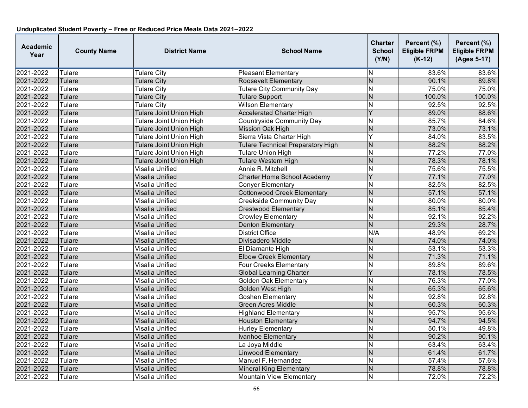| Academic<br>Year | <b>County Name</b> | <b>District Name</b>           | <b>School Name</b>                       | Charter<br><b>School</b><br>(Y/N) | Percent (%)<br><b>Eligible FRPM</b><br>$(K-12)$ | Percent (%)<br><b>Eligible FRPM</b><br>(Ages 5-17) |
|------------------|--------------------|--------------------------------|------------------------------------------|-----------------------------------|-------------------------------------------------|----------------------------------------------------|
| 2021-2022        | Tulare             | <b>Tulare City</b>             | <b>Pleasant Elementary</b>               | N                                 | 83.6%                                           | 83.6%                                              |
| 2021-2022        | Tulare             | <b>Tulare City</b>             | Roosevelt Elementary                     | $\overline{\mathsf{N}}$           | 90.1%                                           | 89.8%                                              |
| 2021-2022        | Tulare             | <b>Tulare City</b>             | <b>Tulare City Community Day</b>         | N                                 | 75.0%                                           | 75.0%                                              |
| 2021-2022        | Tulare             | <b>Tulare City</b>             | <b>Tulare Support</b>                    | $\overline{\mathsf{N}}$           | 100.0%                                          | 100.0%                                             |
| 2021-2022        | Tulare             | <b>Tulare City</b>             | <b>Wilson Elementary</b>                 | N                                 | 92.5%                                           | 92.5%                                              |
| 2021-2022        | Tulare             | <b>Tulare Joint Union High</b> | <b>Accelerated Charter High</b>          | Ý                                 | 89.0%                                           | 88.6%                                              |
| 2021-2022        | Tulare             | <b>Tulare Joint Union High</b> | <b>Countryside Community Day</b>         | N                                 | 85.7%                                           | 84.6%                                              |
| 2021-2022        | Tulare             | <b>Tulare Joint Union High</b> | <b>Mission Oak High</b>                  | N                                 | 73.0%                                           | 73.1%                                              |
| 2021-2022        | Tulare             | <b>Tulare Joint Union High</b> | Sierra Vista Charter High                | Y                                 | 84.0%                                           | 83.5%                                              |
| 2021-2022        | Tulare             | <b>Tulare Joint Union High</b> | <b>Tulare Technical Preparatory High</b> | N                                 | 88.2%                                           | 88.2%                                              |
| 2021-2022        | Tulare             | <b>Tulare Joint Union High</b> | <b>Tulare Union High</b>                 | $\overline{\sf N}$                | 77.2%                                           | 77.0%                                              |
| 2021-2022        | Tulare             | <b>Tulare Joint Union High</b> | Tulare Western High                      | N                                 | 78.3%                                           | 78.1%                                              |
| 2021-2022        | Tulare             | Visalia Unified                | Annie R. Mitchell                        | N                                 | 75.6%                                           | 75.5%                                              |
| 2021-2022        | Tulare             | <b>Visalia Unified</b>         | <b>Charter Home School Academy</b>       | Ý                                 | 77.1%                                           | 77.0%                                              |
| 2021-2022        | Tulare             | Visalia Unified                | <b>Conyer Elementary</b>                 | N                                 | 82.5%                                           | 82.5%                                              |
| 2021-2022        | Tulare             | Visalia Unified                | <b>Cottonwood Creek Elementary</b>       | N                                 | 57.1%                                           | 57.1%                                              |
| 2021-2022        | Tulare             | Visalia Unified                | <b>Creekside Community Day</b>           | N                                 | 80.0%                                           | 80.0%                                              |
| 2021-2022        | Tulare             | Visalia Unified                | <b>Crestwood Elementary</b>              | N                                 | 85.1%                                           | 85.4%                                              |
| 2021-2022        | Tulare             | Visalia Unified                | <b>Crowley Elementary</b>                | N                                 | 92.1%                                           | 92.2%                                              |
| 2021-2022        | Tulare             | Visalia Unified                | <b>Denton Elementary</b>                 | $\overline{N}$                    | 29.3%                                           | 28.7%                                              |
| 2021-2022        | Tulare             | Visalia Unified                | <b>District Office</b>                   | N/A                               | 48.9%                                           | 69.2%                                              |
| 2021-2022        | Tulare             | Visalia Unified                | Divisadero Middle                        | N                                 | 74.0%                                           | 74.0%                                              |
| 2021-2022        | Tulare             | Visalia Unified                | El Diamante High                         | N                                 | 53.1%                                           | 53.3%                                              |
| 2021-2022        | Tulare             | Visalia Unified                | <b>Elbow Creek Elementary</b>            | $\overline{\mathsf{N}}$           | 71.3%                                           | 71.1%                                              |
| 2021-2022        | Tulare             | Visalia Unified                | <b>Four Creeks Elementary</b>            | N                                 | 89.8%                                           | 89.6%                                              |
| 2021-2022        | Tulare             | Visalia Unified                | <b>Global Learning Charter</b>           | Ý                                 | 78.1%                                           | 78.5%                                              |
| 2021-2022        | Tulare             | Visalia Unified                | <b>Golden Oak Elementary</b>             | N                                 | 76.3%                                           | 77.0%                                              |
| 2021-2022        | Tulare             | Visalia Unified                | <b>Golden West High</b>                  | N                                 | 65.3%                                           | 65.6%                                              |
| 2021-2022        | Tulare             | Visalia Unified                | <b>Goshen Elementary</b>                 | $\overline{\mathsf{N}}$           | 92.8%                                           | 92.8%                                              |
| 2021-2022        | Tulare             | Visalia Unified                | <b>Green Acres Middle</b>                | N                                 | 60.3%                                           | 60.3%                                              |
| 2021-2022        | Tulare             | Visalia Unified                | <b>Highland Elementary</b>               | $\overline{\mathsf{N}}$           | 95.7%                                           | 95.6%                                              |
| 2021-2022        | Tulare             | <b>Visalia Unified</b>         | <b>Houston Elementary</b>                | $\overline{\mathsf{N}}$           | 94.7%                                           | 94.5%                                              |
| 2021-2022        | Tulare             | Visalia Unified                | <b>Hurley Elementary</b>                 | N                                 | 50.1%                                           | 49.8%                                              |
| 2021-2022        | Tulare             | Visalia Unified                | <b>Ivanhoe Elementary</b>                | N                                 | 90.2%                                           | 90.1%                                              |
| 2021-2022        | Tulare             | Visalia Unified                | La Joya Middle                           | N                                 | 63.4%                                           | 63.4%                                              |
| 2021-2022        | Tulare             | Visalia Unified                | <b>Linwood Elementary</b>                | N                                 | 61.4%                                           | 61.7%                                              |
| 2021-2022        | Tulare             | Visalia Unified                | Manuel F. Hernandez                      | N                                 | 57.4%                                           | 57.6%                                              |
| 2021-2022        | Tulare             | Visalia Unified                | <b>Mineral King Elementary</b>           | N                                 | 78.8%                                           | 78.8%                                              |
| 2021-2022        | Tulare             | Visalia Unified                | <b>Mountain View Elementary</b>          | N                                 | 72.0%                                           | 72.2%                                              |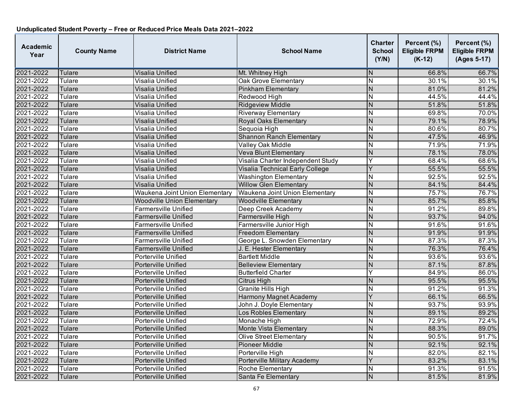| Academic<br>Year | <b>County Name</b> | <b>District Name</b>              | <b>School Name</b>                | Charter<br><b>School</b><br>(Y/N) | Percent (%)<br><b>Eligible FRPM</b><br>$(K-12)$ | Percent (%)<br><b>Eligible FRPM</b><br>(Ages 5-17) |
|------------------|--------------------|-----------------------------------|-----------------------------------|-----------------------------------|-------------------------------------------------|----------------------------------------------------|
| 2021-2022        | Tulare             | Visalia Unified                   | Mt. Whitney High                  | N                                 | 66.8%                                           | 66.7%                                              |
| 2021-2022        | Tulare             | Visalia Unified                   | <b>Oak Grove Elementary</b>       | $\overline{\mathsf{N}}$           | 30.1%                                           | 30.1%                                              |
| 2021-2022        | Tulare             | Visalia Unified                   | <b>Pinkham Elementary</b>         | N                                 | 81.0%                                           | 81.2%                                              |
| 2021-2022        | Tulare             | Visalia Unified                   | Redwood High                      | N                                 | 44.5%                                           | 44.4%                                              |
| 2021-2022        | Tulare             | Visalia Unified                   | <b>Ridgeview Middle</b>           | N                                 | 51.8%                                           | 51.8%                                              |
| 2021-2022        | Tulare             | Visalia Unified                   | <b>Riverway Elementary</b>        | N                                 | 69.8%                                           | 70.0%                                              |
| 2021-2022        | Tulare             | Visalia Unified                   | <b>Royal Oaks Elementary</b>      | $\overline{\mathsf{N}}$           | 79.1%                                           | 78.9%                                              |
| 2021-2022        | Tulare             | Visalia Unified                   | Sequoia High                      | N                                 | 80.6%                                           | 80.7%                                              |
| 2021-2022        | Tulare             | Visalia Unified                   | <b>Shannon Ranch Elementary</b>   | N                                 | 47.5%                                           | 46.9%                                              |
| 2021-2022        | Tulare             | Visalia Unified                   | Valley Oak Middle                 | N                                 | 71.9%                                           | 71.9%                                              |
| 2021-2022        | Tulare             | Visalia Unified                   | Veva Blunt Elementary             | $\overline{\mathsf{N}}$           | 78.1%                                           | 78.0%                                              |
| 2021-2022        | Tulare             | Visalia Unified                   | Visalia Charter Independent Study | Ý                                 | 68.4%                                           | 68.6%                                              |
| 2021-2022        | Tulare             | Visalia Unified                   | Visalia Technical Early College   | Ý                                 | 55.5%                                           | 55.5%                                              |
| 2021-2022        | Tulare             | Visalia Unified                   | <b>Washington Elementary</b>      | N                                 | 92.5%                                           | 92.5%                                              |
| 2021-2022        | Tulare             | Visalia Unified                   | <b>Willow Glen Elementary</b>     | $\overline{\mathsf{N}}$           | 84.1%                                           | 84.4%                                              |
| 2021-2022        | Tulare             | Waukena Joint Union Elementary    | Waukena Joint Union Elementary    | N                                 | 75.7%                                           | 76.7%                                              |
| 2021-2022        | Tulare             | <b>Woodville Union Elementary</b> | <b>Woodville Elementary</b>       | N                                 | 85.7%                                           | 85.8%                                              |
| 2021-2022        | Tulare             | Farmersville Unified              | Deep Creek Academy                | N                                 | 91.2%                                           | 89.8%                                              |
| 2021-2022        | Tulare             | Farmersville Unified              | Farmersville High                 | N                                 | 93.7%                                           | 94.0%                                              |
| 2021-2022        | Tulare             | Farmersville Unified              | Farmersville Junior High          | $\overline{\mathsf{N}}$           | 91.6%                                           | 91.6%                                              |
| 2021-2022        | Tulare             | <b>Farmersville Unified</b>       | <b>Freedom Elementary</b>         | $\overline{N}$                    | 91.9%                                           | 91.9%                                              |
| 2021-2022        | Tulare             | Farmersville Unified              | George L. Snowden Elementary      | $\overline{\mathsf{N}}$           | 87.3%                                           | 87.3%                                              |
| 2021-2022        | Tulare             | Farmersville Unified              | J. E. Hester Elementary           | $\overline{\mathsf{N}}$           | 76.3%                                           | 76.4%                                              |
| 2021-2022        | Tulare             | Porterville Unified               | <b>Bartlett Middle</b>            | N                                 | 93.6%                                           | 93.6%                                              |
| 2021-2022        | Tulare             | <b>Porterville Unified</b>        | <b>Belleview Elementary</b>       | $\overline{\mathsf{N}}$           | 87.1%                                           | 87.8%                                              |
| 2021-2022        | Tulare             | Porterville Unified               | <b>Butterfield Charter</b>        | Ý                                 | 84.9%                                           | 86.0%                                              |
| 2021-2022        | Tulare             | Porterville Unified               | Citrus High                       | N                                 | 95.5%                                           | 95.5%                                              |
| 2021-2022        | Tulare             | Porterville Unified               | <b>Granite Hills High</b>         | N                                 | 91.2%                                           | 91.3%                                              |
| 2021-2022        | Tulare             | Porterville Unified               | Harmony Magnet Academy            | Y                                 | 66.1%                                           | 66.5%                                              |
| 2021-2022        | Tulare             | Porterville Unified               | John J. Doyle Elementary          | N                                 | 93.7%                                           | 93.9%                                              |
| 2021-2022        | Tulare             | Porterville Unified               | Los Robles Elementary             | $\overline{N}$                    | 89.1%                                           | 89.2%                                              |
| 2021-2022        | Tulare             | Porterville Unified               | Monache High                      | $\overline{\mathsf{N}}$           | 72.9%                                           | 72.4%                                              |
| 2021-2022        | Tulare             | Porterville Unified               | Monte Vista Elementary            | $\overline{\mathsf{N}}$           | 88.3%                                           | 89.0%                                              |
| 2021-2022        | Tulare             | Porterville Unified               | <b>Olive Street Elementary</b>    | N                                 | 90.5%                                           | 91.7%                                              |
| 2021-2022        | Tulare             | Porterville Unified               | <b>Pioneer Middle</b>             | N                                 | 92.1%                                           | 92.1%                                              |
| 2021-2022        | Tulare             | Porterville Unified               | Porterville High                  | $\overline{\mathsf{N}}$           | 82.0%                                           | 82.1%                                              |
| 2021-2022        | Tulare             | Porterville Unified               | Porterville Military Academy      | Ý                                 | 83.2%                                           | 83.1%                                              |
| 2021-2022        | Tulare             | Porterville Unified               | Roche Elementary                  | N                                 | 91.3%                                           | 91.5%                                              |
| 2021-2022        | Tulare             | Porterville Unified               | Santa Fe Elementary               | $\overline{\mathsf{N}}$           | 81.5%                                           | 81.9%                                              |